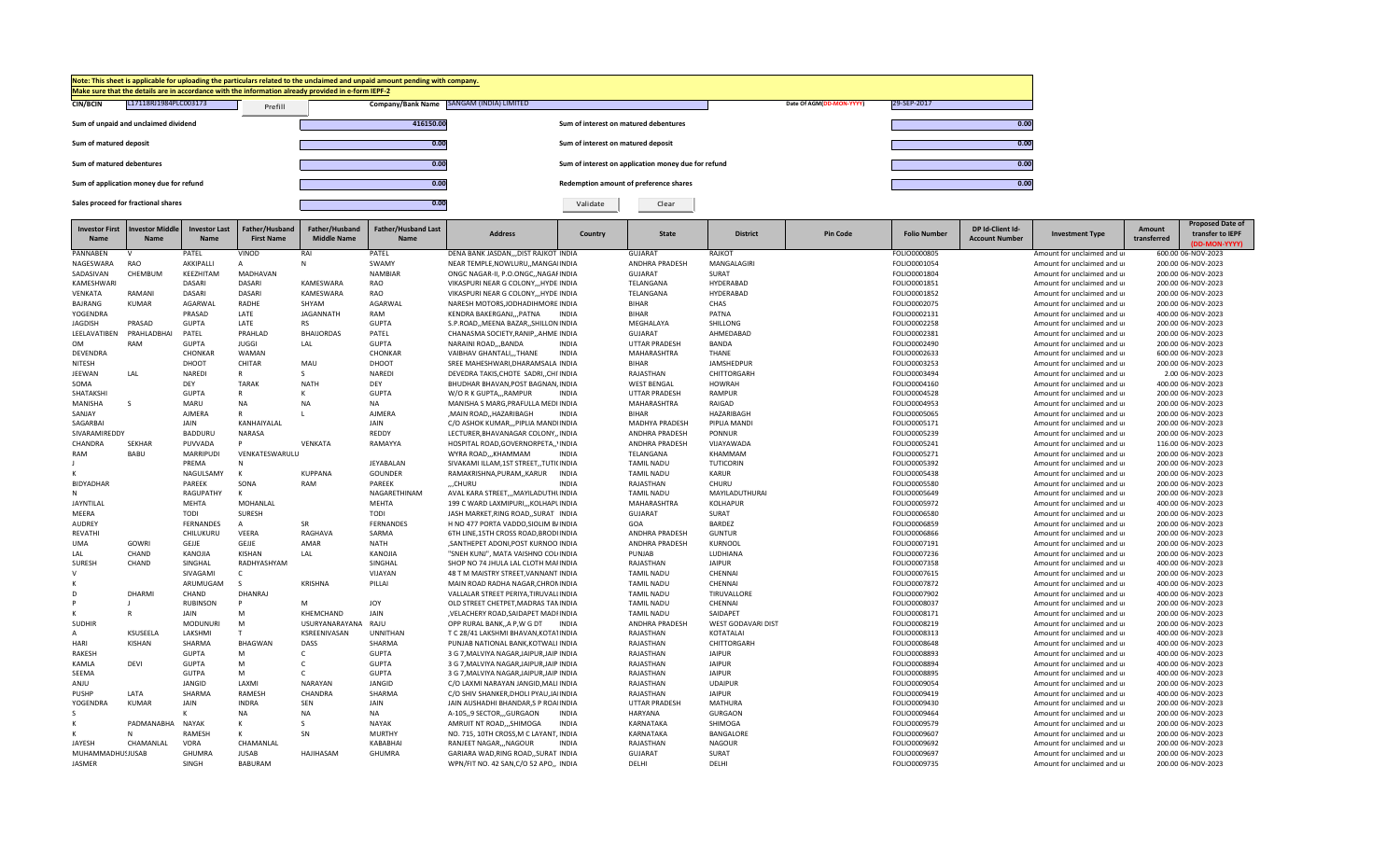

| <b>Investor First</b> | <b>Investor Middle</b> | Investor Last    | Father/Husband    | Father/Husband     | <b>Father/Husband Last</b> |                                          |              |                       |                    |                 |                     | DP Id-Client Id-      |                             | Amount      | <b>Proposed Date of</b>           |
|-----------------------|------------------------|------------------|-------------------|--------------------|----------------------------|------------------------------------------|--------------|-----------------------|--------------------|-----------------|---------------------|-----------------------|-----------------------------|-------------|-----------------------------------|
| Name                  | <b>Name</b>            | <b>Name</b>      | <b>First Name</b> | <b>Middle Name</b> | Name                       | <b>Address</b>                           | Country      | <b>State</b>          | <b>District</b>    | <b>Pin Code</b> | <b>Folio Number</b> | <b>Account Number</b> | <b>Investment Type</b>      | transferred | transfer to IEPF<br>(DD-MON-YYYY) |
| PANNABEN              | v                      | PATEL            | VINOD             | RAI                | PATEL                      | DENA BANK JASDAN,,,DIST RAJKOT INDIA     |              | <b>GUJARAT</b>        | RAJKOT             |                 | FOLIO0000805        |                       | Amount for unclaimed and ur |             | 600.00 06-NOV-2023                |
| NAGESWARA             | RAO                    | AKKIPALLI        | $\overline{A}$    | N                  | SWAMY                      | NEAR TEMPLE, NOWLURU,, MANGAIINDIA       |              | <b>ANDHRA PRADESH</b> | MANGALAGIRI        |                 | FOLIO0001054        |                       | Amount for unclaimed and u  |             | 200.00 06-NOV-2023                |
| SADASIVAN             | CHEMBUM                | KEEZHITAM        | MADHAVAN          |                    | <b>NAMBIAR</b>             | ONGC NAGAR-II, P.O.ONGC., NAGAFINDIA     |              | <b>GUJARAT</b>        | SURAT              |                 | FOLIO0001804        |                       | Amount for unclaimed and u  |             | 200.00 06-NOV-2023                |
| KAMESHWAR             |                        | DASARI           | DASARI            | KAMESWARA          | RAO                        | VIKASPURI NEAR G COLONY,,, HYDE INDIA    |              | TELANGANA             | HYDERABAD          |                 | FOLIO0001851        |                       | Amount for unclaimed and ur |             | 200.00 06-NOV-2023                |
| VENKATA               | RAMANI                 | DASARI           | DASARI            | KAMESWARA          | RAO                        | VIKASPURI NEAR G COLONY,,,HYDEIINDIA     |              | TELANGANA             | HYDERABAD          |                 | FOLIO0001852        |                       | Amount for unclaimed and ur |             | 200.00 06-NOV-2023                |
| BAJRANG               | <b>KUMAR</b>           | AGARWAL          | <b>RADHE</b>      | SHYAM              | AGARWAL                    | NARESH MOTORS.JODHADIHMORE INDIA         |              | <b>BIHAR</b>          | CHAS               |                 | FOLIO0002075        |                       | Amount for unclaimed and ur |             | 200.00 06-NOV-2023                |
| YOGENDRA              |                        | PRASAD           | LATE              | <b>JAGANNATH</b>   | RAM                        | KENDRA BAKERGANJPATNA                    | <b>INDIA</b> | <b>BIHAR</b>          | PATNA              |                 | FOLIO0002131        |                       | Amount for unclaimed and ur |             | 400.00 06-NOV-2023                |
| <b>JAGDISH</b>        | PRASAD                 | <b>GUPTA</b>     | LATE              | <b>RS</b>          | <b>GUPTA</b>               | S.P.ROAD, MEENA BAZAR, SHILLON INDIA     |              | MEGHALAYA             | SHILLONG           |                 | FOLIO0002258        |                       | Amount for unclaimed and ur |             | 200.00 06-NOV-2023                |
| LEELAVATIBEN          | PRAHLADBHAI            | PATEL            | PRAHLAD           | <b>BHAIJORDAS</b>  | PATEL                      | CHANASMA SOCIETY, RANIP, , AHMEIINDIA    |              | <b>GUJARAT</b>        | AHMEDABAD          |                 | FOLIO0002381        |                       | Amount for unclaimed and ur |             | 200.00 06-NOV-2023                |
| <b>OM</b>             | <b>RAM</b>             | <b>GUPTA</b>     | <b>JUGGI</b>      | LAL                | <b>GUPTA</b>               | NARAINI ROADBANDA                        | <b>INDIA</b> | <b>UTTAR PRADESH</b>  | BANDA              |                 | FOLIO0002490        |                       | Amount for unclaimed and ur |             | 200.00 06-NOV-2023                |
| DEVENDRA              |                        | CHONKAR          | WAMAN             |                    | CHONKAR                    | VAIBHAV GHANTALI,,,THANE                 | <b>INDIA</b> | MAHARASHTRA           | <b>THANE</b>       |                 | FOLIO0002633        |                       | Amount for unclaimed and ur |             | 600.00 06-NOV-2023                |
| <b>NITESH</b>         |                        | DHOOT            | <b>CHITAR</b>     | MAU                | DHOOT                      | SREE MAHESHWARI.DHARAMSALA INDIA         |              | <b>BIHAR</b>          | JAMSHEDPUR         |                 | FOLIO0003253        |                       | Amount for unclaimed and ur |             | 200.00 06-NOV-2023                |
| JEEWAN                | LAL                    | NAREDI           | R                 | $\mathcal{S}$      | <b>NAREDI</b>              | DEVEDRA TAKIS, CHOTE SADRI, , CHI INDIA  |              | RAJASTHAN             | CHITTORGARH        |                 | FOLIO0003494        |                       | Amount for unclaimed and ur |             | 2.00 06-NOV-2023                  |
| SOMA                  |                        | DEY              | <b>TARAK</b>      | <b>NATH</b>        | DEY                        | BHUDHAR BHAVAN.POST BAGNAN.INDIA         |              | <b>WEST BENGAL</b>    | <b>HOWRAH</b>      |                 | FOLIO0004160        |                       | Amount for unclaimed and ur |             | 400.00 06-NOV-2023                |
| SHATAKSHI             |                        | <b>GUPTA</b>     |                   |                    | <b>GUPTA</b>               | W/O R K GUPTA,,,RAMPUR                   | <b>INDIA</b> | UTTAR PRADESH         | RAMPUR             |                 | FOLIO0004528        |                       | Amount for unclaimed and ur |             | 200.00 06-NOV-2023                |
| MANISHA               | -S                     | MARU             | <b>NA</b>         | <b>NA</b>          | <b>NA</b>                  | MANISHA S MARG, PRAFULLA MEDI INDIA      |              | MAHARASHTRA           | RAIGAD             |                 | FOLIO0004953        |                       | Amount for unclaimed and ur |             | 200.00 06-NOV-2023                |
| SANJAY                |                        | <b>AJMERA</b>    | R                 |                    | <b>AJMERA</b>              | .MAIN ROADHAZARIBAGH                     | <b>INDIA</b> | <b>BIHAR</b>          | HAZARIBAGH         |                 | FOLIO0005065        |                       | Amount for unclaimed and ur |             | 200.00 06-NOV-2023                |
| SAGARBAI              |                        | JAIN             | KANHAIYALAL       |                    | JAIN                       | C/O ASHOK KUMAR,,,PIPLIA MANDIINDIA      |              | <b>MADHYA PRADESH</b> | PIPLIA MANDI       |                 | FOLIO0005171        |                       | Amount for unclaimed and ur |             | 200.00 06-NOV-2023                |
| SIVARAMIREDDY         |                        | <b>BADDURU</b>   | <b>NARASA</b>     |                    | <b>REDDY</b>               | LECTURER, BHAVANAGAR COLONY,, INDIA      |              | <b>ANDHRA PRADESH</b> | PONNUR             |                 | FOLIO0005239        |                       | Amount for unclaimed and ur |             | 200.00 06-NOV-2023                |
| CHANDRA               | SEKHAR                 | PUVVADA          | D                 | VENKATA            | RAMAYYA                    | HOSPITAL ROAD, GOVERNORPETA,, INDIA      |              | ANDHRA PRADESH        | VIJAYAWADA         |                 | FOLIO0005241        |                       | Amount for unclaimed and ur |             | 116.00 06-NOV-2023                |
| <b>RAM</b>            | <b>BABU</b>            | <b>MARRIPUDI</b> | VENKATESWARULU    |                    |                            | WYRA ROADKHAMMAM                         | <b>INDIA</b> | TELANGANA             | KHAMMAM            |                 | FOLIO0005271        |                       | Amount for unclaimed and ur |             | 200.00 06-NOV-2023                |
|                       |                        | PREMA            | N                 |                    | JEYABALAN                  | SIVAKAMI ILLAM,1ST STREET,,TUTI(INDIA    |              | <b>TAMIL NADU</b>     | <b>TUTICORIN</b>   |                 | FOLIO0005392        |                       | Amount for unclaimed and ur |             | 200.00 06-NOV-2023                |
|                       |                        | NAGULSAMY        | $\mathbf{v}$      | <b>KUPPANA</b>     | <b>GOUNDER</b>             | RAMAKRISHNA, PURAM, , KARUR              | <b>INDIA</b> | <b>TAMIL NADU</b>     | <b>KARUR</b>       |                 | FOLIO0005438        |                       | Amount for unclaimed and ur |             | 200.00 06-NOV-2023                |
| <b>BIDYADHAR</b>      |                        | PAREEK           | SONA              | RAM                | PAREEK                     | "CHURU                                   | <b>INDIA</b> | RAJASTHAN             | CHURU              |                 | FOLIO0005580        |                       | Amount for unclaimed and ur |             | 200.00 06-NOV-2023                |
|                       |                        | RAGUPATHY        | к                 |                    | NAGARETHINAM               | AVAL KARA STREET,,, MAYILADUTHUNDIA      |              | <b>TAMIL NADU</b>     | MAYILADUTHURAI     |                 | FOLIO0005649        |                       | Amount for unclaimed and ur |             | 200.00 06-NOV-2023                |
| <b>JAYNTILAL</b>      |                        | <b>MEHTA</b>     | MOHANLAL          |                    | <b>MEHTA</b>               | 199 C WARD LAXMIPURI,,,KOLHAPLINDIA      |              | MAHARASHTRA           | KOLHAPUR           |                 | FOLIO0005972        |                       | Amount for unclaimed and ur |             | 400.00 06-NOV-2023                |
| MEERA                 |                        | <b>TODI</b>      | <b>SURESH</b>     |                    | <b>TODI</b>                | JASH MARKET, RING ROAD, , SURAT INDIA    |              | <b>GUJARAT</b>        | SURAT              |                 | FOLIO0006580        |                       | Amount for unclaimed and ur |             | 200.00 06-NOV-2023                |
| AUDREY                |                        | <b>FERNANDES</b> | $\overline{A}$    | <b>SR</b>          | <b>FERNANDES</b>           | H NO 477 PORTA VADDO, SIOLIM B/INDIA     |              | GOA                   | BARDEZ             |                 | FOLIO0006859        |                       | Amount for unclaimed and ur |             | 200.00 06-NOV-2023                |
| REVATHI               |                        | CHILUKURU        | VEERA             | RAGHAVA            | SARMA                      | 6TH LINE.15TH CROSS ROAD.BRODHNDIA       |              | <b>ANDHRA PRADESH</b> | <b>GUNTUR</b>      |                 | FOLIO0006866        |                       | Amount for unclaimed and u  |             | 200.00 06-NOV-2023                |
| <b>UMA</b>            | GOWRI                  | GEJJE            | GEJJE             | AMAR               | <b>NATH</b>                | , SANTHEPET ADONI, POST KURNOOIINDIA     |              | <b>ANDHRA PRADESH</b> | <b>KURNOOL</b>     |                 | FOLIO0007191        |                       | Amount for unclaimed and ur |             | 200.00 06-NOV-2023                |
| LAL                   | CHAND                  | KANOJIA          | <b>KISHAN</b>     | LAL                | KANOJIA                    | "SNEH KUNJ", MATA VAISHNO COL(INDIA      |              | PUNJAB                | LUDHIANA           |                 | FOLIO0007236        |                       | Amount for unclaimed and ur |             | 200.00 06-NOV-2023                |
| <b>SURESH</b>         | CHAND                  | SINGHAL          | RADHYASHYAM       |                    | SINGHAL                    | SHOP NO 74 JHULA LAL CLOTH MAFINDIA      |              | RAJASTHAN             | <b>JAIPUR</b>      |                 | FOLIO0007358        |                       | Amount for unclaimed and ur |             | 400.00 06-NOV-2023                |
| $\mathcal{U}$         |                        | SIVAGAMI         | $\mathsf{C}$      |                    | VIJAYAN                    | 48 T M MAISTRY STREET, VANNANT INDIA     |              | <b>TAMIL NADU</b>     | CHENNAI            |                 | FOLIO0007615        |                       | Amount for unclaimed and ur |             | 200.00 06-NOV-2023                |
|                       |                        | ARUMUGAM         | $\epsilon$        | KRISHNA            | PILLAI                     | MAIN ROAD RADHA NAGAR, CHRONINDIA        |              | <b>TAMIL NADU</b>     | CHENNAI            |                 | FOLIO0007872        |                       | Amount for unclaimed and ur |             | 400.00 06-NOV-2023                |
| D                     | DHARMI                 | CHAND            | <b>DHANRAJ</b>    |                    |                            | VALLALAR STREET PERIYA, TIRUVALLINDIA    |              | <b>TAMIL NADU</b>     | TIRUVALLORE        |                 | FOLIO0007902        |                       | Amount for unclaimed and ur |             | 400.00 06-NOV-2023                |
|                       |                        | <b>RUBINSON</b>  |                   | M                  | <b>JOY</b>                 | OLD STREET CHETPET, MADRAS TANINDIA      |              | <b>TAMIL NADU</b>     | CHENNAI            |                 | FOLIO0008037        |                       | Amount for unclaimed and ur |             | 200.00 06-NOV-2023                |
|                       |                        | JAIN             | M                 | KHEMCHAND          | JAIN                       | , VELACHERY ROAD, SAIDAPET MADFINDIA     |              | <b>TAMIL NADU</b>     | SAIDAPET           |                 | FOLIO0008171        |                       | Amount for unclaimed and ur |             | 200.00 06-NOV-2023                |
| <b>SUDHIR</b>         |                        | <b>MODUNUR</b>   | M                 | USURYANARAYANA     | RAJU                       | OPP RURAL BANK, A P, W G DT              | <b>INDIA</b> | ANDHRA PRADESH        | WEST GODAVARI DIST |                 | FOLIO0008219        |                       | Amount for unclaimed and ur |             | 200.00 06-NOV-2023                |
| А                     | KSUSEELA               | LAKSHMI          | т                 | KSREENIVASAN       | <b>UNNITHAN</b>            | T C 28/41 LAKSHMI BHAVAN.KOTA1INDIA      |              | RAJASTHAN             | KOTATALAI          |                 | FOLIO0008313        |                       | Amount for unclaimed and ur |             | 400.00 06-NOV-2023                |
| HARI                  | KISHAN                 | SHARMA           | <b>BHAGWAN</b>    | DASS               | SHARMA                     | PUNJAB NATIONAL BANK, KOTWALI INDIA      |              | RAJASTHAN             | CHITTORGARH        |                 | FOLIO0008648        |                       | Amount for unclaimed and ur |             | 400.00 06-NOV-2023                |
| <b>RAKESH</b>         |                        | <b>GUPTA</b>     | M                 | $\mathsf{C}$       | <b>GUPTA</b>               | 3 G 7, MALVIYA NAGAR, JAIPUR, JAIP INDIA |              | RAJASTHAN             | <b>JAIPUR</b>      |                 | FOLIO0008893        |                       | Amount for unclaimed and ur |             | 400.00 06-NOV-2023                |
| KAMLA                 | DEVI                   | <b>GUPTA</b>     | M                 |                    | <b>GUPTA</b>               | 3 G 7, MALVIYA NAGAR, JAIPUR, JAIP INDIA |              | RAJASTHAN             | <b>JAIPUR</b>      |                 | FOLIO0008894        |                       | Amount for unclaimed and ur |             | 400.00 06-NOV-2023                |
| <b>SEEMA</b>          |                        | <b>GUTPA</b>     | M                 | $\epsilon$         | <b>GUPTA</b>               | 3 G 7. MALVIYA NAGAR. JAIPUR. JAIP INDIA |              | RAJASTHAN             | <b>JAIPUR</b>      |                 | FOLIO0008895        |                       | Amount for unclaimed and ur |             | 400.00 06-NOV-2023                |
| ANJU                  |                        | JANGID           | LAXMI             | <b>NARAYAN</b>     | <b>JANGID</b>              | C/O LAXMI NARAYAN JANGID, MALI INDIA     |              | RAJASTHAN             | <b>UDAIPUR</b>     |                 | FOLIO0009054        |                       | Amount for unclaimed and ur |             | 200.00 06-NOV-2023                |
| PUSHP                 | LATA                   | SHARMA           | RAMESH            | CHANDRA            | SHARMA                     | C/O SHIV SHANKER, DHOLI PYAU, JAIINDIA   |              | RAJASTHAN             | <b>JAIPUR</b>      |                 | FOLIO0009419        |                       | Amount for unclaimed and ur |             | 400.00 06-NOV-2023                |
| <b>YOGENDRA</b>       | <b>KUMAR</b>           | JAIN             | <b>INDRA</b>      | SEN                | <b>JAIN</b>                | JAIN AUSHADHI BHANDAR.S P ROAIINDIA      |              | <b>UTTAR PRADESH</b>  | MATHURA            |                 | FOLIO0009430        |                       | Amount for unclaimed and ur |             | 200.00 06-NOV-2023                |
|                       |                        | к                | <b>NA</b>         | <b>NA</b>          | NA                         | A-105,,9 SECTOR,,,GURGAON                | <b>INDIA</b> | <b>HARYANA</b>        | <b>GURGAON</b>     |                 | FOLIO0009464        |                       | Amount for unclaimed and ur |             | 200.00 06-NOV-2023                |
|                       | PADMANABHA             | <b>NAYAK</b>     |                   |                    | <b>NAYAK</b>               | AMRUIT NT ROAD,,,SHIMOGA                 | <b>INDIA</b> | KARNATAKA             | SHIMOGA            |                 | FOLIO0009579        |                       | Amount for unclaimed and ur |             | 200.00 06-NOV-2023                |
|                       |                        | <b>RAMESH</b>    | к                 | SN                 | <b>MURTHY</b>              | NO. 715, 10TH CROSS, M C LAYANT, INDIA   |              | KARNATAKA             | BANGALORE          |                 | FOLIO0009607        |                       | Amount for unclaimed and ur |             | 200.00 06-NOV-2023                |
| <b>JAYESH</b>         | CHAMANLAL              | <b>VORA</b>      | CHAMANLAL         |                    | KABABHAI                   | <b>RANJEET NAGARNAGOUR</b>               | <b>INDIA</b> | RAJASTHAN             | <b>NAGOUR</b>      |                 | FOLIO0009692        |                       | Amount for unclaimed and u  |             | 200.00 06-NOV-2023                |
| MUHAMMADHU!JUSAB      |                        | <b>GHUMRA</b>    | <b>JUSAB</b>      | HAIIHASAM          | <b>GHUMRA</b>              | GARIARA WAD.RING ROADSURAT INDIA         |              | <b>GUJARAT</b>        | SURAT              |                 | FOLIO0009697        |                       | Amount for unclaimed and ur |             | 200.00 06-NOV-2023                |
| JASMER                |                        | SINGH            | <b>BABURAM</b>    |                    |                            | WPN/FIT NO. 42 SAN, C/O 52 APO,, INDIA   |              | DELHI                 | DELHI              |                 | FOLIO0009735        |                       | Amount for unclaimed and ur |             | 200.00 06-NOV-2023                |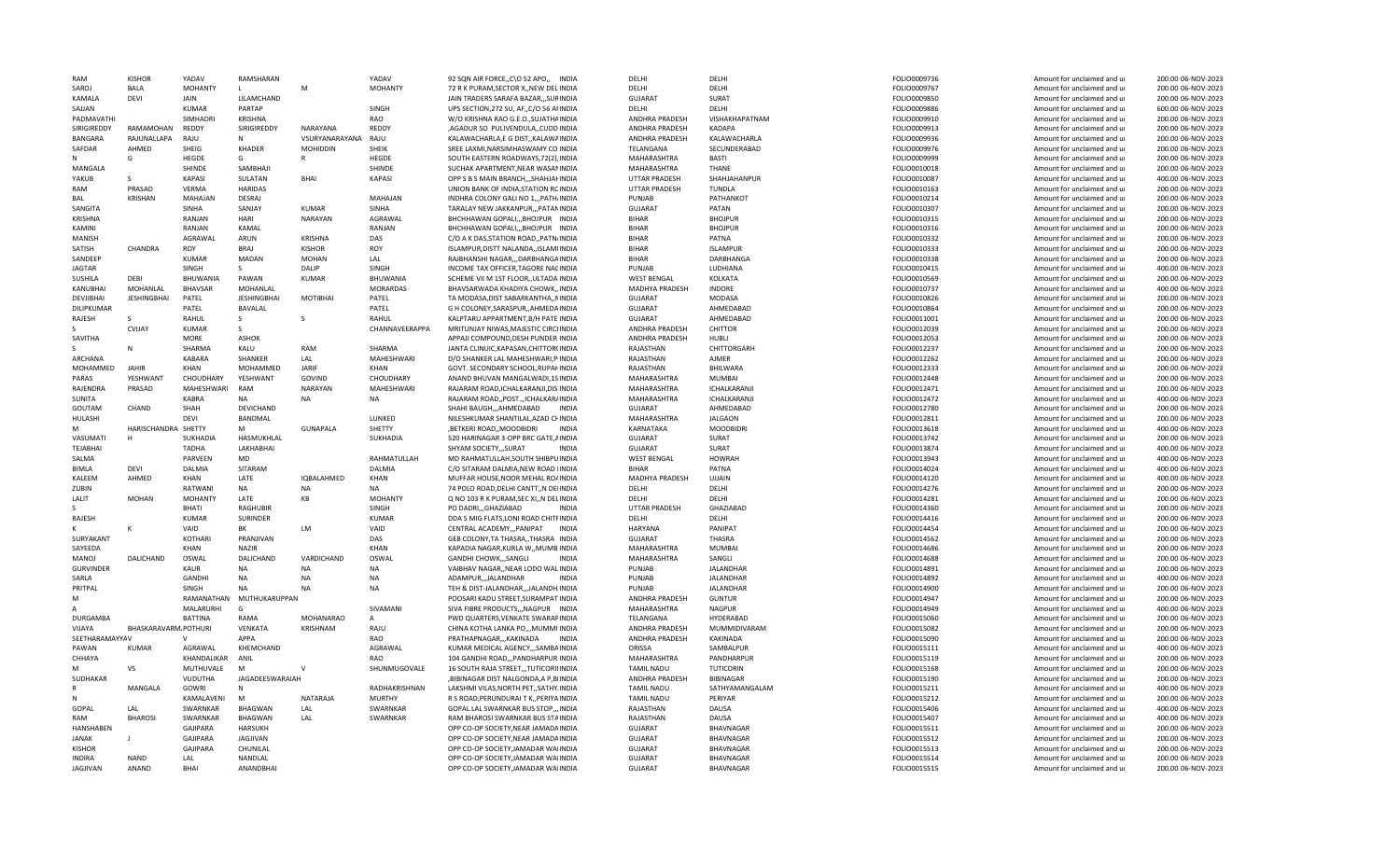| <b>RAM</b>       | <b>KISHOR</b>        | YADAV           | RAMSHARAN          |                 | YADAV             | 92 SQN AIR FORCE, C\O 52 APO,, INDIA      | DFLHI                 | DFLHI            | FOLIO0009736 | Amount for unclaimed and ur | 200.00 06-NOV-2023 |
|------------------|----------------------|-----------------|--------------------|-----------------|-------------------|-------------------------------------------|-----------------------|------------------|--------------|-----------------------------|--------------------|
| SAROJ            | BALA                 | <b>MOHANTY</b>  | L.                 | M               | <b>MOHANTY</b>    | 72 R K PURAM, SECTOR X, , NEW DEL INDIA   | DELHI                 | DELHI            | FOLIO0009767 | Amount for unclaimed and ur | 200.00 06-NOV-2023 |
| KAMALA           | <b>DEVI</b>          | <b>JAIN</b>     | LILAMCHAND         |                 |                   | JAIN TRADERS SARAFA BAZAR,,,SURINDIA      | <b>GUJARAT</b>        | SURAT            | FOLIO0009850 | Amount for unclaimed and ur | 200.00 06-NOV-2023 |
| SAJJAN           |                      | <b>KUMAR</b>    | PARTAP             |                 | SINGH             | UPS SECTION, 272 SU, AF, C/O 56 AFINDIA   | DELHI                 | DELHI            | FOLIO0009886 | Amount for unclaimed and ur | 600.00 06-NOV-2023 |
| PADMAVATHI       |                      | SIMHADRI        | KRISHNA            |                 | RAO               | W/O KRISHNA RAO G.E.O., SUJATHAINDIA      | ANDHRA PRADESH        | VISHAKHAPATNAM   | FOLIO0009910 | Amount for unclaimed and ur | 200.00 06-NOV-2023 |
| SIRIGIREDDY      | RAMAMOHAN            | REDDY           | SIRIGIREDDY        | NARAYANA        | REDDY             | ,AGADUR SO PULIVENDULA,,CUDD.INDIA        | ANDHRA PRADESH        | <b>KADAPA</b>    | FOLIO0009913 | Amount for unclaimed and ur | 200.00 06-NOV-2023 |
| <b>BANGARA</b>   | RAJUNALLAPA          | RAJU            |                    | VSURYANARAYANA  | RAJU              | KALAWACHARLA,E G DIST,, KALAWAINDIA       | ANDHRA PRADESH        | KALAWACHARLA     | FOLIO0009936 | Amount for unclaimed and ur | 200.00 06-NOV-2023 |
| SAFDAR           | AHMED                | SHEIG           | KHADER             | <b>MOHIDDIN</b> | SHEIK             | SREE LAXMI, NARSIMHASWAMY CO INDIA        | TELANGANA             | SECUNDERABAD     | FOLIO0009976 | Amount for unclaimed and ur | 200.00 06-NOV-2023 |
|                  | G                    | HEGDE           | G                  |                 | HEGDE             | SOUTH EASTERN ROADWAYS, 72(2), INDIA      | MAHARASHTRA           | <b>BASTI</b>     | FOLIO0009999 | Amount for unclaimed and ur | 200.00 06-NOV-2023 |
| MANGALA          |                      | SHINDE          | SAMBHAJI           |                 | SHINDE            | SUCHAK APARTMENT, NEAR WASANINDIA         | MAHARASHTRA           | THANE            | FOLIO0010018 | Amount for unclaimed and ur | 200.00 06-NOV-2023 |
| YAKUB            | <sub>S</sub>         | KAPASI          | SULATAN            | <b>BHAI</b>     | <b>KAPASI</b>     | OPP S B S MAIN BRANCH, , SHAHJAI INDIA    | UTTAR PRADESH         | SHAHJAHANPUR     | FOLIO0010087 | Amount for unclaimed and ur | 400.00 06-NOV-2023 |
|                  |                      |                 |                    |                 |                   |                                           |                       |                  |              |                             |                    |
| RAM              | PRASAD               | VERMA           | <b>HARIDAS</b>     |                 |                   | UNION BANK OF INDIA, STATION RCINDIA      | UTTAR PRADESH         | <b>TUNDLA</b>    | FOLIO0010163 | Amount for unclaimed and ur | 200.00 06-NOV-2023 |
| <b>BAL</b>       | <b>KRISHAN</b>       | MAHAJAN         | DESRAJ             |                 | MAHAJAN           | INDHRA COLONY GALI NO 1,,,PATH/INDIA      | PUNJAB                | PATHANKOT        | FOLIO0010214 | Amount for unclaimed and ur | 200.00 06-NOV-2023 |
| <b>SANGITA</b>   |                      | <b>SINHA</b>    | SANJAY             | KUMAR           | <b>SINHA</b>      | TARALAY NEW JAKKANPUR, ,, PATANINDIA      | <b>GUJARAT</b>        | PATAN            | FOLIO0010307 | Amount for unclaimed and ur | 200.00 06-NOV-2023 |
| <b>KRISHNA</b>   |                      | RANJAN          | HARI               | <b>NARAYAN</b>  | AGRAWAL           | BHCHHAWAN GOPALI,,,BHOJPUR INDIA          | <b>BIHAR</b>          | <b>BHOJPUR</b>   | FOLIO0010315 | Amount for unclaimed and ur | 200.00 06-NOV-2023 |
| KAMINI           |                      | RANJAN          | KAMAL              |                 | RANJAN            | BHCHHAWAN GOPALI,,,BHOJPUR INDIA          | <b>BIHAR</b>          | <b>BHOJPUR</b>   | FOLIO0010316 | Amount for unclaimed and ur | 200.00 06-NOV-2023 |
| MANISH           |                      | AGRAWAL         | ARUN               | <b>KRISHNA</b>  | DAS               | C/O A K DAS, STATION ROAD, , PATN/INDIA   | <b>BIHAR</b>          | PATNA            | FOLIO0010332 | Amount for unclaimed and ur | 200.00 06-NOV-2023 |
| SATISH           | CHANDRA              | ROY             | <b>BRAJ</b>        | <b>KISHOR</b>   | ROY               | ISLAMPUR, DISTT NALANDA, , ISLAMI INDIA   | <b>BIHAR</b>          | <b>ISLAMPUR</b>  | FOLIO0010333 | Amount for unclaimed and ur | 200.00 06-NOV-2023 |
| SANDEEP          |                      | <b>KUMAR</b>    | MADAN              | <b>MOHAN</b>    | LAL               | RAJBHANSHI NAGAR,,,DARBHANGAINDIA         | <b>BIHAR</b>          | DARBHANGA        | FOLIO0010338 | Amount for unclaimed and ur | 200.00 06-NOV-2023 |
| <b>JAGTAR</b>    |                      | SINGH           | S                  | DALIP           | SINGH             | INCOME TAX OFFICER, TAGORE NACINDIA       | PUNJAB                | LUDHIANA         | FOLIO0010415 | Amount for unclaimed and ur | 400.00 06-NOV-2023 |
| SUSHILA          | DEBI                 | BHUWANIA        | PAWAN              | <b>KUMAR</b>    | BHUWANIA          | SCHEME VII M 1ST FLOOR,, ULTADA INDIA     | <b>WEST BENGAL</b>    | KOLKATA          | FOLIO0010569 | Amount for unclaimed and ur | 200.00 06-NOV-2023 |
| KANUBHAI         | MOHANLAL             | <b>BHAVSAR</b>  | MOHANLAL           |                 | <b>MORARDAS</b>   | BHAVSARWADA KHADIYA CHOWK., INDIA         | MADHYA PRADESH        | <b>INDORE</b>    | FOLIO0010737 | Amount for unclaimed and ur | 400.00 06-NOV-2023 |
| DEVJIBHAI        | <b>JESHINGBHAI</b>   | PATEL           | <b>JESHINGBHAI</b> | <b>MOTIBHAI</b> | PATEL             | TA MODASA, DIST SABARKANTHA, , NINDIA     | <b>GUJARAT</b>        | MODASA           |              |                             | 200.00 06-NOV-2023 |
|                  |                      |                 |                    |                 |                   |                                           |                       |                  | FOLIO0010826 | Amount for unclaimed and ur |                    |
| DILIPKUMAR       |                      | PATEL           | BAVALAL            |                 | PATEL             | G H COLONEY, SARASPUR, , AHMEDAINDIA      | <b>GUJARAT</b>        | AHMEDABAD        | FOLIO0010864 | Amount for unclaimed and ur | 200.00 06-NOV-2023 |
| RAJESH           | <sub>S</sub>         | RAHUL           | S.                 | <sub>S</sub>    | RAHUL             | KALPTARU APPARTMENT, B/H PATE INDIA       | <b>GUJARAT</b>        | AHMEDABAD        | FOLIO0011001 | Amount for unclaimed and ur | 200.00 06-NOV-2023 |
|                  | CVIJAY               | <b>KUMAR</b>    | S.                 |                 | CHANNAVEERAPPA    | MRITUNJAY NIWAS.MAJESTIC CIRCLINDIA       | <b>ANDHRA PRADESH</b> | CHITTOR          | FOLIO0012039 | Amount for unclaimed and u  | 200.00 06-NOV-2023 |
| SAVITHA          |                      | <b>MORF</b>     | <b>ASHOK</b>       |                 |                   | APPAJI COMPOUND, DESH PUNDER INDIA        | ANDHRA PRADESH        | HUBLI            | FOLIO0012053 | Amount for unclaimed and ur | 200.00 06-NOV-2023 |
|                  |                      | SHARMA          | KALU               | RAM             | SHARMA            | JANTA CLINUIC, KAPASAN, CHITTOR(INDIA     | RAJASTHAN             | CHITTORGARH      | FOLIO0012237 | Amount for unclaimed and ur | 200.00 06-NOV-2023 |
| ARCHANA          |                      | KABARA          | SHANKER            | LAL             | <b>MAHESHWARI</b> | D/O SHANKER LAL MAHESHWARI, PINDIA        | RAJASTHAN             | AJMER            | FOLIO0012262 | Amount for unclaimed and ur | 200.00 06-NOV-2023 |
| MOHAMMED         | <b>JAHIR</b>         | KHAN            | MOHAMMED           | <b>JARIE</b>    | KHAN              | GOVT. SECONDARY SCHOOL, RUPAI INDIA       | RAJASTHAN             | BHILWARA         | FOLIO0012333 | Amount for unclaimed and ur | 200.00 06-NOV-2023 |
| PARAS            | YESHWANT             | CHOUDHARY       | YESHWANT           | GOVIND          | CHOUDHARY         | ANAND BHUVAN MANGALWADI, 1S INDIA         | MAHARASHTRA           | MUMBAI           | FOLIO0012448 | Amount for unclaimed and ur | 200.00 06-NOV-2023 |
| RAJENDRA         | PRASAD               | MAHESHWARI      | RAM                | <b>NARAYAN</b>  | MAHESHWARI        | RAJARAM ROAD, ICHALKARANJI, DIS INDIA     | MAHARASHTRA           | ICHALKARANJI     | FOLIO0012471 | Amount for unclaimed and ur | 200.00 06-NOV-2023 |
| <b>SUNITA</b>    |                      | KABRA           | <b>NA</b>          | <b>NA</b>       | <b>NA</b>         | RAJARAM ROAD, POST., ICHALKAR/INDIA       | MAHARASHTRA           | ICHALKARANJI     | FOLIO0012472 | Amount for unclaimed and ur | 400.00 06-NOV-2023 |
| GOUTAM           | CHAND                | SHAH            | DEVICHAND          |                 |                   | SHAHI BAUGHAHMEDABAD<br><b>INDIA</b>      | GUJARAT               | AHMEDABAD        | FOLIO0012780 | Amount for unclaimed and ur | 200.00 06-NOV-2023 |
| HULASHI          |                      | DEVI            | BANDMAL            |                 | LUNKED            | NILESHKUMAR SHANTILAL, AZAD CI INDIA      | MAHARASHTRA           | <b>JALGAON</b>   | FOLIO0012811 | Amount for unclaimed and ur | 200.00 06-NOV-2023 |
|                  |                      |                 | M                  |                 |                   |                                           |                       |                  |              |                             |                    |
|                  | HARISCHANDRA SHETTY  |                 |                    | <b>GUNAPALA</b> | SHETTY            | ,BETKERI ROAD,,MOODBIDRI<br>INDIA         | KARNATAKA             | <b>MOODBIDRI</b> | FOLIO0013618 | Amount for unclaimed and ur | 400.00 06-NOV-2023 |
| VASUMATI         | H                    | SUKHADIA        | HASMUKHLAL         |                 | SUKHADIA          | 520 HARINAGAR 3-OPP BRC GATE, AINDIA      | <b>GUJARAT</b>        | SURAT            | FOLIO0013742 | Amount for unclaimed and ur | 200.00 06-NOV-2023 |
| <b>TEJABHAI</b>  |                      | <b>TADHA</b>    | LAKHABHAI          |                 |                   | SHYAM SOCIETY,,,SURAT<br><b>INDIA</b>     | <b>GUJARAT</b>        | SURAT            | FOLIO0013874 | Amount for unclaimed and ur | 400.00 06-NOV-2023 |
| SALMA            |                      | PARVEEN         | <b>MD</b>          |                 | RAHMATULLAH       | MD RAHMATULLAH, SOUTH SHIBPUINDIA         | <b>WEST BENGAL</b>    | <b>HOWRAH</b>    | FOLIO0013943 | Amount for unclaimed and ur | 400.00 06-NOV-2023 |
| <b>BIMLA</b>     | <b>DEVI</b>          | <b>DALMIA</b>   | SITARAM            |                 | <b>DALMIA</b>     | C/O SITARAM DALMIA.NEW ROAD IINDIA        | <b>BIHAR</b>          | PATNA            | FOLIO0014024 | Amount for unclaimed and ur | 400.00 06-NOV-2023 |
| KALEEM           | AHMED                | KHAN            | LATE               | IQBALAHMED      | KHAN              | MUFFAR HOUSE, NOOR MEHAL ROAINDIA         | MADHYA PRADESH        | UJJAIN           | FOLIO0014120 | Amount for unclaimed and ur | 400.00 06-NOV-2023 |
| ZUBIN            |                      | RATWANI         | <b>NA</b>          | <b>NA</b>       | <b>NA</b>         | 74 POLO ROAD, DELHI CANTT,, N DEIINDIA    | DELHI                 | DELHI            | FOLIO0014276 | Amount for unclaimed and ur | 200.00 06-NOV-2023 |
| LALIT            | <b>MOHAN</b>         | <b>MOHANTY</b>  | LATE               | KB              | <b>MOHANTY</b>    | Q NO 103 R K PURAM, SEC XI, N DELINDIA    | DELHI                 | DELHI            | FOLIO0014281 | Amount for unclaimed and ur | 200.00 06-NOV-2023 |
|                  |                      | <b>BHATI</b>    | RAGHUBIR           |                 | SINGH             | <b>INDIA</b><br>PO DADRIGHAZIABAD         | UTTAR PRADESH         | GHAZIABAD        | FOLIO0014360 | Amount for unclaimed and ur | 200.00 06-NOV-2023 |
| RAJESH           |                      | <b>KUMAR</b>    | SURINDER           |                 | <b>KUMAR</b>      | DDA S MIG FLATS, LONI ROAD CHITFINDIA     | DELHI                 | DELHI            | FOLIO0014416 | Amount for unclaimed and ur | 200.00 06-NOV-2023 |
|                  |                      | VAID            | BK                 | LM              | VAID              | CENTRAL ACADEMY,,,PANIPAT<br><b>INDIA</b> | <b>HARYANA</b>        | PANIPAT          | FOLIO0014454 | Amount for unclaimed and ur | 200.00 06-NOV-2023 |
| SURYAKANT        |                      | KOTHARI         | PRANJIVAN          |                 | DAS               | GEB COLONY, TA THASRA,, THASRA INDIA      | <b>GUJARAT</b>        | <b>THASRA</b>    | FOLIO0014562 | Amount for unclaimed and ur | 200.00 06-NOV-2023 |
| SAYEEDA          |                      | KHAN            | <b>NAZIR</b>       |                 | <b>KHAN</b>       | KAPADIA NAGAR, KURLA W,, MUMB INDIA       | MAHARASHTRA           | MUMBAI           |              | Amount for unclaimed and ur | 200.00 06-NOV-2023 |
|                  |                      |                 |                    |                 |                   |                                           |                       |                  | FOLIO0014686 |                             |                    |
| MANOJ            | DALICHAND            | OSWAL           | DALICHAND          | VARDICHAND      | OSWAL             | GANDHI CHOWK,,,SANGLI<br><b>INDIA</b>     | MAHARASHTRA           | SANGLI           | FOLIO0014688 | Amount for unclaimed and ur | 200.00 06-NOV-2023 |
| <b>GURVINDER</b> |                      | KAUR            | <b>NA</b>          | <b>NA</b>       | <b>NA</b>         | VAIBHAV NAGAR, NEAR LODO WALINDIA         | PUNJAB                | <b>JALANDHAR</b> | FOLIO0014891 | Amount for unclaimed and ur | 200.00 06-NOV-2023 |
| SARLA            |                      | <b>GANDHI</b>   | <b>NA</b>          | <b>NA</b>       | <b>NA</b>         | ADAMPURJALANDHAR<br><b>INDIA</b>          | PUNJAB                | <b>JALANDHAR</b> | FOLIO0014892 | Amount for unclaimed and ur | 400.00 06-NOV-2023 |
| PRITPAL          |                      | SINGH           | NA                 | <b>NA</b>       | <b>NA</b>         | TEH & DIST-JALANDHAR,,,JALANDH.INDIA      | PUNJAB                | JALANDHAR        | FOLIO0014900 | Amount for unclaimed and ur | 200.00 06-NOV-2023 |
| M                |                      | RAMANATHAN      | MUTHUKARUPPAN      |                 |                   | POOSARI KADU STREET, SURAMPAT INDIA       | ANDHRA PRADESH        | <b>GUNTUR</b>    | FOLIO0014947 | Amount for unclaimed and ur | 200.00 06-NOV-2023 |
|                  |                      | MALARURHI       | G                  |                 | SIVAMANI          | SIVA FIBRE PRODUCTS, , NAGPUR INDIA       | MAHARASHTRA           | <b>NAGPUR</b>    | FOLIO0014949 | Amount for unclaimed and ur | 400.00 06-NOV-2023 |
| DURGAMBA         |                      | <b>BATTINA</b>  | RAMA               | MOHANARAO       | $\mathsf{A}$      | PWD QUARTERS, VENKATE SWARAPINDIA         | TELANGANA             | HYDERABAD        | FOLIO0015060 | Amount for unclaimed and ur | 200.00 06-NOV-2023 |
| VIJAYA           | BHASKARAVARM POTHURI |                 | VENKATA            | <b>KRISHNAM</b> | RAJU              | CHINA KOTHA LANKA PO,,, MUMMI INDIA       | ANDHRA PRADESH        | MUMMIDIVARAM     | FOLIO0015082 | Amount for unclaimed and ur | 200.00 06-NOV-2023 |
| SEETHARAMAYYA\   |                      | $\mathsf{V}$    | APPA               |                 | <b>RAO</b>        | PRATHAPNAGAR,,,KAKINADA<br><b>INDIA</b>   | ANDHRA PRADESH        | KAKINADA         | FOLIO0015090 | Amount for unclaimed and ur | 200.00 06-NOV-2023 |
| PAWAN            | <b>KUMAR</b>         | AGRAWAL         | KHEMCHAND          |                 | AGRAWAL           | KUMAR MEDICAL AGENCY,,,SAMBAINDIA         | ORISSA                | SAMBALPUR        | FOLIO0015111 | Amount for unclaimed and ur | 400.00 06-NOV-2023 |
| CHHAYA           |                      | KHANDALIKAR     | ANIL               |                 | <b>RAO</b>        | 104 GANDHI ROAD,,,PANDHARPUR INDIA        | MAHARASHTRA           | PANDHARPUR       | FOLIO0015119 | Amount for unclaimed and ur | 200.00 06-NOV-2023 |
| M                | <b>VS</b>            | MUTHUVALE       | M                  |                 | SHUNMUGOVALE      | 16 SOUTH RAJA STREET, , TUTICORINIDIA     | <b>TAMIL NADU</b>     | TUTICORIN        | FOLIO0015168 | Amount for unclaimed and ur | 200.00 06-NOV-2023 |
| SUDHAKAR         |                      | VUDUTHA         | JAGADEESWARAIAH    |                 |                   | ,BIBINAGAR DIST NALGONDA,A P,BIINDIA      | ANDHRA PRADESH        | BIBINAGAR        | FOLIO0015190 | Amount for unclaimed and ur | 200.00 06-NOV-2023 |
|                  |                      |                 |                    |                 |                   |                                           |                       |                  |              |                             |                    |
|                  | MANGALA              | <b>GOWRI</b>    | N                  |                 | RADHAKRISHNAN     | LAKSHMI VILAS.NORTH PETSATHY.INDIA        | <b>TAMIL NADU</b>     | SATHYAMANGALAM   | FOLIO0015211 | Amount for unclaimed and ur | 400.00 06-NOV-2023 |
|                  |                      | KAMALAVENI      | M                  | NATARAJA        | MURTHY            | R S ROAD, PERUNDURAI T K,, PERIYA INDIA   | <b>TAMIL NADU</b>     | PERIYAR          | FOLIO0015212 | Amount for unclaimed and ur | 200.00 06-NOV-2023 |
| GOPAL            | LAL                  | SWARNKAR        | <b>BHAGWAN</b>     | LAL             | SWARNKAR          | GOPAL LAL SWARNKAR BUS STOP,,, INDIA      | RAJASTHAN             | DAUSA            | FOLIO0015406 | Amount for unclaimed and ur | 400.00 06-NOV-2023 |
| RAM              | <b>BHAROSI</b>       | SWARNKAR        | <b>BHAGWAN</b>     | LAL             | SWARNKAR          | RAM BHAROSI SWARNKAR BUS STAINDIA         | RAJASTHAN             | DAUSA            | FOLIO0015407 | Amount for unclaimed and ur | 400.00 06-NOV-2023 |
| HANSHABEN        |                      | GAJIPARA        | <b>HARSUKH</b>     |                 |                   | OPP CO-OP SOCIETY, NEAR JAMADAINDIA       | <b>GUJARAT</b>        | BHAVNAGAR        | FOLIO0015511 | Amount for unclaimed and ur | 200.00 06-NOV-2023 |
| <b>JANAK</b>     |                      | <b>GAJIPARA</b> | JAGJIVAN           |                 |                   | OPP CO-OP SOCIETY, NEAR JAMADAINDIA       | GUJARAT               | BHAVNAGAR        | FOLIO0015512 | Amount for unclaimed and ur | 200.00 06-NOV-2023 |
| <b>KISHOR</b>    |                      | <b>GAJIPARA</b> | CHUNILAL           |                 |                   | OPP CO-OP SOCIETY, JAMADAR WAIINDIA       | <b>GUJARAT</b>        | <b>BHAVNAGAR</b> | FOLIO0015513 | Amount for unclaimed and ur | 200.00 06-NOV-2023 |
|                  |                      |                 |                    |                 |                   |                                           |                       |                  |              |                             |                    |
| <b>INDIRA</b>    | <b>NAND</b>          | LAL             | <b>NANDLAL</b>     |                 |                   | OPP CO-OP SOCIETY, JAMADAR WAIINDIA       | <b>GUJARAT</b>        | <b>BHAVNAGAR</b> | FOLIO0015514 | Amount for unclaimed and ur | 200.00 06-NOV-2023 |
| <b>JAGJIVAN</b>  | ANAND                | <b>BHAI</b>     | ANANDBHAI          |                 |                   | OPP CO-OP SOCIETY, JAMADAR WAIINDIA       | <b>GUJARAT</b>        | <b>BHAVNAGAR</b> | FOLIO0015515 | Amount for unclaimed and ur | 200.00 06-NOV-2023 |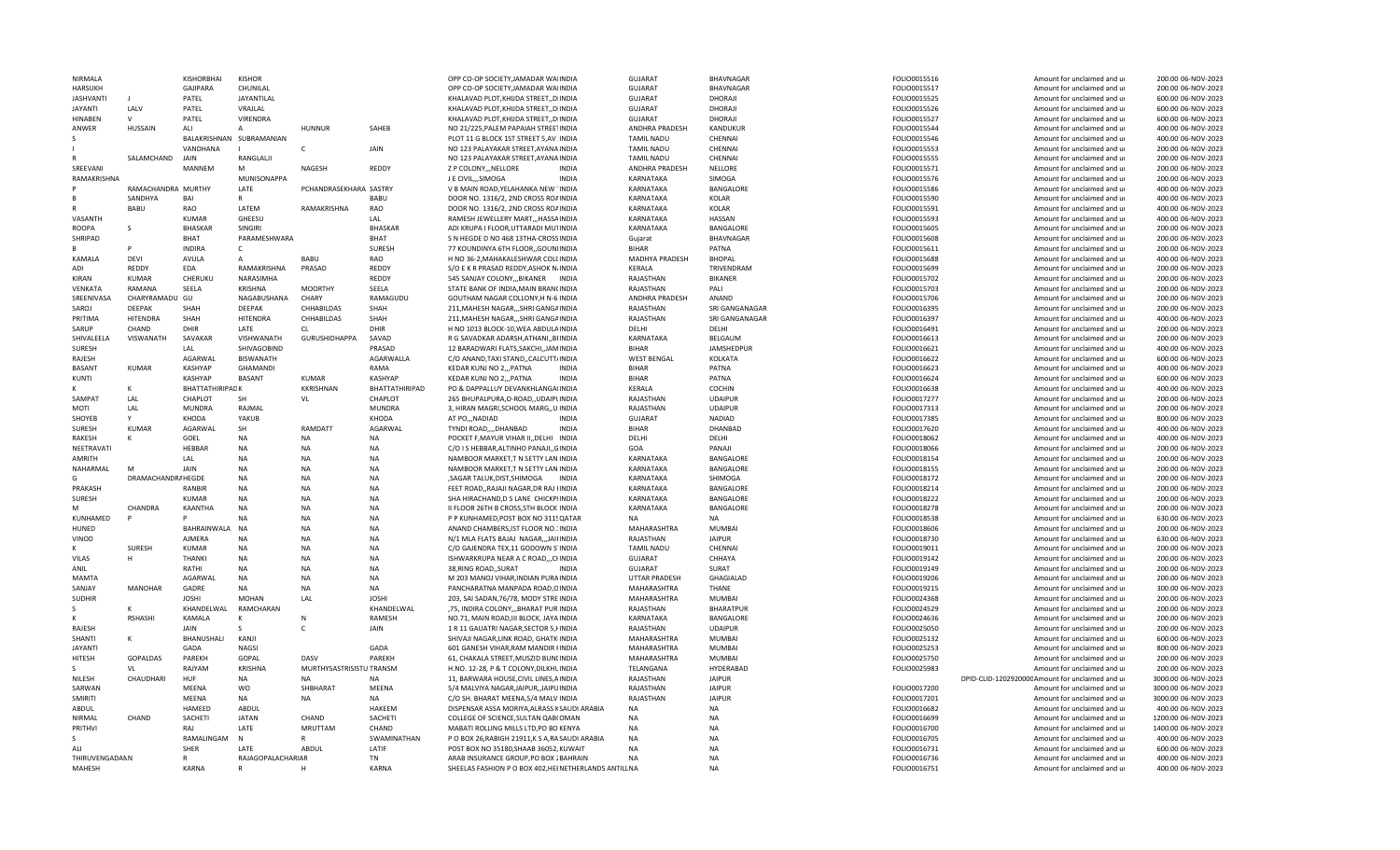| NIRMALA          |                    | KISHORBHAI      | <b>KISHOR</b>            |                          |                | OPP CO-OP SOCIETY, JAMADAR WAIINDIA                   | <b>GUJARAT</b>       | BHAVNAGAR         | FOLIO0015516 | Amount for unclaimed and ur                     | 200.00 06-NOV-2023  |
|------------------|--------------------|-----------------|--------------------------|--------------------------|----------------|-------------------------------------------------------|----------------------|-------------------|--------------|-------------------------------------------------|---------------------|
| <b>HARSUKH</b>   |                    | <b>GAJIPARA</b> | CHUNILAL                 |                          |                | OPP CO-OP SOCIETY, JAMADAR WAIINDIA                   | <b>GUJARAT</b>       | BHAVNAGAR         | FOLIO0015517 | Amount for unclaimed and ur                     | 200.00 06-NOV-2023  |
| <b>JASHVANTI</b> |                    | PATEL           | JAYANTILAL               |                          |                | KHALAVAD PLOT, KHIJDA STREET, , DIINDIA               | GUJARAT              | DHORAJI           | FOLIO0015525 | Amount for unclaimed and ur                     | 600.00 06-NOV-2023  |
| <b>JAYANTI</b>   | LALV               | PATEL           | VRAJLAL                  |                          |                | KHALAVAD PLOT, KHIJDA STREET, , DIINDIA               | <b>GUJARAT</b>       | DHORAJI           | FOLIO0015526 | Amount for unclaimed and ur                     | 600.00 06-NOV-2023  |
| HINABEN          |                    | PATEL           | VIRENDRA                 |                          |                | KHALAVAD PLOT, KHIJDA STREET, , DIINDIA               | <b>GUJARAT</b>       | DHORAJI           | FOLIO0015527 | Amount for unclaimed and ur                     | 600.00 06-NOV-2023  |
| ANWER            | HUSSAIN            | ALI             |                          | <b>HUNNUR</b>            | SAHEB          | NO 21/225, PALEM PAPAIAH STREETINDIA                  | ANDHRA PRADESH       | KANDUKUR          | FOLIO0015544 | Amount for unclaimed and ur                     | 400.00 06-NOV-2023  |
|                  |                    |                 | BALAKRISHNAN SUBRAMANIAN |                          |                | PLOT 11 G BLOCK 1ST STREET 5,AV .INDIA                | <b>TAMIL NADU</b>    | CHENNAI           | FOLIO0015546 | Amount for unclaimed and ur                     | 400.00 06-NOV-2023  |
|                  |                    | VANDHANA        |                          | $\mathsf{C}$             | JAIN           | NO 123 PALAYAKAR STREET, AYANA INDIA                  | <b>TAMIL NADU</b>    | CHENNAI           | FOLIO0015553 | Amount for unclaimed and ur                     | 200.00 06-NOV-2023  |
|                  | SALAMCHAND         | <b>JAIN</b>     | RANGLALJI                |                          |                | NO 123 PALAYAKAR STREET, AYANA INDIA                  | <b>TAMIL NADU</b>    | CHENNAI           | FOLIO0015555 | Amount for unclaimed and ur                     | 200.00 06-NOV-2023  |
| SREEVANI         |                    | MANNEM          | M                        | <b>NAGESH</b>            | REDDY          | Z P COLONYNELLORE<br><b>INDIA</b>                     | ANDHRA PRADESH       | NELLORE           | FOLIO0015571 | Amount for unclaimed and u                      | 200.00 06-NOV-2023  |
| RAMAKRISHNA      |                    |                 | MUNISONAPPA              |                          |                | J E CIVIL,,,SIMOGA<br><b>INDIA</b>                    | KARNATAKA            | SIMOGA            | FOLIO0015576 | Amount for unclaimed and ur                     | 200.00 06-NOV-2023  |
|                  | RAMACHANDRA MURTHY |                 | LATE                     | PCHANDRASEKHARA SASTRY   |                | V B MAIN ROAD, YELAHANKA NEW 1INDIA                   | KARNATAKA            | BANGALORE         | FOLIO0015586 | Amount for unclaimed and ur                     | 400.00 06-NOV-2023  |
|                  | SANDHYA            | BAI             | $\mathsf{R}$             |                          | BABU           | DOOR NO. 1316/2, 2ND CROSS ROAINDIA                   | KARNATAKA            | <b>KOLAR</b>      | FOLIO0015590 | Amount for unclaimed and ur                     | 400.00 06-NOV-2023  |
|                  | <b>BABU</b>        | RAO             | LATEM                    | RAMAKRISHNA              | RAO            | DOOR NO. 1316/2, 2ND CROSS ROAINDIA                   | KARNATAKA            | KOLAR             | FOLIO0015591 | Amount for unclaimed and ur                     | 400.00 06-NOV-2023  |
| VASANTH          |                    | <b>KUMAR</b>    | GHEESU                   |                          | LAL            | RAMESH JEWELLERY MART,,, HASSAINDIA                   | KARNATAKA            | <b>HASSAN</b>     | FOLIO0015593 | Amount for unclaimed and ur                     | 400.00 06-NOV-2023  |
| <b>ROOPA</b>     |                    | <b>BHASKAR</b>  | SINGIRI                  |                          | <b>BHASKAF</b> | ADI KRUPA I FLOOR, UTTARADI MUTINDIA                  | KARNATAKA            | BANGALORE         | FOLIO0015605 | Amount for unclaimed and ur                     | 200.00 06-NOV-2023  |
| SHRIPAD          |                    | <b>BHAT</b>     | PARAMESHWARA             |                          | BHAT           | S N HEGDE D NO 468 13THA-CROSSINDIA                   | Guiarat              | <b>BHAVNAGAR</b>  | FOLIO0015608 | Amount for unclaimed and ur                     | 200.00 06-NOV-2023  |
|                  |                    | <b>INDIRA</b>   | $\mathsf{C}$             |                          | SURESH         | 77 KOUNDINYA 6TH FLOOR, GOUNIINDIA                    | <b>BIHAR</b>         | PATNA             | FOLIO0015611 | Amount for unclaimed and ur                     | 200.00 06-NOV-2023  |
| KAMALA           | DEVI               | AVULA           |                          | BABU                     | RAO            | H NO 36-2, MAHAKALESHWAR COLCINDIA                    | MADHYA PRADESH       | <b>BHOPAL</b>     | FOLIO0015688 | Amount for unclaimed and ur                     | 400.00 06-NOV-2023  |
| <b>ADI</b>       | REDDY              | EDA             | RAMAKRISHNA              | PRASAD                   | REDDY          | S/O E K R PRASAD REDDY, ASHOK N/INDIA                 | KFRALA               | TRIVENDRAM        | FOLIO0015699 | Amount for unclaimed and ur                     | 200.00 06-NOV-2023  |
| KIRAN            | <b>KUMAR</b>       | CHERUKU         | NARASIMHA                |                          | REDDY          | 545 SANJAY COLONY, BIKANER INDIA                      | RAJASTHAN            | <b>BIKANER</b>    | FOLIO0015702 | Amount for unclaimed and ur                     | 200.00 06-NOV-2023  |
| <b>VENKATA</b>   | RAMANA             | SEELA           | KRISHNA                  | <b>MOORTHY</b>           | SEELA          | STATE BANK OF INDIA, MAIN BRANCINDIA                  | RAJASTHAN            | PALI              | FOLIO0015703 | Amount for unclaimed and ur                     | 200.00 06-NOV-2023  |
| SREENIVASA       | CHARYRAMADU GU     |                 | NAGABUSHANA              | CHARY                    | RAMAGUDU       | GOUTHAM NAGAR COLLONY, H N-6 INDIA                    | ANDHRA PRADESH       | ANAND             | FOLIO0015706 | Amount for unclaimed and ur                     | 200.00 06-NOV-2023  |
| SAROJ            | <b>DEEPAK</b>      | SHAH            | DEEPAK                   | CHHABILDAS               | SHAH           | 211, MAHESH NAGAR, "SHRI GANGAINDIA                   | RAJASTHAN            | SRI GANGANAGAR    | FOLIO0016395 | Amount for unclaimed and ur                     | 200.00 06-NOV-2023  |
| PRITIMA          | <b>HITENDRA</b>    | SHAH            | <b>HITENDRA</b>          | CHHABILDAS               | SHAH           | 211, MAHESH NAGAR, ,, SHRI GANGAINDIA                 | RAJASTHAN            | SRI GANGANAGAR    | FOLIO0016397 | Amount for unclaimed and ur                     | 400.00 06-NOV-2023  |
| SARUP            | CHAND              | DHIR            | LATE                     | CL.                      | DHIR           | H NO 1013 BLOCK-10, WEA ABDULA INDIA                  | DELHI                | DELHI             | FOLIO0016491 | Amount for unclaimed and ur                     | 200.00 06-NOV-2023  |
| SHIVALEELA       | VISWANATH          | SAVAKAR         | VISHWANATH               | <b>GURUSHIDHAPPA</b>     | SAVAD          | R G SAVADKAR ADARSH, ATHANI, BIINDIA                  | KARNATAKA            | BELGAUM           | FOLIO0016613 | Amount for unclaimed and ur                     | 200.00 06-NOV-2023  |
| SURESH           |                    | LAL             | SHIVAGOBIND              |                          | PRASAD         | 12 BARADWARI FLATS.SAKCHI.JAMINDIA                    | <b>BIHAR</b>         | <b>JAMSHEDPUR</b> | FOLIO0016621 | Amount for unclaimed and ur                     | 400.00 06-NOV-2023  |
| RAJESH           |                    | AGARWAL         | <b>BISWANATH</b>         |                          | AGARWALLA      | C/O ANAND, TAXI STAND, , CALCUTT/INDIA                | <b>WEST BENGAL</b>   | KOLKATA           | FOLIO0016622 | Amount for unclaimed and ur                     | 600.00 06-NOV-2023  |
| BASANT           | <b>KUMAR</b>       | KASHYAP         | GHAMANDI                 |                          | RAMA           | KEDAR KUNJ NO 2,,, PATNA<br><b>INDIA</b>              | <b>BIHAR</b>         | PATNA             | FOLIO0016623 | Amount for unclaimed and ur                     | 400.00 06-NOV-2023  |
| KUNTI            |                    | KASHYAP         | <b>BASANT</b>            | KUMAR                    | <b>KASHYAP</b> | KEDAR KUNJ NO 2,,, PATNA<br><b>INDIA</b>              | <b>BIHAR</b>         | PATNA             | FOLIO0016624 | Amount for unclaimed and ur                     | 600.00 06-NOV-2023  |
|                  |                    | BHATTATHIRIPADK |                          | <b>KKRISHNAN</b>         | BHATTATHIRIPAD | PO & DAPPALLUY DEVANKHLANGAIINDIA                     | KERALA               | COCHIN            | FOLIO0016638 | Amount for unclaimed and ur                     | 400.00 06-NOV-2023  |
| SAMPAT           | LAL                | CHAPLOT         | SH                       | VL                       | CHAPLOT        | 265 BHUPALPURA.O-ROADUDAIPUNDIA                       | RAJASTHAN            | <b>UDAIPUR</b>    | FOLIO0017277 | Amount for unclaimed and ur                     | 200.00 06-NOV-2023  |
| MOTI             | LAL                | <b>MUNDRA</b>   | RAJMAL                   |                          | <b>MUNDRA</b>  | 3, HIRAN MAGRI, SCHOOL MARG, U INDIA                  | RAJASTHAN            | <b>UDAIPUR</b>    | FOLIO0017313 | Amount for unclaimed and ur                     | 200.00 06-NOV-2023  |
| SHOYEB           |                    | KHODA           | YAKUB                    |                          | KHODA          | AT PO,,, NADIAD<br><b>INDIA</b>                       | <b>GUJARAT</b>       | <b>NADIAD</b>     | FOLIO0017385 | Amount for unclaimed and ur                     | 800.00 06-NOV-2023  |
| SURESH           | <b>KUMAR</b>       | AGARWAL         | SH                       | RAMDATT                  | AGARWAL        | TYNDI ROAD,,,,DHANBAD<br><b>INDIA</b>                 | <b>BIHAR</b>         | <b>DHANBAD</b>    | FOLIO0017620 | Amount for unclaimed and ur                     | 400.00 06-NOV-2023  |
| RAKESH           | ĸ                  | GOEL            | <b>NA</b>                | <b>NA</b>                | <b>NA</b>      | POCKET F, MAYUR VIHAR II, , DELHI INDIA               | DELHI                | DELHI             | FOLIO0018062 | Amount for unclaimed and ur                     | 400.00 06-NOV-2023  |
| NFFTRAVATI       |                    | HEBBAR          | <b>NA</b>                | <b>NA</b>                | <b>NA</b>      | C/O I S HEBBAR, ALTINHO PANAJI,, GINDIA               | GOA                  | PANAI             | FOLIO0018066 | Amount for unclaimed and ur                     | 200.00 06-NOV-2023  |
| AMRITH           |                    | LAL             | <b>NA</b>                | <b>NA</b>                | <b>NA</b>      | NAMBOOR MARKET, TN SETTY LAN INDIA                    | KARNATAKA            | BANGALORE         | FOLIO0018154 | Amount for unclaimed and ur                     | 200.00 06-NOV-2023  |
| <b>NAHARMAI</b>  | M                  | JAIN            | <b>NA</b>                | <b>NA</b>                | <b>NA</b>      | NAMBOOR MARKET, TN SETTY LAN INDIA                    | KARNATAKA            | BANGALORE         | FOLIO0018155 | Amount for unclaimed and ur                     | 200.00 06-NOV-2023  |
|                  | DRAMACHANDRA HEGDE |                 | <b>NA</b>                | NA                       | <b>NA</b>      | ,SAGAR TALUK,DIST,SHIMOGA<br><b>INDIA</b>             | KARNATAKA            | SHIMOGA           | FOLIO0018172 | Amount for unclaimed and ur                     | 200.00 06-NOV-2023  |
| PRAKASH          |                    | RANBIR          | <b>NA</b>                | <b>NA</b>                | <b>NA</b>      | FEET ROAD, RAJAJI NAGAR, DR RAJ HNDIA                 | KARNATAKA            | BANGALORE         | FOLIO0018214 | Amount for unclaimed and ur                     | 200.00 06-NOV-2023  |
| SURESH           |                    | KUMAR           | <b>NA</b>                | <b>NA</b>                | <b>NA</b>      | SHA HIRACHAND, D S LANE CHICKPIINDIA                  | KARNATAKA            | BANGALORE         | FOLIO0018222 | Amount for unclaimed and ur                     | 200.00 06-NOV-2023  |
| м                | CHANDRA            | KAANTHA         | <b>NA</b>                | <b>NA</b>                | <b>NA</b>      | II FLOOR 26TH B CROSS, 5TH BLOCK INDIA                | KARNATAKA            | BANGALORE         | FOLIO0018278 | Amount for unclaimed and ur                     | 200.00 06-NOV-2023  |
| KUNHAMED         |                    |                 | <b>NA</b>                | <b>NA</b>                | <b>NA</b>      | P P KUNHAMED, POST BOX NO 3115QATAR                   | <b>NA</b>            | <b>NA</b>         | FOLIO0018538 | Amount for unclaimed and ur                     | 630.00 06-NOV-2023  |
| HUNED            |                    | BAHRAINWALA     | <b>NA</b>                | <b>NA</b>                | <b>NA</b>      | ANAND CHAMBERS, IST FLOOR NO. 1 INDIA                 | MAHARASHTRA          | <b>MUMBAI</b>     | FOLIO0018606 | Amount for unclaimed and ur                     | 200.00 06-NOV-2023  |
| VINOD            |                    | AJMERA          | <b>NA</b>                | <b>NA</b>                | <b>NA</b>      | N/1 MLA FLATS BAJAJ NAGAR,,,JAIFINDIA                 | RAIASTHAN            | <b>JAIPUR</b>     | FOLIO0018730 | Amount for unclaimed and ur                     | 630.00 06-NOV-2023  |
|                  | SURESH             | <b>KUMAR</b>    | <b>NA</b>                | <b>NA</b>                | <b>NA</b>      | C/O GAJENDRA TEX,11 GODOWN S'INDIA                    | <b>TAMIL NADU</b>    | CHENNAI           | FOLIO0019011 | Amount for unclaimed and ur                     | 200.00 06-NOV-2023  |
| <b>VILAS</b>     |                    | THANKI          | <b>NA</b>                | <b>NA</b>                | <b>NA</b>      | ISHWARKRUPA NEAR A C ROADCHNDIA                       | <b>GUJARAT</b>       | CHHAYA            | FOLIO0019142 | Amount for unclaimed and ur                     | 200.00 06-NOV-2023  |
| ANIL             |                    | RATHI           | <b>NA</b>                | <b>NA</b>                | <b>NA</b>      | 38, RING ROAD, , SURAT<br><b>INDIA</b>                | <b>GUJARAT</b>       | SURAT             | FOLIO0019149 | Amount for unclaimed and ur                     | 200.00 06-NOV-2023  |
| <b>MAMTA</b>     |                    | AGARWAL         | <b>NA</b>                | <b>NA</b>                | <b>NA</b>      | M 203 MANOJ VIHAR, INDIAN PURA INDIA                  | <b>UTTAR PRADESH</b> | GHAGIALAD         | FOLIO0019206 | Amount for unclaimed and ur                     | 200.00 06-NOV-2023  |
| SANJAY           | <b>MANOHAR</b>     | GADRE           | <b>NA</b>                | <b>NA</b>                | NA             | PANCHARATNA MANPADA ROAD, OINDIA                      | MAHARASHTRA          | THANE             | FOLIO0019215 | Amount for unclaimed and ur                     | 300.00 06-NOV-2023  |
| <b>SUDHIR</b>    |                    | <b>JOSHI</b>    | <b>MOHAN</b>             | LAL                      | <b>JOSHI</b>   | 203, SAI SADAN, 76/78, MODY STRE INDIA                | MAHARASHTRA          | <b>MUMBAI</b>     | FOLIO0024368 | Amount for unclaimed and ur                     | 200.00 06-NOV-2023  |
|                  |                    | KHANDELWAL      | RAMCHARAN                |                          | KHANDELWAL     | .75. INDIRA COLONY BHARAT PUR INDIA                   | RAJASTHAN            | <b>BHARATPUR</b>  | FOLIO0024529 | Amount for unclaimed and u                      | 200.00 06-NOV-2023  |
|                  | <b>RSHASHI</b>     | KAMALA          | к                        | $\mathbb N$              | RAMESH         | NO.71, MAIN ROAD, III BLOCK, JAYA INDIA               | KARNATAKA            | BANGALORE         | FOLIO0024636 | Amount for unclaimed and ur                     | 200.00 06-NOV-2023  |
| RAJESH           |                    | JAIN            | -S                       |                          | JAIN           | 1 R 11 GAUATRI NAGAR, SECTOR 5, HNDIA                 | RAJASTHAN            | <b>UDAIPUR</b>    | FOLIO0025050 | Amount for unclaimed and ur                     | 200.00 06-NOV-2023  |
| SHANTI           |                    | BHANUSHALI      | KANJI                    |                          |                | SHIVAJI NAGAR, LINK ROAD, GHATK INDIA                 | MAHARASHTRA          | <b>MUMBAI</b>     | FOLIO0025132 | Amount for unclaimed and ur                     | 600.00 06-NOV-2023  |
| <b>JAYANTI</b>   |                    | GADA            | <b>NAGSI</b>             |                          | GADA           | 601 GANESH VIHAR, RAM MANDIR FINDIA                   | MAHARASHTRA          | <b>MUMBAI</b>     | FOLIO0025253 | Amount for unclaimed and ur                     | 800.00 06-NOV-2023  |
| HITESH           | GOPALDAS           | PAREKH          | GOPAL                    | DASV                     | PAREKH         | 61, CHAKALA STREET, MUSZID BUNLINDIA                  | MAHARASHTRA          | MUMBAI            | FOLIO0025750 | Amount for unclaimed and ur                     | 200.00 06-NOV-2023  |
|                  | VL                 | RAJYAM          | <b>KRISHNA</b>           | MURTHYSASTRISISTU TRANSM |                | H.NO. 12-28, P & T COLONY, DILKHLINDIA                | TELANGANA            | HYDERABAD         | FOLIO0025983 | Amount for unclaimed and ur                     | 200.00 06-NOV-2023  |
| NILESH           | CHAUDHARI          | HUF             | NA                       | <b>NA</b>                | <b>NA</b>      | 11, BARWARA HOUSE, CIVIL LINES, AINDIA                | RAJASTHAN            | <b>JAIPUR</b>     |              | DPID-CLID-120292000CAmount for unclaimed and ur | 3000.00 06-NOV-2023 |
| SARWAN           |                    | MEENA           | wo                       | SHBHARAT                 | MEENA          | 5/4 MALVIYA NAGAR, JAIPUR, JAIPUINDIA                 | RAJASTHAN            | <b>JAIPUR</b>     | FOLIO0017200 | Amount for unclaimed and ur                     | 3000.00 06-NOV-2023 |
| <b>SMIRITI</b>   |                    | MEENA           | <b>NA</b>                | <b>NA</b>                | <b>NA</b>      | C/O SH. BHARAT MEENA, 5/4 MALV INDIA                  | RAJASTHAN            | <b>JAIPUR</b>     | FOLIO0017201 | Amount for unclaimed and ur                     | 3000.00 06-NOV-2023 |
| <b>ABDUL</b>     |                    | HAMEED          | ABDUL                    |                          | HAKEEM         | DISPENSAR ASSA MORIYA, ALRASS KSAUDI ARABIA           | <b>NA</b>            | <b>NA</b>         | FOLIO0016682 | Amount for unclaimed and ur                     | 400.00 06-NOV-2023  |
| NIRMAL           | CHAND              | SACHETI         | <b>JATAN</b>             | CHAND                    | SACHETI        | COLLEGE OF SCIENCE.SULTAN QAB(OMAN                    | <b>NA</b>            | <b>NA</b>         | FOLIO0016699 | Amount for unclaimed and ur                     | 1200.00 06-NOV-2023 |
| PRITHVI          |                    | RAI             | LATE                     | <b>MRUTTAM</b>           | CHAND          | MABATI ROLLING MILLS LTD, PO BO KENYA                 | <b>NA</b>            | NΔ                | FOLIO0016700 | Amount for unclaimed and ur                     | 1400.00 06-NOV-2023 |
|                  |                    | RAMALINGAM      | N                        |                          | SWAMINATHAN    | P O BOX 26, RABIGH 21911, K S A, RASAUDI ARABIA       | <b>NA</b>            | <b>NA</b>         | FOLIO0016705 | Amount for unclaimed and ur                     | 400.00 06-NOV-2023  |
| ALI              |                    | SHER            | LATE                     | ABDUL                    | LATIF          | POST BOX NO 35180, SHAAB 36052, KUWAIT                | <b>NA</b>            | <b>NA</b>         | FOLIO0016731 | Amount for unclaimed and ur                     | 600.00 06-NOV-2023  |
| THIRUVENGADANN   |                    |                 | RAJAGOPALACHARIAR        |                          | <b>TN</b>      | ARAB INSURANCE GROUP, PO BOX 2BAHRAIN                 | <b>NA</b>            | <b>NA</b>         | FOLIO0016736 | Amount for unclaimed and ur                     | 400.00 06-NOV-2023  |
| MAHESH           |                    | <b>KARNA</b>    | $\mathbb{R}$             |                          | <b>KARNA</b>   | SHEELAS FASHION P O BOX 402, HEINETHERLANDS ANTILL NA |                      | <b>NA</b>         | FOLIO0016751 | Amount for unclaimed and ur                     | 400.00 06-NOV-2023  |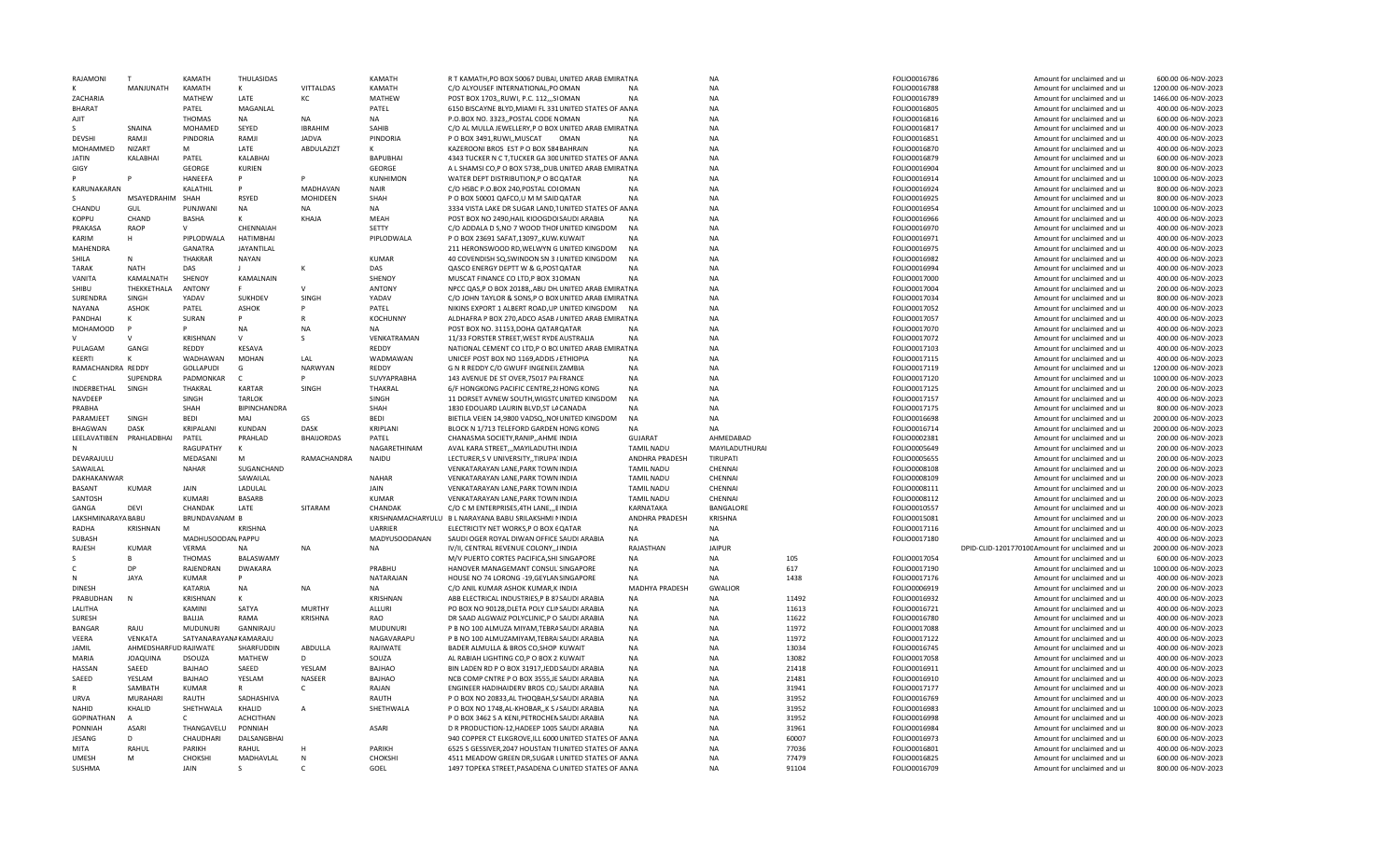| RAJAMONI           |                       | <b>KAMATH</b>          | THULASIDAS           |                  | KAMATH          | R T KAMATH, PO BOX 50067 DUBAI, UNITED ARAB EMIRAT NA                                                      |                   | NA               |       | FOLIO0016786                 | Amount for unclaimed and u                      | 600.00 06-NOV-2023                       |
|--------------------|-----------------------|------------------------|----------------------|------------------|-----------------|------------------------------------------------------------------------------------------------------------|-------------------|------------------|-------|------------------------------|-------------------------------------------------|------------------------------------------|
|                    | MANJUNATH             | KAMATH                 | К                    | <b>VITTALDAS</b> | KAMATH          | C/O ALYOUSEF INTERNATIONAL, PO OMAN                                                                        | <b>NA</b>         | <b>NA</b>        |       | FOLIO0016788                 | Amount for unclaimed and ur                     | 1200.00 06-NOV-2023                      |
| ZACHARIA           |                       | MATHEW                 | LATE                 | КC               | MATHEW          | POST BOX 1703, RUWI, P.C. 112, ., SIOMAN                                                                   | <b>NA</b>         | <b>NA</b>        |       | FOLIO0016789                 | Amount for unclaimed and ur                     | 1466.00 06-NOV-2023                      |
| <b>BHARAT</b>      |                       |                        | MAGANLAL             |                  |                 |                                                                                                            |                   | <b>NA</b>        |       |                              |                                                 |                                          |
|                    |                       | PATEL                  |                      |                  | PATEL           | 6150 BISCAYNE BLYD, MIAMI FL 331 UNITED STATES OF ANNA                                                     |                   |                  |       | FOLIO0016805                 | Amount for unclaimed and ur                     | 400.00 06-NOV-2023                       |
| AJIT               |                       | <b>THOMAS</b>          | NA                   | NA               | <b>NA</b>       | P.O.BOX NO. 3323,, POSTAL CODE NOMAN                                                                       | <b>NA</b>         | <b>NA</b>        |       | FOLIO0016816                 | Amount for unclaimed and ur                     | 600.00 06-NOV-2023                       |
|                    | SNAINA                | MOHAMED                | SEYED                | <b>IBRAHIM</b>   | SAHIB           | C/O AL MULLA JEWELLERY, P O BOX UNITED ARAB EMIRAT NA                                                      |                   | NA               |       | FOLIO0016817                 | Amount for unclaimed and ur                     | 400.00 06-NOV-2023                       |
| <b>DEVSHI</b>      | RAMJI                 | PINDORIA               | RAMJI                | <b>JADVA</b>     | PINDORIA        | P O BOX 3491.RUWL.MUSCAT<br>OMAN                                                                           | <b>NA</b>         | <b>NA</b>        |       | FOLIO0016851                 | Amount for unclaimed and u                      | 400.00 06-NOV-2023                       |
| MOHAMMED           | <b>NIZART</b>         | M                      | LATE                 |                  | K               | KAZEROONI BROS EST P O BOX 584 BAHRAIN                                                                     | <b>NA</b>         | <b>NA</b>        |       |                              | Amount for unclaimed and ur                     | 400.00 06-NOV-2023                       |
|                    |                       |                        |                      | ABDULAZIZT       |                 |                                                                                                            |                   |                  |       | FOLIO0016870                 |                                                 |                                          |
| <b>JATIN</b>       | KALABHAI              | PATEL                  | KALABHAI             |                  | <b>BAPUBHAI</b> | 4343 TUCKER N C T, TUCKER GA 300 UNITED STATES OF ANNA                                                     |                   | <b>NA</b>        |       | FOLIO0016879                 | Amount for unclaimed and ur                     | 600.00 06-NOV-2023                       |
| GIGY               |                       | GFORGE                 | KURIEN               |                  | GEORGE          | A L SHAMSI CO,P O BOX 5738, DUB UNITED ARAB EMIRAT NA                                                      |                   | <b>NA</b>        |       | FOLIO0016904                 | Amount for unclaimed and ur                     | 800.00 06-NOV-2023                       |
|                    |                       | <b>HANEEFA</b>         | P                    |                  | <b>KUNHIMON</b> | WATER DEPT DISTRIBUTION, P O BOQATAR                                                                       | <b>NA</b>         | <b>NA</b>        |       | FOLIO0016914                 | Amount for unclaimed and ur                     | 1000.00 06-NOV-2023                      |
| KARUNAKARAN        |                       | KALATHIL               | P                    | MADHAVAN         | <b>NAIR</b>     | C/O HSBC P.O.BOX 240, POSTAL COIOMAN                                                                       | <b>NA</b>         | <b>NA</b>        |       | FOLIO0016924                 | Amount for unclaimed and ur                     | 800.00 06-NOV-2023                       |
|                    |                       |                        |                      |                  |                 |                                                                                                            |                   |                  |       |                              |                                                 |                                          |
|                    | <b>MSAYFDRAHIM</b>    | SHAH                   | <b>RSYED</b>         | MOHIDEEN         | SHAH            | P O BOX 50001 QAFCO,U M M SAIDQATAR                                                                        | <b>NA</b>         | <b>NA</b>        |       | FOLIO0016925                 | Amount for unclaimed and ur                     | 800.00 06-NOV-2023                       |
| CHANDU             | GUL                   | PUNJWANI               | <b>NA</b>            | <b>NA</b>        | <b>NA</b>       | 3334 VISTA LAKE DR SUGAR LAND. TUNITED STATES OF ANNA                                                      |                   | <b>NA</b>        |       | FOLIO0016954                 | Amount for unclaimed and u                      | 1000.00 06-NOV-2023                      |
| KOPPU              | CHAND                 | <b>BASHA</b>           | ĸ                    | KHAJA            | MEAH            | POST BOX NO 2490. HAIL KIOOGDOISAUDI ARABIA                                                                | <b>NA</b>         | <b>NA</b>        |       | FOLIO0016966                 | Amount for unclaimed and ur                     | 400.00 06-NOV-2023                       |
| PRAKASA            | <b>RAOP</b>           | $\vee$                 | CHENNAIAH            |                  | SETTY           | C/O ADDALA D S, NO 7 WOOD THOFUNITED KINGDOM                                                               | <b>NA</b>         | <b>NA</b>        |       | FOLIO0016970                 | Amount for unclaimed and ur                     | 400.00 06-NOV-2023                       |
| KARIM              | н                     | PIPLODWALA             | <b>HATIMBHAI</b>     |                  | PIPLODWALA      | P O BOX 23691 SAFAT.13097KUW/KUWAIT                                                                        | <b>NA</b>         | <b>NA</b>        |       | FOLIO0016971                 | Amount for unclaimed and ur                     | 400.00 06-NOV-2023                       |
|                    |                       |                        |                      |                  |                 |                                                                                                            |                   |                  |       |                              |                                                 |                                          |
| <b>MAHFNDRA</b>    |                       | <b>GANATRA</b>         | <b>JAYANTILAL</b>    |                  |                 | 211 HERONSWOOD RD, WELWYN G UNITED KINGDOM                                                                 | <b>NA</b>         | <b>NA</b>        |       | FOLIO0016975                 | Amount for unclaimed and ur                     | 400.00 06-NOV-2023                       |
| SHILA              | N                     | THAKRAR                | NAYAN                |                  | <b>KUMAR</b>    | 40 COVENDISH SQ, SWINDON SN 3 {UNITED KINGDOM                                                              | <b>NA</b>         | <b>NA</b>        |       | FOLIO0016982                 | Amount for unclaimed and ur                     | 400.00 06-NOV-2023                       |
| <b>TARAK</b>       | <b>NATH</b>           | DAS                    |                      |                  | DAS             | QASCO ENERGY DEPTT W & G, POSTQATAR                                                                        | <b>NA</b>         | <b>NA</b>        |       | FOLIO0016994                 | Amount for unclaimed and ur                     | 400.00 06-NOV-2023                       |
| VANITA             | KAMALNATH             | SHENOY                 | KAMALNAIN            |                  | SHENOY          | MUSCAT FINANCE CO LTD.P BOX 310MAN                                                                         | <b>NA</b>         | <b>NA</b>        |       | FOLIO0017000                 | Amount for unclaimed and ur                     | 400.00 06-NOV-2023                       |
|                    |                       |                        | E.                   | $\mathsf{V}$     |                 |                                                                                                            |                   |                  |       |                              |                                                 |                                          |
| SHIBU              | THFKKFTHALA           | <b>ANTONY</b>          |                      |                  | <b>ANTONY</b>   | NPCC QAS, P O BOX 20188, ABU DH UNITED ARAB EMIRAT NA                                                      |                   | <b>NA</b>        |       | FOLIO0017004                 | Amount for unclaimed and ur                     | 200.00 06-NOV-2023                       |
| SURENDRA           | SINGH                 | YADAV                  | SUKHDEV              | SINGH            | YADAV           | C/O JOHN TAYLOR & SONS, P O BOXUNITED ARAB EMIRAT NA                                                       |                   | <b>NA</b>        |       | FOLIO0017034                 | Amount for unclaimed and ur                     | 800.00 06-NOV-2023                       |
| <b>NAYANA</b>      | <b>ASHOK</b>          | PATEL                  | <b>ASHOK</b>         |                  | PATEL           | NIKINS EXPORT 1 ALBERT ROAD, UPIUNITED KINGDOM                                                             | <b>NA</b>         | <b>NA</b>        |       | FOLIO0017052                 | Amount for unclaimed and ur                     | 400.00 06-NOV-2023                       |
| PANDHAI            | к                     | SURAN                  |                      |                  | <b>KOCHUNNY</b> | ALDHAFRA P BOX 270, ADCO ASAB / UNITED ARAB EMIRAT NA                                                      |                   | NΔ               |       | FOLIO0017057                 | Amount for unclaimed and ur                     | 400.00 06-NOV-2023                       |
|                    |                       |                        |                      |                  |                 |                                                                                                            |                   |                  |       |                              |                                                 |                                          |
| MOHAMOOD           |                       |                        | <b>NA</b>            | <b>NA</b>        | <b>NA</b>       | POST BOX NO. 31153, DOHA QATAR QATAR                                                                       | <b>NA</b>         | <b>NA</b>        |       | FOLIO0017070                 | Amount for unclaimed and ur                     | 400.00 06-NOV-2023                       |
|                    |                       | KRISHNAN               | $\mathsf{V}$         | S                | VENKATRAMAN     | 11/33 FORSTER STREET, WEST RYDE AUSTRALIA                                                                  | <b>NA</b>         | NA               |       | FOLIO0017072                 | Amount for unclaimed and ur                     | 400.00 06-NOV-2023                       |
| PULAGAM            | GANGI                 | REDDY                  | KFSAVA               |                  | REDDY           | NATIONAL CEMENT CO LTD, P O BO. UNITED ARAB EMIRAT NA                                                      |                   | <b>NA</b>        |       | FOLIO0017103                 | Amount for unclaimed and ur                     | 400.00 06-NOV-2023                       |
| KEERTI             | К                     | WADHAWAN               | <b>MOHAN</b>         | LAL              | WADMAWAN        | UNICEF POST BOX NO 1169, ADDIS / ETHIOPIA                                                                  | <b>NA</b>         | <b>NA</b>        |       | FOLIO0017115                 | Amount for unclaimed and ur                     | 400.00 06-NOV-2023                       |
|                    |                       |                        |                      |                  |                 |                                                                                                            |                   |                  |       |                              |                                                 |                                          |
| RAMACHANDRA REDDY  |                       | <b>GOLLAPUDI</b>       | G                    | <b>NARWYAN</b>   | REDDY           | G N R REDDY C/O GWUFF INGENEILZAMBIA                                                                       | <b>NA</b>         | <b>NA</b>        |       | FOLIO0017119                 | Amount for unclaimed and ur                     | 1200.00 06-NOV-2023                      |
| C.                 | SUPENDRA              | PADMONKAR              | $\mathsf{C}$         |                  | SUVYAPRABHA     | 143 AVENUE DE ST OVER, 75017 PAIFRANCE                                                                     | <b>NA</b>         | <b>NA</b>        |       | FOLIO0017120                 | Amount for unclaimed and ur                     | 1000.00 06-NOV-2023                      |
| INDERBETHAL        | SINGH                 | THAKRAL                | <b>KARTAR</b>        | SINGH            | THAKRAL         | 6/F HONGKONG PACIFIC CENTRE, 28 HONG KONG                                                                  | <b>NA</b>         | <b>NA</b>        |       | FOLIO0017125                 | Amount for unclaimed and ur                     | 200.00 06-NOV-2023                       |
| NAVDEEP            |                       | <b>SINGH</b>           | <b>TARLOK</b>        |                  | SINGH           | 11 DORSET AVNEW SOUTH, WIGSTCUNITED KINGDOM                                                                | <b>NA</b>         | <b>NA</b>        |       | FOLIO0017157                 | Amount for unclaimed and ur                     | 400.00 06-NOV-2023                       |
| PRABHA             |                       | SHAH                   | BIPINCHANDRA         |                  | SHAH            | 1830 EDOUARD LAURIN BLVD, ST LACANADA                                                                      | <b>NA</b>         | NA               |       | FOLIO0017175                 | Amount for unclaimed and ur                     | 800.00 06-NOV-2023                       |
|                    |                       |                        |                      |                  |                 |                                                                                                            |                   |                  |       |                              |                                                 |                                          |
| PARAMJEET          | SINGH                 | <b>BEDI</b>            | MAI                  | GS               | <b>BEDI</b>     | BIETILA VEIEN 14,9800 VADSQ,, NOI UNITED KINGDOM                                                           | <b>NA</b>         | <b>NA</b>        |       | FOLIO0016698                 | Amount for unclaimed and ur                     | 2000.00 06-NOV-2023                      |
| <b>BHAGWAN</b>     | DASK                  | KRIPALANI              | <b>KUNDAN</b>        | <b>DASK</b>      | KRIPLANI        | BLOCK N 1/713 TELEFORD GARDEN HONG KONG                                                                    | <b>NA</b>         | <b>NA</b>        |       | FOLIO0016714                 | Amount for unclaimed and ur                     | 2000.00 06-NOV-2023                      |
| LEELAVATIBEN       | PRAHLADBHAI           | PATEL                  | PRAHLAD              | BHAIJORDAS       | PATEL           | CHANASMA SOCIETY, RANIP, , AHME INDIA                                                                      | <b>GUJARAT</b>    | AHMEDABAD        |       | FOLIO0002381                 | Amount for unclaimed and ur                     | 200.00 06-NOV-2023                       |
|                    |                       | RAGUPATHY              | $\mathsf{K}$         |                  | NAGARETHINAM    | AVAL KARA STREET,,, MAYILADUTHLINDIA                                                                       | <b>TAMIL NADU</b> | MAYILADUTHURAI   |       | FOLIO0005649                 | Amount for unclaimed and ur                     | 200.00 06-NOV-2023                       |
|                    |                       |                        |                      |                  |                 |                                                                                                            |                   |                  |       |                              |                                                 |                                          |
| DEVARAJULU         |                       | MEDASANI               | M                    | RAMACHANDRA      | <b>NAIDU</b>    | LECTURER,S V UNIVERSITY,,TIRUPA INDIA                                                                      | ANDHRA PRADESH    | TIRUPATI         |       | FOLIO0005655                 | Amount for unclaimed and ur                     | 200.00 06-NOV-2023                       |
| SAWAILAL           |                       | <b>NAHAR</b>           | SUGANCHAND           |                  |                 | VENKATARAYAN LANE, PARK TOWN INDIA                                                                         | <b>TAMIL NADU</b> | CHENNAI          |       | FOLIO0008108                 | Amount for unclaimed and ur                     | 200.00 06-NOV-2023                       |
| DAKHAKANWAR        |                       |                        | SAWAILAL             |                  | <b>NAHAR</b>    | VENKATARAYAN LANE, PARK TOWN INDIA                                                                         | <b>TAMIL NADU</b> | CHENNAI          |       | FOLIO0008109                 | Amount for unclaimed and ur                     | 200.00 06-NOV-2023                       |
| <b>BASANT</b>      | <b>KUMAR</b>          | <b>JAIN</b>            | LADULAL              |                  | JAIN            | VENKATARAYAN LANE, PARK TOWN INDIA                                                                         | <b>TAMIL NADU</b> | CHENNAI          |       | FOLIO0008111                 | Amount for unclaimed and ur                     | 200.00 06-NOV-2023                       |
| SANTOSH            |                       | KUMARI                 | <b>BASARB</b>        |                  | <b>KUMAR</b>    | VENKATARAYAN LANE, PARK TOWN INDIA                                                                         | <b>TAMIL NADU</b> | CHENNAI          |       | FOLIO0008112                 | Amount for unclaimed and ur                     | 200.00 06-NOV-2023                       |
|                    |                       |                        |                      |                  |                 |                                                                                                            |                   |                  |       |                              |                                                 |                                          |
| GANGA              | DFVI                  | CHANDAK                | LATE                 | SITARAM          | CHANDAK         | C/O C M ENTERPRISES, 4TH LANE, ,, EINDIA                                                                   | KARNATAKA         | <b>BANGALORE</b> |       | FOLIO0010557                 | Amount for unclaimed and ur                     | 400.00 06-NOV-2023                       |
| LAKSHMINARAYA BABU |                       | <b>BRUNDAVANAM B</b>   |                      |                  |                 | KRISHNAMACHARYULU B L NARAYANA BABU SRILAKSHMI NINDIA                                                      | ANDHRA PRADESH    | <b>KRISHNA</b>   |       | FOLIO0015081                 | Amount for unclaimed and ur                     | 200.00 06-NOV-2023                       |
| RADHA              | KRISHNAN              | M                      | <b>KRISHNA</b>       |                  | <b>UARRIER</b>  | ELECTRICITY NET WORKS, P O BOX 6QATAR                                                                      | <b>NA</b>         | NA               |       | FOLIO0017116                 | Amount for unclaimed and ur                     | 400.00 06-NOV-2023                       |
| SUBASH             |                       | MADHUSOODAN, PAPPU     |                      |                  | MADYUSOODANAN   | SAUDI OGER ROYAL DIWAN OFFICE SAUDI ARABIA                                                                 | <b>NA</b>         | <b>NA</b>        |       | FOLIO0017180                 | Amount for unclaimed and ur                     | 400.00 06-NOV-2023                       |
|                    |                       |                        |                      |                  |                 |                                                                                                            |                   |                  |       |                              |                                                 |                                          |
| RAJESH             | <b>KUMAR</b>          | <b>VERMA</b>           | <b>NA</b>            | <b>NA</b>        | NA              | IV/II. CENTRAL REVENUE COLONYJINDIA                                                                        | RAIASTHAN         | <b>JAIPUR</b>    |       |                              | DPID-CLID-120177010CAmount for unclaimed and ur | 2000.00 06-NOV-2023                      |
|                    |                       | <b>THOMAS</b>          | BALASWAMY            |                  |                 | M/V PUERTO CORTES PACIFICA, SHI SINGAPORE                                                                  | <b>NA</b>         | NA               | 105   | FOLIO0017054                 | Amount for unclaimed and ur                     | 600.00 06-NOV-2023                       |
| c                  | DP                    | RAJENDRAN              | <b>DWAKARA</b>       |                  | PRABHU          | HANOVER MANAGEMANT CONSUL SINGAPORE                                                                        | <b>NA</b>         | NA               | 617   | FOLIO0017190                 | Amount for unclaimed and ur                     | 1000.00 06-NOV-2023                      |
|                    | <b>JAYA</b>           | KUMAR                  |                      |                  | NATARAJAN       | HOUSE NO 74 LORONG -19, GEYLANSINGAPORE                                                                    | <b>NA</b>         | <b>NA</b>        | 1438  | FOLIO0017176                 | Amount for unclaimed and ur                     | 400.00 06-NOV-2023                       |
| <b>DINESH</b>      |                       | KATARIA                | <b>NA</b>            | <b>NA</b>        | <b>NA</b>       | C/O ANIL KUMAR ASHOK KUMAR.KIINDIA                                                                         | MADHYA PRADESH    | <b>GWALIOR</b>   |       |                              |                                                 | 200.00 06-NOV-2023                       |
|                    |                       |                        |                      |                  |                 |                                                                                                            |                   |                  |       | FOLIO0006919                 | Amount for unclaimed and ur                     |                                          |
| PRABUDHAN          | <b>N</b>              | KRISHNAN               | $\mathsf{K}$         |                  | KRISHNAN        | ABB ELECTRICAL INDUSTRIES, P B 87SAUDI ARABIA                                                              | <b>NA</b>         | NA               | 11492 | FOLIO0016932                 | Amount for unclaimed and ur                     | 400.00 06-NOV-2023                       |
| LALITHA            |                       | KAMINI                 | SATYA                | <b>MURTHY</b>    | ALLURI          | PO BOX NO 90128, DLETA POLY CLINSAUDI ARABIA                                                               | <b>NA</b>         | <b>NA</b>        | 11613 | FOLIO0016721                 | Amount for unclaimed and ur                     | 400.00 06-NOV-2023                       |
| <b>SURESH</b>      |                       | <b>BALIJA</b>          | RAMA                 | <b>KRISHNA</b>   | RAO             | DR SAAD ALGWAIZ POLYCLINIC.P O SAUDI ARABIA                                                                | <b>NA</b>         | <b>NA</b>        | 11622 | FOLIO0016780                 | Amount for unclaimed and ur                     | 400.00 06-NOV-2023                       |
| <b>BANGAF</b>      | RAJU                  | <b>MUDUNURI</b>        | GANNIRAJU            |                  | <b>MUDUNURI</b> | P B NO 100 ALMUZA MIYAM, TEBRASAUDI ARABIA                                                                 | <b>NA</b>         | <b>NA</b>        | 11972 | FOLIO0017088                 | Amount for unclaimed and ur                     | 400.00 06-NOV-2023                       |
|                    |                       |                        |                      |                  |                 |                                                                                                            |                   |                  |       |                              |                                                 |                                          |
| VEERA              | VENKATA               | SATYANARAYANA KAMARAJU |                      |                  | NAGAVARAPU      | P B NO 100 ALMUZAMIYAM, TEBRAISAUDI ARABIA                                                                 | <b>NA</b>         | <b>NA</b>        | 11972 | FOLIO0017122                 | Amount for unclaimed and ur                     | 400.00 06-NOV-2023                       |
| JAMIL              | AHMEDSHARFUD RAJIWATE |                        | SHARFUDDIN           | ABDULLA          | RAJIWATE        | BADER ALMULLA & BROS CO, SHOP KUWAIT                                                                       | <b>NA</b>         | <b>NA</b>        | 13034 | FOLIO0016745                 | Amount for unclaimed and ur                     | 400.00 06-NOV-2023                       |
| MARIA              | <b>JOAQUINA</b>       | <b>DSOUZA</b>          | MATHEW               | D.               | SOUZA           | AL RABIAH LIGHTING CO,P O BOX 2 KUWAIT                                                                     | <b>NA</b>         | NΔ               | 13082 | FOLIO0017058                 | Amount for unclaimed and ur                     | 400.00 06-NOV-2023                       |
| HASSAN             | SAEED                 | BAJHAO                 | SAEED                | YESLAM           | <b>BAJHAO</b>   | BIN LADEN RD P O BOX 31917, JEDDSAUDI ARABIA                                                               | <b>NA</b>         | <b>NA</b>        | 21418 | FOLIO0016911                 | Amount for unclaimed and ur                     | 400.00 06-NOV-2023                       |
| SAEED              | YESLAM                | <b>BAJHAO</b>          | YESLAM               | NASEER           | <b>BAJHAO</b>   | NCB COMP CNTRE P O BOX 3555, JE SAUDI ARABIA                                                               | <b>NA</b>         | <b>NA</b>        | 21481 | FOLIO0016910                 | Amount for unclaimed and ur                     | 400.00 06-NOV-2023                       |
|                    |                       |                        |                      |                  |                 |                                                                                                            |                   |                  |       |                              |                                                 |                                          |
|                    | SAMBATH               | <b>KUMAR</b>           | R                    | C                | RAJAN           | ENGINEER HADIHAIDERV BROS CO, ISAUDI ARABIA                                                                | <b>NA</b>         | <b>NA</b>        | 31941 | FOLIO0017177                 | Amount for unclaimed and ur                     | 400.00 06-NOV-2023                       |
| URVA               | MURAHARI              | RAUTH                  | SADHASHIVA           |                  | RAUTH           | P O BOX NO 20833, AL THOQBAH, SASAUDI ARABIA                                                               | <b>NA</b>         | <b>NA</b>        | 31952 | FOLIO0016769                 | Amount for unclaimed and ur                     | 400.00 06-NOV-2023                       |
| <b>NAHID</b>       | KHALID                | SHETHWALA              | KHALID               | $\overline{A}$   | SHETHWALA       | P O BOX NO 1748, AL-KHOBAR, , K S / SAUDI ARABIA                                                           | <b>NA</b>         | <b>NA</b>        | 31952 | FOLIO0016983                 | Amount for unclaimed and ur                     | 1000.00 06-NOV-2023                      |
| <b>GOPINATHAN</b>  |                       |                        | <b>ACHCITHAN</b>     |                  |                 | P O BOX 3462 S A KENI, PETROCHENSAUDI ARABIA                                                               | <b>NA</b>         | <b>NA</b>        | 31952 | FOLIO0016998                 | Amount for unclaimed and ur                     | 400.00 06-NOV-2023                       |
|                    |                       |                        |                      |                  |                 |                                                                                                            | <b>NA</b>         | <b>NA</b>        | 31961 |                              |                                                 | 800.00 06-NOV-2023                       |
|                    |                       |                        |                      |                  |                 |                                                                                                            |                   |                  |       | FOLIO0016984                 | Amount for unclaimed and ur                     |                                          |
| PONNIAH            | ASARI                 | THANGAVELU             | PONNIAH              |                  | ASARI           | D R PRODUCTION-12, HADEEP 1005 SAUDI ARABIA                                                                |                   |                  |       |                              |                                                 |                                          |
| JESANG             | D                     | CHAUDHARI              | DALSANGBHAI          |                  |                 | 940 COPPER CT ELKGROVE, ILL 6000 UNITED STATES OF AN NA                                                    |                   | <b>NA</b>        | 60007 | FOLIO0016973                 | Amount for unclaimed and ur                     | 600.00 06-NOV-2023                       |
| MITA               | RAHUL                 | PARIKH                 | RAHUL                |                  | PARIKH          | 6525 S GESSIVER, 2047 HOUSTAN TIUNITED STATES OF ANNA                                                      |                   | <b>NA</b>        | 77036 | FOLIO0016801                 | Amount for unclaimed and ur                     | 400.00 06-NOV-2023                       |
| <b>UMFSH</b>       | M                     |                        |                      | $\mathsf{N}$     | CHOKSHI         |                                                                                                            |                   | <b>NA</b>        | 77479 |                              | Amount for unclaimed and u                      |                                          |
| SUSHMA             |                       | CHOKSHI<br>JAIN        | MADHAVLAL<br>$\zeta$ | $\epsilon$       | GOEL            | 4511 MEADOW GREEN DR, SUGAR LUNITED STATES OF ANNA<br>1497 TOPEKA STREET, PASADENA C/UNITED STATES OF ANNA |                   | <b>NA</b>        | 91104 | FOLIO0016825<br>FOLIO0016709 | Amount for unclaimed and ur                     | 600.00 06-NOV-2023<br>800.00 06-NOV-2023 |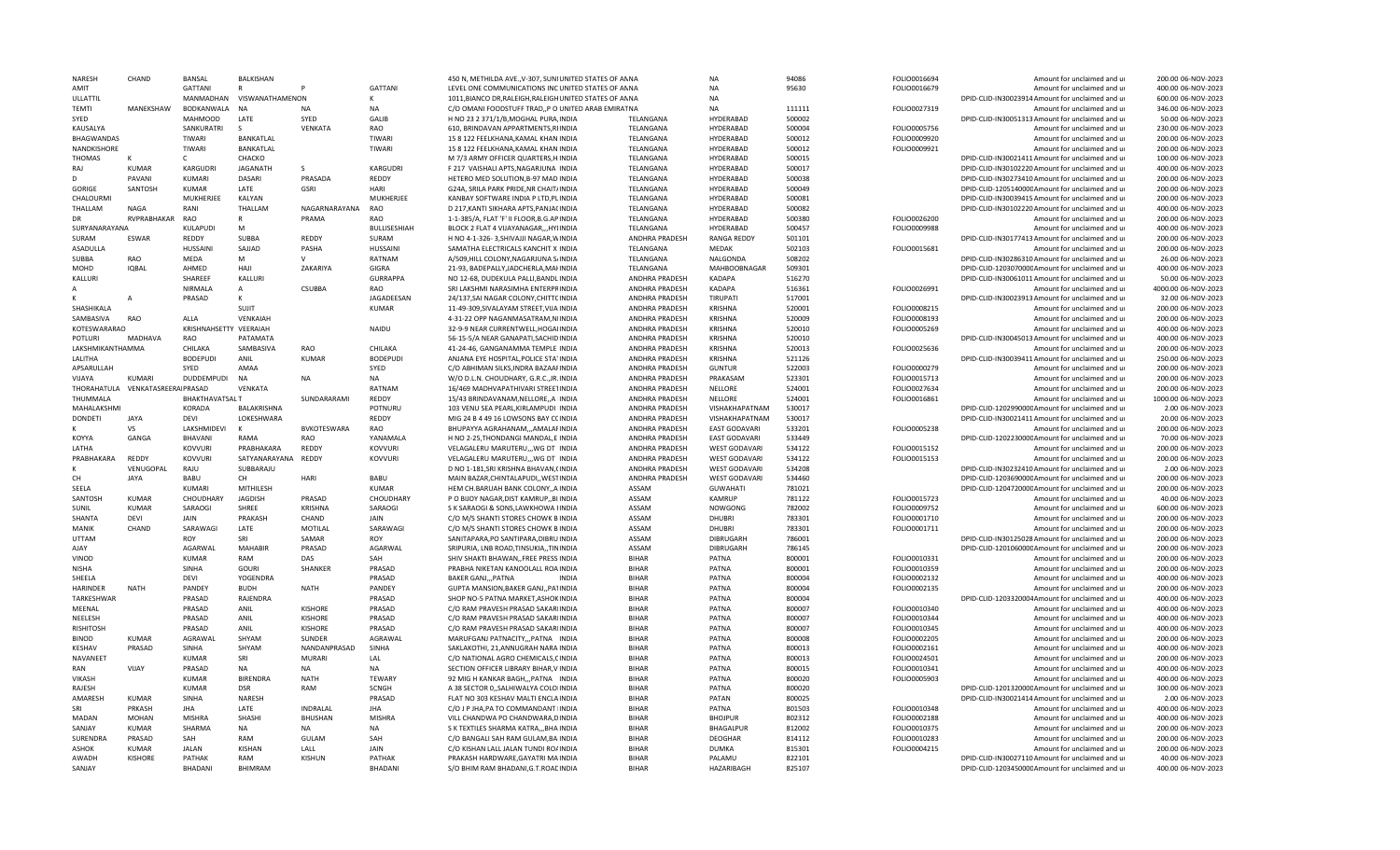| NARFSH             | CHAND                 | <b>BANSAL</b>           | <b>BALKISHAN</b>    |                             |                            | 450 N, METHILDA AVE., V-307, SUNIUNITED STATES OF ANNA                   |                              | <b>NA</b>            | 94086            | FOLIO0016694 | Amount for unclaimed and ur                                                                         | 200.00 06-NOV-2023                       |
|--------------------|-----------------------|-------------------------|---------------------|-----------------------------|----------------------------|--------------------------------------------------------------------------|------------------------------|----------------------|------------------|--------------|-----------------------------------------------------------------------------------------------------|------------------------------------------|
| AMIT               |                       | <b>GATTANI</b>          | $\mathsf{R}$        |                             | <b>GATTANI</b>             | LEVEL ONE COMMUNICATIONS INC UNITED STATES OF ANNA                       |                              | <b>NA</b>            | 95630            | FOLIO0016679 | Amount for unclaimed and ur                                                                         | 400.00 06-NOV-2023                       |
| ULLATTIL           |                       | MANMADHAN               | VISWANATHAMENON     |                             | К                          | 1011, BIANCO DR, RALEIGH, RALEIGH UNITED STATES OF AN NA                 |                              | <b>NA</b>            |                  |              | DPID-CLID-IN30023914 Amount for unclaimed and ur                                                    | 600.00 06-NOV-2023                       |
| <b>TEMTI</b>       | MANEKSHAW             | BODKANWALA              | <b>NA</b>           | N <sub>A</sub>              | <b>NA</b>                  | C/O OMANI FOODSTUFF TRAD, P O UNITED ARAB EMIRAT NA                      |                              | NA                   | 111111           | FOLIO0027319 | Amount for unclaimed and ur                                                                         | 346.00 06-NOV-2023                       |
| SYED               |                       | <b>MAHMOOD</b>          | LATE                | SYED                        | GALIB                      | H NO 23 2 371/1/B, MOGHAL PURA, INDIA                                    | TELANGANA                    | HYDERABAD            | 500002           |              | DPID-CLID-IN30051313 Amount for unclaimed and ur                                                    | 50.00.06-NOV-2023                        |
| KAUSALYA           |                       | SANKURATRI              |                     | VENKATA                     | RAO                        | 610, BRINDAVAN APPARTMENTS, RIINDIA                                      | TELANGANA                    | <b>HYDERABAD</b>     | 500004           | FOLIO0005756 | Amount for unclaimed and ur                                                                         | 230.00 06-NOV-2023                       |
| <b>BHAGWANDAS</b>  |                       | <b>TIWARI</b>           | BANKATLAL           |                             | TIWARI                     | 15 8 122 FEELKHANA, KAMAL KHAN INDIA                                     | TELANGANA                    | HYDERABAD            | 500012           | FOLIO0009920 | Amount for unclaimed and ur                                                                         | 200.00 06-NOV-2023                       |
| NANDKISHORF        |                       | <b>TIWARI</b>           | <b>BANKATLAL</b>    |                             | TIWARI                     | 15 8 122 FEELKHANA, KAMAL KHAN INDIA                                     | TELANGANA                    | HYDERABAD            | 500012           | FOLIO0009921 | Amount for unclaimed and ur                                                                         | 200.00 06-NOV-2023                       |
| <b>THOMAS</b>      |                       |                         | CHACKO              |                             |                            | M 7/3 ARMY OFFICER QUARTERS, H. INDIA                                    | TELANGANA                    | HYDERABAD            | 500015           |              | DPID-CLID-IN30021411 Amount for unclaimed and ur                                                    | 100.00 06-NOV-2023                       |
| RAJ                | <b>KUMAR</b>          | <b>KARGUDRI</b>         | <b>JAGANATH</b>     | <sub>S</sub>                | KARGUDRI                   | F 217 VAISHALI APTS, NAGARJUNA INDIA                                     | TELANGANA                    | HYDERABAD            | 500017           |              | DPID-CLID-IN30102220 Amount for unclaimed and ur                                                    | 400.00 06-NOV-2023                       |
| D                  | PAVANI                | KUMARI                  | DASARI              | PRASADA                     | REDDY                      | HETERO MED SOLUTION, B-97 MAD INDIA                                      | TELANGANA                    | HYDERABAD            | 500038           |              | DPID-CLID-IN30273410 Amount for unclaimed and ur                                                    | 200.00 06-NOV-2023                       |
| GORIGE             | SANTOSH               | <b>KUMAR</b>            | LATE                | <b>GSRI</b>                 | HARI                       | G24A, SRILA PARK PRIDE, NR CHAIT/INDIA                                   | TELANGANA                    | HYDERABAD            | 500049           |              | DPID-CLID-120514000CAmount for unclaimed and ur                                                     | 200.00 06-NOV-2023                       |
| CHALOURMI          |                       | MUKHERJEE               |                     |                             | <b>MUKHERJEE</b>           |                                                                          |                              | <b>HYDERABAD</b>     | 500081           |              |                                                                                                     | 200.00 06-NOV-2023                       |
|                    |                       |                         | KALYAN              |                             | <b>RAC</b>                 | KANBAY SOFTWARE INDIA P LTD, PLINDIA                                     | TELANGANA                    |                      |                  |              | DPID-CLID-IN30039415 Amount for unclaimed and ur                                                    |                                          |
| THALLAM            | NAGA                  | RANI                    | THALLAM             | NAGARNARAYANA               |                            | D 217, KANTI SIKHARA APTS, PANJACINDIA                                   | TELANGANA                    | <b>HYDERABAD</b>     | 500082           |              | DPID-CLID-IN30102220 Amount for unclaimed and ur                                                    | 400.00 06-NOV-2023                       |
| DR                 | RVPRABHAKAR           | RAO                     | $\mathsf{R}$        | PRAMA                       | RAO                        | 1-1-385/A, FLAT 'F' II FLOOR, B.G. AP INDIA                              | TELANGANA                    | HYDERABAD            | 500380           | FOLIO0026200 | Amount for unclaimed and ur                                                                         | 200.00 06-NOV-2023                       |
| SURYANARAYANA      |                       | KULAPUDI                | M                   |                             | <b>BULLISESHIAH</b>        | BLOCK 2 FLAT 4 VIJAYANAGAR,,, HYIINDIA                                   | TELANGANA                    | HYDERABAD            | 500457           | FOLIO0009988 | Amount for unclaimed and ur                                                                         | 400.00 06-NOV-2023                       |
| SURAM              | <b>ESWAR</b>          | REDDY                   | SUBBA               | REDDY                       | SURAM                      | H NO 4-1-326-3, SHIVAJJI NAGAR, WINDIA                                   | ANDHRA PRADESH               | <b>RANGA REDDY</b>   | 501101           |              | DPID-CLID-IN30177413 Amount for unclaimed and ur                                                    | 200.00 06-NOV-2023                       |
| <b>ASADULLA</b>    |                       | <b>HUSSAIN</b>          | SAJJAD              | PASHA                       | <b>HUSSAINI</b>            | SAMATHA ELECTRICALS KANCHIT X INDIA                                      | TELANGANA                    | MFDAK                | 502103           | FOLIO0015681 | Amount for unclaimed and ur                                                                         | 200.00 06-NOV-2023                       |
| <b>SUBBA</b>       | RAO                   | <b>MEDA</b>             | M                   |                             | RATNAM                     | A/509.HILL COLONY.NAGARJUNA S/INDIA                                      | TELANGANA                    | NALGONDA             | 508202           |              | DPID-CLID-IN30286310 Amount for unclaimed and ur                                                    | 26.00 06-NOV-2023                        |
| <b>MOHD</b>        | <b>IOBAI</b>          | AHMED                   | <b>HAJI</b>         | ZAKARIYA                    | <b>GIGRA</b>               | 21-93, BADEPALLY, JADCHERLA, MAHNDIA                                     | TFLANGANA                    | MAHBOOBNAGAR         | 509301           |              | DPID-CLID-120307000CAmount for unclaimed and ur                                                     | 400.00 06-NOV-2023                       |
| KALLURI            |                       | SHAREEF                 | KALLURI             |                             | GURRAPPA                   | NO 12-68, DUDEKULA PALLI, BANDL INDIA                                    | ANDHRA PRADESH               | <b>KADAPA</b>        | 516270           |              | DPID-CLID-IN30061011Amount for unclaimed and ur                                                     | 50.00 06-NOV-2023                        |
|                    |                       | NIRMALA                 | $\overline{A}$      | <b>CSUBBA</b>               | RAO                        | SRI LAKSHMI NARASIMHA ENTERPRINDIA                                       | ANDHRA PRADESH               | <b>KADAPA</b>        | 516361           | FOLIO0026991 | Amount for unclaimed and ur                                                                         | 4000.00 06-NOV-2023                      |
|                    |                       | PRASAD                  |                     |                             | JAGADEESAN                 | 24/137, SAI NAGAR COLONY, CHITTCINDIA                                    | ANDHRA PRADESH               | TIRUPATI             | 517001           |              | DPID-CLID-IN30023913 Amount for unclaimed and ur                                                    | 32.00 06-NOV-2023                        |
| SHASHIKALA         |                       |                         | SUJIT               |                             | <b>KUMAR</b>               | 11-49-309, SIVALAYAM STREET, VIJA INDIA                                  | ANDHRA PRADESH               | <b>KRISHNA</b>       | 520001           | FOLIO0008215 | Amount for unclaimed and ur                                                                         | 200.00 06-NOV-2023                       |
| SAMBASIVA          | RAO                   | <b>ALLA</b>             | VENKAIAH            |                             |                            | 4-31-22 OPP NAGANMASATRAM, NIINDIA                                       | ANDHRA PRADESH               | KRISHNA              | 520009           | FOLIO0008193 | Amount for unclaimed and ur                                                                         | 200.00 06-NOV-2023                       |
| KOTESWARARAO       |                       | KRISHNAHSETTY VEERAIAH  |                     |                             | NAIDU                      | 32-9-9 NEAR CURRENTWELL, HOGAIINDIA                                      | ANDHRA PRADESH               | KRISHNA              | 520010           | FOLIO0005269 | Amount for unclaimed and ur                                                                         | 400.00 06-NOV-2023                       |
| <b>POTLURI</b>     | <b>MADHAVA</b>        | RAO                     | PATAMATA            |                             |                            | 56-15-5/A NEAR GANAPATI, SACHID INDIA                                    | ANDHRA PRADESH               | <b>KRISHNA</b>       | 520010           |              | DPID-CLID-IN30045013 Amount for unclaimed and ur                                                    | 400.00 06-NOV-2023                       |
| LAKSHMIKANTHAMMA   |                       | CHILAKA                 | SAMBASIVA           | RAO                         | CHILAKA                    | 41-24-46, GANGANAMMA TEMPLE INDIA                                        | ANDHRA PRADESH               | <b>KRISHNA</b>       | 520013           | FOLIO0025636 | Amount for unclaimed and ur                                                                         | 200.00 06-NOV-2023                       |
| LALITHA            |                       |                         |                     | KUMAR                       |                            |                                                                          |                              | <b>KRISHNA</b>       |                  |              | DPID-CLID-IN30039411 Amount for unclaimed and ur                                                    |                                          |
|                    |                       | <b>BODEPUDI</b><br>SYED | ANIL<br>AMAA        |                             | <b>BODEPUDI</b>            | ANJANA EYE HOSPITAL, POLICE STA1INDIA                                    | ANDHRA PRADESH               | <b>GUNTUR</b>        | 521126<br>522003 |              |                                                                                                     | 250.00 06-NOV-2023<br>200.00 06-NOV-2023 |
| APSARULLAH         |                       |                         |                     |                             | SYED                       | C/O ABHIMAN SILKS, INDRA BAZAAFINDIA                                     | ANDHRA PRADESH               |                      |                  | FOLIO0000279 | Amount for unclaimed and ur                                                                         |                                          |
| VIJAYA             | KUMAR                 | <b>DUDDEMPUDI</b>       | <b>NA</b>           | <b>NA</b>                   | <b>NA</b>                  | W/O D.L.N. CHOUDHARY, G.R.C., JR. INDIA                                  | ANDHRA PRADESH               | PRAKASAM             | 523301           | FOLIO0015713 | Amount for unclaimed and ur                                                                         | 200.00 06-NOV-2023                       |
| THORAHATULA        | VENKATASREERAI PRASAD |                         | VENKATA             |                             | RATNAM                     | 16/469 MADHVAPATHIVARI STREETINDIA                                       | ANDHRA PRADESH               | NELLORE              | 524001           | FOLIO0027634 | Amount for unclaimed and ur                                                                         | 200.00 06-NOV-2023                       |
| THUMMALA           |                       | <b>BHAKTHAVATSALT</b>   |                     | SUNDARARAMI                 | REDDY                      | 15/43 BRINDAVANAM, NELLORE, , A IINDIA                                   | ANDHRA PRADESH               | NELLORE              | 524001           | FOLIO0016861 | Amount for unclaimed and ur                                                                         | 1000.00 06-NOV-2023                      |
| <b>MAHALAKSHMI</b> |                       | <b>KORADA</b>           | <b>BALAKRISHNA</b>  |                             | POTNURU                    | 103 VENU SEA PEARL KIRLAMPUDI IINDIA                                     | ANDHRA PRADESH               | VISHAKHAPATNAM       | 530017           |              | DPID-CLID-120299000CAmount for unclaimed and ur                                                     | 2.00 06-NOV-2023                         |
| DONDETI            | <b>JAYA</b>           | DEVI                    | LOKESHWARA          |                             | REDDY                      | MIG 24 B 4 49 16 LOWSONS BAY CCINDIA                                     | ANDHRA PRADESH               | VISHAKHAPATNAM       | 530017           |              | DPID-CLID-IN30021411 Amount for unclaimed and ur                                                    | 20.00 06-NOV-2023                        |
|                    | VS                    | LAKSHMIDEVI             | K                   | <b>BVKOTESWARA</b>          | RAO                        | BHUPAYYA AGRAHANAM,,,AMALAFINDIA                                         | ANDHRA PRADESH               | <b>EAST GODAVARI</b> | 533201           | FOLIO0005238 | Amount for unclaimed and ur                                                                         | 200.00 06-NOV-2023                       |
| KOYYA              | GANGA                 | <b>BHAVAN</b>           | RAMA                | <b>RAO</b>                  | YANAMALA                   | H NO 2-25. THONDANGI MANDAL.E INDIA                                      | ANDHRA PRADESH               | <b>EAST GODAVARI</b> | 533449           |              | DPID-CLID-120223000CAmount for unclaimed and ur                                                     | 70.00 06-NOV-2023                        |
| LATHA              |                       | <b>KOVVURI</b>          | PRABHAKARA          | REDDY                       | <b>KOVVURI</b>             | VELAGALERU MARUTERU,,, WG DT INDIA                                       | ANDHRA PRADESH               | <b>WEST GODAVARI</b> | 534122           | FOLIO0015152 | Amount for unclaimed and ur                                                                         | 200.00 06-NOV-2023                       |
| PRABHAKARA         | REDDY                 | KOVVURI                 | SATYANARAYANA       | REDDY                       | <b>KOVVURI</b>             | VELAGALERU MARUTERU,,, WG DT INDIA                                       | ANDHRA PRADESH               | <b>WEST GODAVARI</b> | 534122           | FOLIO0015153 | Amount for unclaimed and ur                                                                         | 200.00 06-NOV-2023                       |
|                    | VENUGOPAL             | RAJU                    | SUBBARAJU           |                             |                            | D NO 1-181, SRI KRISHNA BHAVAN, (INDIA                                   | ANDHRA PRADESH               | <b>WEST GODAVARI</b> | 534208           |              | DPID-CLID-IN30232410 Amount for unclaimed and ur                                                    | 2.00 06-NOV-2023                         |
| CH                 | <b>JAYA</b>           | <b>BABU</b>             | CH                  | HARI                        | BABU                       | MAIN BAZAR, CHINTALAPUDI,, WESTINDIA                                     | ANDHRA PRADESH               | <b>WEST GODAVARI</b> | 534460           |              | DPID-CLID-120369000CAmount for unclaimed and ur                                                     | 200.00 06-NOV-2023                       |
| SEELA              |                       | KUMARI                  | MITHILESH           |                             | <b>KUMAR</b>               | HEM CH.BARUAH BANK COLONY,, A INDIA                                      | ASSAM                        | <b>GUWAHATI</b>      | 781021           |              | DPID-CLID-120472000CAmount for unclaimed and ur                                                     | 200.00 06-NOV-2023                       |
| SANTOSH            | <b>KUMAR</b>          | CHOUDHARY               | <b>JAGDISH</b>      | PRASAD                      | CHOUDHARY                  | P O BIJOY NAGAR, DIST KAMRUP, BLINDIA                                    | ASSAM                        | <b>KAMRUP</b>        | 781122           | FOLIO0015723 | Amount for unclaimed and ur                                                                         | 40.00 06-NOV-2023                        |
| SUNIL              | KUMAR                 | SARAOGI                 | SHREE               | <b>KRISHNA</b>              | SARAOGI                    | S K SARAOGI & SONS, LAWKHOWA FINDIA                                      | ASSAM                        | NOWGONG              | 782002           | FOLIO0009752 | Amount for unclaimed and ur                                                                         | 600.00 06-NOV-2023                       |
| <b>SHANTA</b>      | <b>DFVI</b>           | <b>JAIN</b>             | PRAKASH             | CHAND                       | <b>JAIN</b>                | C/O M/S SHANTI STORES CHOWK BINDIA                                       | ASSAM                        | DHUBRI               | 783301           | FOLIO0001710 | Amount for unclaimed and ur                                                                         | 200.00 06-NOV-2023                       |
| MANIK              | CHAND                 | SARAWAGI                | LATE                | MOTILAL                     | SARAWAGI                   | C/O M/S SHANTI STORES CHOWK BINDIA                                       | ASSAM                        | <b>DHUBRI</b>        | 783301           | FOLIO0001711 | Amount for unclaimed and ur                                                                         | 200.00 06-NOV-2023                       |
| UTTAM              |                       | <b>ROY</b>              | SRI                 | SAMAR                       | <b>ROY</b>                 | SANITAPARA, PO SANTIPARA, DIBRU INDIA                                    | ASSAM                        | <b>DIBRUGARH</b>     | 786001           |              | DPID-CLID-IN30125028 Amount for unclaimed and ur                                                    | 200.00 06-NOV-2023                       |
| YALA               |                       | <b>AGARWAL</b>          | <b>MAHABIR</b>      | PRASAD                      | AGARWAL                    | SRIPURIA, LNB ROAD.TINSUKIA.,TININDIA                                    |                              | <b>DIBRUGARH</b>     | 786145           |              | DPID-CLID-120106000CAmount for unclaimed and ur                                                     | 200.00 06-NOV-2023                       |
| VINOD              |                       | <b>KUMAR</b>            | RAM                 | DAS                         | SAH                        | SHIV SHAKTI BHAWAN. FRFF PRESS INDIA                                     | ASSAM<br><b>BIHAR</b>        | PATNA                | 800001           | FOLIO0010331 |                                                                                                     | 200.00 06-NOV-2023                       |
|                    |                       |                         |                     |                             |                            |                                                                          |                              |                      |                  |              | Amount for unclaimed and ur                                                                         |                                          |
| NISHA              |                       | <b>SINHA</b>            | GOURI               | <b>SHANKER</b>              | PRASAD                     | PRABHA NIKETAN KANOOLALL ROA INDIA                                       | <b>BIHAR</b>                 | PATNA                | 800001           | FOLIO0010359 | Amount for unclaimed and ur                                                                         | 200.00 06-NOV-2023                       |
| SHEELA             |                       | DEVI                    | YOGENDRA            |                             | PRASAD                     | <b>BAKER GANJPATNA</b><br>INDI/                                          | <b>BIHAR</b>                 | PATNA                | 800004           | FOLIO0002132 | Amount for unclaimed and ur                                                                         | 400.00 06-NOV-2023                       |
| <b>HARINDER</b>    | <b>NATH</b>           | PANDEY                  | <b>BUDH</b>         | <b>NATH</b>                 | PANDEY                     | GUPTA MANSION, BAKER GANJ, , PA1INDIA                                    | <b>BIHAR</b>                 | PATNA                | 800004           | FOLIO0002135 | Amount for unclaimed and ur                                                                         | 200.00 06-NOV-2023                       |
| TARKESHWAR         |                       | PRASAD                  | RAJENDRA            |                             | PRASAD                     | SHOP NO-5 PATNA MARKET, ASHOKINDIA                                       | <b>BIHAR</b>                 | PATNA                | 800004           |              | DPID-CLID-1203320004Amount for unclaimed and ur                                                     | 400.00 06-NOV-2023                       |
| MEENAL             |                       | PRASAD                  | ANIL                | <b>KISHORE</b>              | PRASAD                     | C/O RAM PRAVESH PRASAD SAKARIINDIA                                       | <b>BIHAR</b>                 | PATNA                | 800007           | FOLIO0010340 | Amount for unclaimed and ur                                                                         | 400.00 06-NOV-2023                       |
| NEELESH            |                       | PRASAD                  | ANIL                | <b>KISHORF</b>              | PRASAD                     | C/O RAM PRAVESH PRASAD SAKARIINDIA                                       | <b>BIHAR</b>                 | PATNA                | 800007           | FOLIO0010344 | Amount for unclaimed and ur                                                                         | 400.00 06-NOV-2023                       |
| <b>RISHITOSH</b>   |                       | PRASAD                  | ANIL                | <b>KISHORE</b>              | PRASAD                     | C/O RAM PRAVESH PRASAD SAKARIINDIA                                       | <b>BIHAR</b>                 | PATNA                | 800007           | FOLIO0010345 | Amount for unclaimed and ur                                                                         | 400.00 06-NOV-2023                       |
| <b>BINOD</b>       | <b>KUMAR</b>          | AGRAWAL                 | SHYAM               | <b>SUNDER</b>               | AGRAWAL                    | MARUFGANJ PATNACITY,,,PATNA INDIA                                        | <b>BIHAR</b>                 | PATNA                | 800008           | FOLIO0002205 | Amount for unclaimed and ur                                                                         | 200.00 06-NOV-2023                       |
| <b>KFSHAV</b>      | PRASAD                | <b>SINHA</b>            | SHYAM               | NANDANPRASAD                | SINHA                      | SAKLAKOTHI, 21, ANNUGRAH NARA INDIA                                      | <b>BIHAR</b>                 | PATNA                | 800013           | FOLIO0002161 | Amount for unclaimed and ur                                                                         | 400.00 06-NOV-2023                       |
| NAVANEET           |                       | <b>KUMAR</b>            | SRI                 | <b>MURARI</b>               | LAL                        | C/O NATIONAL AGRO CHEMICALS, CINDIA                                      | <b>BIHAR</b>                 | PATNA                | 800013           | FOLIO0024501 | Amount for unclaimed and ur                                                                         | 200.00 06-NOV-2023                       |
| RAN                | VIJAY                 | PRASAD                  | <b>NA</b>           | <b>NA</b>                   | <b>NA</b>                  | SECTION OFFICER LIBRARY BIHAR, V INDIA                                   | <b>BIHAR</b>                 | <b>PATNA</b>         | 800015           | FOLIO0010341 | Amount for unclaimed and ur                                                                         | 400.00 06-NOV-2023                       |
| VIKASH             |                       | <b>KUMAR</b>            | <b>BIRENDRA</b>     | <b>NATH</b>                 | <b>TEWARY</b>              | 92 MIG H KANKAR BAGH,,, PATNA INDIA                                      | <b>BIHAR</b>                 | PATNA                | 800020           | FOLIO0005903 | Amount for unclaimed and ur                                                                         | 400.00 06-NOV-2023                       |
| RAJESH             |                       | <b>KUMAR</b>            | <b>DSR</b>          | RAM                         | SCNGH                      | A 38 SECTOR 0, SALHIWALYA COLOIINDIA                                     | <b>BIHAR</b>                 | PATNA                | 800020           |              | DPID-CLID-120132000CAmount for unclaimed and ur                                                     | 300.00 06-NOV-2023                       |
|                    |                       |                         |                     |                             |                            |                                                                          | <b>BIHAR</b>                 | PATAN                | 800025           |              |                                                                                                     | 2.00 06-NOV-2023                         |
| AMARESH            | KUMAR                 | SINHA                   | <b>NARESH</b>       |                             | PRASAD                     | FLAT NO 303 KESHAV MALTI ENCLAINDIA                                      |                              |                      |                  |              |                                                                                                     |                                          |
| SRI                | PRKASH                | <b>JHA</b>              | LATE                | <b>INDRALAL</b>             | <b>JHA</b>                 | C/O J P JHA, PA TO COMMANDANT IINDIA                                     | <b>BIHAR</b>                 | PATNA                | 801503           | FOLIO0010348 | DPID-CLID-IN30021414 Amount for unclaimed and ur<br>Amount for unclaimed and ur                     |                                          |
| MADAN              | <b>MOHAN</b>          | <b>MISHRA</b>           |                     |                             |                            |                                                                          |                              |                      |                  |              |                                                                                                     | 400.00 06-NOV-2023                       |
| SANJAY             | KUMAR                 | SHARMA                  | SHASHI<br><b>NA</b> | <b>BHUSHAN</b><br><b>NA</b> | <b>MISHRA</b><br><b>NA</b> | VILL CHANDWA PO CHANDWARA, DINDIA                                        | <b>BIHAR</b><br><b>BIHAR</b> | <b>BHOJPUR</b>       | 802312           | FOLIO0002188 | Amount for unclaimed and ur                                                                         | 400.00 06-NOV-2023                       |
|                    |                       |                         |                     |                             |                            | S K TEXTILES SHARMA KATRA,,, BHA INDIA                                   |                              | BHAGALPUR            | 812002           | FOLIO0010375 | Amount for unclaimed and ur                                                                         | 200.00 06-NOV-2023                       |
| <b>SURFNDRA</b>    | PRASAD                | <b>SAH</b>              | RAM                 | GULAM                       | SAH                        | C/O BANGALI SAH RAM GULAM, BAIINDIA                                      | <b>BIHAR</b>                 | DEOGHAR              | 814112           | FOLIO0010283 | Amount for unclaimed and ur                                                                         | 200.00 06-NOV-2023                       |
| ASHOK              | KUMAR                 | <b>JALAN</b>            | KISHAN              | LALL                        | <b>JAIN</b>                | C/O KISHAN LALL JALAN TUNDI ROAINDIA                                     | <b>BIHAR</b>                 | <b>DUMKA</b>         | 815301           | FOLIO0004215 | Amount for unclaimed and ur                                                                         | 200.00 06-NOV-2023                       |
| AWADH<br>SANJAY    | <b>KISHORE</b>        | PATHAK<br>BHADANI       | RAM<br>BHIMRAM      | <b>KISHUN</b>               | PATHAK<br><b>BHADANI</b>   | PRAKASH HARDWARE, GAYATRI MAINDIA<br>S/O BHIM RAM BHADANI, G.T.ROACINDIA | <b>BIHAR</b><br><b>BIHAR</b> | PALAMU<br>HAZARIBAGH | 822101<br>825107 |              | DPID-CLID-IN30027110 Amount for unclaimed and ur<br>DPID-CLID-120345000CAmount for unclaimed and ur | 40.00 06-NOV-2023<br>400.00 06-NOV-2023  |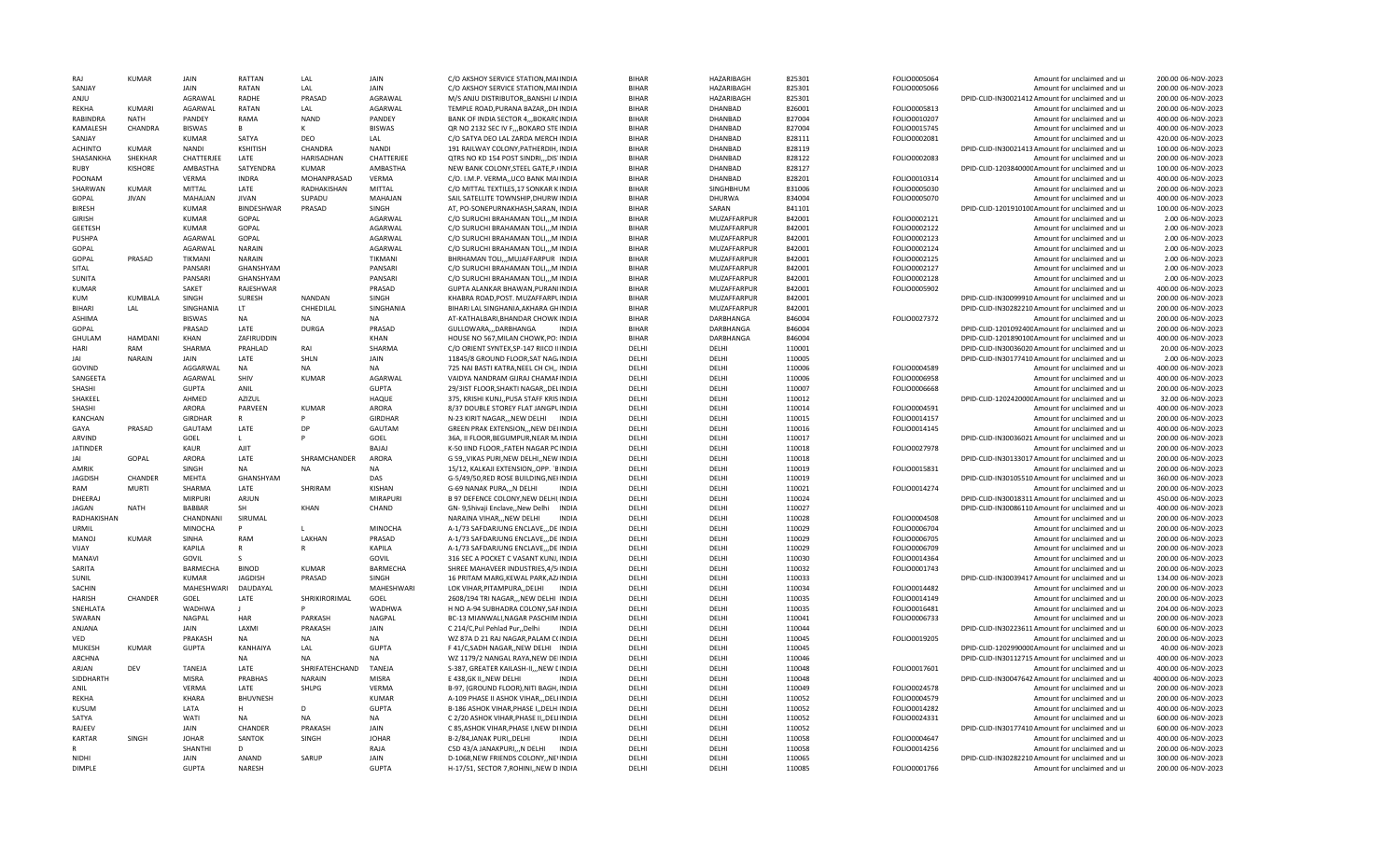| SANJAY          | <b>KUMAR</b>   | JAIN            | RATTAN            | LAL            | JAIN              | C/O AKSHOY SERVICE STATION, MAIINDIA                                         | <b>BIHAR</b> | <b>HAZARIBAGH</b> | 825301           | FOLIO0005064                 | Amount for unclaimed and ur                                | 200.00 06-NOV-2023  |
|-----------------|----------------|-----------------|-------------------|----------------|-------------------|------------------------------------------------------------------------------|--------------|-------------------|------------------|------------------------------|------------------------------------------------------------|---------------------|
|                 |                | JAIN            | RATAN             | LAL            | JAIN              | C/O AKSHOY SERVICE STATION, MAIINDIA                                         | <b>BIHAR</b> | HAZARIBAGH        | 825301           | FOLIO0005066                 | Amount for unclaimed and ur                                | 200.00 06-NOV-2023  |
| ANJU            |                | <b>AGRAWAL</b>  | RADHE             | PRASAD         | AGRAWAL           | M/S ANIU DISTRIBUTORBANSHI LINDIA                                            | <b>BIHAR</b> | HAZARIBAGH        | 825301           |                              | DPID-CLID-IN30021412 Amount for unclaimed and ur           | 200.00 06-NOV-2023  |
| <b>REKHA</b>    | <b>KUMARI</b>  | AGARWAL         | RATAN             | LAL            | AGARWAL           | TEMPLE ROAD, PURANA BAZAR, , DH. INDIA                                       | <b>BIHAR</b> | DHANBAD           | 826001           | FOLIO0005813                 | Amount for unclaimed and ur                                | 200.00 06-NOV-2023  |
| RABINDRA        | <b>NATH</b>    | PANDEY          | RAMA              | <b>NAND</b>    | PANDEY            | BANK OF INDIA SECTOR 4,,,BOKARCINDIA                                         | <b>BIHAR</b> | DHANBAD           | 827004           | FOLIO0010207                 | Amount for unclaimed and ur                                | 400.00 06-NOV-2023  |
| KAMALESH        | CHANDRA        | <b>BISWAS</b>   | R.                |                | <b>BISWAS</b>     | QR NO 2132 SEC IV F., BOKARO STE INDIA                                       | <b>BIHAR</b> | DHANBAD           | 827004           | FOLIO0015745                 | Amount for unclaimed and ur                                | 400.00 06-NOV-2023  |
| SANJAY          |                | KUMAR           | SATYA             | DEO            | LAL               | C/O SATYA DEO LAL ZARDA MERCH INDIA                                          | <b>BIHAR</b> | <b>DHANBAD</b>    | 828111           | FOLIO0002081                 | Amount for unclaimed and ur                                | 420.00 06-NOV-2023  |
| <b>ACHINTO</b>  | <b>KUMAR</b>   | <b>NANDI</b>    | <b>KSHITISH</b>   | CHANDRA        | <b>NANDI</b>      | 191 RAILWAY COLONY, PATHERDIH, INDIA                                         | <b>BIHAR</b> | DHANBAD           | 828119           |                              | DPID-CLID-IN30021413 Amount for unclaimed and ur           | 100.00 06-NOV-2023  |
| SHASANKHA       | SHEKHAR        | CHATTERJEE      | LATE              | HARISADHAN     | CHATTERJEE        | QTRS NO KD 154 POST SINDRI,,,DIS INDIA                                       | <b>BIHAR</b> | DHANBAD           | 828122           | FOLIO0002083                 | Amount for unclaimed and ur                                | 200.00 06-NOV-2023  |
| <b>RUBY</b>     | <b>KISHORE</b> | AMBASTHA        | SATYENDRA         | <b>KUMAR</b>   | AMBASTHA          | NEW BANK COLONY, STEEL GATE, P. (INDIA                                       | <b>BIHAR</b> | DHANBAD           | 828127           |                              | DPID-CLID-120384000CAmount for unclaimed and ur            | 100.00 06-NOV-2023  |
| POONAM          |                | <b>VERMA</b>    | <b>INDRA</b>      | MOHANPRASAD    | VFRMA             | C/O. I.M.P. VERMA,, UCO BANK MAIINDIA                                        | <b>BIHAR</b> | <b>DHANBAD</b>    | 828201           | FOLIO0010314                 | Amount for unclaimed and ur                                | 400.00 06-NOV-2023  |
| SHARWAN         | <b>KUMAR</b>   | MITTAL          | LATE              | RADHAKISHAN    | MITTAL            | C/O MITTAL TEXTILES, 17 SONKAR KINDIA                                        | <b>BIHAR</b> | SINGHBHUM         | 831006           | FOLIO0005030                 | Amount for unclaimed and ur                                | 200.00 06-NOV-2023  |
| GOPAL           | <b>JIVAN</b>   | MAHAJAN         | <b>JIVAN</b>      | SUPADL         | MAHAJAN           | SAIL SATELLITE TOWNSHIP, DHURW INDIA                                         | <b>BIHAR</b> | DHURWA            | 834004           | FOLIO0005070                 | Amount for unclaimed and ur                                | 400.00 06-NOV-2023  |
| <b>BIRESH</b>   |                | <b>KUMAR</b>    | <b>BINDESHWAR</b> | PRASAD         | SINGH             | AT. PO-SONEPURNAKHASH.SARAN. INDIA                                           | <b>BIHAR</b> | SARAN             | 841101           |                              | DPID-CLID-120191010CAmount for unclaimed and ur            | 100.00 06-NOV-2023  |
| <b>GIRISH</b>   |                | <b>KUMAR</b>    | GOPAL             |                | AGARWAL           | C/O SURUCHI BRAHAMAN TOLI,,,M INDIA                                          | <b>BIHAR</b> | MUZAFFARPUF       | 842001           | FOLIO0002121                 | Amount for unclaimed and ur                                | 2.00 06-NOV-2023    |
| <b>GEETESH</b>  |                | <b>KUMAR</b>    | GOPAL             |                | AGARWAL           | C/O SURUCHI BRAHAMAN TOLI,,,M INDIA                                          | <b>BIHAR</b> | MUZAFFARPUR       | 842001           | FOLIO0002122                 | Amount for unclaimed and ur                                | 2.00 06-NOV-2023    |
| PUSHPA          |                | AGARWAL         | GOPAL             |                | AGARWAL           | C/O SURUCHI BRAHAMAN TOLI,,,M INDIA                                          | <b>BIHAR</b> | MUZAFFARPUR       | 842001           | FOLIO0002123                 | Amount for unclaimed and ur                                | 2.00 06-NOV-2023    |
| GOPAL           |                | <b>AGARWAL</b>  | <b>NARAIN</b>     |                | AGARWAL           | C/O SURUCHI BRAHAMAN TOLI,,,M INDIA                                          | <b>BIHAR</b> | MUZAFFARPUR       | 842001           | FOLIO0002124                 | Amount for unclaimed and ur                                | 2.00 06-NOV-2023    |
| <b>GOPAL</b>    | PRASAD         | TIKMANI         | <b>NARAIN</b>     |                | <b>TIKMANI</b>    | BHRHAMAN TOLI MUJAFFARPUR INDIA                                              | <b>BIHAR</b> | MUZAFFARPUR       | 842001           | FOLIO0002125                 | Amount for unclaimed and ur                                | 2.00 06-NOV-2023    |
| SITAL           |                | PANSARI         | GHANSHYAM         |                | PANSARI           | C/O SURUCHI BRAHAMAN TOLI,,,M INDIA                                          | <b>BIHAR</b> | MUZAFFARPUR       | 842001           | FOLIO0002127                 | Amount for unclaimed and ur                                | 2.00 06-NOV-2023    |
| SUNITA          |                | PANSARI         | GHANSHYAM         |                | PANSARI           | C/O SURUCHI BRAHAMAN TOLI,,,M INDIA                                          | <b>BIHAR</b> | MUZAFFARPUR       | 842001           | FOLIO0002128                 | Amount for unclaimed and ur                                | 2.00 06-NOV-2023    |
| KUMAR           |                | SAKET           | RAIFSHWAR         |                | PRASAD            | GUPTA ALANKAR BHAWAN, PURANIINDIA                                            | <b>BIHAR</b> | MUZAFFARPUR       | 842001           | FOLIO0005902                 | Amount for unclaimed and ur                                | 400.00 06-NOV-2023  |
| KUM             | KUMBALA        | SINGH           | <b>SURFSH</b>     | NANDAN         | SINGH             | KHABRA ROAD, POST. MUZAFFARPLINDIA                                           | <b>BIHAR</b> | MUZAFFARPUR       | 842001           |                              | DPID-CLID-IN30099910 Amount for unclaimed and ur           | 200.00 06-NOV-2023  |
| <b>BIHARI</b>   | LAL            | SINGHANIA       | LT.               | CHHEDILAL      | SINGHANIA         | BIHARI LAL SINGHANIA, AKHARA GHINDIA                                         | <b>BIHAR</b> | MUZAFFARPUR       | 842001           |                              | DPID-CLID-IN30282210 Amount for unclaimed and ur           | 200.00 06-NOV-2023  |
| ASHIMA          |                | <b>BISWAS</b>   | <b>NA</b>         | <b>NA</b>      | <b>NA</b>         | AT-KATHALBARI, BHANDAR CHOWK INDIA                                           | <b>BIHAR</b> | DARBHANGA         | 846004           | FOLIO0027372                 | Amount for unclaimed and ur                                | 200.00 06-NOV-2023  |
| GOPAL           |                | PRASAD          | LATF              | <b>DURGA</b>   | PRASAD            | GULLOWARA,,,DARBHANGA<br><b>INDIA</b>                                        | <b>BIHAR</b> | DARBHANGA         | 846004           |                              | DPID-CLID-120109240CAmount for unclaimed and ur            | 200.00 06-NOV-2023  |
| <b>GHULAM</b>   | <b>HAMDANI</b> | KHAN            | ZAFIRUDDIN        |                | KHAN              | HOUSE NO 567, MILAN CHOWK, PO: INDIA                                         | <b>BIHAR</b> | DARBHANGA         | 846004           |                              | DPID-CLID-120189010CAmount for unclaimed and ur            | 400.00 06-NOV-2023  |
| HARI            | RAM            | SHARMA          | PRAHLAD           | RAI            | SHARMA            | C/O ORIENT SYNTEX, SP-147 RIICO IIINDIA                                      | DELHI        | DELHI             | 110001           |                              | DPID-CLID-IN30036020 Amount for unclaimed and ur           | 20.00 06-NOV-2023   |
| <b>IAI</b>      | <b>NARAIN</b>  | JAIN            | LATE              | SHLN           | JAIN              | 11845/8 GROUND FLOOR, SAT NAG/INDIA                                          | DFLHI        | DFLHI             | 110005           |                              | DPID-CLID-IN30177410 Amount for unclaimed and ur           | 2.00 06-NOV-2023    |
| GOVIND          |                | AGGARWAL        | <b>NA</b>         | NΔ             | <b>NA</b>         | 725 NAI BASTI KATRA, NEEL CH CH,, IINDIA                                     | DFLHI        | DFLHI             | 110006           | FOLIO0004589                 | Amount for unclaimed and ur                                | 400.00 06-NOV-2023  |
| SANGEETA        |                | AGARWAL         | SHIV              | KUMAR          | AGARWAL           | VAIDYA NANDRAM GIJRAJ CHAMAFINDIA                                            | DELHI        | DELHI             | 110006           | FOLIO0006958                 | Amount for unclaimed and ur                                | 400.00 06-NOV-2023  |
| SHASHI          |                | <b>GUPTA</b>    | ANIL              |                | <b>GUPTA</b>      | 29/3IST FLOOR, SHAKTI NAGAR, , DELINDIA                                      | DELHI        | DELHI             | 110007           | FOLIO0006668                 | Amount for unclaimed and ur                                | 200.00 06-NOV-2023  |
| SHAKEEL         |                | AHMED           | <b>AZIZUL</b>     |                | HAQUE             | 375, KRISHI KUNJ,, PUSA STAFF KRISINDIA                                      | DELHI        | DFLHI             | 110012           |                              | DPID-CLID-120242000CAmount for unclaimed and ur            | 32.00 06-NOV-2023   |
| <b>SHASHI</b>   |                | ARORA           | <b>PARVFFN</b>    | KUMAR          | ARORA             | 8/37 DOUBLE STOREY FLAT JANGPLINDIA                                          | DELHI        | DELHI             | 110014           | FOLIO0004591                 | Amount for unclaimed and ur                                | 400.00 06-NOV-2023  |
| <b>KANCHAN</b>  |                | <b>GIRDHAR</b>  | $\mathsf{R}$      |                | <b>GIRDHAR</b>    | N-23 KIRIT NAGAR, , NEW DELHI INDIA                                          | DELHI        | DELHI             | 110015           | FOLIO0014157                 | Amount for unclaimed and ur                                | 200.00 06-NOV-2023  |
| GAYA            | PRASAD         | GAUTAM          | LATE              | DP             | GAUTAM            | GREEN PRAK EXTENSION,,, NEW DELINDIA                                         | DFLHI        | DFLHI             | 110016           | FOLIO0014145                 | Amount for unclaimed and ur                                | 400.00 06-NOV-2023  |
| ARVIND          |                | GOEL            | L.                |                | GOEL              | 36A, II FLOOR, BEGUMPUR, NEAR M. INDIA                                       | DFLHI        | DELHI             | 110017           |                              | DPID-CLID-IN30036021 Amount for unclaimed and ur           | 200.00 06-NOV-2023  |
| <b>JATINDER</b> |                | <b>KAUR</b>     | AIIT              |                | BAJAJ             | K-50 IIND FLOOR., FATEH NAGAR PCINDIA                                        | DELHI        | DELHI             | 110018           | FOLIO0027978                 | Amount for unclaimed and ur                                | 200.00 06-NOV-2023  |
| JAI             | GOPAL          | ARORA           | LATE              | SHRAMCHANDER   | ARORA             | G 59, VIKAS PURI, NEW DELHI, NEW INDIA                                       | DELHI        | DELHI             | 110018           |                              | DPID-CLID-IN30133017 Amount for unclaimed and ur           | 200.00 06-NOV-2023  |
| AMRIK           |                | SINGH           | <b>NA</b>         | <b>NA</b>      | <b>NA</b>         | 15/12, KALKAJI EXTENSION, OPP. `BINDIA                                       | DELHI        | DELHI             | 110019           | FOLIO0015831                 | Amount for unclaimed and ur                                | 200.00 06-NOV-2023  |
| <b>JAGDISH</b>  | CHANDER        | MEHTA           | GHANSHYAM         |                | DAS               | G-5/49/50, RED ROSE BUILDING, NEHNDIA                                        | DELHI        | DELHI             | 110019           |                              | DPID-CLID-IN30105510 Amount for unclaimed and ur           | 360.00 06-NOV-2023  |
| RAM             | <b>MURTI</b>   | SHARMA          | LATE              | SHRIRAM        | KISHAN            | G-69 NANAK PURA,,,N DELHI<br><b>INDIA</b>                                    | DELHI        | DELHI             | 110021           | FOLIO0014274                 | Amount for unclaimed and ur                                |                     |
| DHEERAJ         |                |                 |                   |                |                   |                                                                              |              |                   |                  |                              |                                                            | 200.00 06-NOV-2023  |
| <b>JAGAN</b>    | <b>NATH</b>    | <b>MIRPURI</b>  | ARJUN             |                | MIRAPURI          | B 97 DEFENCE COLONY, NEW DELHI, INDIA                                        | DFLHI        | DFLHI             | 110024           |                              | DPID-CLID-IN30018311 Amount for unclaimed and ur           | 450.00 06-NOV-2023  |
| RADHAKISHAN     |                | <b>BABBAR</b>   | SH                | <b>KHAN</b>    | CHAND             | GN- 9, Shivaji Enclave, New Delhi<br><b>INDIA</b>                            | DELHI        | DELHI             | 110027           |                              | DPID-CLID-IN30086110 Amount for unclaimed and ur           | 400.00 06-NOV-2023  |
|                 |                | CHANDNANI       | SIRUMAL           |                |                   | NARAINA VIHAR,,,NEW DELHI<br><b>INDIA</b>                                    | DFLHI        | DELHI             | 110028           | FOLIO0004508                 | Amount for unclaimed and ur                                | 200.00 06-NOV-2023  |
| <b>URMIL</b>    |                | MINOCHA         | P                 | $\mathbf{L}$   | MINOCHA           | A-1/73 SAFDARJUNG ENCLAVE,,,DE INDIA                                         | DELHI        | DFLHI             | 110029           | FOLIO0006704                 | Amount for unclaimed and ur                                | 200.00 06-NOV-2023  |
| MANOJ           | <b>KUMAR</b>   | SINHA           | RAM               | LAKHAN         | PRASAD            | A-1/73 SAFDARJUNG ENCLAVE,,,DEINDIA                                          | DELHI        | DELHI             | 110029           | FOLIO0006705                 | Amount for unclaimed and ur                                | 200.00 06-NOV-2023  |
| VIJAY           |                | KAPILA          | R                 |                | KAPILA            | A-1/73 SAFDARJUNG ENCLAVE, , DE INDIA                                        | DELHI        | DELHI             | 110029           | FOLIO0006709                 | Amount for unclaimed and ur                                | 200.00 06-NOV-2023  |
| <b>MANAVI</b>   |                | GOVIL           | $\varsigma$       |                | GOVIL             | 316 SEC A POCKET C VASANT KUNJ. INDIA                                        | DELHI        | DELHI             | 110030           | FOLIO0014364                 | Amount for unclaimed and ur                                | 200.00 06-NOV-2023  |
| SARITA          |                | <b>BARMECHA</b> | <b>BINOD</b>      | <b>KUMAR</b>   | BARMECHA          | SHREE MAHAVEER INDUSTRIES, 4/5/INDIA                                         | DELHI        | DELHI             | 110032           | FOLIO0001743                 | Amount for unclaimed and ur                                | 200.00 06-NOV-2023  |
| SUNIL           |                | KUMAR           | <b>JAGDISH</b>    | PRASAD         | SINGH             | 16 PRITAM MARG, KEWAL PARK, AZ/INDIA                                         | DELHI        | DELHI             | 110033           |                              | DPID-CLID-IN30039417 Amount for unclaimed and ur           | 134.00 06-NOV-2023  |
| <b>SACHIN</b>   |                | MAHESHWARI      | DAUDAYAL          |                | <b>MAHESHWARI</b> |                                                                              | DFLHI        | DFLHI             |                  |                              |                                                            | 200.00 06-NOV-2023  |
| <b>HARISH</b>   | CHANDER        | GOEL            | LATE              |                | GOEL              | LOK VIHAR, PITAMPURA, , DELHI INDIA<br>2608/194 TRI NAGAR,,, NEW DELHI INDIA | DELHI        | DELHI             | 110034<br>110035 | FOLIO0014482<br>FOLIO0014149 | Amount for unclaimed and ur<br>Amount for unclaimed and ur | 200.00 06-NOV-2023  |
| SNEHLATA        |                | WADHWA          |                   | SHRIKIRORIMAL  | WADHWA            | H NO A-94 SUBHADRA COLONY, SAFINDIA                                          | DELHI        | DELHI             | 110035           | FOLIO0016481                 |                                                            | 204.00 06-NOV-2023  |
| SWARAN          |                | NAGPAL          | HAR               | PARKASH        | NAGPAL            | BC-13 MIANWALI, NAGAR PASCHIM INDIA                                          | DELHI        | DELHI             | 110041           | FOLIO0006733                 | Amount for unclaimed and ur<br>Amount for unclaimed and ur | 200.00 06-NOV-2023  |
| ANJANA          |                | JAIN            | LAXMI             | PRAKASH        | JAIN              | C 214/C, Pul Pehlad Pur, , Delhi<br><b>INDIA</b>                             | DELHI        | DELHI             | 110044           |                              | DPID-CLID-IN30223611 Amount for unclaimed and ur           | 600.00 06-NOV-2023  |
| VED             |                | PRAKASH         | NA                | <b>NA</b>      | NA                | WZ 87A D 21 RAJ NAGAR, PALAM C(INDIA                                         | DELHI        | DELHI             | 110045           | FOLIO0019205                 | Amount for unclaimed and ur                                | 200.00 06-NOV-2023  |
| <b>MUKESH</b>   | KUMAR          | <b>GUPTA</b>    | KANHAIYA          | LAI            | <b>GUPTA</b>      | F 41/C, SADH NAGAR, , NEW DELHI INDIA                                        | DELHI        | DELHI             | 110045           |                              | DPID-CLID-120299000CAmount for unclaimed and ur            | 40.00 06-NOV-2023   |
| <b>ARCHNA</b>   |                |                 | <b>NA</b>         | <b>NA</b>      | <b>NA</b>         | WZ 1179/2 NANGAL RAYA, NEW DEIINDIA                                          | DELHI        | DELHI             | 110046           |                              | DPID-CLID-IN30112715 Amount for unclaimed and ur           | 400.00 06-NOV-2023  |
| ARIAN           | DFV            | TANEJA          | LATE              | SHRIFATEHCHAND | <b>TANEJA</b>     | S-387, GREATER KAILASH-II,,, NEW LINDIA                                      | DFLHI        | DELHI             | 110048           | FOLIO0017601                 | Amount for unclaimed and ur                                | 400.00 06-NOV-2023  |
| SIDDHARTH       |                | <b>MISRA</b>    | PRABHAS           | <b>NARAIN</b>  | <b>MISRA</b>      | E 438, GK II, , NEW DELHI<br><b>INDIA</b>                                    | DELHI        | DELHI             | 110048           |                              | DPID-CLID-IN30047642 Amount for unclaimed and ur           | 4000.00 06-NOV-2023 |
| ANIL            |                | <b>VERMA</b>    | LATE              | SHLPG          | VERMA             | B-97, (GROUND FLOOR), NITI BAGH, INDIA                                       | DELHI        | DELHI             | 110049           | FOLIO0024578                 | Amount for unclaimed and ur                                | 200.00 06-NOV-2023  |
| <b>RFKHA</b>    |                | <b>KHARA</b>    | <b>BHUVNESH</b>   |                | <b>KUMAR</b>      | A-109 PHASE II ASHOK VIHAR, , DELHINDIA                                      | DELHI        | DFLHI             | 110052           | FOLIO0004579                 | Amount for unclaimed and ur                                | 200.00 06-NOV-2023  |
| <b>KUSUM</b>    |                | LATA            | н                 | D              | <b>GUPTA</b>      | B-186 ASHOK VIHAR, PHASE I,, DELHIINDIA                                      | DELHI        | DELHI             | 110052           | FOLIO0014282                 | Amount for unclaimed and ur                                | 400.00 06-NOV-2023  |
| SATYA           |                | WATI            | NA                | NA             | NA                | C 2/20 ASHOK VIHAR, PHASE II, DELIINDIA                                      | DELHI        | DELHI             | 110052           | FOLIO0024331                 | Amount for unclaimed and ur                                | 600.00 06-NOV-2023  |
| RAJEEV          |                | JAIN            | CHANDER           | PRAKASH        | <b>JAIN</b>       | C 85, ASHOK VIHAR, PHASE I, NEW DIINDIA                                      | DELHI        | DELHI             | 110052           |                              | DPID-CLID-IN30177410 Amount for unclaimed and ur           | 600.00 06-NOV-2023  |
| <b>KARTAR</b>   | SINGH          | <b>IOHAR</b>    | SANTOK            | <b>SINGH</b>   | <b>JOHAR</b>      | B-2/84, JANAK PURI, , DELHI<br><b>INDIA</b>                                  | DFLHI        | DFLHI             | 110058           | FOLIO0004647                 | Amount for unclaimed and u                                 | 400.00 06-NOV-2023  |
| R               |                | <b>SHANTHI</b>  | D                 |                | RAJA              | C5D 43/A JANAKPURI,,,N DELHI<br><b>INDIA</b>                                 | DFLHI        | DELHI             | 110058           | FOLIO0014256                 | Amount for unclaimed and ur                                | 200.00 06-NOV-2023  |
| NIDHI           |                | JAIN            | ANAND             | SARUP          | JAIN              | D-1068, NEW FRIENDS COLONY, , NEVINDIA                                       | DELHI        | DELHI             | 110065           |                              | DPID-CLID-IN30282210 Amount for unclaimed and ur           | 300.00 06-NOV-2023  |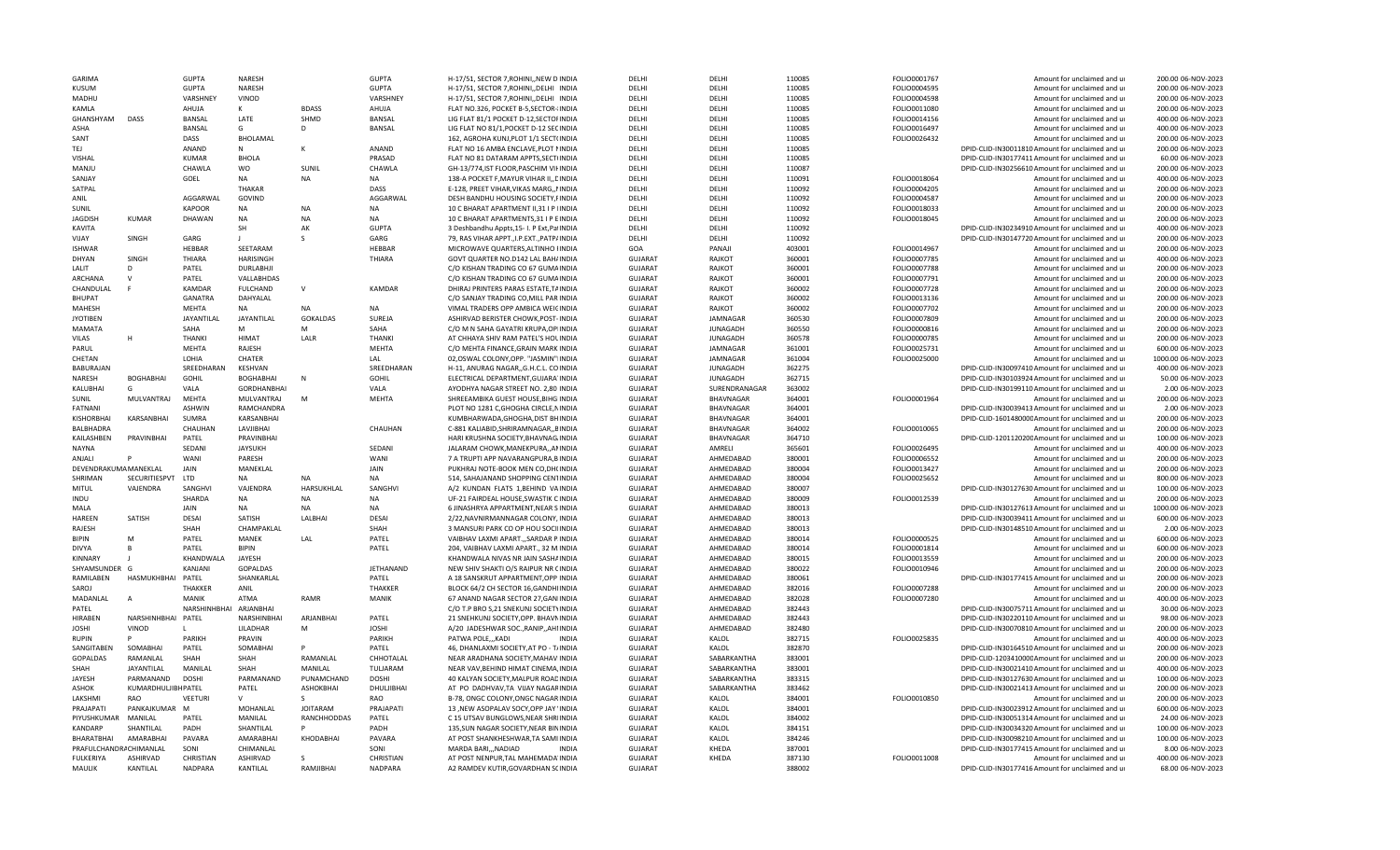| <b>GARIMA</b>          |                     | GUPTA                  | <b>NARFSH</b>      |                    | <b>GUPTA</b>     | H-17/51, SECTOR 7, ROHINI, NEW D INDIA     | DFLHI          | DFLHI            | 110085 | FOLIO0001767 | Amount for unclaimed and ur                      | 200.00 06-NOV-2023  |
|------------------------|---------------------|------------------------|--------------------|--------------------|------------------|--------------------------------------------|----------------|------------------|--------|--------------|--------------------------------------------------|---------------------|
| <b>KUSUM</b>           |                     | <b>GUPTA</b>           | NARESH             |                    | <b>GUPTA</b>     | H-17/51, SECTOR 7, ROHINI, , DELHI INDIA   | DELHI          | DELHI            | 110085 | FOLIO0004595 | Amount for unclaimed and ur                      | 200.00 06-NOV-2023  |
| MADHU                  |                     | VARSHNEY               | VINOD              |                    | VARSHNEY         | H-17/51, SECTOR 7, ROHINI, DELHI INDIA     | DFLHI          | DFLHI            | 110085 | FOLIO0004598 | Amount for unclaimed and ur                      | 200.00 06-NOV-2023  |
| KAMLA                  |                     | AHUJA                  | K                  | <b>BDASS</b>       | AHUJA            | FLAT NO.326, POCKET B-5, SECTOR-IINDIA     | DELHI          | DELHI            | 110085 | FOLIO0011080 | Amount for unclaimed and ur                      | 200.00 06-NOV-2023  |
| GHANSHYAM              | <b>DASS</b>         | <b>BANSAL</b>          | LATE               | SHMD               | BANSAL           | LIG FLAT 81/1 POCKET D-12, SECTOFINDIA     | DELHI          | DELHI            | 110085 | FOLIO0014156 | Amount for unclaimed and ur                      | 400.00 06-NOV-2023  |
| <b>ASHA</b>            |                     | <b>BANSAL</b>          | G                  | D                  | BANSAL           | LIG FLAT NO 81/1, POCKET D-12 SECINDIA     | DELHI          | DELHI            | 110085 | FOLIO0016497 | Amount for unclaimed and ur                      | 400.00 06-NOV-2023  |
| SANT                   |                     | DASS                   | BHOLAMAL           |                    |                  | 162, AGROHA KUNJ, PLOT 1/1 SECT(INDIA      | DELHI          | DFLHI            | 110085 | FOLIO0026432 | Amount for unclaimed and ur                      | 200.00 06-NOV-2023  |
| TEJ                    |                     | <b>ANAND</b>           | N                  | K                  | ANAND            | FLAT NO 16 AMBA ENCLAVE, PLOT NINDIA       | DFLHI          | DFLHI            | 110085 |              | DPID-CLID-IN30011810 Amount for unclaimed and ur | 200.00 06-NOV-2023  |
| <b>VISHAL</b>          |                     | <b>KUMAR</b>           | BHOLA              |                    | PRASAD           | FLAT NO 81 DATARAM APPTS, SECT(INDIA       | DELHI          | DELHI            | 110085 |              | DPID-CLID-IN30177411 Amount for unclaimed and ur | 60.00 06-NOV-2023   |
| MANJU                  |                     | CHAWLA                 | wo                 | SUNIL              | CHAWLA           | GH-13/774, IST FLOOR, PASCHIM VII INDIA    | DELHI          | DELHI            | 110087 |              | DPID-CLID-IN30256610 Amount for unclaimed and ur | 200.00 06-NOV-2023  |
| SANJAY                 |                     | GOEL                   | NA                 | NA                 | <b>NA</b>        | 138-A POCKET F, MAYUR VIHAR II, , DINDIA   | DELHI          | DELHI            | 110091 | FOLIO0018064 | Amount for unclaimed and ur                      | 400.00 06-NOV-2023  |
|                        |                     |                        | THAKAR             |                    |                  |                                            |                |                  |        |              |                                                  |                     |
| SATPAL                 |                     |                        |                    |                    | DASS             | E-128, PREET VIHAR, VIKAS MARG,, NNDIA     | DELHI          | DELHI            | 110092 | FOLIO0004205 | Amount for unclaimed and ur                      | 200.00 06-NOV-2023  |
| ANIL                   |                     | AGGARWAL               | GOVIND             |                    | AGGARWAL         | DESH BANDHU HOUSING SOCIETY, FINDIA        | DELHI          | DELHI            | 110092 | FOLIO0004587 | Amount for unclaimed and ur                      | 200.00 06-NOV-2023  |
| SUNIL                  |                     | <b>KAPOOR</b>          | NA                 | N <sub>A</sub>     | <b>NA</b>        | 10 C BHARAT APARTMENT II, 31 I P IINDIA    | DFLHI          | DFLHI            | 110092 | FOLIO0018033 | Amount for unclaimed and ur                      | 200.00 06-NOV-2023  |
| <b>JAGDISH</b>         | <b>KUMAR</b>        | DHAWAN                 | <b>NA</b>          | <b>NA</b>          | <b>NA</b>        | 10 C BHARAT APARTMENTS.31 I P EINDIA       | DFLHI          | DELHI            | 110092 | FOLIO0018045 | Amount for unclaimed and ur                      | 200.00 06-NOV-2023  |
| <b>KAVITA</b>          |                     |                        | <b>SH</b>          | AK                 | <b>GUPTA</b>     | 3 Deshbandhu Appts, 15- I. P Ext, PaIINDIA | DFLHI          | DFLHI            | 110092 |              | DPID-CLID-IN30234910 Amount for unclaimed and ur | 400.00 06-NOV-2023  |
| VIJAY                  | SINGH               | GARG                   |                    | $\leq$             | GARG             | 79, RAS VIHAR APPT., I.P. EXT., PATP/INDIA | DELHI          | DELHI            | 110092 |              | DPID-CLID-IN30147720 Amount for unclaimed and ur | 200.00 06-NOV-2023  |
| <b>ISHWAR</b>          |                     | HEBBAR                 | SEETARAM           |                    | HEBBAR           | MICROWAVE QUARTERS, ALTINHO I INDIA        | GOA            | PANAJI           | 403001 | FOLIO0014967 | Amount for unclaimed and ur                      | 200.00 06-NOV-2023  |
| DHYAN                  | SINGH               | THIARA                 | <b>HARISINGH</b>   |                    | THIARA           | GOVT QUARTER NO.D142 LAL BAH/INDIA         | <b>GUJARAT</b> | RAIKOT           | 360001 | FOLIO0007785 | Amount for unclaimed and ur                      | 400.00 06-NOV-2023  |
| LALIT                  | D                   | PATEL                  | <b>DURLABHJI</b>   |                    |                  | C/O KISHAN TRADING CO 67 GUMAINDIA         | <b>GUJARAT</b> | RAJKOT           | 360001 | FOLIO0007788 | Amount for unclaimed and ur                      | 200.00 06-NOV-2023  |
| ARCHANA                | $\mathsf{v}$        | PATEL                  | VALLABHDAS         |                    |                  | C/O KISHAN TRADING CO 67 GUMAINDIA         | <b>GUJARAT</b> | RAJKOT           | 360001 | FOLIO0007791 | Amount for unclaimed and ur                      | 200.00 06-NOV-2023  |
| CHANDULAL              |                     | <b>KAMDAR</b>          | <b>FULCHAND</b>    | $\vee$             | <b>KAMDAR</b>    | DHIRAJ PRINTERS PARAS ESTATE.TAINDIA       | <b>GUJARAT</b> | RAIKOT           | 360002 | FOLIO0007728 | Amount for unclaimed and ur                      | 200.00 06-NOV-2023  |
|                        |                     |                        |                    |                    |                  |                                            |                |                  |        |              |                                                  |                     |
| <b>BHUPAT</b>          |                     | <b>GANATRA</b>         | DAHYALAL           |                    |                  | C/O SANJAY TRADING CO, MILL PAR INDIA      | <b>GUJARAT</b> | RAJKOT           | 360002 | FOLIO0013136 | Amount for unclaimed and ur                      | 200.00 06-NOV-2023  |
| MAHESH                 |                     | MEHTA                  | NA                 | <b>NA</b>          | <b>NA</b>        | VIMAL TRADERS OPP AMBICA WEICINDIA         | <b>GUJARAT</b> | RAJKOT           | 360002 | FOLIO0007702 | Amount for unclaimed and ur                      | 200.00 06-NOV-2023  |
| <b>JYOTIBEN</b>        |                     | JAYANTILAL             | JAYANTILAL         | <b>GOKALDAS</b>    | SUREJA           | ASHIRVAD BERISTER CHOWK, POST-INDIA        | <b>GUJARAT</b> | JAMNAGAR         | 360530 | FOLIO0007809 | Amount for unclaimed and ur                      | 200.00 06-NOV-2023  |
| <b>MAMATA</b>          |                     | SAHA                   | M                  | M                  | SAHA             | C/O M N SAHA GAYATRI KRUPA.OPIINDIA        | <b>GUJARAT</b> | <b>JUNAGADH</b>  | 360550 | FOLIO0000816 | Amount for unclaimed and ur                      | 200.00 06-NOV-2023  |
| VILAS                  | н                   | <b>THANKI</b>          | <b>HIMAT</b>       | LALR               | <b>THANKI</b>    | AT CHHAYA SHIV RAM PATEL'S HOLINDIA        | GUJARAT        | <b>JUNAGADH</b>  | 360578 | FOLIO0000785 | Amount for unclaimed and ur                      | 200.00 06-NOV-2023  |
| PARUL                  |                     | <b>MFHTA</b>           | <b>RAJFSH</b>      |                    | MFHTA            | C/O MEHTA FINANCE, GRAIN MARK INDIA        | GUJARAT        | <b>JAMNAGAR</b>  | 361001 | FOLIO0025731 | Amount for unclaimed and ur                      | 600.00 06-NOV-2023  |
| CHETAN                 |                     | LOHIA                  | CHATER             |                    | LAL              | 02, OSWAL COLONY, OPP. "JASMIN" IINDIA     | <b>GUJARAT</b> | JAMNAGAR         | 361004 | FOLIO0025000 | Amount for unclaimed and ur                      | 1000.00 06-NOV-2023 |
| BABURAJAN              |                     | SREEDHARAN             | KESHVAN            |                    | SREEDHARAN       | H-11, ANURAG NAGAR,, G.H.C.L. CO INDIA     | <b>GUJARAT</b> | <b>JUNAGADH</b>  | 362275 |              | DPID-CLID-IN30097410 Amount for unclaimed and ur | 400.00 06-NOV-2023  |
| NARESH                 | <b>BOGHABHAI</b>    | GOHIL                  | BOGHABHAI          | N                  | GOHIL            | ELECTRICAL DEPARTMENT, GUJARA INDIA        | GUJARAT        | <b>JUNAGADH</b>  | 362715 |              | DPID-CLID-IN30103924 Amount for unclaimed and ur | 50.00 06-NOV-2023   |
| KALUBHAI               | G                   | VALA                   | <b>GORDHANBHAI</b> |                    | VALA             | AYODHYA NAGAR STREET NO. 2,80 INDIA        | <b>GUJARAT</b> | SURENDRANAGAR    | 363002 |              | DPID-CLID-IN30199110 Amount for unclaimed and ur | 2.00 06-NOV-2023    |
| SUNIL                  | MULVANTRAJ          | MEHTA                  | MULVANTRAJ         | M                  | <b>MEHTA</b>     | SHREEAMBIKA GUEST HOUSE, BIHGIINDIA        | <b>GUJARAT</b> | BHAVNAGAR        | 364001 | FOLIO0001964 | Amount for unclaimed and ur                      | 200.00 06-NOV-2023  |
| FATNANI                |                     | <b>ASHWIN</b>          | RAMCHANDRA         |                    |                  | PLOT NO 1281 C, GHOGHA CIRCLE, NINDIA      | <b>GUJARAT</b> | <b>BHAVNAGAR</b> | 364001 |              | DPID-CLID-IN30039413 Amount for unclaimed and up | 2.00 06-NOV-2023    |
|                        |                     |                        |                    |                    |                  |                                            |                |                  |        |              |                                                  |                     |
| KISHORBHAI             | KARSANBHAI          | <b>SUMRA</b>           | KARSANBHAI         |                    |                  | KUMBHARWADA, GHOGHA, DIST BHINDIA          | <b>GUJARAT</b> | BHAVNAGAR        | 364001 |              | DPID-CLID-160148000CAmount for unclaimed and ur  | 200.00 06-NOV-2023  |
| BALBHADRA              |                     | CHAUHAN                | LAVJIBHAI          |                    | CHAUHAN          | C-881 KALIABID, SHRIRAMNAGAR, , BINDIA     | <b>GUJARAT</b> | BHAVNAGAR        | 364002 | FOLIO0010065 | Amount for unclaimed and ur                      | 200.00 06-NOV-2023  |
| KAILASHBEN             | PRAVINBHAI          | PATEL                  | PRAVINBHAI         |                    |                  | HARI KRUSHNA SOCIETY, BHAVNAG, INDIA       | <b>GUJARAT</b> | BHAVNAGAR        | 364710 |              | DPID-CLID-120112020CAmount for unclaimed and ur  | 100.00 06-NOV-2023  |
| <b>NAYNA</b>           |                     | SFDANI                 | <b>JAYSUKH</b>     |                    | SEDANI           | JALARAM CHOWK, MANEKPURA, , ANINDIA        | <b>GUJARAT</b> | AMRELI           | 365601 | FOLIO0026495 | Amount for unclaimed and ur                      | 400.00 06-NOV-2023  |
| ANJALI                 | P                   | WANI                   | <b>PARFSH</b>      |                    | WANI             | 7 A TRUPTI APP NAVARANGPURA, BINDIA        | <b>GUJARAT</b> | AHMEDABAD        | 380001 | FOLIO0006552 | Amount for unclaimed and ur                      | 200.00 06-NOV-2023  |
| DEVENDRAKUMA MANEKLAL  |                     | JAIN                   | MANEKLAL           |                    | JAIN             | PUKHRAJ NOTE-BOOK MEN CO.DH(INDIA          | <b>GUJARAT</b> | AHMEDABAD        | 380004 | FOLIO0013427 | Amount for unclaimed and ur                      | 200.00 06-NOV-2023  |
| SHRIMAN                | SECURITIESPVT       | LTD                    | NA                 | <b>NA</b>          | <b>NA</b>        | 514, SAHAJANAND SHOPPING CENTINDIA         | <b>GUJARAT</b> | AHMEDABAD        | 380004 | FOLIO0025652 | Amount for unclaimed and u                       | 800.00 06-NOV-2023  |
| MITUL                  | VAJENDRA            | SANGHVI                | VAJENDRA           | HARSUKHLAL         | SANGHVI          | A/2 KUNDAN FLATS 1, BEHIND VAINDIA         | <b>GUJARAT</b> | AHMEDABAD        | 380007 |              | DPID-CLID-IN30127630 Amount for unclaimed and ur | 100.00 06-NOV-2023  |
| INDU                   |                     | SHARDA                 | <b>NA</b>          | <b>NA</b>          | <b>NA</b>        | UF-21 FAIRDEAL HOUSE, SWASTIK C INDIA      | <b>GUJARAT</b> | AHMEDABAD        | 380009 | FOLIO0012539 | Amount for unclaimed and ur                      | 200.00 06-NOV-2023  |
| MALA                   |                     | <b>JAIN</b>            | <b>NA</b>          | <b>NA</b>          | <b>NA</b>        | 6 JINASHRYA APPARTMENT, NEAR S INDIA       | <b>GUJARAT</b> | AHMFDABAD        | 380013 |              | DPID-CLID-IN30127613 Amount for unclaimed and ur | 1000.00 06-NOV-2023 |
| <b>HAREEM</b>          | SATISH              | DESAI                  | SATISH             | LALBHAI            | <b>DESAI</b>     | 2/22, NAVNIRMANNAGAR COLONY, INDIA         | GUJARAT        | AHMEDABAD        | 380013 |              | DPID-CLID-IN30039411 Amount for unclaimed and ur | 600.00 06-NOV-2023  |
| RAJESH                 |                     | SHAH                   | CHAMPAKLAL         |                    | SHAH             | 3 MANSURI PARK CO OP HOU SOCIIINDIA        | <b>GUJARAT</b> | AHMEDABAD        | 380013 |              | DPID-CLID-IN30148510 Amount for unclaimed and ur | 2.00 06-NOV-2023    |
| <b>BIPIN</b>           | M                   | PATEL                  | <b>MANEK</b>       | LAL                | PATEL            | VAIBHAV LAXMI APARTSARDAR P.INDIA          | <b>GUJARAT</b> | AHMEDABAD        | 380014 | FOLIO0000525 | Amount for unclaimed and u                       | 600.00 06-NOV-2023  |
|                        |                     |                        |                    |                    |                  |                                            |                |                  |        |              |                                                  |                     |
| <b>DIVYA</b>           | B                   | PATEL                  | <b>BIPIN</b>       |                    | PATEL            | 204, VAIBHAV LAXMI APART., 32 M.INDIA      | GUJARAT        | AHMFDABAD        | 380014 | FOLIO0001814 | Amount for unclaimed and ur                      | 600.00 06-NOV-2023  |
| <b>KINNARY</b>         |                     | KHANDWALA              | <b>JAYESH</b>      |                    |                  | KHANDWALA NIVAS NR JAIN SASHAINDIA         | <b>GUJARAT</b> | AHMEDABAD        | 380015 | FOLIO0013559 | Amount for unclaimed and ur                      | 200.00 06-NOV-2023  |
| SHYAMSUNDER G          |                     | <b>KANJANI</b>         | GOPALDAS           |                    | <b>JETHANAND</b> | NEW SHIV SHAKTI O/S RAIPUR NR CINDIA       | <b>GUJARAT</b> | AHMFDABAD        | 380022 | FOLIO0010946 | Amount for unclaimed and ur                      | 200.00 06-NOV-2023  |
| RAMILABEN              | HASMUKHBHAI PATEL   |                        | SHANKARLAL         |                    | PATEL            | A 18 SANSKRUT APPARTMENT.OPP INDIA         | <b>GUJARAT</b> | AHMEDABAD        | 380061 |              | DPID-CLID-IN30177415 Amount for unclaimed and ur | 200.00 06-NOV-2023  |
| SAROJ                  |                     | <b>THAKKFF</b>         | ANIL               |                    | THAKKER          | BLOCK 64/2 CH SECTOR 16, GANDHIINDIA       | <b>GUJARAT</b> | AHMEDABAD        | 382016 | FOLIO0007288 | Amount for unclaimed and ur                      | 200.00 06-NOV-2023  |
| MADANLAL               | $\overline{A}$      | MANIK                  | ATMA               | RAMR               | MANIK            | 67 ANAND NAGAR SECTOR 27, GANIINDIA        | <b>GUJARAT</b> | AHMEDABAD        | 382028 | FOLIO0007280 | Amount for unclaimed and ur                      | 400.00 06-NOV-2023  |
| PATEL                  |                     | NARSHINHBHAI ARJANBHAI |                    |                    |                  | C/O T.P BRO S, 21 SNEKUNJ SOCIETYINDIA     | <b>GUJARAT</b> | AHMEDABAD        | 382443 |              | DPID-CLID-IN30075711Amount for unclaimed and ur  | 30.00 06-NOV-2023   |
| <b>HIRABEN</b>         | NARSHINHBHAI PATEL  |                        | NARSHINBHAI        | ARJANBHAI          | PATEL            | 21 SNEHKUNJ SOCIETY, OPP. BHAVNINDIA       | <b>GUJARAT</b> | AHMEDABAD        | 382443 |              | DPID-CLID-IN30220110 Amount for unclaimed and ur | 98.00 06-NOV-2023   |
| <b>JOSHI</b>           | <b>VINOD</b>        | L                      | LILADHAR           | M                  | <b>JOSHI</b>     | A/20 JADESHWAR SOC., RANIP,, AHIINDIA      | GUJARAT        | AHMEDABAD        | 382480 |              | DPID-CLID-IN30070810 Amount for unclaimed and ur | 200.00 06-NOV-2023  |
| <b>RUPIN</b>           | P                   | PARIKH                 | PRAVIN             |                    | PARIKH           | PATWA POLE,,,KADI<br><b>INDIA</b>          | <b>GUJARAT</b> | KALOL            | 382715 | FOLIO0025835 | Amount for unclaimed and ur                      | 400.00 06-NOV-2023  |
| SANGITABEN             | SOMABHAI            | PATEL                  | SOMABHAI           |                    | <b>PATFL</b>     | 46, DHANLAXMI SOCIETY, AT PO - T/INDIA     | <b>GUJARAT</b> | KALOL            | 382870 |              | DPID-CLID-IN30164510 Amount for unclaimed and ur | 200.00 06-NOV-2023  |
| <b>GOPALDAS</b>        | RAMANLAL            | SHAH                   | SHAH               | RAMANLAL           | CHHOTALAL        | NEAR ARADHANA SOCIETY, MAHAVIINDIA         |                | SABARKANTHA      | 383001 |              | DPID-CLID-120341000CAmount for unclaimed and ur  | 200.00 06-NOV-2023  |
|                        |                     |                        |                    |                    |                  |                                            | GUJARAT        |                  |        |              |                                                  |                     |
| SHAH                   | JAYANTILAL          | MANILAL                | SHAH               | MANILAL            | TULJARAM         | NEAR VAV, BEHIND HIMAT CINEMA, INDIA       | <b>GUJARAT</b> | SABARKANTHA      | 383001 |              | DPID-CLID-IN30021410 Amount for unclaimed and ur | 400.00 06-NOV-2023  |
| JAYESH                 | PARMANAND           | <b>DOSHI</b>           | PARMANAND          | PUNAMCHAND         | <b>DOSHI</b>     | 40 KALYAN SOCIETY, MALPUR ROADINDIA        | <b>GUJARAT</b> | SABARKANTHA      | 383315 |              | DPID-CLID-IN30127630 Amount for unclaimed and ur | 100.00 06-NOV-2023  |
| <b>ASHOK</b>           | KUMARDHULJIBH PATEL |                        | PATEL              | ASHOKBHAI          | DHULJIBHAI       | AT PO DADHVAV.TA VIJAY NAGARINDIA          | <b>GUJARAT</b> | SABARKANTHA      | 383462 |              | DPID-CLID-IN30021413 Amount for unclaimed and ur | 200.00 06-NOV-2023  |
| LAKSHMI                | <b>RAO</b>          | VEETURI                | $\mathsf{V}$       |                    | RAO              | B-78, ONGC COLONY, ONGC NAGAR INDIA        | <b>GUJARAT</b> | KALOL            | 384001 | FOLIO0010850 | Amount for unclaimed and ur                      | 200.00 06-NOV-2023  |
| PRAJAPATI              | PANKAIKUMAR         | M                      | MOHANLAL           | <b>JOITARAM</b>    | PRAJAPATI        | 13 , NEW ASOPALAV SOCY, OPP JAY 'INDIA     | <b>GUJARAT</b> | KALOL            | 384001 |              | DPID-CLID-IN30023912 Amount for unclaimed and ur | 600.00 06-NOV-2023  |
| PIYUSHKUMAR            | MANILAL             | PATEL                  | MANILAL            | <b>RANCHHODDAS</b> | PATEL            | C 15 UTSAV BUNGLOWS, NEAR SHRIINDIA        | <b>GUJARAT</b> | KALOL            | 384002 |              | DPID-CLID-IN30051314 Amount for unclaimed and ur | 24.00 06-NOV-2023   |
| <b>KANDARP</b>         | SHANTILAL           | PADH                   | SHANTILAL          |                    | PADH             | 135, SUN NAGAR SOCIETY, NEAR BININDIA      | <b>GUJARAT</b> | KALOL            | 384151 |              | DPID-CLID-IN30034320 Amount for unclaimed and ur | 100.00 06-NOV-2023  |
| BHARATBHAI             | AMARABHAI           | PAVARA                 | AMARABHAI          | KHODABHAI          | PAVARA           | AT POST SHANKHESHWAR, TA SAMI INDIA        | <b>GUJARAT</b> | KALOL            | 384246 |              | DPID-CLID-IN30098210 Amount for unclaimed and ur | 100.00 06-NOV-2023  |
| PRAFULCHANDRACHIMANLAL |                     | SONI                   | CHIMANLAL          |                    | SONI             | MARDA BARI,,,NADIAD<br><b>INDIA</b>        | <b>GUJARAT</b> | KHEDA            | 387001 |              | DPID-CLID-IN30177415 Amount for unclaimed and ur | 8.00 06-NOV-2023    |
| FULKFRIYA              | <b>ASHIRVAD</b>     | CHRISTIAN              | <b>ASHIRVAD</b>    | s                  | CHRISTIAN        | AT POST NENPUR, TAL MAHEMADA'INDIA         | GUJARAT        | KHEDA            | 387130 | FOLIO0011008 | Amount for unclaimed and u                       | 400.00 06-NOV-2023  |
|                        |                     | <b>NADPARA</b>         | KANTILAL           | RAMJIBHAI          | <b>NADPARA</b>   | A2 RAMDEV KUTIR, GOVARDHAN SCINDIA         | <b>GUJARAT</b> |                  | 388002 |              | DPID-CLID-IN30177416 Amount for unclaimed and ur | 68.00 06-NOV-2023   |
| <b>MAULIK</b>          | KANTILAL            |                        |                    |                    |                  |                                            |                |                  |        |              |                                                  |                     |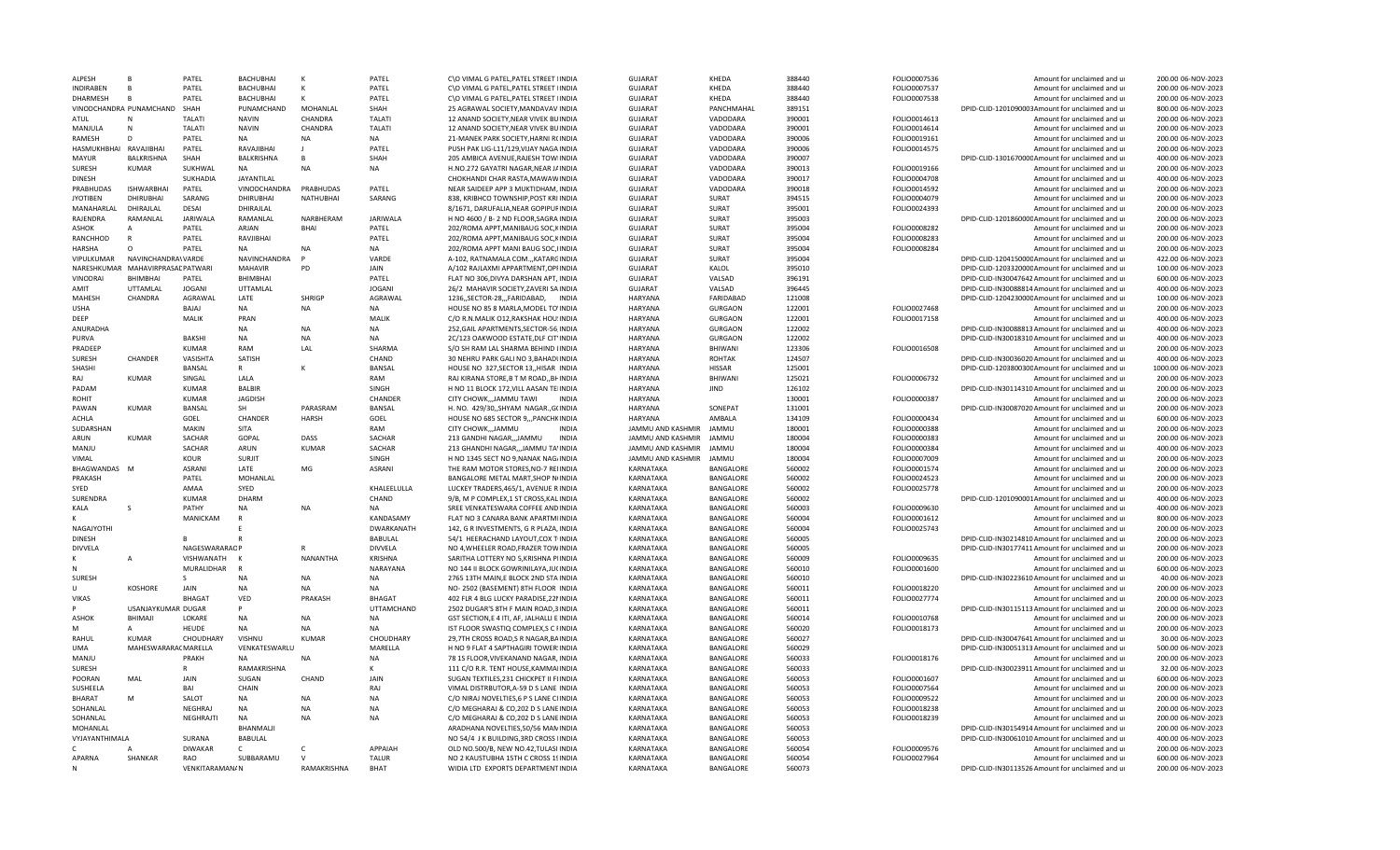| <b>ALPESH</b>          | R                                 | PATEL           | <b>BACHUBHAI</b>  |                  | PATEL             | C\O VIMAL G PATEL, PATEL STREET IINDIA    | GUIARAT           | KHEDA            | 388440 | FOLIO0007536 | Amount for unclaimed and ur                      | 200.00 06-NOV-2023  |
|------------------------|-----------------------------------|-----------------|-------------------|------------------|-------------------|-------------------------------------------|-------------------|------------------|--------|--------------|--------------------------------------------------|---------------------|
| <b>INDIRABEN</b>       |                                   | PATEL           | BACHUBHAI         | к                | PATEL             | C\O VIMAL G PATEL, PATEL STREET IINDIA    | <b>GUJARAT</b>    | KHEDA            | 388440 | FOLIO0007537 | Amount for unclaimed and ur                      | 200.00 06-NOV-2023  |
| <b>DHARMESH</b>        | $\overline{R}$                    | PATEL           | BACHUBHAI         |                  | PATEL             | C\O VIMAL G PATEL, PATEL STREET IINDIA    | GUJARAT           | KHEDA            | 388440 | FOLIO0007538 | Amount for unclaimed and ur                      | 200.00 06-NOV-2023  |
|                        | VINODCHANDRA PUNAMCHAND SHAH      |                 | PUNAMCHAND        | MOHANLAL         | SHAH              | 25 AGRAWAL SOCIETY, MANDAVAV INDIA        | <b>GUJARAT</b>    | PANCHMAHAL       | 389151 |              | DPID-CLID-1201090003Amount for unclaimed and ur  | 800.00 06-NOV-2023  |
| ATUL                   |                                   | <b>TAI ATI</b>  | <b>NAVIN</b>      | CHANDRA          | <b>TALATI</b>     | 12 ANAND SOCIFTY NEAR VIVEK BUINDIA       | <b>GUJARAT</b>    | VADODARA         | 390001 | FOLIO0014613 | Amount for unclaimed and ur                      | 200.00 06-NOV-2023  |
| MANJULA                | $\mathsf{N}$                      | <b>TALATI</b>   | <b>NAVIN</b>      | CHANDRA          | <b>TALATI</b>     | 12 ANAND SOCIETY, NEAR VIVEK BUINDIA      | <b>GUJARAT</b>    | VADODARA         | 390001 | FOLIO0014614 | Amount for unclaimed and ur                      | 200.00 06-NOV-2023  |
| RAMESH                 | D                                 | PATEL           | <b>NA</b>         | <b>NA</b>        | <b>NA</b>         | 21-MANEK PARK SOCIETY, HARNI R(INDIA      | <b>GUJARAT</b>    | VADODARA         | 390006 | FOLIO0019161 | Amount for unclaimed and ur                      | 200.00 06-NOV-2023  |
| HASMUKHBHAI RAVAJIBHAI |                                   | PATEL           | RAVAIIBHAI        |                  | PATEL             | PUSH PAK LIG-L11/129, VIJAY NAGA INDIA    | <b>GUJARAT</b>    | VADODARA         | 390006 | FOLIO0014575 | Amount for unclaimed and ur                      | 200.00 06-NOV-2023  |
| <b>MAYUR</b>           | BALKRISHNA                        | SHAH            | <b>BALKRISHNA</b> | $\mathbf{B}$     | SHAH              | 205 AMBICA AVENUE, RAJESH TOWIINDIA       | GUJARAT           | VADODARA         | 390007 |              | DPID-CLID-130167000CAmount for unclaimed and ur  | 400.00 06-NOV-2023  |
| <b>SURESH</b>          | KUMAR                             | SUKHWAL         | NA                | <b>NA</b>        | NA                | H.NO.272 GAYATRI NAGAR, NEAR JAINDIA      | <b>GUJARAT</b>    | VADODARA         | 390013 | FOLIO0019166 | Amount for unclaimed and ur                      | 200.00 06-NOV-2023  |
| <b>DINESH</b>          |                                   | <b>SUKHADIA</b> | JAYANTILAL        |                  |                   | CHOKHANDI CHAR RASTA, MAWAWINDIA          | <b>GUJARAT</b>    | VADODARA         | 390017 | FOLIO0004708 | Amount for unclaimed and ur                      | 400.00 06-NOV-2023  |
|                        |                                   |                 |                   |                  |                   |                                           |                   |                  |        |              |                                                  |                     |
| PRABHUDAS              | <b>ISHWARBHAI</b>                 | PATEL           | VINODCHANDRA      | PRABHUDAS        | PATEL             | NEAR SAIDEEP APP 3 MUKTIDHAM, INDIA       | <b>GUJARAT</b>    | VADODARA         | 390018 | FOLIO0014592 | Amount for unclaimed and ur                      | 200.00 06-NOV-2023  |
| <b>JYOTIBEN</b>        | DHIRUBHAI                         | SARANG          | <b>DHIRUBHAI</b>  | <b>NATHUBHAI</b> | SARANG            | 838, KRIBHCO TOWNSHIP, POST KRI INDIA     | <b>GUJARAT</b>    | SURAT            | 394515 | FOLIO0004079 | Amount for unclaimed and ur                      | 200.00 06-NOV-2023  |
| MANAHARLAL             | DHIRAJLAL                         | <b>DESAI</b>    | DHIRAJLAL         |                  |                   | 8/1671, DARUFALIA, NEAR GOPIPUFINDIA      | <b>GUJARAT</b>    | SURAT            | 395001 | FOLIO0024393 | Amount for unclaimed and ur                      | 200.00 06-NOV-2023  |
| RAJENDRA               | RAMANLAL                          | <b>JARIWALA</b> | RAMANLAL          | NARBHERAM        | <b>JARIWALA</b>   | H NO 4600 / B- 2 ND FLOOR, SAGRA INDIA    | <b>GUJARAT</b>    | SURAT            | 395003 |              | DPID-CLID-120186000CAmount for unclaimed and ur  | 200.00 06-NOV-2023  |
| ASHOK                  | Δ                                 | PATEL           | ARJAN             | <b>BHAI</b>      | PATEL             | 202/ROMA APPT, MANIBAUG SOC, KINDIA       | <b>GUJARAT</b>    | SURAT            | 395004 | FOLIO0008282 | Amount for unclaimed and ur                      | 200.00 06-NOV-2023  |
| RANCHHOD               | $\mathsf{R}$                      | PATEL           | RAVJIBHAI         |                  | PATEL             | 202/ROMA APPT, MANIBAUG SOC, KINDIA       | <b>GUJARAT</b>    | <b>SURAT</b>     | 395004 | FOLIO0008283 | Amount for unclaimed and ur                      | 200.00 06-NOV-2023  |
| HARSHA                 | $\Omega$                          | PATEL           | <b>NA</b>         | <b>NA</b>        | <b>NA</b>         | 202/ROMA APPT MANI BAUG SOC, IINDIA       | <b>GUJARAT</b>    | SURAT            | 395004 | FOLIO0008284 | Amount for unclaimed and ur                      | 200.00 06-NOV-2023  |
| VIPULKUMAR             | NAVINCHANDRA\VARDE                |                 | NAVINCHANDRA      |                  | VARDE             | A-102, RATNAMALA COM.,,KATARGINDIA        | <b>GUJARAT</b>    | SURAT            | 395004 |              | DPID-CLID-120415000CAmount for unclaimed and ur  | 422.00 06-NOV-2023  |
|                        | NARESHKUMAR MAHAVIRPRASAE PATWARI |                 | <b>MAHAVIR</b>    | PD               | JAIN              | A/102 RAJLAXMI APPARTMENT, OPHNDIA        | <b>GUJARAT</b>    | KALOL            | 395010 |              | DPID-CLID-120332000CAmount for unclaimed and ur  | 100.00 06-NOV-2023  |
| VINODRAI               | BHIMBHAI                          | PATEL           | BHIMBHAI          |                  | PATEL             | FLAT NO 306, DIVYA DARSHAN APT, INDIA     | <b>GUJARAT</b>    | VALSAD           | 396191 |              | DPID-CLID-IN30047642 Amount for unclaimed and ur | 600.00 06-NOV-2023  |
| AMIT                   | UTTAMLAL                          | <b>JOGANI</b>   | UTTAMLAL          |                  | <b>JOGANI</b>     | 26/2 MAHAVIR SOCIETY, ZAVERI SA INDIA     | <b>GUJARAT</b>    | VALSAD           | 396445 |              | DPID-CLID-IN30088814 Amount for unclaimed and ur | 400.00 06-NOV-2023  |
| MAHESH                 | CHANDRA                           | AGRAWAL         | LATE              | SHRIGI           | AGRAWAL           |                                           | <b>HARYANA</b>    | FARIDABAD        | 121008 |              | DPID-CLID-120423000CAmount for unclaimed and ur  | 100.00 06-NOV-2023  |
|                        |                                   |                 |                   |                  |                   | 1236, SECTOR-28, , FARIDABAD, INDIA       |                   |                  |        |              |                                                  |                     |
| <b>USHA</b>            |                                   | BAJAJ           | NA                | <b>NA</b>        | NA                | HOUSE NO 85 8 MARLA, MODEL TO'INDIA       | <b>HARYANA</b>    | <b>GURGAON</b>   | 122001 | FOLIO0027468 | Amount for unclaimed and ur                      | 200.00 06-NOV-2023  |
| DEEP                   |                                   | MALIK           | PRAN              |                  | <b>MALIK</b>      | C/O R.N.MALIK 012, RAKSHAK HOU: INDIA     | <b>HARYANA</b>    | <b>GURGAON</b>   | 122001 | FOLIO0017158 | Amount for unclaimed and ur                      | 400.00 06-NOV-2023  |
| ANURADHA               |                                   |                 | <b>NA</b>         | <b>NA</b>        | <b>NA</b>         | 252.GAIL APARTMENTS.SECTOR-56.INDIA       | <b>HARYANA</b>    | <b>GURGAON</b>   | 122002 |              | DPID-CLID-IN30088813 Amount for unclaimed and ur | 400.00 06-NOV-2023  |
| PURVA                  |                                   | BAKSHI          | NA                | <b>NA</b>        | <b>NA</b>         | 2C/123 OAKWOOD ESTATE, DLF CIT INDIA      | <b>HARYANA</b>    | <b>GURGAON</b>   | 122002 |              | DPID-CLID-IN30018310 Amount for unclaimed and ur | 400.00 06-NOV-2023  |
| PRADFFF                |                                   | <b>KUMAR</b>    | RAM               | LAL              | SHARMA            | S/O SH RAM LAL SHARMA BEHIND LINDIA       | HARYANA           | <b>BHIWAN</b>    | 123306 | FOLIO0016508 | Amount for unclaimed and ur                      | 200.00 06-NOV-2023  |
| <b>SURESH</b>          | CHANDER                           | VASISHTA        | SATISH            |                  | CHAND             | 30 NEHRU PARK GALI NO 3, BAHADUNDIA       | <b>HARYANA</b>    | <b>ROHTAK</b>    | 124507 |              | DPID-CLID-IN30036020 Amount for unclaimed and ur | 400.00 06-NOV-2023  |
| SHASHI                 |                                   | <b>BANSAL</b>   | $\mathsf{R}$      |                  | BANSAL            | HOUSE NO 327, SECTOR 13, HISAR INDIA      | <b>HARYANA</b>    | <b>HISSAR</b>    | 125001 |              | DPID-CLID-120380030CAmount for unclaimed and ur  | 1000.00 06-NOV-2023 |
| RAJ                    | <b>KUMAR</b>                      | SINGAL          | LALA              |                  | RAM               | RAJ KIRANA STORE, B T M ROAD,, BHINDIA    | <b>HARYANA</b>    | <b>BHIWANI</b>   | 125021 | FOLIO0006732 | Amount for unclaimed and ur                      | 200.00 06-NOV-2023  |
| PADAM                  |                                   | <b>KUMAR</b>    | <b>BALBIR</b>     |                  | SINGH             | H NO 11 BLOCK 172, VILL AASAN TEIINDIA    | HARYANA           | JIND             | 126102 |              | DPID-CLID-IN30114310 Amount for unclaimed and ur | 200.00 06-NOV-2023  |
| ROHIT                  |                                   | <b>KUMAR</b>    | <b>JAGDISH</b>    |                  | CHANDER           | CITY CHOWK,,,JAMMU TAWI<br><b>INDIA</b>   | HARYANA           |                  | 130001 | FOLIO0000387 | Amount for unclaimed and u                       | 200.00 06-NOV-2023  |
| PAWAN                  | <b>KUMAR</b>                      | BANSAL          | SH                | PARASRAM         | BANSAL            | H. NO. 429/30,, SHYAM NAGAR., G(INDIA     | <b>HARYANA</b>    | <b>SONFPAT</b>   | 131001 |              | DPID-CLID-IN30087020 Amount for unclaimed and ur | 200.00 06-NOV-2023  |
| ACHLA                  |                                   | GOEL            | CHANDER           | <b>HARSH</b>     | GOEL              | HOUSE NO 685 SECTOR 9,,,PANCHKINDIA       | <b>HARYANA</b>    | <b>AMBALA</b>    | 134109 | FOLIO0000434 | Amount for unclaimed and ur                      | 600.00 06-NOV-2023  |
| SUDARSHAN              |                                   | MAKIN           | <b>SITA</b>       |                  | RAM               | CITY CHOWK,,,JAMMU<br><b>INDIA</b>        | JAMMU AND KASHMIR | <b>JAMML</b>     | 180001 | FOLIO0000388 | Amount for unclaimed and ur                      | 200.00 06-NOV-2023  |
|                        |                                   |                 |                   |                  |                   |                                           |                   |                  |        |              |                                                  |                     |
| ARUN                   | KUMAR                             | SACHAR          | GOPAL             | DASS             | SACHAR            | <b>INDIA</b><br>213 GANDHI NAGAR,,,JAMMU  | JAMMU AND KASHMIR | <b>JAMML</b>     | 180004 | FOLIO0000383 | Amount for unclaimed and ur                      | 200.00 06-NOV-2023  |
| MANJU                  |                                   | SACHAR          | ARUN              | KUMAR            | SACHAR            | 213 GHANDHI NAGAR,,,JAMMU TA'INDIA        | JAMMU AND KASHMIR | JAMMU            | 180004 | FOLIO0000384 | Amount for unclaimed and ur                      | 400.00 06-NOV-2023  |
| VIMAL                  |                                   | KOUR            | <b>SURJIT</b>     |                  | SINGH             | H NO 1345 SECT NO 9, NANAK NAG/INDIA      | JAMMU AND KASHMIR | <b>JAMMU</b>     | 180004 | FOLIO0007009 | Amount for unclaimed and ur                      | 200.00 06-NOV-2023  |
| BHAGWANDAS M           |                                   | <b>ASRANI</b>   | LATE              | MG               | <b>ASRANI</b>     | THE RAM MOTOR STORES.NO-7 REIINDIA        | KARNATAKA         | <b>BANGALORE</b> | 560002 | FOLIO0001574 | Amount for unclaimed and ur                      | 200.00 06-NOV-2023  |
| PRAKASH                |                                   | PATEL           | MOHANLAL          |                  |                   | BANGALORE METAL MART, SHOP NUNDIA         | KARNATAKA         | BANGALORE        | 560002 | FOLIO0024523 | Amount for unclaimed and ur                      | 200.00 06-NOV-2023  |
| SYED                   |                                   | AMAA            | SYED              |                  | KHALEELULLA       | LUCKEY TRADERS, 465/1, AVENUE R INDIA     | KARNATAKA         | BANGALORE        | 560002 | FOLIO0025778 | Amount for unclaimed and ur                      | 200.00 06-NOV-2023  |
| SURENDRA               |                                   | <b>KUMAR</b>    | DHARM             |                  | CHAND             | 9/B, M P COMPLEX, 1 ST CROSS, KAL INDIA   | KARNATAKA         | BANGALORE        | 560002 |              | DPID-CLID-1201090001Amount for unclaimed and ur  | 400.00 06-NOV-2023  |
| KALA                   | -S                                | PATHY           | <b>NA</b>         | <b>NA</b>        | <b>NA</b>         | SREE VENKATESWARA COFFEE AND INDIA        | KARNATAKA         | BANGALORE        | 560003 | FOLIO0009630 | Amount for unclaimed and ur                      | 400.00 06-NOV-2023  |
|                        |                                   | MANICKAM        | $\mathsf{R}$      |                  | KANDASAMY         | FLAT NO 3 CANARA BANK APARTMIINDIA        | KARNATAKA         | <b>BANGALORE</b> | 560004 | FOLIO0001612 | Amount for unclaimed and ur                      | 800.00 06-NOV-2023  |
| NAGAJYOTHI             |                                   |                 |                   |                  | DWARKANATH        | 142, G R INVESTMENTS, G R PLAZA, INDIA    | KARNATAKA         | BANGALORE        | 560004 | FOLIO0025743 | Amount for unclaimed and ur                      | 200.00 06-NOV-2023  |
| <b>DINESH</b>          |                                   |                 |                   |                  | <b>BABULAL</b>    | 54/1 HEERACHAND LAYOUT.COX TIINDIA        | KARNATAKA         | <b>BANGALORE</b> | 560005 |              | DPID-CLID-IN30214810 Amount for unclaimed and ur | 200.00 06-NOV-2023  |
| <b>DIVVELA</b>         |                                   | NAGESWARARAOP   |                   |                  | DIVVELA           | NO 4, WHEELER ROAD, FRAZER TOWINDIA       | KARNATAKA         | BANGALORE        | 560005 |              | DPID-CLID-IN30177411 Amount for unclaimed and ur | 200.00 06-NOV-2023  |
|                        |                                   | VISHWANATH      | K                 | NANANTHA         | <b>KRISHNA</b>    | SARITHA LOTTERY NO 5, KRISHNA PIINDIA     | KARNATAKA         | BANGALORE        | 560009 | FOLIO0009635 | Amount for unclaimed and ur                      | 200.00 06-NOV-2023  |
|                        |                                   | MURALIDHAR      | $\overline{R}$    |                  | NARAYANA          | NO 144 II BLOCK GOWRINILAYA, JU(INDIA     | KARNATAKA         | BANGALORE        | 560010 | FOLIO0001600 | Amount for unclaimed and ur                      | 600.00 06-NOV-2023  |
|                        |                                   | $\varsigma$     |                   |                  |                   |                                           |                   |                  |        |              |                                                  | 40.00 06-NOV-2023   |
| SURESH                 |                                   |                 | <b>NA</b>         | <b>NA</b>        | <b>NA</b>         | 2765 13TH MAIN,E BLOCK 2ND STAINDIA       | KARNATAKA         | BANGALORE        | 560010 |              | DPID-CLID-IN30223610 Amount for unclaimed and ur |                     |
| $\cup$                 |                                   |                 |                   |                  |                   |                                           |                   |                  |        |              |                                                  |                     |
| <b>VIKAS</b>           | <b>KOSHORF</b>                    | JAIN            | <b>NA</b>         | <b>NA</b>        | NA                | NO-2502 (BASEMENT) 8TH FLOOR INDIA        | KARNATAKA         | BANGALORE        | 560011 | FOLIO0018220 | Amount for unclaimed and ur                      | 200.00 06-NOV-2023  |
|                        |                                   | <b>BHAGAT</b>   | VED               | PRAKASH          | <b>BHAGAT</b>     | 402 FLR 4 BLG LUCKY PARADISE, 22 NINDIA   | KARNATAKA         | BANGALORE        | 560011 | FOLIO0027774 | Amount for unclaimed and ur                      | 200.00 06-NOV-2023  |
|                        | USANJAYKUMAR DUGAR                |                 | p                 |                  | <b>UTTAMCHAND</b> | 2502 DUGAR'S 8TH F MAIN ROAD, 3 INDIA     | KARNATAKA         | BANGALORE        | 560011 |              | DPID-CLID-IN30115113 Amount for unclaimed and ur | 200.00 06-NOV-2023  |
| ASHOK                  | BHIMAJI                           | LOKARE          | <b>NA</b>         | <b>NA</b>        | <b>NA</b>         | GST SECTION,E 4 ITI, AF, JALHALLI E INDIA | KARNATAKA         | BANGALORE        | 560014 | FOLIO0010768 | Amount for unclaimed and ur                      | 200.00 06-NOV-2023  |
| M                      | A                                 | HEUDE           | <b>NA</b>         | <b>NA</b>        | <b>NA</b>         | IST FLOOR SWASTIQ COMPLEX, S C FINDIA     | KARNATAKA         | <b>BANGALORE</b> | 560020 | FOLIO0018173 | Amount for unclaimed and ur                      | 200.00 06-NOV-2023  |
| RAHUL                  | KUMAR                             | CHOUDHARY       | VISHNU            | KUMAR            | CHOUDHARY         | 29,7TH CROSS ROAD, SR NAGAR, BAINDIA      | KARNATAKA         | BANGALORE        | 560027 |              | DPID-CLID-IN30047641 Amount for unclaimed and ur | 30.00 06-NOV-2023   |
| UMA                    |                                   |                 |                   |                  |                   |                                           |                   |                  | 560029 |              |                                                  |                     |
|                        | MAHESWARARAC MARELLA              |                 | VENKATESWARLU     |                  | MARELLA           | H NO 9 FLAT 4 SAPTHAGIRI TOWER INDIA      | KARNATAKA         | BANGALORE        |        |              | DPID-CLID-IN30051313 Amount for unclaimed and ur | 500.00 06-NOV-2023  |
| MANJU                  |                                   | PRAKH<br>R      | NA                | <b>NA</b>        | <b>NA</b>         | 78 1S FLOOR, VIVEKANAND NAGAR, INDIA      | KARNATAKA         | BANGALORE        | 560033 | FOLIO0018176 | Amount for unclaimed and ur                      | 200.00 06-NOV-2023  |
| <b>SURESH</b>          |                                   |                 | RAMAKRISHNA       |                  | К                 | 111 C/O R.R. TENT HOUSE, KAMMAIINDIA      | KARNATAKA         | BANGALORE        | 560033 |              | DPID-CLID-IN30023911 Amount for unclaimed and ur | 32.00 06-NOV-2023   |
| POORAN                 | MAL                               | JAIN            | SUGAN             | CHAND            | JAIN              | SUGAN TEXTILES, 231 CHICKPET II FLINDIA   | KARNATAKA         | BANGALORE        | 560053 | FOLIO0001607 | Amount for unclaimed and ur                      | 600.00 06-NOV-2023  |
| SUSHEELA               |                                   | RAI             | CHAIN             |                  | RAJ               | VIMAL DISTRBUTOR, A-59 D S LANE INDIA     | KARNATAKA         | <b>BANGALORE</b> | 560053 | FOLIO0007564 | Amount for unclaimed and ur                      | 200.00 06-NOV-2023  |
| <b>BHARAT</b>          | M                                 | SALOT           | NA                | <b>NA</b>        | NA                | C/O NIRAJ NOVELTIES, 6 P S LANE CHNDIA    | KARNATAKA         | BANGALORE        | 560053 | FOLIO0009522 | Amount for unclaimed and ur                      | 200.00 06-NOV-2023  |
| SOHANLAL               |                                   | <b>NEGHRAJ</b>  | <b>NA</b>         | <b>NA</b>        | <b>NA</b>         | C/O MEGHARAJ & CO, 202 D S LANE INDIA     | KARNATAKA         | BANGALORE        | 560053 | FOLIO0018238 | Amount for unclaimed and ur                      | 200.00 06-NOV-2023  |
| SOHANLAL               |                                   | NEGHRAJTI       | <b>NA</b>         | <b>NA</b>        | <b>NA</b>         | C/O MEGHARAJ & CO, 202 D S LANE INDIA     | KARNATAKA         | BANGALORE        | 560053 | FOLIO0018239 | Amount for unclaimed and u                       | 200.00 06-NOV-2023  |
| MOHANLAL               |                                   |                 | <b>BHANMALI</b>   |                  |                   | ARADHANA NOVELTIES, 50/56 MANINDIA        | KARNATAKA         | BANGALORE        | 560053 |              | DPID-CLID-IN30154914 Amount for unclaimed and ur | 200.00 06-NOV-2023  |
| VYJAYANTHIMALA         |                                   | SURANA          | BABULAL           |                  |                   | NO 54/4 J K BUILDING, 3RD CROSS IINDIA    | KARNATAKA         | BANGALORE        | 560053 |              | DPID-CLID-IN30061010 Amount for unclaimed and ur | 400.00 06-NOV-2023  |
| C.                     |                                   | <b>DIWAKAR</b>  | $\mathsf{C}$      | C                | APPAIAH           | OLD NO.500/B, NEW NO.42, TULASI INDIA     | KARNATAKA         | BANGALORE        | 560054 | FOLIO0009576 | Amount for unclaimed and ur                      | 200.00 06-NOV-2023  |
| APARNA                 | SHANKAR                           | <b>RAO</b>      | SUBBARAMU         | $\mathsf{V}$     | TALUR             | NO 2 KAUSTUBHA 15TH C CROSS 19INDIA       | KARNATAKA         | <b>BANGALORE</b> | 560054 | FOLIO0027964 | Amount for unclaimed and u                       | 600.00 06-NOV-2023  |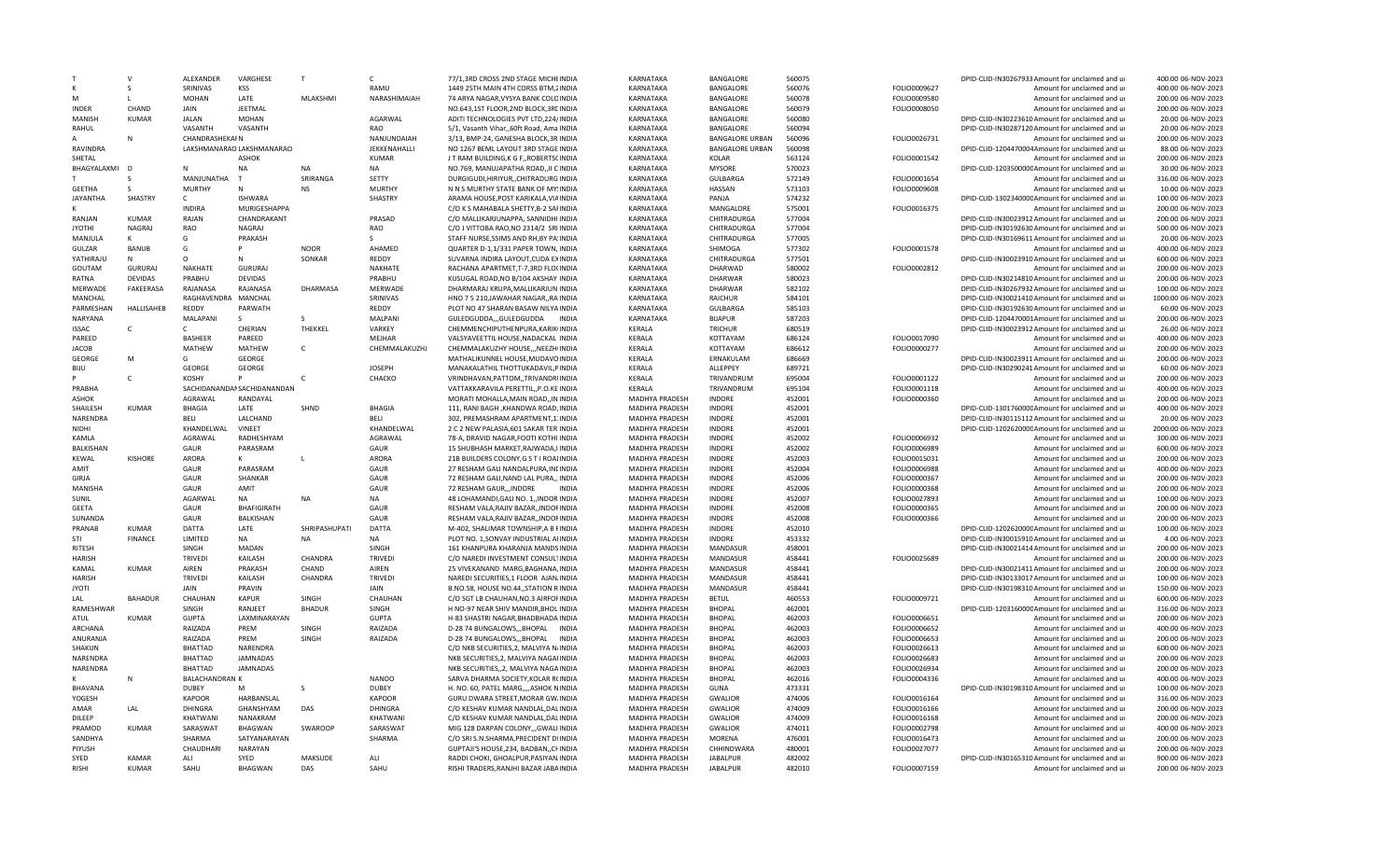|                  |                | <b>ALFXANDFR</b>      | VARGHESE                    | T               | $\mathsf{C}$   | 77/1,3RD CROSS 2ND STAGE MICHEINDIA                                          | <b>KARNATAKA</b>      | BANGALORE              | 560075 |              | DPID-CLID-IN30267933 Amount for unclaimed and ur | 400.00 06-NOV-2023  |
|------------------|----------------|-----------------------|-----------------------------|-----------------|----------------|------------------------------------------------------------------------------|-----------------------|------------------------|--------|--------------|--------------------------------------------------|---------------------|
|                  | S              | SRINIVAS              | <b>KSS</b>                  |                 | RAMU           | 1449 25TH MAIN 4TH CORSS BTM, 2INDIA                                         | KARNATAKA             | BANGALORE              | 560076 | FOLIO0009627 | Amount for unclaimed and ur                      | 400.00 06-NOV-2023  |
|                  |                | MOHAN                 | LATE                        | <b>MLAKSHMI</b> | NARASHIMAIAH   | 74 ARYA NAGAR, VYSYA BANK COLOINDIA                                          | KARNATAKA             | BANGALORE              | 560078 | FOLIO0009580 | Amount for unclaimed and ur                      | 200.00 06-NOV-2023  |
| <b>INDFR</b>     | CHAND          | <b>JAIN</b>           | <b>JEETMAL</b>              |                 |                | NO.643.1ST FLOOR.2ND BLOCK.3REINDIA                                          | KARNATAKA             | <b>BANGALORE</b>       | 560079 | FOLIO0008050 | Amount for unclaimed and u                       | 200.00 06-NOV-2023  |
| <b>MANISH</b>    | <b>KUMAR</b>   | <b>JALAN</b>          | <b>MOHAN</b>                |                 | AGARWAL        | ADITI TECHNOLOGIES PVT LTD,224/INDIA                                         | KARNATAKA             | <b>BANGALORE</b>       | 560080 |              | DPID-CLID-IN30223610 Amount for unclaimed and ur | 20.00 06-NOV-2023   |
| RAHUL            |                | VASANTH               | VASANTH                     |                 | <b>RAO</b>     | 5/1, Vasanth Vihar, 60ft Road, Ama INDIA                                     | KARNATAKA             | BANGALORE              | 560094 |              | DPID-CLID-IN30287120 Amount for unclaimed and ur | 20.00 06-NOV-2023   |
|                  | N              | <b>CHANDRASHEKAIN</b> |                             |                 | NANJUNDAIAH    | 3/13, BMP-24, GANESHA BLOCK.3R:INDIA                                         | KARNATAKA             | <b>BANGALORE URBAN</b> | 560096 | FOLIO0026731 | Amount for unclaimed and ur                      | 200.00 06-NOV-2023  |
| <b>RAVINDRA</b>  |                |                       | LAKSHMANARAO LAKSHMANARAO   |                 | JEKKENAHALLI   | NO 1267 BEML LAYOUT 3RD STAGE INDIA                                          | KARNATAKA             | <b>BANGALORE URBAN</b> | 560098 |              | DPID-CLID-1204470004Amount for unclaimed and ur  | 88.00 06-NOV-2023   |
| SHETAL           |                |                       | <b>ASHOK</b>                |                 | <b>KUMAR</b>   | J T RAM BUILDING, K G F,, ROBERTSCINDIA                                      | KARNATAKA             | KOLAR                  | 563124 | FOLIO0001542 | Amount for unclaimed and ur                      | 200.00 06-NOV-2023  |
| BHAGYALAXMI      | <b>D</b>       |                       | NA                          | NA              | <b>NA</b>      | NO.769, MANUJAPATHA ROAD, II CINDIA                                          | KARNATAKA             | <b>MYSORE</b>          | 570023 |              | DPID-CLID-120350000CAmount for unclaimed and ur  | 30.00 06-NOV-2023   |
|                  | S              | MANJUNATHA            | T                           | SRIRANGA        | SETTY          | DURGIGUDI, HIRIYUR, , CHITRADURG INDIA                                       | KARNATAKA             | <b>GULBARGA</b>        | 572149 | FOLIO0001654 | Amount for unclaimed and ur                      | 316.00 06-NOV-2023  |
| <b>GFFTHA</b>    | $\varsigma$    | <b>MURTHY</b>         | N                           | <b>NS</b>       | MURTHY         | N N S MURTHY STATE BANK OF MY!INDIA                                          | <b>KARNATAKA</b>      | HASSAN                 | 573103 | FOLIO0009608 | Amount for unclaimed and u                       | 10.00 06-NOV-2023   |
| <b>JAYANTHA</b>  | SHASTRY        | $\mathsf{C}$          | <b>ISHWARA</b>              |                 | SHASTRY        | ARAMA HOUSE, POST KARIKALA, VIAINDIA                                         | KARNATAKA             | PANJA                  | 574232 |              | DPID-CLID-130234000CAmount for unclaimed and ur  | 100.00 06-NOV-2023  |
|                  |                | <b>INDIRA</b>         | MURIGESHAPPA                |                 |                |                                                                              | KARNATAKA             | MANGALORE              | 575001 | FOLIO0016375 | Amount for unclaimed and u                       | 200.00 06-NOV-2023  |
| RANJAN           | <b>KUMAR</b>   | RAJAN                 | CHANDRAKANT                 |                 | PRASAD         | C/O K S MAHABALA SHETTY, B-2 SAFINDIA<br>C/O MALLIKARJUNAPPA, SANNIDHI INDIA | KARNATAKA             | CHITRADURGA            | 577004 |              | DPID-CLID-IN30023912 Amount for unclaimed and ur | 200.00 06-NOV-2023  |
| <b>IYOTHI</b>    |                |                       |                             |                 |                |                                                                              |                       |                        |        |              |                                                  |                     |
|                  | NAGRAJ         | RAO                   | NAGRAJ                      |                 | RAO            | C/O J VITTOBA RAO, NO 2314/2 SRI INDIA                                       | KARNATAKA             | CHITRADURGA            | 577004 |              | DPID-CLID-IN30192630 Amount for unclaimed and ur | 500.00 06-NOV-2023  |
| MANJULA          | к              | G                     | PRAKASH                     |                 | S              | STAFF NURSE, SSIMS AND RH, BY PA: INDIA                                      | KARNATAKA             | CHITRADURGA            | 577005 |              | DPID-CLID-IN30169611 Amount for unclaimed and ur | 20.00 06-NOV-2023   |
| <b>GULZAR</b>    | <b>BANUB</b>   | G                     | P                           | <b>NOOR</b>     | AHAMED         | QUARTER D-1,1/331 PAPER TOWN, INDIA                                          | KARNATAKA             | SHIMOGA                | 577302 | FOLIO0001578 | Amount for unclaimed and ur                      | 400.00 06-NOV-2023  |
| YATHIRAJU        | $\mathsf{N}$   | $\Omega$              | N                           | SONKAR          | REDDY          | SUVARNA INDIRA LAYOUT.CUDA EXINDIA                                           | KARNATAKA             | CHITRADURGA            | 577501 |              | DPID-CLID-IN30023910 Amount for unclaimed and ur | 600.00 06-NOV-2023  |
| GOUTAM           | <b>GURURAJ</b> | <b>NAKHATE</b>        | <b>GURURAJ</b>              |                 | NAKHATE        | RACHANA APARTMET, T-7,3RD FLO(INDIA                                          | KARNATAKA             | <b>DHARWAD</b>         | 580002 | FOLIO0002812 | Amount for unclaimed and u                       | 200.00 06-NOV-2023  |
| RATNA            | <b>DFVIDAS</b> | PRABHU                | <b>DFVIDAS</b>              |                 | PRABHU         | KUSUGAL ROAD, NO B/104 AKSHAY INDIA                                          | KARNATAKA             | DHARWAR                | 580023 |              | DPID-CLID-IN30214810 Amount for unclaimed and ur | 200.00 06-NOV-2023  |
| <b>MERWADE</b>   | FAKEERASA      | RAJANASA              | RAJANASA                    | DHARMASA        | MERWADE        | DHARMARAJ KRUPA, MALLIKARJUN INDIA                                           | KARNATAKA             | <b>DHARWAR</b>         | 582102 |              | DPID-CLID-IN30267932 Amount for unclaimed and ur | 100.00 06-NOV-2023  |
| <b>MANCHAL</b>   |                | RAGHAVFNDRA           | MANCHAL                     |                 | SRINIVAS       | HNO 7 5 210, JAWAHAR NAGAR, , RA INDIA                                       | KARNATAKA             | RAICHUR                | 584101 |              | DPID-CLID-IN30021410 Amount for unclaimed and ur | 1000.00 06-NOV-2023 |
| PARMESHAN        | HALLISAHEB     | <b>RFDDY</b>          | PARWATH                     |                 | REDDY          | PLOT NO 47 SHARAN BASAW NILYAINDIA                                           | KARNATAKA             | <b>GULBARGA</b>        | 585103 |              | DPID-CLID-IN30192630 Amount for unclaimed and ur | 60.00 06-NOV-2023   |
| NARYANA          |                | MALAPANI              | S                           | S               | MALPANI        | GULEDGUDDA,,,GULEDGUDDA INDIA                                                | KARNATAKA             | <b>BIJAPUR</b>         | 587203 |              | DPID-CLID-1204470001Amount for unclaimed and ur  | 200.00 06-NOV-2023  |
| <b>ISSAC</b>     | C.             | C.                    | CHERIAN                     | THEKKEL         | VARKEY         | CHEMMENCHIPUTHENPURA, KARIK(INDIA                                            | KERALA                | <b>TRICHUR</b>         | 680519 |              | DPID-CLID-IN30023912 Amount for unclaimed and ur | 26.00 06-NOV-2023   |
| PAREED           |                | <b>RASHEER</b>        | PAREED                      |                 | MEJHAR         | VALSYAVEETTIL HOUSE, NADACKAL INDIA                                          | KERALA                | ΚΟΤΤΑΥΑΜ               | 686124 | FOLIO0017090 | Amount for unclaimed and ur                      | 400.00 06-NOV-2023  |
| <b>JACOB</b>     |                | MATHEW                | MATHEW                      | $\mathsf{C}$    | CHEMMALAKUZHJ  | CHEMMALAKUZHY HOUSE,,,NEEZHIINDIA                                            | KERALA                | <b>KOTTAYAM</b>        | 686612 | FOLIO0000277 | Amount for unclaimed and ur                      | 200.00 06-NOV-2023  |
| GEORGE           | M              | G                     | GEORGE                      |                 |                | MATHALIKUNNEL HOUSE.MUDAVOINDIA                                              | KERALA                | ERNAKULAM              | 686669 |              | DPID-CLID-IN30023911 Amount for unclaimed and ur | 200.00 06-NOV-2023  |
|                  |                |                       |                             |                 |                |                                                                              |                       |                        |        |              |                                                  |                     |
| <b>BIJU</b>      |                | GEORGE                | <b>GEORGE</b>               |                 | <b>JOSEPH</b>  | MANAKALATHIL THOTTUKADAVIL, PINDIA                                           | KERALA                | ALLEPPEY               | 689721 |              | DPID-CLID-IN30290241 Amount for unclaimed and ur | 60.00 06-NOV-2023   |
|                  | $\mathsf{C}$   | <b>KOSHY</b>          | P                           |                 | CHACKO         | VRINDHAVAN, PATTOM, , TRIVANDRIINDIA                                         | KFRALA                | TRIVANDRUM             | 695004 | FOLIO0001122 | Amount for unclaimed and ur                      | 200.00 06-NOV-2023  |
| PRABHA           |                |                       | SACHIDANANDAI SACHIDANANDAN |                 |                | VATTAKKARAVILA PERETTIL,, P.O.KE INDIA                                       | KERALA                | TRIVANDRUM             | 695104 | FOLIO0001118 | Amount for unclaimed and ur                      | 400.00 06-NOV-2023  |
| <b>ASHOK</b>     |                | AGRAWAL               | RANDAYAL                    |                 |                | MORATI MOHALLA, MAIN ROAD,, IN INDIA                                         | MADHYA PRADESH        | <b>INDORF</b>          | 452001 | FOLIO0000360 | Amount for unclaimed and ur                      | 200.00 06-NOV-2023  |
| SHAILESH         | <b>KUMAR</b>   | <b>BHAGIA</b>         | LATE                        | SHND            | <b>BHAGIA</b>  | 111, RANI BAGH , KHANDWA ROAD, INDIA                                         | MADHYA PRADESH        | <b>INDORE</b>          | 452001 |              | DPID-CLID-130176000CAmount for unclaimed and ur  | 400.00 06-NOV-2023  |
| <b>NARFNDRA</b>  |                | <b>BELI</b>           | LALCHAND                    |                 | <b>BELI</b>    | 302, PREMASHRAM APARTMENT, 1. INDIA                                          | MADHYA PRADESH        | <b>INDORF</b>          | 452001 |              | DPID-CLID-IN30115112 Amount for unclaimed and ur | 20.00 06-NOV-2023   |
| NIDHI            |                | KHANDELWAL            | <b>VINEET</b>               |                 | KHANDELWAL     | 2 C 2 NEW PALASIA, 601 SAKAR TERINDIA                                        | MADHYA PRADESH        | <b>INDORE</b>          | 452001 |              | DPID-CLID-120262000CAmount for unclaimed and ur  | 2000.00 06-NOV-2023 |
| KAMLA            |                | <b>AGRAWAL</b>        | RADHESHYAM                  |                 | AGRAWAL        | 78-A, DRAVID NAGAR, FOOTI KOTHI INDIA                                        | MADHYA PRADESH        | <b>INDORF</b>          | 452002 | FOLIO0006932 | Amount for unclaimed and ur                      | 300.00 06-NOV-2023  |
| <b>BALKISHAN</b> |                | GAUR                  | PARASRAM                    |                 | <b>GAUR</b>    | 15 SHUBHASH MARKET.RAJWADA.I INDIA                                           | MADHYA PRADESH        | <b>INDORE</b>          | 452002 | FOLIO0006989 | Amount for unclaimed and ur                      | 600.00 06-NOV-2023  |
| KEWAL            | KISHORE        | <b>ARORA</b>          | ĸ                           | п.              | <b>ARORA</b>   | 21B BUILDERS COLONY, G S T I ROAI INDIA                                      | MADHYA PRADESH        | <b>INDORF</b>          | 452003 | FOLIO0015031 | Amount for unclaimed and ur                      | 200.00 06-NOV-2023  |
| AMIT             |                | GAUR                  | PARASRAM                    |                 | <b>GAUR</b>    | 27 RESHAM GALI NANDALPURA, INEINDIA                                          | MADHYA PRADESH        | <b>INDORE</b>          | 452004 | FOLIO0006988 | Amount for unclaimed and ur                      | 400.00 06-NOV-2023  |
| GIRJA            |                | GAUR                  | SHANKAR                     |                 | GAUR           | 72 RESHAM GALI, NAND LAL PURA,, INDIA                                        | MADHYA PRADESH        | <b>INDORE</b>          | 452006 | FOLIO0000367 | Amount for unclaimed and ur                      | 200.00 06-NOV-2023  |
| <b>MANISHA</b>   |                | GAUR                  | AMIT                        |                 | <b>GAUR</b>    | 72 RESHAM GAUR INDORF<br><b>INDIA</b>                                        | MADHYA PRADESH        | <b>INDORE</b>          | 452006 | FOLIO0000368 | Amount for unclaimed and ur                      | 200.00 06-NOV-2023  |
| SUNIL            |                | AGARWAL               | NA                          | <b>NA</b>       | <b>NA</b>      | 48 LOHAMANDI.GALI NO. 1. INDOR INDIA                                         | <b>MADHYA PRADESH</b> | <b>INDORE</b>          | 452007 | FOLIO0027893 | Amount for unclaimed and ur                      | 100.00 06-NOV-2023  |
| <b>GEETA</b>     |                | GAUR                  | <b>BHAFIGIRATH</b>          |                 | GAUR           | RESHAM VALA, RAJIV BAZAR, , INDOFINDIA                                       | MADHYA PRADESH        | <b>INDORE</b>          | 452008 | FOLIO0000365 | Amount for unclaimed and ur                      | 200.00 06-NOV-2023  |
| SUNANDA          |                | <b>GAUR</b>           | <b>BALKISHAN</b>            |                 | <b>GAUR</b>    | RESHAM VALA, RAJIV BAZAR,, INDOFINDIA                                        | MADHYA PRADESH        | <b>INDORF</b>          | 452008 | FOLIO0000366 | Amount for unclaimed and ur                      | 200.00 06-NOV-2023  |
| PRANAB           | <b>KUMAR</b>   | DATTA                 | LATE                        | SHRIPASHUPATI   | DATTA          | M-402, SHALIMAR TOWNSHIP, A B FINDIA                                         |                       | <b>INDORE</b>          | 452010 |              | DPID-CLID-120262000CAmount for unclaimed and ur  | 100.00 06-NOV-2023  |
|                  |                |                       |                             |                 |                |                                                                              | MADHYA PRADESH        |                        |        |              |                                                  |                     |
| STI              | <b>FINANCE</b> | LIMITED               | NA                          | <b>NA</b>       | <b>NA</b>      | PLOT NO. 1, SONVAY INDUSTRIAL AHNDIA                                         | MADHYA PRADESH        | <b>INDORE</b>          | 453332 |              | DPID-CLID-IN30015910 Amount for unclaimed and ur | 4.00 06-NOV-2023    |
| RITESH           |                | SINGH                 | MADAN                       |                 | SINGH          | 161 KHANPURA KHARANJA MANDSINDIA                                             | MADHYA PRADESH        | MANDASUR               | 458001 |              | DPID-CLID-IN30021414 Amount for unclaimed and ur | 200.00 06-NOV-2023  |
| <b>HARISH</b>    |                | <b>TRIVEDI</b>        | KAILASH                     | CHANDRA         | <b>TRIVEDI</b> | C/O NAREDI INVESTMENT CONSULTINDIA                                           | MADHYA PRADESH        | MANDASUR               | 458441 | FOLIO0025689 | Amount for unclaimed and ur                      | 200.00 06-NOV-2023  |
| KAMAL            | <b>KUMAR</b>   | AIREN                 | PRAKASH                     | CHAND           | <b>AIREN</b>   | 25 VIVEKANAND MARG.BAGHANA.INDIA                                             | MADHYA PRADESH        | <b>MANDASUR</b>        | 458441 |              | DPID-CLID-IN30021411 Amount for unclaimed and ur | 200.00 06-NOV-2023  |
| <b>HARISH</b>    |                | <b>TRIVEDI</b>        | KAILASH                     | CHANDRA         | <b>TRIVEDI</b> | NAREDI SECURITIES,1 FLOOR AJAN INDIA                                         | MADHYA PRADESH        | <b>MANDASUR</b>        | 458441 |              | DPID-CLID-IN30133017 Amount for unclaimed and ur | 100.00 06-NOV-2023  |
| <b>JYOTI</b>     |                | <b>JAIN</b>           | PRAVIN                      |                 | JAIN           | B.NO.58, HOUSE NO.44,, STATION RINDIA                                        | MADHYA PRADESH        | MANDASUR               | 458441 |              | DPID-CLID-IN30198310 Amount for unclaimed and ur | 150.00 06-NOV-2023  |
| LAL              | <b>BAHADUR</b> | CHAUHAN               | <b>KAPUR</b>                | SINGH           | CHAUHAN        | C/O SGT LB CHAUHAN, NO.3 AIRFOFINDIA                                         | MADHYA PRADESH        | <b>BETUL</b>           | 460553 | FOLIO0009721 | Amount for unclaimed and ur                      | 600.00 06-NOV-2023  |
| RAMESHWAR        |                | <b>SINGH</b>          | RANJEET                     | <b>BHADUR</b>   | SINGH          | H NO-97 NEAR SHIV MANDIR, BHOL INDIA                                         | MADHYA PRADESH        | <b>BHOPA</b>           | 462001 |              | DPID-CLID-120316000CAmount for unclaimed and ur  | 316.00 06-NOV-2023  |
| ATUL             | <b>KUMAR</b>   | <b>GUPTA</b>          | LAXMINARAYAN                |                 | <b>GUPTA</b>   | H-83 SHASTRI NAGAR, BHADBHADA INDIA                                          | MADHYA PRADESH        | <b>BHOPAL</b>          | 462003 | FOLIO0006651 | Amount for unclaimed and ur                      | 200.00 06-NOV-2023  |
| ARCHANA          |                | RAIZADA               | PREM                        | SINGH           | RAIZADA        | D-28 74 BUNGALOWS, BHOPAL INDIA                                              | MADHYA PRADESH        | <b>BHOPAL</b>          | 462003 | FOLIO0006652 | Amount for unclaimed and ur                      | 400.00 06-NOV-2023  |
| ANURANJA         |                | RAIZADA               | PREM                        | SINGH           | RAIZADA        | D-28 74 BUNGALOWSBHOPAL INDIA                                                | MADHYA PRADESH        | <b>BHOPAL</b>          | 462003 | FOLIO0006653 | Amount for unclaimed and ur                      | 200.00 06-NOV-2023  |
| SHAKUN           |                | BHATTAD               | <b>NARENDRA</b>             |                 |                | C/O NKB SECURITIES, 2, MALVIYA N/INDIA                                       | MADHYA PRADESH        | <b>BHOPAL</b>          | 462003 | FOLIO0026613 | Amount for unclaimed and u                       | 600.00 06-NOV-2023  |
| NARENDRA         |                | BHATTAD               | <b>JAMNADAS</b>             |                 |                | NKB SECURITIES, 2, MALVIYA NAGAI INDIA                                       | MADHYA PRADESH        | <b>BHOPAL</b>          | 462003 | FOLIO0026683 | Amount for unclaimed and ur                      | 200.00 06-NOV-2023  |
| NARENDRA         |                | BHATTAD               | <b>JAMNADAS</b>             |                 |                | NKB SECURITIES,, 2, MALVIYA NAGAINDIA                                        | <b>MADHYA PRADESH</b> | <b>BHOPAL</b>          | 462003 | FOLIO0026934 | Amount for unclaimed and ur                      | 200.00 06-NOV-2023  |
| K                | N              |                       |                             |                 |                |                                                                              |                       |                        |        |              |                                                  |                     |
|                  |                | <b>BALACHANDRAN K</b> |                             |                 | <b>NANOO</b>   | SARVA DHARMA SOCIETY, KOLAR R(INDIA                                          | MADHYA PRADESH        | <b>BHOPAL</b>          | 462016 | FOLIO0004336 | Amount for unclaimed and ur                      | 400.00 06-NOV-2023  |
| <b>BHAVANA</b>   |                | <b>DUBEY</b>          | M                           | <sub>S</sub>    | <b>DUBEY</b>   | H. NO. 60, PATEL MARG,,,,ASHOK NINDIA                                        | MADHYA PRADESH        | GUNA                   | 473331 |              | DPID-CLID-IN30198310 Amount for unclaimed and ur | 100.00 06-NOV-2023  |
| YOGESH           |                | <b>KAPOOR</b>         | HARBANSLAL                  |                 | <b>KAPOOR</b>  | GURU DWARA STREET, MORAR GWINDIA                                             | MADHYA PRADESH        | <b>GWALIOR</b>         | 474006 | FOLIO0016164 | Amount for unclaimed and ur                      | 316.00 06-NOV-2023  |
| AMAR             | LAL            | <b>DHINGRA</b>        | GHANSHYAM                   | DAS             | DHINGRA        | C/O KESHAV KUMAR NANDLAL, DALINDIA                                           | MADHYA PRADESH        | GWALIOR                | 474009 | FOLIO0016166 | Amount for unclaimed and ur                      | 200.00 06-NOV-2023  |
| DILEEP           |                | KHATWANI              | NANAKRAM                    |                 | KHATWANI       | C/O KESHAV KUMAR NANDLAL, DALINDIA                                           | MADHYA PRADESH        | <b>GWALIOR</b>         | 474009 | FOLIO0016168 | Amount for unclaimed and ur                      | 200.00 06-NOV-2023  |
| PRAMOD           | <b>KUMAR</b>   | SARASWAT              | BHAGWAN                     | SWAROOP         | SARASWAT       | MIG 128 DARPAN COLONY,,,GWALI INDIA                                          | MADHYA PRADESH        | <b>GWALIOR</b>         | 474011 | FOLIO0002798 | Amount for unclaimed and ur                      | 400.00 06-NOV-2023  |
| SANDHYA          |                | SHARMA                | SATYANARAYAN                |                 | SHARMA         | C/O SRI S.N.SHARMA, PRECIDENT DIINDIA                                        | MADHYA PRADESH        | <b>MORFNA</b>          | 476001 | FOLIO0016473 | Amount for unclaimed and ur                      | 200.00 06-NOV-2023  |
| PIYUSH           |                | CHAUDHARI             | <b>NARAYAN</b>              |                 |                | GUPTAJI'S HOUSE, 234, BADBAN, CHINDIA                                        | MADHYA PRADESH        | CHHINDWARA             | 480001 | FOLIO0027077 | Amount for unclaimed and ur                      | 200.00 06-NOV-2023  |
| SYED             | <b>KAMAR</b>   | AI I                  | <b>SYFD</b>                 | MAKSUDE         | ALI            | RADDI CHOKI, GHOALPUR, PASIYAN, INDIA                                        | MADHYA PRADESH        | <b>JABALPUR</b>        | 482002 |              | DPID-CLID-IN30165310 Amount for unclaimed and ur | 900.00 06-NOV-2023  |
| <b>RISHI</b>     | KIIMAR         | SAHU                  | <b>BHAGWAN</b>              | DAS             | SAHU           | RISHI TRADERS, RANJHI BAZAR JABAINDIA                                        | MADHYA PRADESH        | <b>JABALPUR</b>        | 482010 | FOLIO0007159 | Amount for unclaimed and u                       | 200.00 06-NOV-2023  |
|                  |                |                       |                             |                 |                |                                                                              |                       |                        |        |              |                                                  |                     |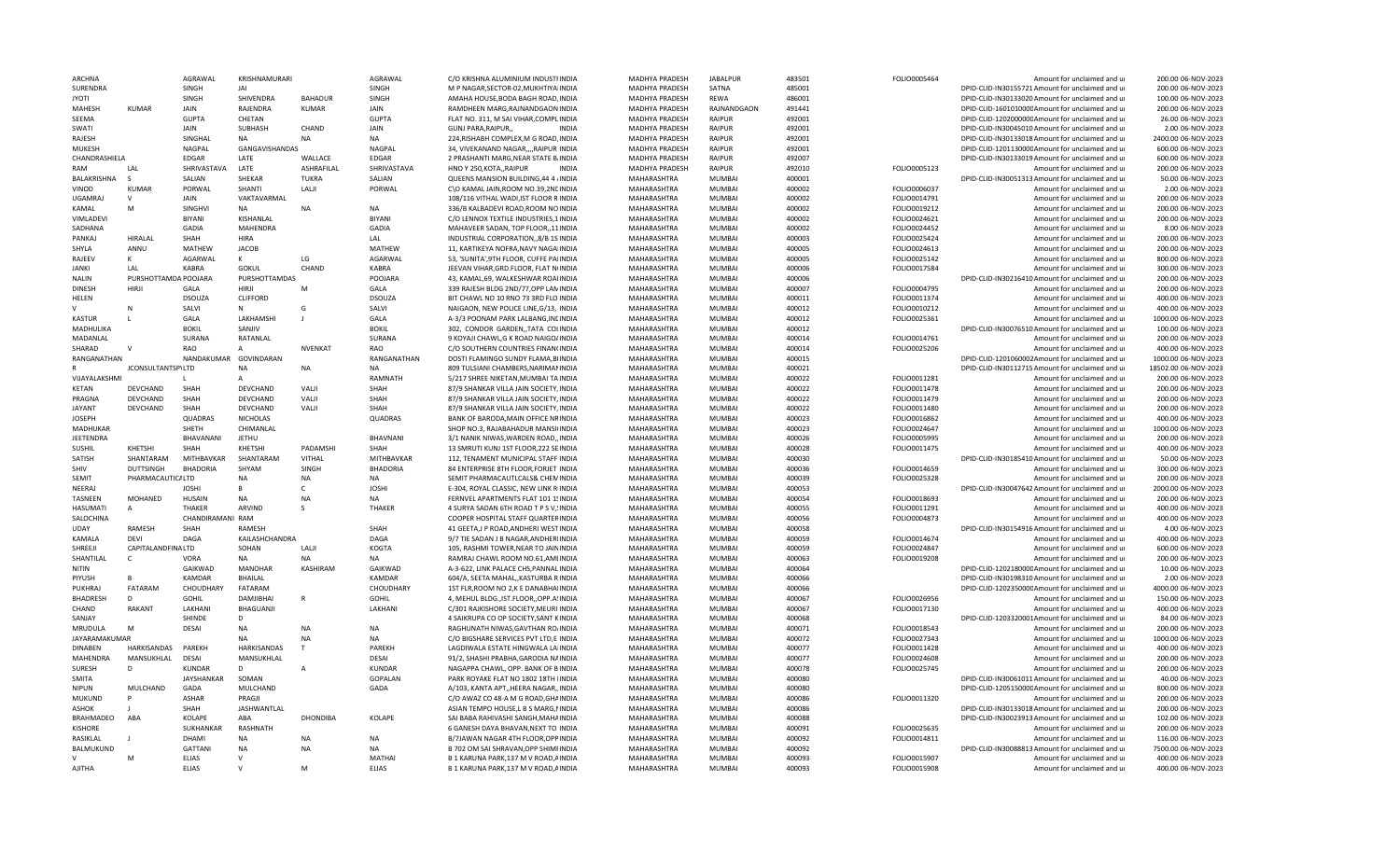| <b>ARCHNA</b>                |                      | <b>AGRAWAL</b>               | KRISHNAMURARI                    |                | AGRAWAL                  | C/O KRISHNA ALUMINIUM INDUSTIINDIA                                               | MADHYA PRADESH             | <b>JABALPUR</b>                | 483501           | FOLIO0005464                 | Amount for unclaimed and u                                                                          | 200.00 06-NOV-2023                          |
|------------------------------|----------------------|------------------------------|----------------------------------|----------------|--------------------------|----------------------------------------------------------------------------------|----------------------------|--------------------------------|------------------|------------------------------|-----------------------------------------------------------------------------------------------------|---------------------------------------------|
| SURENDRA                     |                      | SINGH                        | <b>JAI</b>                       |                | SINGH                    | M P NAGAR, SECTOR-02, MUKHTIYAIINDIA                                             | MADHYA PRADESH             | SATNA                          | 485001           |                              | DPID-CLID-IN30155721 Amount for unclaimed and ur                                                    | 200.00 06-NOV-2023                          |
| <b>IYOTI</b>                 |                      | SINGH                        | SHIVENDRA                        | <b>BAHADUR</b> | SINGH                    | AMAHA HOUSE, BODA BAGH ROAD, INDIA                                               | MADHYA PRADESH             | <b>RFWA</b>                    | 486001           |                              | DPID-CLID-IN30133020 Amount for unclaimed and ur                                                    | 100.00 06-NOV-2023                          |
| MAHESH                       | <b>KUMAR</b>         | JAIN                         | RAJENDRA                         | KUMAR          | JAIN                     | RAMDHEEN MARG, RAJNANDGAON INDIA                                                 | MADHYA PRADESH             | RAJNANDGAON                    | 491441           |                              | DPID-CLID-160101000CAmount for unclaimed and ur                                                     | 200.00 06-NOV-2023                          |
| SEEMA                        |                      | <b>GUPTA</b>                 | CHETAN                           |                | <b>GUPTA</b>             | FLAT NO. 311, M SAI VIHAR, COMPLINDIA                                            | MADHYA PRADESH             | <b>RAIPLIR</b>                 | 492001           |                              | DPID-CLID-120200000CAmount for unclaimed and ur                                                     | 26.00 06-NOV-2023                           |
| SWATI                        |                      | <b>JAIN</b>                  | <b>SUBHASH</b>                   | CHAND          | JAIN                     | GUNJ PARA, RAIPUR,,<br><b>INDIA</b>                                              | MADHYA PRADESH             | RAIPUR                         | 492001           |                              | DPID-CLID-IN30045010 Amount for unclaimed and ur                                                    | 2.00 06-NOV-2023                            |
| RAJESH                       |                      | SINGHAL                      | <b>NA</b>                        | <b>NA</b>      | <b>NA</b>                | 224, RISHABH COMPLEX, M G ROAD, INDIA                                            | MADHYA PRADESH             | RAIPUR                         | 492001           |                              | DPID-CLID-IN30133018 Amount for unclaimed and ur                                                    | 2400.00 06-NOV-2023                         |
| MUKFSH                       |                      | NAGPAL                       | <b>GANGAVISHANDAS</b>            |                | NAGPAL                   | 34, VIVEKANAND NAGAR,,,,RAIPUR INDIA                                             | MADHYA PRADESH             | <b>RAIPUR</b>                  | 492001           |                              | DPID-CLID-120113000CAmount for unclaimed and ur                                                     | 600.00 06-NOV-2023                          |
| CHANDRASHIELA                |                      | EDGAR                        | LATF                             | WALLACE        | EDGAR                    | 2 PRASHANTI MARG, NEAR STATE BJINDIA                                             | MADHYA PRADESH             | RAIPUR                         | 492007           |                              | DPID-CLID-IN30133019 Amount for unclaimed and ur                                                    | 600.00 06-NOV-2023                          |
| RAM                          | LAL                  | SHRIVASTAVA                  | LATE                             | ASHRAFILAL     | SHRIVASTAVA              | HNO Y 250, KOTA,, RAIPUR<br><b>INDIA</b>                                         | MADHYA PRADESH             | <b>RAIPUR</b>                  | 492010           | FOLIO0005123                 | Amount for unclaimed and ur                                                                         | 200.00 06-NOV-2023                          |
| <b>BALAKRISHNA</b>           | -S                   | SALIAN                       | SHEKAR                           | TUKRA          | SALIAN                   | QUEENS MANSION BUILDING, 44 4 / INDIA                                            | MAHARASHTRA                | MUMBA                          | 400001           |                              | DPID-CLID-IN30051313 Amount for unclaimed and ur                                                    | 50.00 06-NOV-2023                           |
| VINOD                        | <b>KUMAR</b>         | PORWAL                       | SHANTI                           | LALII          | PORWAL                   | C\O KAMAL JAIN, ROOM NO.39, 2NEINDIA                                             | MAHARASHTRA                | <b>MUMBAI</b>                  | 400002           | FOLIO0006037                 | Amount for unclaimed and u                                                                          | 2.00 06-NOV-2023                            |
| <b>UGAMRAJ</b>               | $\mathbf{v}$         | <b>JAIN</b>                  | VAKTAVARMAL                      |                |                          | 108/116 VITHAL WADI, IST FLOOR R INDIA                                           | MAHARASHTRA                | <b>MUMBAI</b>                  | 400002           | FOLIO0014791                 | Amount for unclaimed and ur                                                                         | 200.00 06-NOV-2023                          |
| KAMAL                        | M                    | SINGHVI                      | <b>NA</b>                        | <b>NA</b>      | <b>NA</b>                | 336/B KALBADEVI ROAD, ROOM NO INDIA                                              | MAHARASHTRA                | <b>MUMBAI</b>                  | 400002           | FOLIO0019212                 | Amount for unclaimed and ur                                                                         | 200.00 06-NOV-2023                          |
| VIMLADEVI                    |                      | <b>BIYANI</b>                | KISHANLAL                        |                | <b>BIYANI</b>            | C/O LENNOX TEXTILE INDUSTRIES, 1 INDIA                                           | MAHARASHTRA                | <b>MUMBAI</b>                  | 400002           | FOLIO0024621                 | Amount for unclaimed and ur                                                                         | 200.00 06-NOV-2023                          |
| SADHANA                      |                      | GADIA                        | MAHENDRA                         |                | GADIA                    | MAHAVEER SADAN, TOP FLOOR,,11INDIA                                               | MAHARASHTRA                | <b>MUMBAI</b>                  | 400002           | FOLIO0024452                 | Amount for unclaimed and ur                                                                         | 8.00 06-NOV-2023                            |
| PANKAJ                       | <b>HIRALAI</b>       | SHAH                         | HIRA                             |                | LAL                      | INDUSTRIAL CORPORATION, 8/B 1S INDIA                                             | MAHARASHTRA                | <b>MUMBAI</b>                  | 400003           | FOLIO0025424                 | Amount for unclaimed and ur                                                                         | 200.00 06-NOV-2023                          |
| SHYLA                        | ANNU                 | MATHEW                       | JACOB                            |                | MATHEW                   | 11, KARTIKEYA NOFRA, NAVY NAGAIINDIA                                             | MAHARASHTRA                | MUMBAI                         | 400005           | FOLIO0024613                 | Amount for unclaimed and ur                                                                         | 200.00 06-NOV-2023                          |
| RAIFFV                       | ĸ                    | <b>AGARWAL</b>               | $\mathsf{K}$                     | LG             | AGARWAL                  | 53. 'SUNITA'.9TH FLOOR, CUFFE PAIINDIA                                           | MAHARASHTRA                | <b>MUMBAI</b>                  | 400005           | FOLIO0025142                 | Amount for unclaimed and ur                                                                         | 800.00 06-NOV-2023                          |
| <b>JANKI</b>                 | LAL                  | KARRA                        | GOKUL                            | CHAND          | KABRA                    | JEEVAN VIHAR, GRD. FLOOR, FLAT N(INDIA                                           | MAHARASHTRA                | <b>MUMBAI</b>                  | 400006           | FOLIO0017584                 | Amount for unclaimed and ur                                                                         | 300.00 06-NOV-2023                          |
| NALIN                        | PURSHOTTAMDA POOJARA |                              | PURSHOTTAMDAS                    |                | POOJARA                  | 43, KAMAL, 69, WALKESHWAR ROAIINDIA                                              | MAHARASHTRA                | MUMBAI                         | 400006           |                              | DPID-CLID-IN30216410 Amount for unclaimed and ur                                                    | 200.00 06-NOV-2023                          |
| <b>DINESH</b>                | <b>HIRJI</b>         | <b>GALA</b>                  | HIRI                             | M              | GALA                     | 339 RAJESH BLDG 2ND/77,OPP LANINDIA                                              | MAHARASHTRA                | <b>MUMBAI</b>                  | 400007           | FOLIO0004795                 | Amount for unclaimed and ur                                                                         | 200.00 06-NOV-2023                          |
| HELEN                        |                      | <b>DSOUZA</b>                | <b>CLIFFORD</b>                  |                | <b>DSOUZA</b>            | BIT CHAWL NO 10 RNO 73 3RD FLO INDIA                                             | MAHARASHTRA                | <b>MUMBAI</b>                  | 400011           | FOLIO0011374                 | Amount for unclaimed and ur                                                                         | 400.00 06-NOV-2023                          |
|                              | N                    | SALVI                        | N                                | G              | SALVI                    | NAIGAON, NEW POLICE LINE, G/13, INDIA                                            | MAHARASHTRA                | <b>MUMBAI</b>                  | 400012           | FOLIO0010212                 | Amount for unclaimed and ur                                                                         | 400.00 06-NOV-2023                          |
| <b>KASTUR</b>                |                      | GALA                         | LAKHAMSHI                        |                | GALA                     | A-3/3 POONAM PARK LALBANG, INCINDIA                                              | MAHARASHTRA                | <b>MUMBAI</b>                  | 400012           | FOLIO0025361                 | Amount for unclaimed and ur                                                                         | 1000.00 06-NOV-2023                         |
| MADHULIKA                    |                      | <b>BOKIL</b>                 | SANJIV                           |                | <b>BOKIL</b>             | 302, CONDOR GARDEN, TATA COLINDIA                                                | MAHARASHTRA                | <b>MUMBAI</b>                  | 400012           |                              | DPID-CLID-IN30076510 Amount for unclaimed and ur                                                    | 100.00 06-NOV-2023                          |
| MADANLAL                     |                      | SURANA                       | RATANLAL                         |                | SURANA                   | 9 KOYAJI CHAWL, GK ROAD NAIGO/INDIA                                              | MAHARASHTRA                | MUMBAI                         | 400014           | FOLIO0014761                 | Amount for unclaimed and ur                                                                         | 200.00 06-NOV-2023                          |
| SHARAD                       | $\mathbf{v}$         | <b>RAO</b>                   | A                                | NVENKAT        | <b>RAO</b>               | C/O SOUTHERN COUNTRIES FINAN(INDIA                                               | MAHARASHTRA                | MUMBAI                         | 400014           | FOLIO0025206                 | Amount for unclaimed and ur                                                                         | 400.00 06-NOV-2023                          |
| RANGANATHAN                  |                      | NANDAKUMAR                   | GOVINDARAN<br><b>NA</b>          | <b>NA</b>      | RANGANATHAN<br><b>NA</b> | DOSTI FLAMINGO SUNDY FLAMA, BIINDIA<br>809 TULSIANI CHAMBERS.NARIMANINDIA        | MAHARASHTRA<br>MAHARASHTRA | MUMBAI<br><b>MUMBAI</b>        | 400015<br>400021 |                              | DPID-CLID-1201060002Amount for unclaimed and ur                                                     | 1000.00 06-NOV-2023<br>18502.00 06-NOV-2023 |
|                              | JCONSULTANTSP\LTD    |                              | $\Delta$                         |                |                          |                                                                                  |                            | MUMBAI                         |                  |                              | DPID-CLID-IN30112715 Amount for unclaimed and ur                                                    |                                             |
| VIJAYALAKSHM<br><b>KETAN</b> | DEVCHAND             | SHAH                         | DEVCHAND                         | VALJI          | RAMNATH<br>SHAH          | 5/217 SHREE NIKETAN, MUMBAI TA INDIA                                             | MAHARASHTRA                | <b>MUMBAI</b>                  | 400022<br>400022 | FOLIO0011281<br>FOLIO0011478 | Amount for unclaimed and ur                                                                         | 200.00 06-NOV-2023<br>200.00 06-NOV-2023    |
| PRAGNA                       | DEVCHAND             | SHAH                         | DEVCHAND                         | VALII          | SHAH                     | 87/9 SHANKAR VILLA JAIN SOCIETY, INDIA<br>87/9 SHANKAR VILLA JAIN SOCIETY, INDIA | MAHARASHTRA<br>MAHARASHTRA | <b>MUMBAI</b>                  | 400022           | FOLIO0011479                 | Amount for unclaimed and ur<br>Amount for unclaimed and ur                                          | 200.00 06-NOV-2023                          |
| <b>JAYANT</b>                | DEVCHAND             | SHAH                         | DEVCHAND                         | VALII          | SHAH                     | 87/9 SHANKAR VILLA JAIN SOCIETY, INDIA                                           | MAHARASHTRA                | MUMBAI                         | 400022           | FOLIO0011480                 | Amount for unclaimed and ur                                                                         | 200.00 06-NOV-2023                          |
| <b>JOSEPH</b>                |                      | QUADRAS                      | <b>NICHOLAS</b>                  |                | QUADRAS                  |                                                                                  | MAHARASHTRA                | MUMBAI                         | 400023           | FOLIO0016862                 | Amount for unclaimed and ur                                                                         | 400.00 06-NOV-2023                          |
| MADHUKAR                     |                      | SHETH                        | CHIMANLAL                        |                |                          | BANK OF BARODA, MAIN OFFICE NRINDIA<br>SHOP NO.3, RAJABAHADUR MANSI(INDIA        | MAHARASHTRA                | MUMBAI                         | 400023           | FOLIO0024647                 | Amount for unclaimed and ur                                                                         | 1000.00 06-NOV-2023                         |
| <b>JFFTFNDRA</b>             |                      | <b>BHAVANANI</b>             | <b>JETHU</b>                     |                | <b>BHAVNANI</b>          | 3/1 NANIK NIWAS. WARDEN ROAD INDIA                                               | MAHARASHTRA                | MUMBAI                         | 400026           | FOLIO0005995                 | Amount for unclaimed and ur                                                                         | 200.00 06-NOV-2023                          |
| SUSHIL                       | KHETSHI              | SHAH                         | KHETSHI                          | PADAMSHI       | SHAH                     | 13 SMRUTI KUNJ 1ST FLOOR, 222 SEINDIA                                            | MAHARASHTRA                | MUMBAI                         | 400028           | FOLIO0011475                 | Amount for unclaimed and ur                                                                         | 400.00 06-NOV-2023                          |
| SATISH                       | SHANTARAM            | MITHBAVKAR                   | SHANTARAM                        | VITHAL         | MITHBAVKAR               | 112, TENAMENT MUNICIPAL STAFF INDIA                                              | MAHARASHTRA                | <b>MUMBAI</b>                  | 400030           |                              | DPID-CLID-IN30185410 Amount for unclaimed and ur                                                    | 50.00 06-NOV-2023                           |
| SHIV                         | <b>DUTTSINGH</b>     | <b>BHADORIA</b>              | SHYAM                            | SINGH          | <b>BHADORIA</b>          | 84 ENTERPRISE 8TH FLOOR, FORJET INDIA                                            | MAHARASHTRA                | MUMBAI                         | 400036           | FOLIO0014659                 | Amount for unclaimed and ur                                                                         | 300.00 06-NOV-2023                          |
| <b>SEMIT</b>                 | PHARMACAUTIC/ LTD    |                              |                                  | <b>NA</b>      | <b>NA</b>                | SEMIT PHARMACAUTLCALS& CHEMINDIA                                                 |                            |                                |                  |                              |                                                                                                     |                                             |
| NEERAJ                       |                      |                              |                                  |                |                          |                                                                                  |                            |                                |                  |                              |                                                                                                     |                                             |
|                              |                      |                              | <b>NA</b>                        |                |                          |                                                                                  | MAHARASHTRA                | <b>MUMBAI</b>                  | 400039           | FOLIO0025328                 | Amount for unclaimed and ur                                                                         | 200.00 06-NOV-2023                          |
|                              |                      | <b>JOSHI</b>                 | В                                | C              | <b>JOSHI</b>             | E-304, ROYAL CLASSIC, NEW LINK RIINDIA                                           | MAHARASHTRA                | <b>MUMBAI</b>                  | 400053           |                              | DPID-CLID-IN30047642 Amount for unclaimed and ur                                                    | 2000.00 06-NOV-2023                         |
| <b>TASNEEN</b>               | MOHANED              | <b>HUSAIN</b>                | NA                               | <b>NA</b>      | <b>NA</b>                | FERNVEL APARTMENTS FLAT 101 15 INDIA                                             | MAHARASHTRA                | <b>MUMBAI</b>                  | 400054           | FOLIO0018693                 | Amount for unclaimed and ur                                                                         | 200.00 06-NOV-2023                          |
| HASUMATI                     | A                    | <b>THAKFR</b>                | ARVIND                           | $\mathcal{S}$  | THAKER                   | 4 SURYA SADAN 6TH ROAD T P S V, INDIA                                            | MAHARASHTRA<br>MAHARASHTRA | MUMBAI<br>MUMBAI               | 400055           | FOLIO0011291                 | Amount for unclaimed and ur                                                                         | 400.00 06-NOV-2023                          |
| SALOCHINA                    | <b>RAMESH</b>        | CHANDIRAMANI RAM             |                                  |                |                          | COOPER HOSPITAL STAFF QUARTERINDIA                                               |                            |                                | 400056           | FOLIO0004873                 | Amount for unclaimed and ur                                                                         | 400.00 06-NOV-2023                          |
| <b>UDAY</b>                  | DFVI                 | SHAH                         | RAMESH                           |                | SHAH                     | 41 GEETA, J P ROAD, ANDHERI WESTINDIA                                            | MAHARASHTRA                | <b>MUMBAI</b><br>MUMBAI        | 400058           |                              | DPID-CLID-IN30154916 Amount for unclaimed and ur                                                    | 4.00 06-NOV-2023                            |
| KAMALA<br>SHREEJI            | CAPITALANDFINALTD    | DAGA                         | KAILASHCHANDRA<br>SOHAN          | LALI           | DAGA<br><b>KOGTA</b>     | 9/7 TIE SADAN J B NAGAR, ANDHERIINDIA<br>105. RASHMI TOWER, NEAR TO JAININDIA    | MAHARASHTRA                | <b>MUMBAI</b>                  | 400059<br>400059 | FOLIO0014674<br>FOLIO0024847 | Amount for unclaimed and ur<br>Amount for unclaimed and ur                                          | 400.00 06-NOV-2023<br>600.00 06-NOV-2023    |
|                              | $\mathsf{C}$         | VORA                         | <b>NA</b>                        | NΔ             | <b>NA</b>                | RAMRAI CHAWL ROOM NO.61.AMFINDIA                                                 | MAHARASHTRA                | <b>MUMBAI</b>                  | 400063           |                              | Amount for unclaimed and u                                                                          | 200.00 06-NOV-2023                          |
| SHANTILAL<br>NITIN           |                      | GAIKWAD                      |                                  | KASHIRAM       | GAIKWAD                  |                                                                                  | MAHARASHTRA                | MUMBAI                         |                  | FOLIO0019208                 |                                                                                                     | 10.00 06-NOV-2023                           |
| PIYUSH                       |                      | <b>KAMDAR</b>                | <b>MANOHAR</b><br><b>BHAILAL</b> |                | KAMDAR                   | A-3-622, LINK PALACE CHS, PANNAL INDIA<br>604/A, SEETA MAHAL,, KASTURBA RINDIA   | MAHARASHTRA<br>MAHARASHTRA | <b>MUMBAI</b>                  | 400064<br>400066 |                              | DPID-CLID-120218000CAmount for unclaimed and ur                                                     | 2.00 06-NOV-2023                            |
| PUKHRAI                      | FATARAM              | CHOUDHARY                    | FATARAM                          |                | CHOUDHARY                | 1ST FLR, ROOM NO 2, K E DANABHAIINDIA                                            | MAHARASHTRA                | MUMBAI                         | 400066           |                              | DPID-CLID-IN30198310 Amount for unclaimed and ur<br>DPID-CLID-120235000CAmount for unclaimed and ur | 4000.00 06-NOV-2023                         |
| BHADRESH                     | D                    | <b>GOHIL</b>                 | DAMJIBHAI                        | $\mathsf{R}$   | <b>GOHIL</b>             | 4, MEHUL BLDG., IST.FLOOR,, OPP.A. INDIA                                         | MAHARASHTRA                | <b>MUMBAI</b>                  | 400067           | FOLIO0026956                 | Amount for unclaimed and ur                                                                         | 150.00 06-NOV-2023                          |
| CHAND                        | <b>RAKANT</b>        | LAKHANI                      | BHAGUANJI                        |                | LAKHANI                  | C/301 RAJKISHORE SOCIETY, MEURIHNDIA                                             | MAHARASHTRA                | <b>MUMBAI</b>                  | 400067           | FOLIO0017130                 | Amount for unclaimed and ur                                                                         | 400.00 06-NOV-2023                          |
| SANJAY                       |                      | SHINDE                       | D                                |                |                          | 4 SAIKRUPA CO OP SOCIETY, SANT KINDIA                                            | MAHARASHTRA                | MUMBAI                         | 400068           |                              | DPID-CLID-1203320001Amount for unclaimed and ur                                                     | 84.00 06-NOV-2023                           |
| MRUDULA                      | M                    | <b>DESAI</b>                 | <b>NA</b>                        | <b>NA</b>      | <b>NA</b>                | RAGHUNATH NIWAS.GAVTHAN RO/INDIA                                                 | MAHARASHTRA                | <b>MUMBAI</b>                  | 400071           | FOLIO0018543                 | Amount for unclaimed and u                                                                          | 200.00 06-NOV-2023                          |
| <b>JAYARAMAKUMAR</b>         |                      |                              | <b>ΝΑ</b>                        | <b>NA</b>      | <b>NA</b>                | C/O BIGSHARE SERVICES PVT LTD,E INDIA                                            | MAHARASHTRA                | MUMBAI                         | 400072           | FOLIO0027343                 | Amount for unclaimed and ur                                                                         | 1000.00 06-NOV-2023                         |
| <b>DINABEN</b>               | <b>HARKISANDAS</b>   | PAREKH                       | <b>HARKISANDAS</b>               |                | PAREKH                   | LAGDIWALA ESTATE HINGWALA LAIINDIA                                               | MAHARASHTRA                | MUMBAI                         | 400077           | FOLIO0011428                 | Amount for unclaimed and ur                                                                         | 400.00 06-NOV-2023                          |
| MAHENDRA                     | MANSUKHLAL           | DESAI                        | MANSUKHLAL                       |                | DESAI                    | 91/2, SHASHI PRABHA, GARODIA NAINDIA                                             | MAHARASHTRA                | <b>MUMBAI</b>                  | 400077           | FOLIO0024608                 | Amount for unclaimed and ur                                                                         | 200.00 06-NOV-2023                          |
| <b>SURESH</b>                | D                    | <b>KUNDAR</b>                | D                                | $\overline{A}$ | KUNDAR                   | NAGAPPA CHAWL, OPP. BANK OF BINDIA                                               | MAHARASHTRA                | <b>MUMBAI</b>                  | 400078           | FOLIO0025745                 | Amount for unclaimed and ur                                                                         | 200.00 06-NOV-2023                          |
| <b>SMITA</b>                 |                      | <b>JAYSHANKAR</b>            | SOMAN                            |                | GOPALAN                  | PARK ROYAKE FLAT NO 1802 18TH IINDIA                                             | MAHARASHTRA                | <b>MUMBAI</b>                  | 400080           |                              | DPID-CLID-IN30061011 Amount for unclaimed and ur                                                    | 40.00 06-NOV-2023                           |
| <b>NIPUN</b>                 | MULCHAND             | GADA                         | MULCHAND                         |                | GADA                     | A/103, KANTA APT, HEERA NAGAR, INDIA                                             | MAHARASHTRA                | <b>MUMBAI</b>                  | 400080           |                              | DPID-CLID-120515000CAmount for unclaimed and ur                                                     | 800.00 06-NOV-2023                          |
| <b>MUKUND</b>                |                      | <b>ASHAR</b>                 | PRAGJI                           |                |                          | C/O AWAZ CO 48-A M G ROAD, GHAINDIA                                              | MAHARASHTRA                | <b>MUMBAI</b>                  | 400086           | FOLIO0011320                 | Amount for unclaimed and u                                                                          | 200.00 06-NOV-2023                          |
| ASHOK                        |                      | <b>SHAH</b>                  | <b>JASHWANTLAL</b>               |                |                          | ASIAN TEMPO HOUSE, LB S MARG, NNDIA                                              | MAHARASHTRA                | MUMBAI                         | 400086           |                              | DPID-CLID-IN30133018 Amount for unclaimed and ur                                                    | 200.00 06-NOV-2023                          |
| BRAHMADEO                    | ABA                  | KOLAPE                       | ABA                              | DHONDIBA       | KOLAPE                   | SAI BABA RAHIVASHI SANGH, MAHAINDIA                                              | MAHARASHTRA                | MUMBAI                         | 400088           |                              | DPID-CLID-IN30023913 Amount for unclaimed and ur                                                    | 102.00 06-NOV-2023                          |
| <b>KISHORE</b>               |                      | SUKHANKAR                    | RASHNATH                         |                |                          | 6 GANESH DAYA BHAVAN, NEXT TO INDIA                                              | MAHARASHTRA                | MUMBAI                         | 400091           | FOLIO0025635                 | Amount for unclaimed and ur                                                                         | 200.00 06-NOV-2023                          |
| RASIKLAL                     |                      | DHAMI                        | <b>NA</b>                        | NΑ             | <b>NA</b>                | B/7JAWAN NAGAR 4TH FLOOR.OPP INDIA                                               | MAHARASHTRA                | MUMBAI                         | 400092           | FOLIO0014811                 | Amount for unclaimed and u                                                                          | 116.00 06-NOV-2023                          |
| BALMUKUND                    |                      | <b>GATTANI</b>               | <b>NA</b>                        | <b>NA</b>      | <b>NA</b>                | B 702 OM SAI SHRAVAN, OPP SHIMIINDIA                                             | MAHARASHTRA                | MUMBAI                         | 400092           |                              | DPID-CLID-IN30088813 Amount for unclaimed and ur                                                    | 7500.00 06-NOV-2023                         |
| AJITHA                       | M                    | <b>ELIAS</b><br><b>ELIAS</b> | $\vee$                           | M              | MATHAI<br><b>ELIAS</b>   | B 1 KARUNA PARK, 137 M V ROAD, AINDIA<br>B 1 KARUNA PARK, 137 M V ROAD, AINDIA   | MAHARASHTRA<br>MAHARASHTRA | <b>MUMBAI</b><br><b>MUMBAI</b> | 400093<br>400093 | FOLIO0015907<br>FOLIO0015908 | Amount for unclaimed and ur<br>Amount for unclaimed and ur                                          | 400.00 06-NOV-2023<br>400.00 06-NOV-2023    |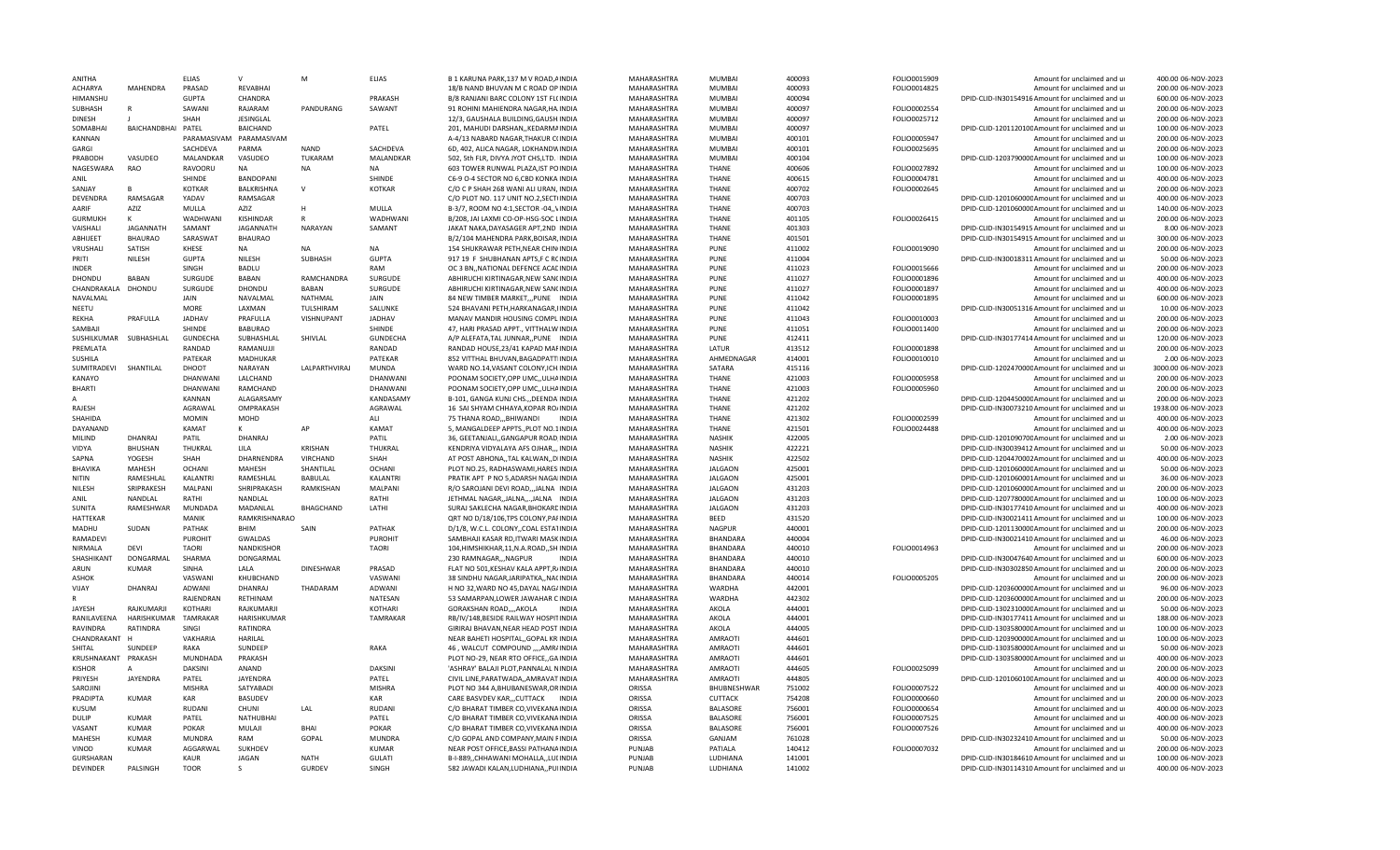| ANITHA                              |                    | <b>ELIAS</b>               |                              | M                     | <b>ELIAS</b>           | B 1 KARUNA PARK, 137 M V ROAD, AINDIA                                        | MAHARASHTRA      | MUMBA                     | 400093           | FOLIO0015909 | Amount for unclaimed and ur                                                                          | 400.00 06-NOV-2023                       |
|-------------------------------------|--------------------|----------------------------|------------------------------|-----------------------|------------------------|------------------------------------------------------------------------------|------------------|---------------------------|------------------|--------------|------------------------------------------------------------------------------------------------------|------------------------------------------|
| <b>ACHARYA</b>                      | <b>MAHFNDRA</b>    | PRASAD                     | <b>RFVABHAI</b>              |                       |                        | 18/B NAND BHUVAN M C ROAD OP INDIA                                           | MAHARASHTRA      | MUMBAI                    | 400093           | FOLIO0014825 | Amount for unclaimed and ur                                                                          | 200.00 06-NOV-2023                       |
| HIMANSHU                            |                    | GUPTA                      | CHANDRA                      |                       | PRAKASH                | B/8 RANJANI BARC COLONY 1ST FL(INDIA                                         | MAHARASHTRA      | <b>MUMBAI</b>             | 400094           |              | DPID-CLID-IN30154916 Amount for unclaimed and ur                                                     | 600.00 06-NOV-2023                       |
| SUBHASH                             |                    | SAWANI                     | RAJARAM                      | PANDURANG             | SAWANT                 | 91 ROHINI MAHIENDRA NAGAR, HA INDIA                                          | MAHARASHTRA      | MUMBAI                    | 400097           | FOLIO0002554 | Amount for unclaimed and ur                                                                          | 200.00 06-NOV-2023                       |
| <b>DINESH</b>                       |                    | SHAH                       | JESINGLAL                    |                       |                        | 12/3, GAUSHALA BUILDING, GAUSH INDIA                                         | MAHARASHTRA      | <b>MUMBAI</b>             | 400097           | FOLIO0025712 | Amount for unclaimed and ur                                                                          | 200.00 06-NOV-2023                       |
| SOMABHAI                            | BAICHANDBHAI PATEL |                            | RAICHAND                     |                       | PATEL                  | 201, MAHUDI DARSHAN,, KEDARMAINDIA                                           | MAHARASHTRA      | MUMRAI                    | 400097           |              | DPID-CLID-120112010CAmount for unclaimed and ur                                                      | 100.00 06-NOV-2023                       |
| KANNAN                              |                    | PARAMASIVAM                | PARAMASIVAM                  |                       |                        | A-4/13 NABARD NAGAR, THAKUR C(INDIA                                          | MAHARASHTRA      | <b>MUMBAI</b>             | 400101           | FOLIO0005947 | Amount for unclaimed and ur                                                                          | 200.00 06-NOV-2023                       |
| GARGI                               |                    | SACHDEVA                   | PARMA                        | <b>NAND</b>           | SACHDEVA               | 6D, 402, ALICA NAGAR, LOKHANDWINDIA                                          | MAHARASHTRA      | <b>MUMBAI</b>             | 400101           | FOLIO0025695 | Amount for unclaimed and ur                                                                          | 200.00 06-NOV-2023                       |
| PRABODH                             | VASUDEO            | MALANDKAR                  | VASUDEO                      | TUKARAM               | MALANDKAR              | 502, 5th FLR, DIVYA JYOT CHS,LTD. IINDIA                                     | MAHARASHTRA      | MUMBAI                    | 400104           |              | DPID-CLID-120379000CAmount for unclaimed and ur                                                      | 100.00 06-NOV-2023                       |
| NAGESWARA                           | RAO                | RAVOORU                    | <b>NA</b>                    | <b>NA</b>             | <b>NA</b>              | 603 TOWER RUNWAL PLAZA, IST POINDIA                                          | MAHARASHTRA      | <b>THANE</b>              | 400606           | FOLIO0027892 | Amount for unclaimed and ur                                                                          | 100.00 06-NOV-2023                       |
| ANIL                                |                    | SHINDE                     | <b>BANDOPANI</b>             |                       | SHINDE                 | C6-9 O-4 SECTOR NO 6,CBD KONKA INDIA                                         | MAHARASHTRA      | <b>THANE</b>              | 400615           | FOLIO0004781 | Amount for unclaimed and ur                                                                          | 400.00 06-NOV-2023                       |
| SANJAY                              | R                  | <b>KOTKAR</b>              | <b>BALKRISHNA</b>            | $\mathbf{v}$          | <b>KOTKAR</b>          | C/O C P SHAH 268 WANI ALI URAN. INDIA                                        | MAHARASHTRA      | <b>THANE</b>              | 400702           |              | Amount for unclaimed and u                                                                           | 200.00 06-NOV-2023                       |
|                                     | RAMSAGAR           |                            |                              |                       |                        |                                                                              |                  |                           |                  | FOLIO0002645 |                                                                                                      |                                          |
| <b>DFVFNDRA</b>                     |                    | YADAV                      | RAMSAGAR                     |                       |                        | C/O PLOT NO. 117 UNIT NO.2, SECT(INDIA                                       | MAHARASHTRA      | <b>THANE</b>              | 400703           |              | DPID-CLID-120106000CAmount for unclaimed and u                                                       | 400.00 06-NOV-2023                       |
| AARIF                               | AZIZ               | MULLA                      | AZIZ                         | H                     | MULLA                  | B-3/7, ROOM NO 4:1, SECTOR -04,, VINDIA                                      | MAHARASHTRA      | <b>THANF</b>              | 400703           |              | DPID-CLID-120106000CAmount for unclaimed and ur                                                      | 140.00 06-NOV-2023                       |
| <b>GURMUKH</b>                      | K                  | <b>WADHWANI</b>            | <b>KISHINDAR</b>             |                       | <b>WADHWANI</b>        | B/208, JAI LAXMI CO-OP-HSG-SOC LINDIA                                        | MAHARASHTRA      | <b>THANE</b>              | 401105           | FOLIO0026415 | Amount for unclaimed and u                                                                           | 200.00 06-NOV-2023                       |
| VAISHALI                            | <b>JAGANNATH</b>   | SAMANT                     | <b>JAGANNATH</b>             | NARAYAN               | SAMANT                 | JAKAT NAKA, DAYASAGER APT, 2ND INDIA                                         | MAHARASHTRA      | THANE                     | 401303           |              | DPID-CLID-IN30154915 Amount for unclaimed and ur                                                     | 8.00 06-NOV-2023                         |
| ABHIJEET                            | <b>BHAURAO</b>     | <b>SARASWAT</b>            | <b>BHAURAO</b>               |                       |                        | B/2/104 MAHENDRA PARK, BOISAR, INDIA                                         | MAHARASHTRA      | <b>THANE</b>              | 401501           |              | DPID-CLID-IN30154915 Amount for unclaimed and ur                                                     | 300.00 06-NOV-2023                       |
| VRUSHALI                            | SATISH             | KHESE                      | NA                           | <b>NA</b>             | NA                     | 154 SHUKRAWAR PETH, NEAR CHIN INDIA                                          | MAHARASHTRA      | PUNE                      | 411002           | FOLIO0019090 | Amount for unclaimed and ur                                                                          | 200.00 06-NOV-2023                       |
| PRITI                               | NILESH             | <b>GUPTA</b>               | NILESH                       | SUBHASH               | <b>GUPTA</b>           | 917 19 F SHUBHANAN APTS,F C RCINDIA                                          | MAHARASHTRA      | PUNE                      | 411004           |              | DPID-CLID-IN30018311 Amount for unclaimed and ur                                                     | 50.00 06-NOV-2023                        |
| <b>INDER</b>                        |                    | SINGH                      | BADLU                        |                       | RAM                    | OC 3 BN, NATIONAL DEFENCE ACALINDIA                                          | MAHARASHTRA      | PUNF                      | 411023           | FOLIO0015666 | Amount for unclaimed and ur                                                                          | 200.00 06-NOV-2023                       |
| DHONDU                              | <b>BABAN</b>       | SURGUDE                    | <b>BABAN</b>                 | RAMCHANDRA            | SURGUDE                | ABHIRUCHI KIRTINAGAR, NEW SANCINDIA                                          | MAHARASHTRA      | PUNE                      | 411027           | FOLIO0001896 | Amount for unclaimed and ur                                                                          | 400.00 06-NOV-2023                       |
| CHANDRAKALA                         | DHONDU             | SURGUDE                    | DHONDU                       | <b>BABAN</b>          | SURGUDE                | ABHIRUCHI KIRTINAGAR, NEW SANCINDIA                                          | MAHARASHTRA      | PUNF                      | 411027           | FOLIO0001897 | Amount for unclaimed and ur                                                                          | 400.00 06-NOV-2023                       |
| NAVALMAL                            |                    | <b>JAIN</b>                | NAVALMAL                     | NATHMAL               | <b>JAIN</b>            | 84 NEW TIMBER MARKET PUNE INDIA                                              | MAHARASHTRA      | PUNE                      | 411042           | FOLIO0001895 | Amount for unclaimed and ur                                                                          | 600.00 06-NOV-2023                       |
| NFFTU                               |                    | <b>MORE</b>                | LAXMAN                       | TULSHIRAM             | SALUNKE                | 524 BHAVANI PETH, HARKANAGAR, IINDIA                                         | MAHARASHTRA      | PUNF                      | 411042           |              | DPID-CLID-IN30051316 Amount for unclaimed and ur                                                     | 10.00 06-NOV-2023                        |
| REKHA                               | PRAFULLA           | <b>JADHAV</b>              | PRAFULLA                     | VISHNUPANT            | <b>JADHAV</b>          | MANAV MANDIR HOUSING COMPLINDIA                                              | MAHARASHTRA      | PUNE                      | 411043           | FOLIO0010003 | Amount for unclaimed and ur                                                                          | 200.00 06-NOV-2023                       |
| SAMBAIL                             |                    | SHINDE                     | <b>BABURAO</b>               |                       | SHINDE                 | 47, HARI PRASAD APPT., VITTHALW INDIA                                        | MAHARASHTRA      | PUNF                      | 411051           | FOLIO0011400 | Amount for unclaimed and ur                                                                          | 200.00 06-NOV-2023                       |
|                                     |                    |                            | SUBHASHLAL                   |                       |                        |                                                                              | MAHARASHTRA      | PLINE                     |                  |              | DPID-CLID-IN30177414 Amount for unclaimed and ur                                                     | 120.00.06-NOV-2023                       |
| SUSHILKUMAR                         | SUBHASHLAL         | GUNDECHA                   |                              | SHIVLAL               | GUNDECHA               | A/P ALEFATA, TAL JUNNAR, , PUNE INDIA                                        |                  |                           | 412411           |              |                                                                                                      |                                          |
| PREMLATA                            |                    | RANDAD                     | RAMANUJJI                    |                       | RANDAD                 | RANDAD HOUSE, 23/41 KAPAD MAFINDIA                                           | MAHARASHTRA      | LATUR                     | 413512           | FOLIO0001898 | Amount for unclaimed and ur                                                                          | 200.00 06-NOV-2023                       |
| <b>SUSHILA</b>                      |                    | PATEKAR                    | MADHUKAR                     |                       | PATEKAR                | 852 VITTHAL BHUVAN, BAGADPATTIINDIA                                          | MAHARASHTRA      | AHMEDNAGAR                | 414001           | FOLIO0010010 | Amount for unclaimed and ur                                                                          | 2.00 06-NOV-2023                         |
| SUMITRADEVI                         | SHANTILAL          | DHOOT                      | NARAYAN                      | <b>LALPARTHVIRAI</b>  | <b>MUNDA</b>           | WARD NO.14, VASANT COLONY, ICH. INDIA                                        | MAHARASHTRA      | SATARA                    | 415116           |              | DPID-CLID-120247000CAmount for unclaimed and ur                                                      | 3000.00 06-NOV-2023                      |
| <b>KANAYO</b>                       |                    | <b>DHANWANI</b>            | LALCHAND                     |                       | DHANWANI               | POONAM SOCIETY, OPP UMC, , ULHAINDIA                                         | MAHARASHTRA      | <b>THANF</b>              | 421003           | FOLIO0005958 | Amount for unclaimed and ur                                                                          | 200.00 06-NOV-2023                       |
| <b>BHARTI</b>                       |                    | DHANWANI                   | RAMCHAND                     |                       | DHANWANI               | POONAM SOCIETY, OPP UMC, , ULHAINDIA                                         | MAHARASHTRA      | <b>THANE</b>              | 421003           | FOLIO0005960 | Amount for unclaimed and ur                                                                          | 200.00 06-NOV-2023                       |
|                                     |                    | KANNAN                     | ALAGARSAMY                   |                       | KANDASAMY              | B-101, GANGA KUNJ CHS., DEENDA INDIA                                         | MAHARASHTRA      | <b>THANF</b>              | 421202           |              | DPID-CLID-120445000CAmount for unclaimed and ur                                                      | 200.00 06-NOV-2023                       |
| RAJESH                              |                    | AGRAWAL                    | OMPRAKASH                    |                       | AGRAWAL                | 16 SAI SHYAM CHHAYA.KOPAR RO/INDIA                                           | MAHARASHTRA      | <b>THANE</b>              | 421202           |              | DPID-CLID-IN30073210 Amount for unclaimed and ur                                                     | 1938.00 06-NOV-2023                      |
| SHAHIDA                             |                    | <b>MOMIN</b>               | MOHD                         |                       | ALI                    | 75 THANA ROAD,,,BHIWANDI<br><b>INDIA</b>                                     | MAHARASHTRA      | <b>THANE</b>              | 421302           | FOLIO0002599 | Amount for unclaimed and ur                                                                          | 400.00 06-NOV-2023                       |
|                                     |                    |                            |                              |                       |                        |                                                                              |                  |                           |                  |              |                                                                                                      |                                          |
| DAYANAND                            |                    | KAMAT                      | ĸ                            | AP                    | KAMAT                  | 5, MANGALDEEP APPTS., PLOT NO.1INDIA                                         | MAHARASHTRA      | <b>THANF</b>              | 421501           | FOLIO0024488 | Amount for unclaimed and ur                                                                          | 400.00 06-NOV-2023                       |
| MILIND                              | DHANRAJ            | PATIL                      | <b>DHANRAJ</b>               |                       | PATIL                  | 36, GEETANJALI, GANGAPUR ROAD INDIA                                          | MAHARASHTRA      | <b>NASHIK</b>             | 422005           |              | DPID-CLID-120109070C Amount for unclaimed and ur                                                     | 2.00 06-NOV-2023                         |
| VIDYA                               | <b>BHUSHAN</b>     | THUKRAL                    | LILA                         | <b>KRISHAN</b>        | THUKRAL                | KENDRIYA VIDYALAYA AFS OJHAR,,, INDIA                                        | MAHARASHTRA      | <b>NASHIK</b>             | 422221           |              | DPID-CLID-IN30039412 Amount for unclaimed and ur                                                     | 50.00 06-NOV-2023                        |
| SAPNA                               | YOGESH             | <b>SHAH</b>                |                              |                       | SHAH                   |                                                                              |                  |                           |                  |              |                                                                                                      |                                          |
|                                     |                    |                            | DHARNENDRA                   | VIRCHAND              |                        | AT POST ABHONA,, TAL KALWAN,, DIINDIA                                        | MAHARASHTRA      | NASHIK                    | 422502           |              | DPID-CLID-1204470002Amount for unclaimed and ur                                                      | 400.00 06-NOV-2023                       |
| BHAVIKA                             | MAHESH             | <b>OCHANI</b>              | MAHESH                       | SHANTILAL             | <b>OCHANI</b>          | PLOT NO.25, RADHASWAMI, HARES INDIA                                          | MAHARASHTRA      | <b>JALGAON</b>            | 425001           |              | DPID-CLID-120106000CAmount for unclaimed and ur                                                      | 50.00 06-NOV-2023                        |
| NITIN                               | RAMESHLAL          | <b>KALANTR</b>             | RAMESHLAL                    | BABULAL               | KALANTRI               | PRATIK APT P NO 5, ADARSH NAGAIINDIA                                         | MAHARASHTRA      | <b>JALGAON</b>            | 425001           |              | DPID-CLID-1201060001Amount for unclaimed and ur                                                      | 36.00 06-NOV-2023                        |
| NILESH                              | SRIPRAKESH         | MALPANI                    | SHRIPRAKASH                  | RAMKISHAN             | MALPANI                | R/O SAROJANI DEVI ROAD,,,JALNA INDIA                                         | MAHARASHTRA      | <b>JALGAON</b>            | 431203           |              | DPID-CLID-120106000CAmount for unclaimed and ur                                                      | 200.00 06-NOV-2023                       |
| ANIL                                | NANDLAL            | RATHI                      | NANDLAL                      |                       | RATHI                  | JETHMAL NAGAR,,JALNA,,,,JALNA INDIA                                          | MAHARASHTRA      | <b>JALGAON</b>            | 431203           |              | DPID-CLID-120778000CAmount for unclaimed and ur                                                      | 100.00 06-NOV-2023                       |
| SUNITA                              | RAMESHWAR          | MUNDADA                    | MADANLAL                     | <b>BHAGCHAND</b>      | LATHI                  | SURAJ SAKLECHA NAGAR, BHOKARDINDIA                                           | MAHARASHTRA      | <b>JALGAON</b>            | 431203           |              | DPID-CLID-IN30177410 Amount for unclaimed and ur                                                     | 400.00 06-NOV-2023                       |
| <b>HATTEKAR</b>                     |                    | <b>MANIK</b>               | RAMKRISHNARAO                |                       |                        | ORT NO D/18/106.TPS COLONY.PAFINDIA                                          | MAHARASHTRA      | <b>BFFD</b>               | 431520           |              | DPID-CLID-IN30021411 Amount for unclaimed and ur                                                     | 100.00 06-NOV-2023                       |
| MADHU                               | SUDAN              | PATHAK                     | BHIM                         | SAIN                  | PATHAK                 | D/1/8, W.C.L. COLONY,, COAL ESTATINDIA                                       | MAHARASHTRA      | <b>NAGPUR</b>             | 440001           |              | DPID-CLID-120113000CAmount for unclaimed and ur                                                      | 200.00 06-NOV-2023                       |
| RAMADEVI                            |                    | <b>PUROHIT</b>             | GWALDAS                      |                       | <b>PUROHIT</b>         | SAMBHAJI KASAR RD, ITWARI MASKINDIA                                          | MAHARASHTRA      | BHANDARA                  | 440004           |              | DPID-CLID-IN30021410 Amount for unclaimed and ur                                                     | 46.00 06-NOV-2023                        |
| NIRMALA                             | DEVI               | <b>TAORI</b>               | NANDKISHOR                   |                       | <b>TAORI</b>           | 104, HIMSHIKHAR, 11, N.A.ROAD, , SH INDIA                                    | MAHARASHTRA      | BHANDARA                  | 440010           | FOLIO0014963 | Amount for unclaimed and ur                                                                          | 200.00 06-NOV-2023                       |
| SHASHIKANT                          | DONGARMAL          | SHARMA                     | DONGARMAL                    |                       |                        | 230 RAMNAGAR,,,NAGPUR<br><b>INDIA</b>                                        | MAHARASHTRA      | <b>BHANDARA</b>           | 440010           |              | DPID-CLID-IN30047640 Amount for unclaimed and ur                                                     | 600.00 06-NOV-2023                       |
| ARUN                                | <b>KUMAR</b>       | <b>SINHA</b>               | LALA                         | DINESHWAR             | PRASAD                 | FLAT NO 501.KESHAV KALA APPT.R/INDIA                                         | MAHARASHTRA      | <b>BHANDARA</b>           | 440010           |              | DPID-CLID-IN30302850 Amount for unclaimed and ur                                                     | 200.00 06-NOV-2023                       |
| ASHOK                               |                    | VASWANI                    | KHUBCHAND                    |                       | VASWANI                | 38 SINDHU NAGAR, JARIPATKA,, NACINDIA                                        | MAHARASHTRA      | BHANDARA                  | 440014           | FOLIO0005205 | Amount for unclaimed and ur                                                                          | 200.00 06-NOV-2023                       |
| VIJAY                               | <b>DHANRAJ</b>     | <b>ADWANI</b>              | DHANRAJ                      | THADARAM              | <b>ADWANI</b>          | H NO 32. WARD NO 45. DAYAL NAG/INDIA                                         | MAHARASHTRA      | <b>WARDHA</b>             | 442001           |              | DPID-CLID-120360000CAmount for unclaimed and ur                                                      | 96.00 06-NOV-2023                        |
|                                     |                    | RAJENDRAN                  | RETHINAM                     |                       | NATESAN                | 53 SAMARPAN, LOWER JAWAHAR CINDIA                                            | MAHARASHTRA      | WARDHA                    | 442302           |              | DPID-CLID-120360000CAmount for unclaimed and ur                                                      | 200.00 06-NOV-2023                       |
| JAYESH                              | RAJKUMARJI         | KOTHARI                    | RAJKUMARJI                   |                       | KOTHARI                | GORAKSHAN ROAD,,,,AKOLA<br><b>INDIA</b>                                      | MAHARASHTRA      | AKOLA                     | 444001           |              | DPID-CLID-130231000CAmount for unclaimed and ur                                                      | 50.00 06-NOV-2023                        |
| RANILAVEENA                         | HARISHKUMAR        | <b>TAMRAKAR</b>            | HARISHKUMAR                  |                       | <b>TAMRAKAR</b>        | RB/IV/148, BESIDE RAILWAY HOSPITINDIA                                        | MAHARASHTRA      | AKOLA                     | 444001           |              | DPID-CLID-IN30177411 Amount for unclaimed and ur                                                     | 188.00 06-NOV-2023                       |
| <b>RAVINDRA</b>                     | <b>RATINDRA</b>    | SINGI                      | <b>RATINDRA</b>              |                       |                        | GIRIRAJ BHAVAN.NEAR HEAD POST INDIA                                          | MAHARASHTRA      | AKOLA                     | 444005           |              | DPID-CLID-130358000CAmount for unclaimed and ur                                                      | 100.00 06-NOV-2023                       |
| CHANDRAKANT                         |                    | VAKHARIA                   |                              |                       |                        |                                                                              |                  | <b>AMRAOTI</b>            |                  |              |                                                                                                      | 100.00 06-NOV-2023                       |
| SHITAL                              |                    |                            | HARILAL                      |                       |                        | NEAR BAHETI HOSPITAL,, GOPAL KRIINDIA                                        | MAHARASHTRA      |                           | 444601           |              | DPID-CLID-120390000CAmount for unclaimed and ur                                                      |                                          |
|                                     | SUNDEEP            | <b>RAKA</b>                | SUNDEEP                      |                       | RAKA                   | 46, WALCUT COMPOUND ,,,,AMR/INDIA                                            | MAHARASHTRA      | AMRAOTI                   | 444601           |              | DPID-CLID-130358000CAmount for unclaimed and ur                                                      | 50.00 06-NOV-2023                        |
| KRUSHNAKANT                         | PRAKASH<br>A       | MUNDHADA                   | PRAKASH                      |                       |                        | PLOT NO-29, NEAR RTO OFFICE, GAINDIA                                         | MAHARASHTRA      | AMRAOTI<br><b>AMRAOTI</b> | 444601           |              | DPID-CLID-130358000CAmount for unclaimed and ur                                                      | 400.00 06-NOV-2023                       |
| <b>KISHOR</b>                       |                    | <b>DAKSINI</b>             | ANAND                        |                       | <b>DAKSINI</b>         | 'ASHRAY' BALAJI PLOT, PANNALAL NINDIA                                        | MAHARASHTRA      |                           | 444605           | FOLIO0025099 | Amount for unclaimed and ur                                                                          | 200.00 06-NOV-2023                       |
| PRIYESH                             | <b>JAYENDRA</b>    | PATEL                      | JAYENDRA                     |                       | PATEL                  | CIVIL LINE, PARATWADA, , AMRAVAT INDIA                                       | MAHARASHTRA      | <b>AMRAOTI</b>            | 444805           |              | DPID-CLID-120106010CAmount for unclaimed and ur                                                      | 400.00 06-NOV-2023                       |
| SAROJINI                            |                    | <b>MISHRA</b>              | SATYABADI                    |                       | <b>MISHRA</b>          | PLOT NO 344 A, BHUBANESWAR, ORINDIA                                          | ORISSA           | BHUBNESHWAR               | 751002           | FOLIO0007522 | Amount for unclaimed and ur                                                                          | 400.00 06-NOV-2023                       |
| PRADIPTA                            | <b>KUMAR</b>       | <b>KAR</b>                 | <b>BASUDEV</b>               |                       | KAR                    | CARE BASVDEV KARCUTTACK INDIA                                                | ORISSA           | <b>CUTTACK</b>            | 754208           | FOLIO0000660 | Amount for unclaimed and u                                                                           | 200.00 06-NOV-2023                       |
| KUSUM                               |                    | <b>RUDANI</b>              | CHUNI                        | LAL                   | <b>RUDANI</b>          | C/O BHARAT TIMBER CO, VIVEKANA INDIA                                         | ORISSA           | <b>BALASORE</b>           | 756001           | FOLIO0000654 | Amount for unclaimed and ur                                                                          | 400.00 06-NOV-2023                       |
| DULIP                               | KUMAR              | PATEL                      | <b>NATHUBHAI</b>             |                       | PATEL                  | C/O BHARAT TIMBER CO, VIVEKANA INDIA                                         | ORISSA           | <b>BALASORE</b>           | 756001           | FOLIO0007525 | Amount for unclaimed and ur                                                                          | 400.00 06-NOV-2023                       |
| VASANT                              | KUMAR              | POKAR                      | MULAJI                       | <b>BHAI</b>           | <b>POKAR</b>           | C/O BHARAT TIMBER CO, VIVEKANA INDIA                                         | ORISSA           | <b>BALASORE</b>           | 756001           | FOLIO0007526 | Amount for unclaimed and ur                                                                          | 400.00 06-NOV-2023                       |
| MAHFSH                              | KUMAR              | <b>MUNDRA</b>              | RAM                          | GOPAL                 | MUNDRA                 | C/O GOPAL AND COMPANY, MAIN FINDIA                                           | ORISSA           | GANJAM                    | 761028           |              | DPID-CLID-IN30232410 Amount for unclaimed and ur                                                     | 50.00 06-NOV-2023                        |
| VINOD                               | KUMAR              | AGGARWAL                   | SUKHDEV                      |                       | <b>KUMAR</b>           | NEAR POST OFFICE, BASSI PATHANAINDIA                                         | PUNJAB           | PATIALA                   | 140412           | FOLIO0007032 | Amount for unclaimed and u                                                                           | 200.00 06-NOV-2023                       |
| <b>GURSHARAN</b><br><b>DEVINDER</b> | PALSINGH           | <b>KAUR</b><br><b>TOOR</b> | <b>JAGAN</b><br>$\mathsf{S}$ | <b>NATH</b><br>GURDEV | <b>GULATI</b><br>SINGH | B-I-889,, CHHAWANI MOHALLA,, LULINDIA<br>582 JAWADI KALAN,LUDHIANA,,PUIINDIA | PUNJAB<br>PUNJAB | LUDHIANA<br>LUDHIANA      | 141001<br>141002 |              | DPID-CLID-IN30184610 Amount for unclaimed and ur<br>DPID-CLID-IN30114310 Amount for unclaimed and ur | 100.00 06-NOV-2023<br>400.00 06-NOV-2023 |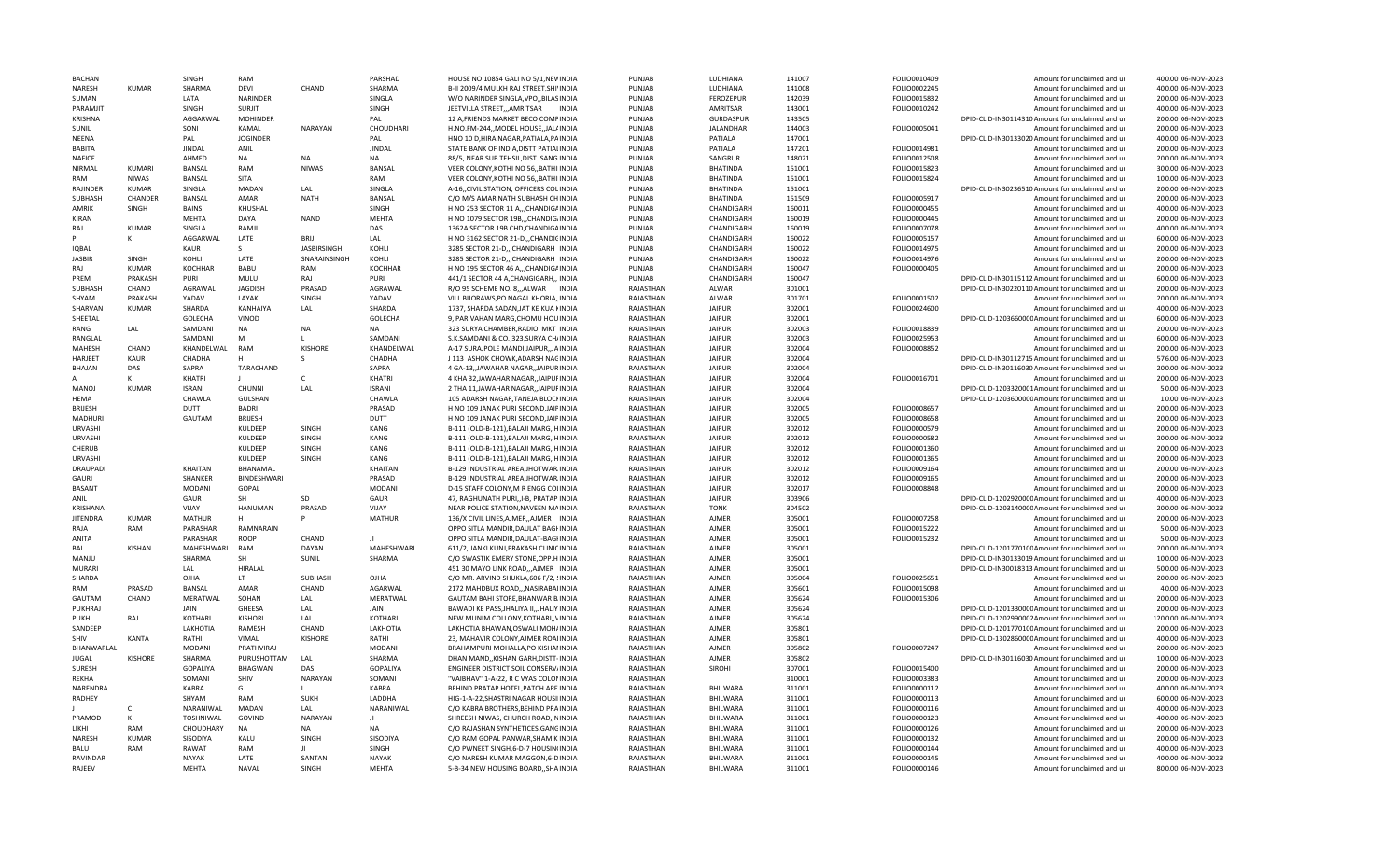| <b>BACHAN</b>   |                | <b>SINGH</b>   | RAM                |                    | PARSHAD           | HOUSE NO 10854 GALI NO 5/1. NEWINDIA       | PUNJAB    | LUDHIANA         | 141007 | FOLIO0010409 | Amount for unclaimed and ur                      | 400.00 06-NOV-2023  |
|-----------------|----------------|----------------|--------------------|--------------------|-------------------|--------------------------------------------|-----------|------------------|--------|--------------|--------------------------------------------------|---------------------|
| NARESH          | KUMAR          | SHARMA         | DEVI               | CHAND              | SHARMA            | B-II 2009/4 MULKH RAJ STREET, SHIVINDIA    | PUNJAB    | LUDHIANA         | 141008 | FOLIO0002245 | Amount for unclaimed and ur                      | 400.00 06-NOV-2023  |
| SUMAN           |                | LATA           | NARINDER           |                    | SINGLA            | W/O NARINDER SINGLA, VPO, BILASINDIA       | PUNJAB    | FEROZEPUR        | 142039 | FOLIO0015832 | Amount for unclaimed and ur                      | 200.00 06-NOV-2023  |
| <b>PARAMIIT</b> |                | SINGH          | <b>SURIIT</b>      |                    | SINGH             | JEETVILLA STREET,,,AMRITSAR<br>INDIA       | PUNJAB    | AMRITSAR         | 143001 | FOLIO0010242 | Amount for unclaimed and ur                      | 400.00 06-NOV-2023  |
| KRISHNA         |                | AGGARWAL       | <b>MOHINDER</b>    |                    | PAL               | 12 A, FRIENDS MARKET BECO COMPINDIA        | PUNJAB    | GURDASPUR        | 143505 |              | DPID-CLID-IN30114310 Amount for unclaimed and ur | 200.00 06-NOV-2023  |
| SUNIL           |                | SONI           | KAMAL              | NARAYAN            | CHOUDHARI         | H.NO.FM-244,, MODEL HOUSE,, JAL/INDIA      | PUNJAB    | <b>JALANDHAR</b> | 144003 | FOLIO0005041 | Amount for unclaimed and ur                      | 200.00 06-NOV-2023  |
| NEENA           |                | PAL            | <b>JOGINDER</b>    |                    | PAL               | HNO 10 D.HIRA NAGAR.PATIALA.PAINDIA        | PUNJAB    | PATIALA          | 147001 |              | DPID-CLID-IN30133020 Amount for unclaimed and ur | 400.00 06-NOV-2023  |
| <b>BABITA</b>   |                | <b>JINDAL</b>  | ANIL               |                    | <b>JINDAL</b>     | STATE BANK OF INDIA, DISTT PATIALINDIA     | PUNJAB    | PATIALA          | 147201 | FOLIO0014981 | Amount for unclaimed and ur                      | 200.00 06-NOV-2023  |
| NAFICE          |                | AHMED          | NA                 | <b>NA</b>          | NA                | 88/5, NEAR SUB TEHSIL, DIST. SANG INDIA    | PUNJAB    | SANGRUR          | 148021 | FOLIO0012508 | Amount for unclaimed and ur                      | 200.00 06-NOV-2023  |
| <b>NIRMAL</b>   | KUMAR          | <b>BANSAL</b>  | <b>RAM</b>         | <b>NIWAS</b>       | BANSAL            | VEER COLONY, KOTHI NO 56,, BATHI INDIA     | PUNJAB    | <b>BHATINDA</b>  | 151001 | FOLIO0015823 | Amount for unclaimed and ur                      | 300.00 06-NOV-2023  |
| RAM             | NIWAS          | <b>BANSAL</b>  | SITA               |                    | RAM               | VEER COLONY, KOTHI NO 56, BATHI INDIA      | PUNJAB    | <b>BHATINDA</b>  | 151001 | FOLIO0015824 | Amount for unclaimed and ur                      | 100.00 06-NOV-2023  |
|                 |                |                | MADAN              |                    |                   |                                            |           |                  |        |              |                                                  |                     |
| RAJINDER        | <b>KUMAR</b>   | SINGLA         |                    | LAL                | SINGLA            | A-16, CIVIL STATION, OFFICERS COLINDIA     | PUNJAB    | <b>BHATINDA</b>  | 151001 |              | DPID-CLID-IN30236510 Amount for unclaimed and ur | 200.00 06-NOV-2023  |
| <b>SUBHASH</b>  | CHANDER        | BANSAL         | AMAR               | <b>NATH</b>        | BANSAL            | C/O M/S AMAR NATH SUBHASH CHINDIA          | PUNJAB    | <b>BHATINDA</b>  | 151509 | FOLIO0005917 | Amount for unclaimed and ur                      | 200.00 06-NOV-2023  |
| AMRIK           | SINGH          | BAINS          | KHUSHAL            |                    | SINGH             | H NO 253 SECTOR 11 A,,,CHANDIGAINDIA       | PUNJAB    | CHANDIGARH       | 160011 | FOLIO0000455 | Amount for unclaimed and ur                      | 400.00 06-NOV-2023  |
| <b>KIRAN</b>    |                | <b>MEHTA</b>   | DAYA               | <b>NAND</b>        | MEHTA             | H NO 1079 SECTOR 19B,,,CHANDIG/INDIA       | PUNJAB    | CHANDIGARH       | 160019 | FOLIO0000445 | Amount for unclaimed and ur                      | 200.00 06-NOV-2023  |
| RAJ             | <b>KUMAR</b>   | SINGLA         | RAMJI              |                    | DAS               | 1362A SECTOR 19B CHD, CHANDIGAINDIA        | PUNJAB    | CHANDIGARH       | 160019 | FOLIO0007078 | Amount for unclaimed and ur                      | 400.00 06-NOV-2023  |
|                 |                | AGGARWAL       | LATE               | <b>BRU</b>         | LAL               | H NO 3162 SECTOR 21-D,,,CHANDICINDIA       | PUNJAB    | CHANDIGARH       | 160022 | FOLIO0005157 | Amount for unclaimed and ur                      | 600.00 06-NOV-2023  |
| <b>IQBAL</b>    |                | <b>KAUR</b>    | $\mathcal{S}$      | <b>JASBIRSINGH</b> | KOHLI             | 3285 SECTOR 21-DCHANDIGARH INDIA           | PUNJAB    | CHANDIGARH       | 160022 | FOLIO0014975 | Amount for unclaimed and ur                      | 200.00 06-NOV-2023  |
| <b>JASBIR</b>   | SINGH          | KOHLI          | LATE               | SNARAINSINGH       | KOHLI             | 3285 SECTOR 21-D,,,CHANDIGARH INDIA        | PUNJAB    | CHANDIGARH       | 160022 | FOLIO0014976 | Amount for unclaimed and ur                      | 200.00 06-NOV-2023  |
| RAJ             | <b>KUMAR</b>   | <b>KOCHHAR</b> | <b>BABU</b>        | RAM                | KOCHHAR           | H NO 195 SECTOR 46 A,,,CHANDIGAINDIA       | PUNJAB    | CHANDIGARH       | 160047 | FOLIO0000405 | Amount for unclaimed and ur                      | 200.00 06-NOV-2023  |
| PREM            | PRAKASH        | <b>PURI</b>    | MULU               | RAJ                | PURI              | 441/1 SECTOR 44 A, CHANGIGARH,, INDIA      | PUNJAB    | CHANDIGARH       | 160047 |              | DPID-CLID-IN30115112 Amount for unclaimed and ur | 600.00 06-NOV-2023  |
| SUBHASH         | CHAND          | AGRAWAL        | <b>JAGDISH</b>     | PRASAD             | AGRAWAL           | R/O 95 SCHEME NO. 8, , ALWAR INDIA         | RAJASTHAN | ALWAR            | 301001 |              | DPID-CLID-IN30220110 Amount for unclaimed and ur | 200.00 06-NOV-2023  |
| SHYAM           | PRAKASH        | YADAV          | LAYAK              | SINGH              | YADAV             | VILL BIJORAWS, PO NAGAL KHORIA, INDIA      | RAJASTHAN | <b>ALWAR</b>     | 301701 | FOLIO0001502 | Amount for unclaimed and ur                      | 200.00 06-NOV-2023  |
| SHARVAN         | <b>KUMAR</b>   | SHARDA         | KANHAIYA           | LAL                | SHARDA            | 1737, SHARDA SADAN, JAT KE KUA HINDIA      | RAJASTHAN | <b>JAIPUR</b>    | 302001 | FOLIO0024600 | Amount for unclaimed and ur                      | 400.00 06-NOV-2023  |
|                 |                |                |                    |                    |                   |                                            |           |                  |        |              |                                                  |                     |
| SHEETAL         |                | <b>GOLECHA</b> | VINOD              |                    | GOLECHA           | 9, PARIVAHAN MARG, CHOMU HOUINDIA          | RAJASTHAN | <b>JAIPUR</b>    | 302001 |              | DPID-CLID-120366000CAmount for unclaimed and ur  | 600.00 06-NOV-2023  |
| RANG            | LAL            | SAMDANI        | NA                 | <b>NA</b>          | <b>NA</b>         | 323 SURYA CHAMBER, RADIO MKT INDIA         | RAJASTHAN | <b>JAIPUR</b>    | 302003 | FOLIO0018839 | Amount for unclaimed and u                       | 200.00 06-NOV-2023  |
| RANGLAL         |                | SAMDANI        | M                  |                    | SAMDANI           | S.K.SAMDANI & CO., 323, SURYA CH/INDIA     | RAIASTHAN | <b>JAIPUR</b>    | 302003 | FOLIO0025953 | Amount for unclaimed and ur                      | 600.00 06-NOV-2023  |
| MAHESH          | CHAND          | KHANDELWAL     | RAM                | <b>KISHORE</b>     | KHANDELWAL        | A-17 SURAJPOLE MANDI, JAIPUR, JAINDIA      | RAJASTHAN | <b>JAIPUR</b>    | 302004 | FOLIO0008852 | Amount for unclaimed and ur                      | 200.00 06-NOV-2023  |
| HARJEET         | KAUR           | CHADHA         | H                  |                    | CHADHA            | J 113 ASHOK CHOWK, ADARSH NAGINDIA         | RAJASTHAN | <b>JAIPUR</b>    | 302004 |              | DPID-CLID-IN30112715 Amount for unclaimed and ur | 576.00 06-NOV-2023  |
| BHAJAN          | DAS            | SAPRA          | TARACHAND          |                    | SAPRA             | 4 GA-13, JAWAHAR NAGAR, JAIPURINDIA        | RAJASTHAN | <b>JAIPUR</b>    | 302004 |              | DPID-CLID-IN30116030 Amount for unclaimed and ur | 200.00 06-NOV-2023  |
|                 | ĸ              | KHATRI         | $\perp$            | C                  | KHATRI            | 4 KHA 32, JAWAHAR NAGAR, JAIPUFINDIA       | RAJASTHAN | <b>JAIPUR</b>    | 302004 | FOLIO0016701 | Amount for unclaimed and ur                      | 200.00 06-NOV-2023  |
| MANOJ           | KUMAR          | <b>ISRANI</b>  | CHUNNI             | LAL                | <b>ISRANI</b>     | 2 THA 11, JAWAHAR NAGAR, JAIPUFINDIA       | RAJASTHAN | <b>JAIPUR</b>    | 302004 |              | DPID-CLID-1203320001Amount for unclaimed and ur  | 50.00 06-NOV-2023   |
| <b>HEMA</b>     |                | CHAWLA         | <b>GULSHAN</b>     |                    | CHAWLA            | 105 ADARSH NAGAR.TANEJA BLOCHNDIA          | RAJASTHAN | <b>JAIPUR</b>    | 302004 |              | DPID-CLID-120360000CAmount for unclaimed and ur  | 10.00 06-NOV-2023   |
| <b>BRUESH</b>   |                | DUTT           | <b>BADRI</b>       |                    | PRASAD            | H NO 109 JANAK PURI SECOND, JAIPINDIA      | RAJASTHAN | <b>JAIPUR</b>    | 302005 | FOLIO0008657 | Amount for unclaimed and ur                      | 200.00 06-NOV-2023  |
| MADHURI         |                | GAUTAM         | <b>BRIJESH</b>     |                    | DUTT              | H NO 109 JANAK PURI SECOND, JAIPINDIA      | RAJASTHAN | <b>JAIPUR</b>    | 302005 | FOLIO0008658 | Amount for unclaimed and ur                      | 200.00 06-NOV-2023  |
| <b>URVASHI</b>  |                |                | KULDEEP            | SINGH              | KANG              | B-111 (OLD-B-121), BALAJI MARG, HINDIA     | RAJASTHAN | <b>JAIPUR</b>    | 302012 | FOLIO0000579 | Amount for unclaimed and ur                      | 200.00 06-NOV-2023  |
|                 |                |                |                    | <b>SINGH</b>       |                   |                                            |           | <b>JAIPUR</b>    |        |              |                                                  |                     |
| <b>URVASHI</b>  |                |                | KULDEEP            |                    | KANG              | B-111 (OLD-B-121), BALAJI MARG, HINDIA     | RAJASTHAN |                  | 302012 | FOLIO0000582 | Amount for unclaimed and ur                      | 200.00 06-NOV-2023  |
| CHERUB          |                |                | KULDEEP            | SINGH              | KANG              | B-111 (OLD-B-121), BALAJI MARG, HINDIA     | RAJASTHAN | <b>JAIPUR</b>    | 302012 | FOLIO0001360 | Amount for unclaimed and ur                      | 200.00 06-NOV-2023  |
| <b>URVASHI</b>  |                |                | KULDEEP            | SINGH              | KANG              | B-111 (OLD-B-121), BALAJI MARG, HINDIA     | RAJASTHAN | <b>JAIPUR</b>    | 302012 | FOLIO0001365 | Amount for unclaimed and ur                      | 200.00 06-NOV-2023  |
| DRAUPADI        |                | KHAITAN        | BHANAMAL           |                    | <b>KHAITAN</b>    | B-129 INDUSTRIAL AREA, JHOTWAR, INDIA      | RAJASTHAN | <b>JAIPUR</b>    | 302012 | FOLIO0009164 | Amount for unclaimed and ur                      | 200.00 06-NOV-2023  |
| GAURI           |                | SHANKER        | <b>BINDESHWARI</b> |                    | PRASAD            | B-129 INDUSTRIAL AREA, JHOTWAR, INDIA      | RAJASTHAN | <b>JAIPUR</b>    | 302012 | FOLIO0009165 | Amount for unclaimed and ur                      | 200.00 06-NOV-2023  |
| <b>BASANT</b>   |                | MODANI         | GOPAL              |                    | <b>MODANI</b>     | D-15 STAFF COLONY, M R ENGG COLINDIA       | RAJASTHAN | <b>JAIPUR</b>    | 302017 | FOLIO0008848 | Amount for unclaimed and ur                      | 200.00 06-NOV-2023  |
| <b>ANIL</b>     |                | GAUR           | SH                 | SD                 | GAUR              | 47, RAGHUNATH PURI, I-B, PRATAP INDIA      | RAIASTHAN | <b>JAIPUR</b>    | 303906 |              | DPID-CLID-120292000CAmount for unclaimed and ur  | 400.00 06-NOV-2023  |
| KRISHANA        |                | VIJAY          | HANUMAN            | PRASAD             | VIJAY             | NEAR POLICE STATION, NAVEEN MAINDIA        | RAJASTHAN | <b>TONK</b>      | 304502 |              | DPID-CLID-120314000CAmount for unclaimed and ur  | 200.00 06-NOV-2023  |
| <b>JITENDRA</b> | <b>KUMAR</b>   | <b>MATHUR</b>  | н                  | Þ                  | <b>MATHUR</b>     | 136/X CIVIL LINES, AJMER, , AJMER INDIA    | RAJASTHAN | AJMER            | 305001 | FOLIO0007258 | Amount for unclaimed and ur                      | 200.00 06-NOV-2023  |
| RAJA            | RAM            | PARASHAR       | RAMNARAIN          |                    |                   | OPPO SITLA MANDIR, DAULAT BAGHNDIA         | RAJASTHAN | <b>AJMER</b>     | 305001 | FOLIO0015222 | Amount for unclaimed and ur                      | 50.00 06-NOV-2023   |
| ANITA           |                | PARASHAR       | <b>ROOP</b>        | CHAND              | Л                 | OPPO SITLA MANDIR, DAULAT-BAGHNDIA         | RAJASTHAN | AJMER            | 305001 | FOLIO0015232 | Amount for unclaimed and ur                      | 50.00 06-NOV-2023   |
| <b>BAL</b>      | <b>KISHAN</b>  | MAHESHWARI     | RAM                | DAYAN              | <b>MAHESHWARI</b> | 611/2, JANKI KUNJ, PRAKASH CLINICINDIA     | RAJASTHAN | <b>AJMER</b>     | 305001 |              | DPID-CLID-120177010CAmount for unclaimed and ur  | 200.00 06-NOV-2023  |
| MANJU           |                | SHARMA         | SH                 | SUNIL              | SHARMA            | C/O SWASTIK EMERY STONE, OPP.H INDIA       | RAJASTHAN | AJMER            | 305001 |              | DPID-CLID-IN30133019 Amount for unclaimed and ur | 100.00 06-NOV-2023  |
| <b>MURAR</b>    |                |                |                    |                    |                   |                                            |           |                  |        |              |                                                  |                     |
|                 |                | LAL            | HIRALAL            |                    |                   | 451 30 MAYO LINK ROAD,,,AJMER INDIA        | RAJASTHAN | AJMER            | 305001 |              | DPID-CLID-IN30018313 Amount for unclaimed and ur | 500.00 06-NOV-2023  |
| SHARDA          |                | OJHA           | LT.                | <b>SUBHASE</b>     | OIHA              | C/O MR. ARVIND SHUKLA, 606 F/2, !INDIA     | RAJASTHAN | <b>AJMER</b>     | 305004 | FOLIO0025651 | Amount for unclaimed and ur                      | 200.00 06-NOV-2023  |
| RAM             | PRASAD         | BANSAL         | <b>AMAR</b>        | CHAND              | AGARWAL           | 2172 MAHDBUX ROAD,,,NASIRABAIINDIA         | RAJASTHAN | AJMER            | 305601 | FOLIO0015098 | Amount for unclaimed and ur                      | 40.00 06-NOV-2023   |
| GAUTAM          | CHAND          | MERATWAL       | SOHAN              | LAL                | MERATWAL          | GAUTAM BAHI STORE, BHANWAR B.INDIA         | RAJASTHAN | <b>AJMER</b>     | 305624 | FOLIO0015306 | Amount for unclaimed and ur                      | 200.00 06-NOV-2023  |
| PUKHRAJ         |                | JAIN           | GHEESA             | LAL                | JAIN              | BAWADI KE PASS, JHALIYA II, , JHALIY INDIA | RAJASTHAN | AJMER            | 305624 |              | DPID-CLID-120133000CAmount for unclaimed and ur  | 200.00 06-NOV-2023  |
| PUKH            | RAJ            | KOTHARI        | <b>KISHORI</b>     | LAL                | <b>KOTHARI</b>    | NEW MUNIM COLLONY, KOTHARI,, VINDIA        | RAJASTHAN | AJMER            | 305624 |              | DPID-CLID-1202990002Amount for unclaimed and ur  | 1200.00 06-NOV-2023 |
| SANDEEP         |                | LAKHOTIA       | RAMESH             | CHAND              | LAKHOTIA          | LAKHOTIA BHAWAN, OSWALI MOH/INDIA          | RAJASTHAN | <b>AJMER</b>     | 305801 |              | DPID-CLID-120177010CAmount for unclaimed and ur  | 200.00 06-NOV-2023  |
| SHIV            | <b>KANTA</b>   | RATHI          | VIMAL              | <b>KISHORE</b>     | RATHI             | 23, MAHAVIR COLONY, AJMER ROAIINDIA        | RAJASTHAN | AJMER            | 305801 |              | DPID-CLID-130286000CAmount for unclaimed and ur  | 400.00 06-NOV-2023  |
| BHANWARLAL      |                | MODANI         | PRATHVIRAJ         |                    | <b>MODANI</b>     | BRAHAMPURI MOHALLA, PO KISHAI INDIA        | RAJASTHAN | <b>AIMFF</b>     | 305802 | FOLIO0007247 | Amount for unclaimed and ur                      | 200.00 06-NOV-2023  |
| JUGAL           | <b>KISHORE</b> | SHARMA         | PURUSHOTTAM        | LAL                | SHARMA            | DHAN MANDKISHAN GARH.DISTT-INDIA           | RAJASTHAN | <b>AJMER</b>     | 305802 |              | DPID-CLID-IN30116030 Amount for unclaimed and ur | 100.00 06-NOV-2023  |
| SURESH          |                | GOPALIYA       | <b>BHAGWAN</b>     | DAS                | GOPALIYA          | ENGINEER DISTRICT SOIL CONSERV/INDIA       | RAJASTHAN | SIROHI           | 307001 | FOLIO0015400 | Amount for unclaimed and ur                      | 200.00 06-NOV-2023  |
| REKHA           |                | SOMANI         | SHIV               | NARAYAN            | SOMANI            | "VAIBHAV" 1-A-22, R C VYAS COLONINDIA      | RAJASTHAN |                  | 310001 | FOLIO0003383 | Amount for unclaimed and ur                      | 200.00 06-NOV-2023  |
|                 |                |                | G                  |                    |                   |                                            |           |                  |        |              |                                                  |                     |
| NARENDRA        |                | KABRA          |                    |                    | KABRA             | BEHIND PRATAP HOTEL, PATCH ARE INDIA       | RAJASTHAN | BHILWARA         | 311001 | FOLIO0000112 | Amount for unclaimed and ur                      | 400.00 06-NOV-2023  |
| RADHEY          |                | SHYAM          | RAM                | <b>SUKH</b>        | LADDHA            | HIG-1-A-22, SHASTRI NAGAR HOUSIIINDIA      | RAJASTHAN | <b>BHILWARA</b>  | 311001 | FOLIO0000113 | Amount for unclaimed and ur                      | 600.00 06-NOV-2023  |
|                 | C              | NARANIWAL      | <b>MADAN</b>       | LAI                | NARANIWAL         | C/O KABRA BROTHERS, BEHIND PRAINDIA        | RAJASTHAN | BHILWARA         | 311001 | FOLIO0000116 | Amount for unclaimed and ur                      | 400.00 06-NOV-2023  |
| PRAMOD          | К              | TOSHNIWAL      | GOVIND             | NARAYAN            | л                 | SHREESH NIWAS, CHURCH ROAD, NINDIA         | RAJASTHAN | BHILWARA         | 311001 | FOLIO0000123 | Amount for unclaimed and ur                      | 400.00 06-NOV-2023  |
| LIKHI           | RAM            | CHOUDHARY      | <b>NA</b>          | <b>NA</b>          | <b>NA</b>         | C/O RAJASHAN SYNTHETICES, GANGINDIA        | RAJASTHAN | BHILWARA         | 311001 | FOLIO0000126 | Amount for unclaimed and ur                      | 200.00 06-NOV-2023  |
| NARFSH          | KUMAR          | SISODIYA       | KALU               | SINGH              | SISODIYA          | C/O RAM GOPAL PANWAR, SHAM K INDIA         | RAJASTHAN | BHILWARA         | 311001 | FOLIO0000132 | Amount for unclaimed and ur                      | 200.00 06-NOV-2023  |
| BALU            | RAM            | RAWAT          | RAM                |                    | SINGH             | C/O PWNEET SINGH, 6-D-7 HOUSIN(INDIA       | RAJASTHAN | BHILWARA         | 311001 | FOLIO0000144 | Amount for unclaimed and ur                      | 400.00 06-NOV-2023  |
| <b>RAVINDAR</b> |                | NAYAK          | LATE               | SANTAN             | <b>NAYAK</b>      | C/O NARESH KUMAR MAGGON, 6-DINDIA          | RAJASTHAN | BHILWARA         | 311001 | FOLIO0000145 | Amount for unclaimed and ur                      | 400.00 06-NOV-2023  |
| RAJEEV          |                | <b>MEHTA</b>   | NAVAL              | SINGH              | MEHTA             | 5-B-34 NEW HOUSING BOARD,, SHAINDIA        | RAJASTHAN | BHILWARA         | 311001 | FOLIO0000146 | Amount for unclaimed and ur                      | 800.00 06-NOV-2023  |
|                 |                |                |                    |                    |                   |                                            |           |                  |        |              |                                                  |                     |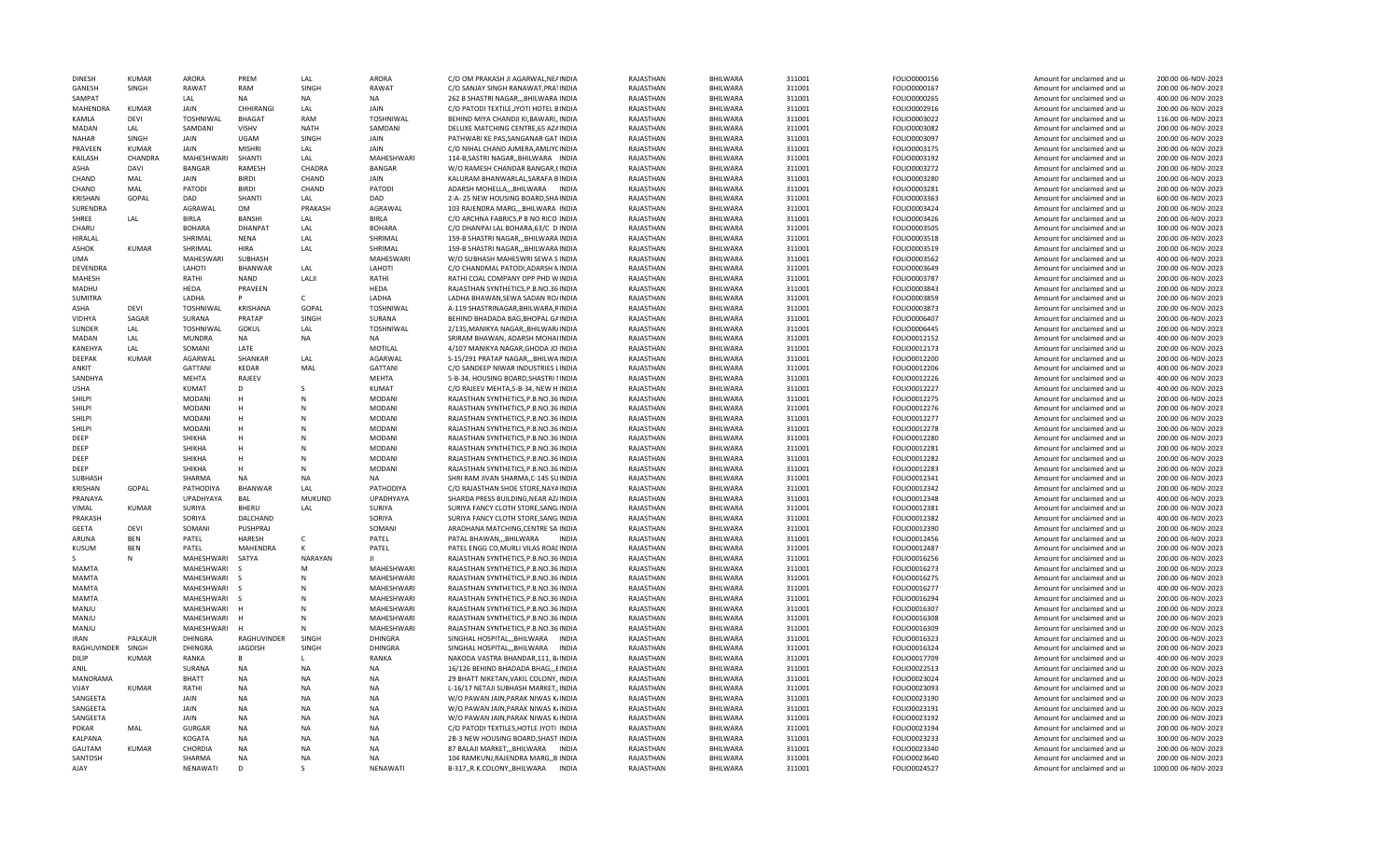| <b>DINESH</b>      | <b>KUMAR</b> | ARORA             | PRFM            | LAL           | ARORA             | C/O OM PRAKASH JI AGARWAL, NEAINDIA    | RAJASTHAN | BHILWARA        | 311001 | FOLIO0000156 | Amount for unclaimed and ur | 200.00 06-NOV-2023  |
|--------------------|--------------|-------------------|-----------------|---------------|-------------------|----------------------------------------|-----------|-----------------|--------|--------------|-----------------------------|---------------------|
| GANESH             | SINGH        | RAWAT             | RAM             | SINGH         | RAWAT             | C/O SANJAY SINGH RANAWAT, PRA1INDIA    | RAJASTHAN | BHILWARA        | 311001 | FOLIO0000167 | Amount for unclaimed and ur | 200.00 06-NOV-2023  |
| SAMPAT             |              | LAL               | <b>NA</b>       | <b>NA</b>     | <b>NA</b>         | 262 B SHASTRI NAGAR,,, BHILWARA INDIA  | RAJASTHAN | BHILWARA        | 311001 | FOLIO0000265 | Amount for unclaimed and ur | 400.00 06-NOV-2023  |
| MAHENDRA           | KUMAR        | <b>JAIN</b>       | CHHIRANGI       | LAL           | <b>JAIN</b>       | C/O PATODI TEXTILE, JYOTI HOTEL BINDIA | RAJASTHAN | BHILWARA        | 311001 | FOLIO0002916 | Amount for unclaimed and ur | 200.00 06-NOV-2023  |
| KAMLA              | <b>DEVI</b>  | TOSHNIWAL         | <b>BHAGAT</b>   | RAM           | TOSHNIWAL         | BEHIND MIYA CHANDJI KI, BAWARI, INDIA  | RAJASTHAN | BHILWARA        | 311001 | FOLIO0003022 | Amount for unclaimed and ur | 116.00 06-NOV-2023  |
| MADAN              | LAL          | SAMDANI           | <b>VISHV</b>    | <b>NATH</b>   | SAMDANI           | DELUXE MATCHING CENTRE, 65 AZAINDIA    | RAJASTHAN | BHILWARA        | 311001 | FOLIO0003082 | Amount for unclaimed and ur | 200.00 06-NOV-2023  |
| <b>NAHAR</b>       | SINGH        | JAIN              | UGAM            | SINGH         | <b>JAIN</b>       | PATHWARI KE PAS, SANGANAR GAT INDIA    | RAJASTHAN | BHILWARA        | 311001 | FOLIO0003097 | Amount for unclaimed and ur | 200.00 06-NOV-2023  |
| PRAVEEN            | <b>KUMAR</b> | JAIN              | <b>MISHRI</b>   | LAL           | JAIN              | C/O NIHAL CHAND AJMERA, AMLIYCINDIA    | RAJASTHAN | BHILWARA        | 311001 | FOLIO0003175 | Amount for unclaimed and ur | 200.00 06-NOV-2023  |
| KAILASH            | CHANDRA      | <b>MAHFSHWARI</b> | SHANTI          | LAL           | <b>MAHFSHWARI</b> | 114-B, SASTRI NAGAR, BHILWARA INDIA    | RAJASTHAN | BHILWARA        | 311001 | FOLIO0003192 | Amount for unclaimed and ur | 200.00 06-NOV-2023  |
| ASHA               | DAVI         | <b>BANGAR</b>     | RAMESH          | CHADRA        | <b>BANGAR</b>     | W/O RAMESH CHANDAR BANGAR, (INDIA      | RAJASTHAN | BHILWARA        | 311001 | FOLIO0003272 | Amount for unclaimed and ur | 200.00 06-NOV-2023  |
| CHAND              | MAL          | JAIN              | <b>RIRDI</b>    | CHAND         | JAIN              | KALURAM BHANWARLAL, SARAFA BINDIA      | RAJASTHAN | BHILWARA        | 311001 | FOLIO0003280 | Amount for unclaimed and ur | 200.00 06-NOV-2023  |
| CHAND              | MAL          | PATODI            | <b>BIRDI</b>    | CHAND         | PATOD             | ADARSH MOHELLA,,,BHILWARA INDIA        | RAJASTHAN | BHILWARA        | 311001 | FOLIO0003281 | Amount for unclaimed and ur | 200.00 06-NOV-2023  |
| KRISHAN            | GOPAL        | DAD               | SHANTI          | LAL           | DAD               | 2-A-25 NEW HOUSING BOARD, SHAINDIA     | RAJASTHAN | BHILWARA        | 311001 | FOLIO0003363 | Amount for unclaimed and ur | 600.00 06-NOV-2023  |
| SURENDRA           |              | AGRAWAL           | <b>OM</b>       | PRAKASH       | AGRAWAL           | 103 RAJENDRA MARG,,,BHILWARA INDIA     | RAJASTHAN | BHILWARA        | 311001 | FOLIO0003424 | Amount for unclaimed and ur | 200.00 06-NOV-2023  |
| SHREE              | LAL.         | <b>BIRLA</b>      | BANSHI          | LAL           | <b>BIRLA</b>      | C/O ARCHNA FABRICS, P B NO RICO INDIA  | RAJASTHAN | BHILWARA        | 311001 | FOLIO0003426 | Amount for unclaimed and ur | 200.00 06-NOV-2023  |
| CHARU              |              | <b>BOHARA</b>     | <b>DHANPAT</b>  | LAL           | <b>BOHARA</b>     | C/O DHANPAI LAL BOHARA, 63/C DIINDIA   | RAJASTHAN | BHILWARA        | 311001 | FOLIO0003505 | Amount for unclaimed and ur | 300.00 06-NOV-2023  |
| HIRALAL            |              | SHRIMAL           | <b>NENA</b>     | LAL           | SHRIMAL           | 159-B SHASTRI NAGAR, BHILWARA INDIA    | RAJASTHAN | BHILWARA        | 311001 | FOLIO0003518 | Amount for unclaimed and ur | 200.00 06-NOV-2023  |
| ASHOK              | KUMAR        | SHRIMAL           | HIRA            | LAL           | SHRIMAL           | 159-B SHASTRI NAGAR,,,BHILWARA INDIA   | RAJASTHAN | BHILWARA        | 311001 | FOLIO0003519 | Amount for unclaimed and ur | 200.00 06-NOV-2023  |
| <b>UMA</b>         |              | MAHESWARI         | SUBHASH         |               | MAHESWARI         | W/O SUBHASH MAHESWRI SEWA SINDIA       | RAJASTHAN | BHILWARA        | 311001 | FOLIO0003562 | Amount for unclaimed and ur | 400.00 06-NOV-2023  |
| DEVENDRA           |              | LAHOTI            | BHANWAR         | LAL           | LAHOT             | C/O CHANDMAL PATODI, ADARSH NINDIA     | RAJASTHAN | BHILWARA        | 311001 | FOLIO0003649 | Amount for unclaimed and ur | 200.00 06-NOV-2023  |
| MAHESH             |              | RATHI             | <b>NAND</b>     | LALJI         | RATHI             | RATHI COAL COMPANY OPP PHD WINDIA      | RAJASTHAN | BHILWARA        | 311001 | FOLIO0003787 | Amount for unclaimed and ur | 200.00 06-NOV-2023  |
| <b>MADHU</b>       |              | HEDA              | PRAVEEN         |               | <b>HEDA</b>       | RAJASTHAN SYNTHETICS, P.B.NO.36 INDIA  | RAJASTHAN | BHILWARA        | 311001 | FOLIO0003843 | Amount for unclaimed and ur | 200.00 06-NOV-2023  |
| <b>SUMITRA</b>     |              | LADHA             |                 | C             | <b>LADHA</b>      | LADHA BHAWAN, SEWA SADAN RO/INDIA      | RAJASTHAN | BHILWARA        | 311001 | FOLIO0003859 | Amount for unclaimed and ur | 200.00 06-NOV-2023  |
| ASHA               | DFVI         | TOSHNIWAL         | <b>KRISHANA</b> | GOPAL         | TOSHNIWAL         | A-119 SHASTRINAGAR, BHILWARA, RINDIA   | RAJASTHAN | BHILWARA        | 311001 | FOLIO0003873 | Amount for unclaimed and ur | 200.00 06-NOV-2023  |
| <b>VIDHYA</b>      | SAGAR        | <b>SURANA</b>     | PRATAP          | SINGH         | SURANA            | BEHIND BHADADA BAG.BHOPAL GAINDIA      | RAJASTHAN | <b>BHILWARA</b> | 311001 | FOLIO0006407 | Amount for unclaimed and u  | 200.00 06-NOV-2023  |
| SUNDER             | LAL          | TOSHNIWAL         | GOKUL           | LAL           | TOSHNIWAL         | 2/135, MANIKYA NAGAR, , BHILWAR/INDIA  | RAJASTHAN | BHILWARA        | 311001 | FOLIO0006445 | Amount for unclaimed and ur | 200.00 06-NOV-2023  |
| MADAN              | LAL          | <b>MUNDRA</b>     | <b>NA</b>       | <b>NA</b>     | <b>NA</b>         | SRIRAM BHAWAN, ADARSH MOHALINDIA       | RAJASTHAN | BHILWARA        | 311001 | FOLIO0012152 | Amount for unclaimed and ur | 400.00 06-NOV-2023  |
| KANEHYA            | LAL          | SOMANI            | LATE            |               | MOTILAL           | 4/107 MANIKYA NAGAR, GHODA JO INDIA    | RAJASTHAN | BHILWARA        | 311001 | FOLIO0012173 | Amount for unclaimed and ur | 200.00 06-NOV-2023  |
| DEEPAK             | KUMAR        | AGARWAL           | SHANKAR         | LAL           | AGARWAL           | S-15/291 PRATAP NAGAR,,,BHILWAINDIA    | RAJASTHAN | BHILWARA        | 311001 | FOLIO0012200 | Amount for unclaimed and ur | 200.00 06-NOV-2023  |
| ANKIT              |              | <b>GATTANI</b>    | KEDAR           | <b>MAL</b>    | <b>GATTANI</b>    | C/O SANDEEP NIWAR INDUSTRIES LINDIA    | RAJASTHAN | BHILWARA        | 311001 | FOLIO0012206 | Amount for unclaimed and ur | 400.00 06-NOV-2023  |
| SANDHYA            |              | MEHTA             | RAJEEV          |               | MEHTA             | 5-B-34, HOUSING BOARD, SHASTRI I INDIA | RAJASTHAN | BHILWARA        | 311001 | FOLIO0012226 | Amount for unclaimed and ur | 400.00 06-NOV-2023  |
| <b>USHA</b>        |              | KUMAT             | D               |               | <b>KUMAT</b>      | C/O RAJEEV MEHTA.5-B-34. NEW HINDIA    | RAJASTHAN | <b>BHILWARA</b> | 311001 | FOLIO0012227 | Amount for unclaimed and ur | 400.00 06-NOV-2023  |
| <b>SHILPI</b>      |              | MODANI            | н               | N             | <b>MODANI</b>     | RAJASTHAN SYNTHETICS, P.B.NO.36 INDIA  | RAJASTHAN | BHILWARA        | 311001 | FOLIO0012275 | Amount for unclaimed and ur | 200.00 06-NOV-2023  |
| <b>SHILPI</b>      |              | MODANI            | н               | N             | <b>MODANI</b>     | RAJASTHAN SYNTHETICS, P.B.NO.36 INDIA  | RAJASTHAN | BHILWARA        | 311001 | FOLIO0012276 | Amount for unclaimed and ur | 200.00 06-NOV-2023  |
| SHILPI             |              | MODANI            |                 | N             | <b>MODANI</b>     | RAJASTHAN SYNTHETICS, P.B.NO.36 INDIA  | RAJASTHAN | BHILWARA        | 311001 | FOLIO0012277 | Amount for unclaimed and ur | 200.00 06-NOV-2023  |
| SHILPI             |              | MODANI            | н               |               | <b>MODANI</b>     | RAJASTHAN SYNTHETICS, P.B.NO.36 INDIA  | RAJASTHAN | BHILWARA        | 311001 | FOLIO0012278 | Amount for unclaimed and ur | 200.00 06-NOV-2023  |
| DEEP               |              | SHIKHA            |                 | N             | <b>MODANI</b>     | RAJASTHAN SYNTHETICS, P.B.NO.36 INDIA  | RAJASTHAN | BHILWARA        | 311001 | FOLIO0012280 | Amount for unclaimed and ur | 200.00 06-NOV-2023  |
| DEEP               |              | SHIKHA            |                 | N             | <b>MODANI</b>     | RAJASTHAN SYNTHETICS, P.B.NO.36 INDIA  | RAJASTHAN | BHILWARA        | 311001 | FOLIO0012281 | Amount for unclaimed and ur | 200.00 06-NOV-2023  |
| DEEP               |              | SHIKHA            |                 | N             | <b>MODANI</b>     | RAJASTHAN SYNTHETICS, P.B.NO.36 INDIA  | RAJASTHAN | BHILWARA        | 311001 | FOLIO0012282 | Amount for unclaimed and ur | 200.00 06-NOV-2023  |
| DFFP               |              | SHIKHA            |                 | N             | <b>MODANI</b>     | RAJASTHAN SYNTHETICS, P.B.NO.36 INDIA  | RAJASTHAN | <b>BHILWARA</b> | 311001 | FOLIO0012283 | Amount for unclaimed and ur | 200.00 06-NOV-2023  |
| SUBHASH            |              | SHARMA            | NA              | <b>NA</b>     | <b>NA</b>         | SHRI RAM JIVAN SHARMA, C-145 SUINDIA   | RAJASTHAN | BHILWARA        | 311001 | FOLIO0012341 | Amount for unclaimed and ur | 200.00 06-NOV-2023  |
| <b>KRISHAN</b>     | GOPAL        | PATHODIYA         | BHANWAR         | LAI           | PATHODIYA         | C/O RAJASTHAN SHOE STORE, NAYAINDIA    | RAIASTHAN | <b>BHILWARA</b> | 311001 | FOLIO0012342 | Amount for unclaimed and ur | 200.00 06-NOV-2023  |
| PRANAYA            |              | UPADHYAYA         | BAL             | <b>MUKUND</b> | <b>UPADHYAYA</b>  | SHARDA PRESS BUILDING, NEAR AZ/INDIA   | RAJASTHAN | BHILWARA        | 311001 | FOLIO0012348 | Amount for unclaimed and ur | 400.00 06-NOV-2023  |
| VIMAL              | <b>KUMAR</b> | SURIYA            | BHERU           | LAI           | SURIYA            | SURIYA FANCY CLOTH STORE, SANG. INDIA  | RAJASTHAN | BHILWARA        | 311001 | FOLIO0012381 | Amount for unclaimed and ur | 200.00 06-NOV-2023  |
| PRAKASH            |              | SORIYA            | DALCHAND        |               | SORIYA            | SURIYA FANCY CLOTH STORE, SANG. INDIA  | RAJASTHAN | BHILWARA        | 311001 | FOLIO0012382 | Amount for unclaimed and ur | 400.00 06-NOV-2023  |
| <b>GEETA</b>       | DEVI         | SOMANI            | PUSHPRAJ        |               | SOMANI            | ARADHANA MATCHING, CENTRE SAIINDIA     | RAJASTHAN | BHILWARA        | 311001 | FOLIO0012390 | Amount for unclaimed and ur | 200.00 06-NOV-2023  |
| ARUNA              | <b>BFN</b>   | PATEL             | HARESH          | C.            | PATEL             | PATAL BHAWANBHILWARA<br><b>INDIA</b>   | RAJASTHAN | BHILWARA        | 311001 | FOLIO0012456 | Amount for unclaimed and ur | 200.00 06-NOV-2023  |
| <b>KUSUM</b>       | <b>BEN</b>   | PATEL             | MAHENDRA        | к             | PATEL             | PATEL ENGG CO.MURLI VILAS ROACINDIA    | RAJASTHAN | BHILWARA        | 311001 | FOLIO0012487 | Amount for unclaimed and ur | 200.00 06-NOV-2023  |
|                    | N            | MAHESHWARI        | SATYA           | NARAYAN       |                   | RAJASTHAN SYNTHETICS, P.B.NO.36 INDIA  | RAJASTHAN | BHILWARA        | 311001 | FOLIO0016256 | Amount for unclaimed and ur | 200.00 06-NOV-2023  |
| <b>MAMTA</b>       |              | MAHESHWARI        |                 | M             | <b>MAHFSHWARI</b> | RAJASTHAN SYNTHETICS, P.B.NO.36 INDIA  | RAJASTHAN | BHILWARA        | 311001 | FOLIO0016273 | Amount for unclaimed and ur | 200.00 06-NOV-2023  |
| MAMTA              |              | MAHESHWARI        |                 | N             | <b>MAHESHWARI</b> | RAJASTHAN SYNTHETICS, P.B.NO.36 INDIA  | RAJASTHAN | BHILWARA        | 311001 | FOLIO0016275 | Amount for unclaimed and ur | 200.00 06-NOV-2023  |
| <b>MAMTA</b>       |              | MAHESHWARI        |                 | N             | MAHESHWARI        | RAJASTHAN SYNTHETICS, P.B.NO.36 INDIA  | RAJASTHAN | BHILWARA        | 311001 | FOLIO0016277 | Amount for unclaimed and ur | 400.00 06-NOV-2023  |
| MAMTA              |              | MAHESHWARI        |                 | N             | MAHESHWARI        | RAJASTHAN SYNTHETICS, P.B.NO.36 INDIA  | RAJASTHAN | BHILWARA        | 311001 | FOLIO0016294 | Amount for unclaimed and ur | 200.00 06-NOV-2023  |
| MANJU              |              | MAHESHWARI        |                 | N             | MAHESHWARI        | RAJASTHAN SYNTHETICS, P.B.NO.36 INDIA  | RAJASTHAN | BHILWARA        | 311001 | FOLIO0016307 | Amount for unclaimed and ur | 200.00 06-NOV-2023  |
| MANJU              |              | MAHESHWARI        |                 | N             | MAHESHWARI        | RAJASTHAN SYNTHETICS, P.B.NO.36 INDIA  | RAJASTHAN | BHILWARA        | 311001 | FOLIO0016308 | Amount for unclaimed and ur | 200.00 06-NOV-2023  |
| MANJU              |              | MAHESHWARI        | H               | N             | MAHESHWARI        | RAJASTHAN SYNTHETICS, P.B.NO.36 INDIA  | RAJASTHAN | <b>BHILWARA</b> | 311001 | FOLIO0016309 | Amount for unclaimed and ur | 200.00 06-NOV-2023  |
| <b>IRAN</b>        | PALKAUR      | <b>DHINGRA</b>    | RAGHUVINDER     | SINGH         | DHINGRA           | SINGHAL HOSPITAL,,,BHILWARA INDIA      | RAJASTHAN | BHILWARA        | 311001 | FOLIO0016323 | Amount for unclaimed and ur | 200.00 06-NOV-2023  |
| <b>RAGHUVINDER</b> | SINGH        | <b>DHINGRA</b>    | <b>JAGDISH</b>  | SINGH         | DHINGRA           | SINGHAL HOSPITAL,,, BHILWARA INDIA     | RAJASTHAN | <b>BHILWARA</b> | 311001 | FOLIO0016324 | Amount for unclaimed and ur | 200.00 06-NOV-2023  |
| DILIP              | <b>KUMAR</b> | RANKA             | R               |               | RANKA             | NAKODA VASTRA BHANDAR, 111, B/INDIA    | RAJASTHAN | BHILWARA        | 311001 | FOLIO0017709 | Amount for unclaimed and ur | 400.00 06-NOV-2023  |
| ANIL               |              | SURANA            | <b>NA</b>       | NA            | NA                | 16/126 BEHIND BHADADA BHAG,,,EINDIA    | RAJASTHAN | BHILWARA        | 311001 | FOLIO0022513 | Amount for unclaimed and ur | 200.00 06-NOV-2023  |
| MANORAMA           |              | <b>BHATT</b>      | <b>NA</b>       | <b>NA</b>     | <b>NA</b>         | 29 BHATT NIKETAN, VAKIL COLONY, INDIA  | RAJASTHAN | BHILWARA        | 311001 | FOLIO0023024 | Amount for unclaimed and ur | 200.00 06-NOV-2023  |
| VIJAY              | <b>KUMAR</b> | <b>RATHI</b>      | <b>NA</b>       | <b>NA</b>     | NA                | L-16/17 NETAJI SUBHASH MARKET, INDIA   | RAJASTHAN | BHILWARA        | 311001 | FOLIO0023093 | Amount for unclaimed and ur | 200.00 06-NOV-2023  |
| SANGEETA           |              | <b>JAIN</b>       | <b>NA</b>       | <b>NA</b>     | <b>NA</b>         | W/O PAWAN JAIN, PARAK NIWAS KINDIA     | RAJASTHAN | BHILWARA        | 311001 | FOLIO0023190 | Amount for unclaimed and ur | 200.00 06-NOV-2023  |
| SANGEETA           |              | JAIN              | <b>NA</b>       | <b>NA</b>     | <b>NA</b>         | W/O PAWAN JAIN, PARAK NIWAS K/INDIA    | RAJASTHAN | BHILWARA        | 311001 | FOLIO0023191 | Amount for unclaimed and ur | 200.00 06-NOV-2023  |
| SANGEETA           |              | JAIN              | <b>NA</b>       | <b>NA</b>     | <b>NA</b>         | W/O PAWAN JAIN, PARAK NIWAS K/INDIA    | RAJASTHAN | BHILWARA        | 311001 | FOLIO0023192 | Amount for unclaimed and ur | 200.00 06-NOV-2023  |
| POKAR              | MAL          | <b>GURGAR</b>     | <b>NA</b>       | <b>NA</b>     | <b>NA</b>         | C/O PATODI TEXTILES, HOTLE JYOTI INDIA | RAJASTHAN | BHILWARA        | 311001 | FOLIO0023194 | Amount for unclaimed and ur | 200.00 06-NOV-2023  |
| KALPANA            |              | KOGATA            | <b>NA</b>       | <b>NA</b>     | <b>NA</b>         | 2B-3 NEW HOUSING BOARD, SHAST INDIA    | RAJASTHAN | BHILWARA        | 311001 | FOLIO0023233 | Amount for unclaimed and ur | 300.00 06-NOV-2023  |
| GAUTAM             | <b>KUMAR</b> | CHORDIA           | <b>NA</b>       | <b>NA</b>     | <b>NA</b>         | 87 BALAJI MARKET,,,BHILWARA INDIA      | RAJASTHAN | BHILWARA        | 311001 | FOLIO0023340 | Amount for unclaimed and ur | 200.00 06-NOV-2023  |
| SANTOSH            |              | SHARMA            | <b>NA</b>       | <b>NA</b>     | <b>NA</b>         | 104 RAMKUNJ, RAJENDRA MARG, BINDIA     | RAJASTHAN | BHILWARA        | 311001 | FOLIO0023640 | Amount for unclaimed and ur | 200.00 06-NOV-2023  |
| AJAY               |              | NENAWATI          | D               |               | <b>NFNAWATI</b>   | B-317,,R.K.COLONY,,BHILWARA INDIA      | RAJASTHAN | BHILWARA        | 311001 | FOLIO0024527 | Amount for unclaimed and ur | 1000.00 06-NOV-2023 |
|                    |              |                   |                 |               |                   |                                        |           |                 |        |              |                             |                     |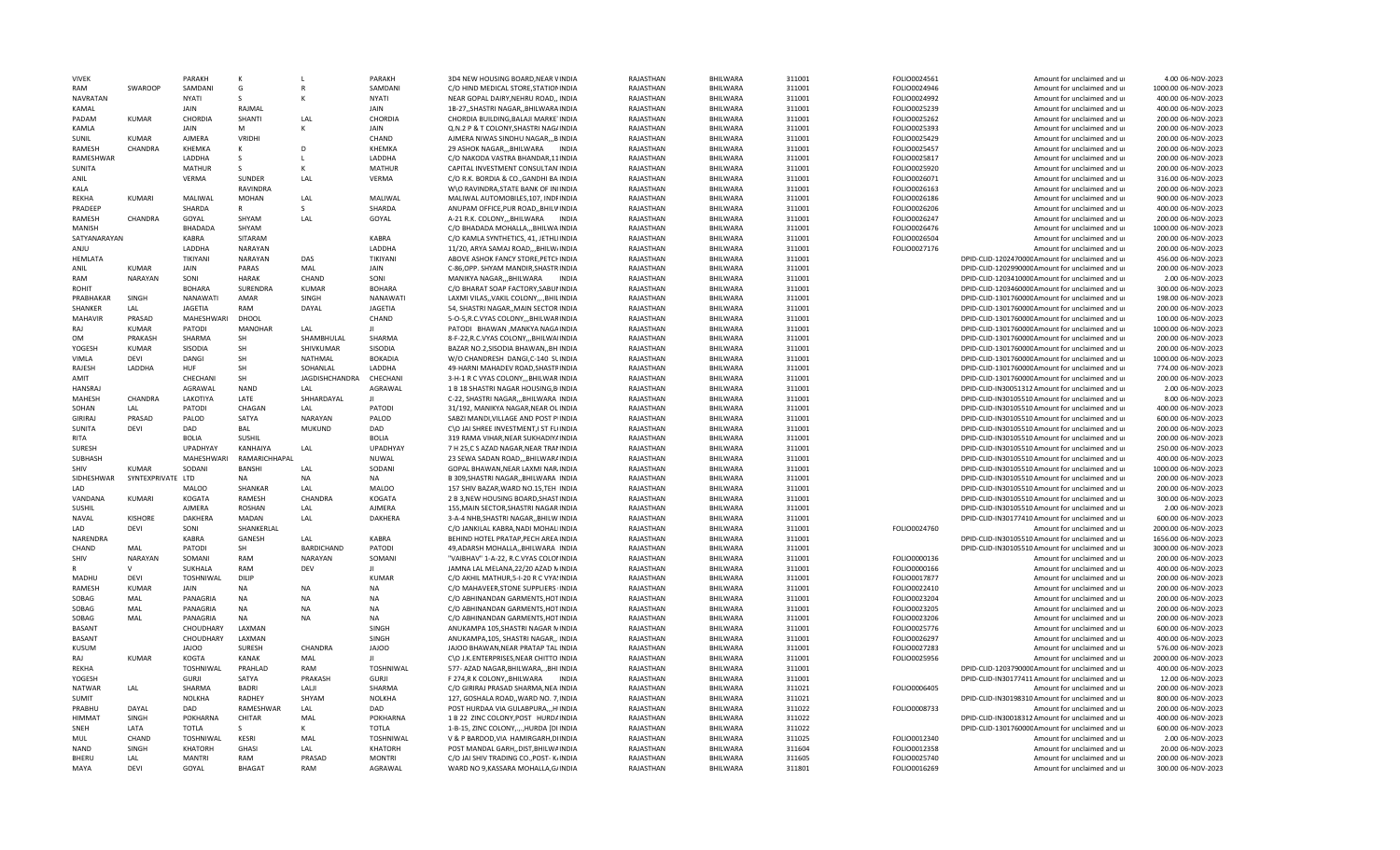| <b>VIVFK</b>            |                   | PARAKH                   | к                                |                       | PARAKH                   | 3D4 NEW HOUSING BOARD NEAR VINDIA                                                | RAIASTHAN              | <b>BHILWARA</b>             | 311001           | FOLIO0024561                 | Amount for unclaimed and ur                                                     | 4.00 06-NOV-2023                         |
|-------------------------|-------------------|--------------------------|----------------------------------|-----------------------|--------------------------|----------------------------------------------------------------------------------|------------------------|-----------------------------|------------------|------------------------------|---------------------------------------------------------------------------------|------------------------------------------|
| RAM                     | SWAROOP           | SAMDANI                  | G                                |                       | SAMDANI                  | C/O HIND MEDICAL STORE, STATION INDIA                                            | RAJASTHAN              | BHILWARA                    | 311001           | FOLIO0024946                 | Amount for unclaimed and ur                                                     | 1000.00 06-NOV-2023                      |
| <b>NAVRATAN</b>         |                   | <b>NYATI</b>             | $\mathsf{S}$                     |                       | <b>NYATI</b>             | NEAR GOPAL DAIRY, NEHRU ROAD,, INDIA                                             | RAIASTHAN              | BHILWARA                    | 311001           | FOLIO0024992                 | Amount for unclaimed and ur                                                     | 400.00 06-NOV-2023                       |
| KAMAL                   |                   | JAIN                     | RAJMAL                           |                       | JAIN                     | 1B-27, SHASTRI NAGAR, BHILWARA INDIA                                             | RAJASTHAN              | BHILWARA                    | 311001           | FOLIO0025239                 | Amount for unclaimed and ur                                                     | 400.00 06-NOV-2023                       |
| PADAM                   | <b>KUMAR</b>      | CHORDIA                  | SHANTI                           | LAL                   | CHORDIA                  | CHORDIA BUILDING, BALAJI MARKETINDIA                                             | RAJASTHAN              | BHILWARA                    | 311001           | FOLIO0025262                 | Amount for unclaimed and ur                                                     | 200.00 06-NOV-2023                       |
| KAMLA                   |                   | <b>JAIN</b>              | M                                | К                     | <b>JAIN</b>              | Q.N.2 P & T COLONY, SHASTRI NAG/INDIA                                            | RAJASTHAN              | BHILWARA                    | 311001           | FOLIO0025393                 | Amount for unclaimed and ur                                                     | 200.00 06-NOV-2023                       |
| SUNIL                   | KUMAR             | AJMERA                   | VRIDHI                           |                       | CHAND                    | AJMERA NIWAS SINDHU NAGAR,,,BINDIA                                               | RAJASTHAN              | BHILWARA                    | 311001           | FOLIO0025429                 | Amount for unclaimed and ur                                                     | 200.00 06-NOV-2023                       |
| RAMESH                  | <b>CHANDRA</b>    | KHEMKA                   | к                                | D                     | <b>KHFMKA</b>            | 29 ASHOK NAGAR, BHILWARA INDIA                                                   | RAJASTHAN              | <b>BHILWARA</b>             | 311001           | FOLIO0025457                 | Amount for unclaimed and ur                                                     | 200.00 06-NOV-2023                       |
| RAMESHWAR               |                   | LADDHA                   | S                                | L.                    | LADDHA                   | C/O NAKODA VASTRA BHANDAR, 11 INDIA                                              | RAJASTHAN              | BHILWARA                    | 311001           | FOLIO0025817                 | Amount for unclaimed and ur                                                     | 200.00 06-NOV-2023                       |
| SUNITA                  |                   | <b>MATHUR</b>            | <sub>S</sub>                     | к                     | <b>MATHUR</b>            | CAPITAL INVESTMENT CONSULTAN INDIA                                               | RAJASTHAN              | BHILWARA                    | 311001           | FOLIO0025920                 | Amount for unclaimed and ur                                                     | 200.00 06-NOV-2023                       |
| ANIL                    |                   | VFRMA                    | <b>SUNDER</b>                    | LAL                   | VERMA                    | C/O R.K. BORDIA & CO., GANDHI BA INDIA                                           | RAJASTHAN              | BHILWARA                    | 311001           | FOLIO0026071                 | Amount for unclaimed and ur                                                     | 316.00 06-NOV-2023                       |
| KALA                    |                   |                          | RAVINDRA                         |                       |                          | W\O RAVINDRA, STATE BANK OF INIINDIA                                             | RAJASTHAN              | BHILWARA                    | 311001           | FOLIO0026163                 | Amount for unclaimed and ur                                                     | 200.00 06-NOV-2023                       |
| <b>REKHA</b>            | <b>KUMARI</b>     | MALIWAL                  | <b>MOHAN</b>                     | LAL                   | MALIWAI                  | MALIWAL AUTOMOBILES, 107, INDFINDIA                                              | RAJASTHAN              | BHILWARA                    | 311001           | FOLIO0026186                 | Amount for unclaimed and ur                                                     | 900.00 06-NOV-2023                       |
| PRADEEP                 |                   | SHARDA                   | $\mathsf{R}$                     | S                     | SHARDA                   | ANUPAM OFFICE, PUR ROAD, , BHILVINDIA                                            | RAJASTHAN              | BHILWARA                    | 311001           | FOLIO0026206                 | Amount for unclaimed and ur                                                     | 400.00 06-NOV-2023                       |
| RAMESH<br><b>MANISH</b> | CHANDRA           | GOYAL                    | SHYAM<br>SHYAM                   | LAL                   | GOYAL                    | A-21 R.K. COLONY,,,BHILWARA INDIA                                                | RAJASTHAN              | BHILWARA                    | 311001           | FOLIO0026247                 | Amount for unclaimed and ur                                                     | 200.00 06-NOV-2023                       |
|                         |                   | BHADADA                  |                                  |                       |                          | C/O BHADADA MOHALLA,,,BHILWA INDIA                                               | RAJASTHAN              | BHILWARA                    | 311001           | FOLIO0026476                 | Amount for unclaimed and ur                                                     | 1000.00 06-NOV-2023                      |
| SATYANARAYAN            |                   | KABRA                    | SITARAM                          |                       | <b>KABRA</b><br>LADDHA   | C/O KAMLA SYNTHETICS, 41, JETHLIINDIA                                            | RAJASTHAN              | BHILWARA                    | 311001           | FOLIO0026504                 | Amount for unclaimed and ur                                                     | 200.00 06-NOV-2023                       |
| ANJU<br>HFMLATA         |                   | LADDHA<br>TIKIYANI       | <b>NARAYAN</b><br><b>NARAYAN</b> | DAS                   | TIKIYANI                 | 11/20, ARYA SAMAJ ROAD,,,BHILW/INDIA<br>ABOVE ASHOK FANCY STORE.PETCHINDIA       | RAJASTHAN<br>RAJASTHAN | BHILWARA<br>BHILWARA        | 311001<br>311001 | FOLIO0027176                 | Amount for unclaimed and ur<br>DPID-CLID-120247000CAmount for unclaimed and ur  | 200.00 06-NOV-2023<br>456.00 06-NOV-2023 |
| ANIL                    | KUMAR             | <b>JAIN</b>              | PARAS                            | MAL                   | JAIN                     | C-86, OPP. SHYAM MANDIR, SHASTRINDIA                                             | RAJASTHAN              | <b>BHILWARA</b>             | 311001           |                              | DPID-CLID-120299000CAmount for unclaimed and ur                                 | 200.00 06-NOV-2023                       |
| RAM                     | NARAYAN           | SONI                     | <b>HARAK</b>                     | CHAND                 | SONI                     | MANIKYA NAGAR,,,BHILWARA<br>INDIA                                                | RAJASTHAN              | BHILWARA                    | 311001           |                              | DPID-CLID-120341000CAmount for unclaimed and ur                                 | 2.00 06-NOV-2023                         |
| ROHIT                   |                   | <b>BOHARA</b>            | SURENDRA                         | <b>KUMAR</b>          | <b>BOHARA</b>            | C/O BHARAT SOAP FACTORY, SABUNINDIA                                              | RAJASTHAN              | BHILWARA                    | 311001           |                              | DPID-CLID-120346000CAmount for unclaimed and ur                                 | 300.00 06-NOV-2023                       |
| PRABHAKAR               | SINGH             | NANAWATI                 | <b>AMAR</b>                      | SINGH                 | NANAWATI                 | LAXMI VILAS,, VAKIL COLONY,,., BHILINDIA                                         | RAJASTHAN              | BHILWARA                    | 311001           |                              | DPID-CLID-130176000CAmount for unclaimed and ur                                 | 198.00 06-NOV-2023                       |
| SHANKER                 | LAL               | JAGETIA                  | RAM                              | DAYAL                 | <b>JAGETIA</b>           | 54, SHASTRI NAGAR,, MAIN SECTOR INDIA                                            | RAJASTHAN              | BHILWARA                    | 311001           |                              | DPID-CLID-130176000C Amount for unclaimed and ur                                | 200.00 06-NOV-2023                       |
| <b>MAHAVIR</b>          | PRASAD            | MAHESHWARI               | DHOOL                            |                       | CHAND                    | 5-O-5, R.C. VYAS COLONY, ,, BHILWARINDIA                                         | RAJASTHAN              | BHILWARA                    | 311001           |                              | DPID-CLID-130176000CAmount for unclaimed and ur                                 | 100.00 06-NOV-2023                       |
| RAI                     | <b>KUMAR</b>      | PATODI                   | <b>MANOHAR</b>                   | LAL                   | $\mathbf{H}$             | PATODI BHAWAN, MANKYA NAGAINDIA                                                  | RAJASTHAN              | BHILWARA                    | 311001           |                              | DPID-CLID-130176000CAmount for unclaimed and ur                                 | 1000.00 06-NOV-2023                      |
| <b>OM</b>               | PRAKASH           | SHARMA                   | SH                               | SHAMBHULAL            | SHARMA                   | 8-F-22, R.C. VYAS COLONY, ,, BHILWAIINDIA                                        | RAJASTHAN              | <b>BHILWARA</b>             | 311001           |                              | DPID-CLID-130176000CAmount for unclaimed and ur                                 | 200.00 06-NOV-2023                       |
| <b>YOGESH</b>           | KUMAR             | SISODIA                  | SH                               | SHIVKUMAR             | SISODIA                  | BAZAR NO.2, SISODIA BHAWAN, BHINDIA                                              | RAJASTHAN              | <b>BHILWARA</b>             | 311001           |                              | DPID-CLID-130176000CAmount for unclaimed and ur                                 | 200.00 06-NOV-2023                       |
| <b>VIMLA</b>            | <b>DFVI</b>       | DANGI                    | SH                               | NATHMAL               | <b>BOKADIA</b>           | W/O CHANDRESH DANGI,C-140 SLINDIA                                                | RAJASTHAN              | <b>BHILWARA</b>             | 311001           |                              | DPID-CLID-130176000CAmount for unclaimed and ur                                 | 1000.00 06-NOV-2023                      |
| RAJESH                  | LADDHA            | HUF                      | <b>SH</b>                        | SOHANLAL              | LADDHA                   | 49-HARNI MAHADEV ROAD.SHASTRINDIA                                                | RAJASTHAN              | BHILWARA                    | 311001           |                              | DPID-CLID-130176000CAmount for unclaimed and ur                                 | 774.00 06-NOV-2023                       |
| AMIT                    |                   | CHFCHAN                  | SH                               | <b>JAGDISHCHANDRA</b> | CHECHANI                 | 3-H-1 R C VYAS COLONY,,,BHILWAR INDIA                                            | RAJASTHAN              | BHILWARA                    | 311001           |                              | DPID-CLID-130176000CAmount for unclaimed and ur                                 | 200.00 06-NOV-2023                       |
| <b>HANSRAJ</b>          |                   | AGRAWAL                  | <b>NAND</b>                      | LAL                   | AGRAWAL                  | 1 B 18 SHASTRI NAGAR HOUSING, BINDIA                                             | RAJASTHAN              | BHILWARA                    | 311001           |                              | DPID-CLID-IN30051312 Amount for unclaimed and ur                                | 2.00 06-NOV-2023                         |
| MAHESH                  | CHANDRA           | LAKOTIYA                 | LATE                             | SHHARDAYAL            |                          | C-22, SHASTRI NAGAR,,,BHILWARA INDIA                                             | RAJASTHAN              | BHILWARA                    | 311001           |                              | DPID-CLID-IN30105510 Amount for unclaimed and ur                                | 8.00 06-NOV-2023                         |
| SOHAN                   | LAL               | PATODI                   | CHAGAN                           | LAL                   | PATODI                   | 31/192, MANIKYA NAGAR, NEAR OL INDIA                                             | RAJASTHAN              | BHILWARA                    | 311001           |                              | DPID-CLID-IN30105510 Amount for unclaimed and ur                                | 400.00 06-NOV-2023                       |
|                         | PRASAD            | PALOD                    | SATYA                            | <b>NARAYAN</b>        | PALOD                    | SABZI MANDI, VILLAGE AND POST PIINDIA                                            | RAJASTHAN              | <b>BHILWARA</b>             | 311001           |                              |                                                                                 | 600.00 06-NOV-2023                       |
|                         |                   |                          |                                  |                       |                          |                                                                                  |                        |                             |                  |                              |                                                                                 |                                          |
| <b>GIRIRAJ</b>          |                   |                          |                                  |                       |                          |                                                                                  |                        |                             |                  |                              | DPID-CLID-IN30105510 Amount for unclaimed and ur                                |                                          |
| SUNITA                  | DEVI              | DAD                      | BAL                              | <b>MUKUND</b>         | DAD                      | C\O JAI SHREE INVESTMENT, I ST FL(INDIA                                          | RAJASTHAN              | BHILWARA                    | 311001           |                              | DPID-CLID-IN30105510 Amount for unclaimed and ur                                | 200.00 06-NOV-2023                       |
| <b>RITA</b>             |                   | <b>BOLIA</b>             | SUSHIL                           |                       | <b>BOLIA</b>             | 319 RAMA VIHAR.NEAR SUKHADIYAINDIA                                               | RAJASTHAN              | BHILWARA                    | 311001           |                              | DPID-CLID-IN30105510 Amount for unclaimed and ur                                | 200.00 06-NOV-2023                       |
| SURFSH                  |                   | <b>UPADHYAY</b>          | KANHAIYA                         | LAL                   | <b>UPADHYAY</b>          | 7 H 25,C S AZAD NAGAR, NEAR TRANINDIA                                            | RAJASTHAN              | BHILWARA                    | 311001           |                              | DPID-CLID-IN30105510 Amount for unclaimed and ur                                | 250.00 06-NOV-2023                       |
| SUBHASH<br>SHIV         | KUMAR             | MAHESHWARI               | RAMARICHHAPAL<br><b>BANSHI</b>   | LAL                   | NUWAL<br>SODANI          | 23 SEWA SADAN ROAD,,,BHILWARAINDIA                                               | RAJASTHAN              | BHILWARA<br><b>BHILWARA</b> | 311001           |                              | DPID-CLID-IN30105510 Amount for unclaimed and ur                                | 400.00 06-NOV-2023                       |
|                         |                   | SODANI                   | <b>NA</b>                        | <b>NA</b>             | <b>NA</b>                | GOPAL BHAWAN, NEAR LAXMI NARJINDIA                                               | RAJASTHAN              |                             | 311001           |                              | DPID-CLID-IN30105510 Amount for unclaimed and ur                                | 1000.00 06-NOV-2023                      |
| SIDHESHWAR              | SYNTEXPRIVATE LTD |                          |                                  |                       |                          | B 309, SHASTRI NAGAR, BHILWARA INDIA                                             | RAJASTHAN              | BHILWARA                    | 311001           |                              | DPID-CLID-IN30105510 Amount for unclaimed and ur                                | 200.00 06-NOV-2023                       |
| LAD                     |                   | MALOO                    | <b>SHANKAR</b>                   | LAL                   | <b>MALOO</b>             | 157 SHIV BAZAR, WARD NO.15, TEH INDIA                                            | RAJASTHAN              | <b>BHILWARA</b>             | 311001           |                              | DPID-CLID-IN30105510 Amount for unclaimed and ur                                | 200.00 06-NOV-2023                       |
| VANDANA                 | KUMARI            | KOGATA                   | RAMESH                           | CHANDRA               | <b>KOGATA</b>            | 2 B 3, NEW HOUSING BOARD, SHASTINDIA                                             | RAJASTHAN              | BHILWARA                    | 311001           |                              | DPID-CLID-IN30105510 Amount for unclaimed and ur                                | 300.00 06-NOV-2023                       |
| SUSHIL<br><b>NAVAL</b>  | <b>KISHORE</b>    | AJMERA<br><b>DAKHERA</b> | <b>ROSHAN</b><br>MADAN           | LAL<br>LAL            | AJMERA<br><b>DAKHERA</b> | 155, MAIN SECTOR, SHASTRI NAGAR INDIA<br>3-A-4 NHB, SHASTRI NAGAR, , BHILW INDIA | RAJASTHAN<br>RAJASTHAN | BHILWARA<br>BHILWARA        | 311001           |                              | DPID-CLID-IN30105510 Amount for unclaimed and ur                                | 2.00 06-NOV-2023<br>600.00 06-NOV-2023   |
| LAD                     | <b>DEVI</b>       | SONI                     | SHANKERLAL                       |                       |                          | C/O JANKILAL KABRA, NADI MOHALIINDIA                                             | RAJASTHAN              | <b>BHILWARA</b>             | 311001<br>311001 | FOLIO0024760                 | DPID-CLID-IN30177410 Amount for unclaimed and ur<br>Amount for unclaimed and ur | 2000.00 06-NOV-2023                      |
| NARENDRA                |                   | <b>KABRA</b>             | GANESH                           | LAL                   | <b>KABRA</b>             | BEHIND HOTEL PRATAP, PECH AREA INDIA                                             | RAJASTHAN              | BHILWARA                    | 311001           |                              | DPID-CLID-IN30105510 Amount for unclaimed and ur                                | 1656.00 06-NOV-2023                      |
| CHAND                   | MAL               | PATODI                   | <b>SH</b>                        | <b>BARDICHAND</b>     | PATODI                   | 49.ADARSH MOHALLABHILWARA INDIA                                                  | RAJASTHAN              | BHILWARA                    | 311001           |                              | DPID-CLID-IN30105510 Amount for unclaimed and ur                                | 3000.00 06-NOV-2023                      |
| SHIV                    | <b>NARAYAN</b>    | SOMANI                   | RAM                              | <b>NARAYAN</b>        | SOMANI                   | "VAIBHAV" 1-A-22. R.C. VYAS COLONINDIA                                           | RAJASTHAN              | <b>BHILWARA</b>             | 311001           | FOLIO0000136                 | Amount for unclaimed and ur                                                     | 200.00 06-NOV-2023                       |
|                         | $\mathsf{V}$      | SUKHALA                  | RAM                              | DFV                   |                          | JAMNA LAL MELANA, 22/20 AZAD NINDIA                                              | RAIASTHAN              | <b>BHILWARA</b>             | 311001           | FOLIO0000166                 | Amount for unclaimed and ur                                                     | 400.00 06-NOV-2023                       |
| MADHU                   | DEVI              | <b>TOSHNIWAL</b>         | DILIP                            |                       | <b>KUMAR</b>             | C/O AKHIL MATHUR, 5-I-20 R C VYA: INDIA                                          | RAJASTHAN              | BHILWARA                    | 311001           | FOLIO0017877                 | Amount for unclaimed and ur                                                     | 200.00 06-NOV-2023                       |
| RAMESH                  | KUMAR             | <b>JAIN</b>              | <b>NA</b>                        | <b>NA</b>             | <b>NA</b>                | C/O MAHAVEER, STONE SUPPLIERS INDIA                                              | RAJASTHAN              | BHILWARA                    | 311001           | FOLIO0022410                 | Amount for unclaimed and ur                                                     | 200.00 06-NOV-2023                       |
| SOBAG                   | MAL               | PANAGRIA                 | <b>NA</b>                        | <b>NA</b>             | NA                       | C/O ABHINANDAN GARMENTS, HOTINDIA                                                | RAJASTHAN              | <b>BHILWARA</b>             | 311001           | FOLIO0023204                 | Amount for unclaimed and ur                                                     | 200.00 06-NOV-2023                       |
| SOBAG                   | MAL               | PANAGRIA                 | <b>NA</b>                        | <b>NA</b>             | NA                       | C/O ABHINANDAN GARMENTS, HOTINDIA                                                | RAJASTHAN              | BHILWARA                    | 311001           | FOLIO0023205                 | Amount for unclaimed and ur                                                     | 200.00 06-NOV-2023                       |
| SOBAG                   | MAL               | PANAGRIA                 | <b>NA</b>                        | <b>NA</b>             | <b>NA</b>                | C/O ABHINANDAN GARMENTS, HOTINDIA                                                | RAJASTHAN              | BHILWARA                    | 311001           | FOLIO0023206                 | Amount for unclaimed and ur                                                     | 200.00 06-NOV-2023                       |
| <b>BASANT</b>           |                   | CHOUDHARY                | LAXMAN                           |                       | SINGH                    | ANUKAMPA 105, SHASTRI NAGAR MINDIA                                               | RAJASTHAN              | BHILWARA                    | 311001           | FOLIO0025776                 | Amount for unclaimed and ur                                                     | 600.00 06-NOV-2023                       |
| <b>BASANT</b>           |                   | CHOUDHARY                | LAXMAN                           |                       | SINGH                    | ANUKAMPA, 105, SHASTRI NAGAR,, INDIA                                             | RAJASTHAN              | <b>BHILWARA</b>             | 311001           | FOLIO0026297                 | Amount for unclaimed and ur                                                     | 400.00 06-NOV-2023                       |
| KUSUN                   |                   | <b>JAIOO</b>             | <b>SURFSH</b>                    | CHANDRA               | JAJOO                    | JAJOO BHAWAN, NEAR PRATAP TAL INDIA                                              | RAIASTHAN              | <b>BHILWARA</b>             | 311001           | FOLIO0027283                 | Amount for unclaimed and ur                                                     | 576.00 06-NOV-2023                       |
| RAJ                     | <b>KUMAR</b>      | KOGTA                    | KANAK                            | MAL                   |                          | C\O J.K.ENTERPRISES, NEAR CHITTO INDIA                                           | RAJASTHAN              | BHILWARA                    | 311001           | FOLIO0025956                 | Amount for unclaimed and u                                                      | 2000.00 06-NOV-2023                      |
| <b>REKHA</b>            |                   | <b>TOSHNIWAL</b>         | PRAHLAD                          | RAM                   | TOSHNIWAL                | 577- AZAD NAGAR, BHILWARA,., BHI INDIA                                           | RAJASTHAN              | BHILWARA                    | 311001           |                              | DPID-CLID-120379000CAmount for unclaimed and ur                                 | 400.00 06-NOV-2023                       |
| YOGESH                  |                   | <b>GURJI</b>             | <b>SATYA</b>                     | PRAKASH               | <b>GURJI</b>             | F 274,R K COLONY,,BHILWARA<br>INDIA                                              | RAJASTHAN              | BHILWARA                    | 311001           |                              | DPID-CLID-IN30177411 Amount for unclaimed and ur                                | 12.00 06-NOV-2023                        |
| <b>NATWAR</b>           | LAL               | SHARMA                   | <b>BADRI</b>                     | LALJI                 | SHARMA                   | C/O GIRIRAJ PRASAD SHARMA, NEAIINDIA                                             | RAJASTHAN              | BHILWARA                    | 311021           | FOLIO0006405                 | Amount for unclaimed and ur                                                     | 200.00 06-NOV-2023                       |
| <b>SUMIT</b>            |                   | <b>NOLKHA</b>            | RADHEY                           | SHYAM                 | <b>NOLKHA</b>            | 127, GOSHALA ROAD,, WARD NO. 7, INDIA                                            | RAJASTHAN              | <b>BHILWARA</b>             | 311021           |                              | DPID-CLID-IN30198310 Amount for unclaimed and ur                                | 800.00 06-NOV-2023                       |
| PRABHU                  | DAYAI             | DAD                      | RAMESHWAR                        | LAL                   | DAD                      | POST HURDAA VIA GULABPURA,,,HIINDIA                                              | RAJASTHAN              | BHILWARA                    | 311022           | FOLIO0008733                 | Amount for unclaimed and ur                                                     | 200.00 06-NOV-2023                       |
| <b>HIMMAT</b>           | SINGH             | POKHARNA                 | CHITAR                           | MAL                   | POKHARNA                 | 1 B 22 ZINC COLONY, POST HURDAINDIA                                              | RAJASTHAN              | BHILWARA                    | 311022           |                              | DPID-CLID-IN30018312 Amount for unclaimed and ur                                | 400.00 06-NOV-2023                       |
| SNFH                    | LATA              | <b>TOTLA</b>             |                                  | К                     | <b>TOTLA</b>             | 1-B-15, ZINC COLONY,.,.,HURDA [DI INDIA                                          | RAJASTHAN              | BHILWARA                    | 311022           |                              | DPID-CLID-130176000CAmount for unclaimed and ur                                 | 600.00 06-NOV-2023                       |
| MUL                     | CHAND             | TOSHNIWAL                | <b>KESRI</b>                     | MAI                   | TOSHNIWAL                | V & P BARDOD, VIA HAMIRGARH, DIINDIA                                             | RAJASTHAN              | BHILWARA                    | 311025           | FOLIO0012340                 | Amount for unclaimed and ur                                                     | 2.00 06-NOV-2023                         |
| <b>NAND</b>             | SINGH             | <b>KHATORH</b>           | <b>GHAS</b>                      | LAL                   | <b>KHATORH</b>           | POST MANDAL GARH,, DIST, BHILWAINDIA                                             | RAJASTHAN              | BHILWARA                    | 311604           | FOLIO0012358                 | Amount for unclaimed and ur                                                     | 20.00 06-NOV-2023                        |
| BHERU<br>MAYA           | LAL<br>DFVI       | <b>MANTRI</b><br>GOYAL   | RAM<br><b>BHAGAT</b>             | PRASAD<br>RAM         | <b>MONTRI</b><br>AGRAWAL | C/O JAI SHIV TRADING CO., POST- K/INDIA<br>WARD NO 9, KASSARA MOHALLA, G/INDIA   | RAJASTHAN<br>RAJASTHAN | BHILWARA<br>BHILWARA        | 311605<br>311801 | FOLIO0025740<br>FOLIO0016269 | Amount for unclaimed and ur<br>Amount for unclaimed and ur                      | 200.00 06-NOV-2023<br>300.00 06-NOV-2023 |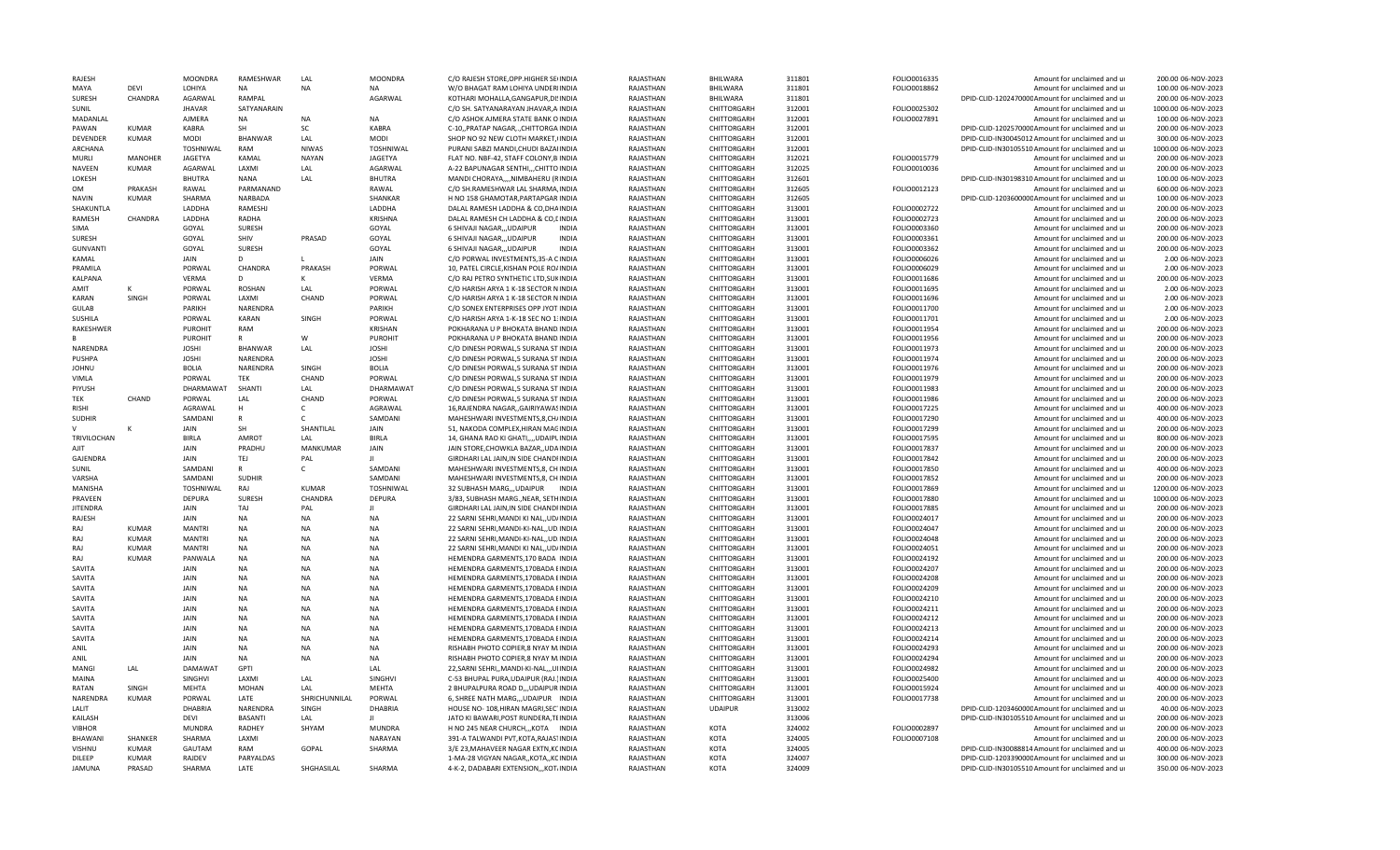| <b>RAJFSH</b>           |                | <b>MOONDRA</b>   | RAMESHWAR        | LAL           | <b>MOONDRA</b>   | C/O RAJESH STORE, OPP. HIGHER SE(INDIA                                         | RAIASTHAN              | <b>BHILWARA</b> | 311801           | FOLIO0016335 | Amount for unclaimed and ur                                                                         | 200.00 06-NOV-2023                       |
|-------------------------|----------------|------------------|------------------|---------------|------------------|--------------------------------------------------------------------------------|------------------------|-----------------|------------------|--------------|-----------------------------------------------------------------------------------------------------|------------------------------------------|
| MAYA                    | DEVI           | LOHIYA           | NA               | NA            | NA               | W/O BHAGAT RAM LOHIYA UNDERIINDIA                                              | RAJASTHAN              | BHILWARA        | 311801           | FOLIO0018862 | Amount for unclaimed and ur                                                                         | 100.00 06-NOV-2023                       |
| <b>SURESH</b>           | CHANDRA        | AGARWAL          | RAMPAL           |               | AGARWAL          | KOTHARI MOHALLA, GANGAPUR, DISINDIA                                            | RAJASTHAN              | BHILWARA        | 311801           |              | DPID-CLID-120247000C Amount for unclaimed and ur                                                    | 200.00 06-NOV-2023                       |
| SUNIL                   |                | <b>JHAVAR</b>    | SATYANARAIN      |               |                  | C/O SH. SATYANARAYAN JHAVAR, A INDIA                                           | RAJASTHAN              | CHITTORGARH     | 312001           | FOLIO0025302 | Amount for unclaimed and ur                                                                         | 1000.00 06-NOV-2023                      |
| MADANLAL                |                | AJMERA           | NA               | <b>NA</b>     | <b>NA</b>        | C/O ASHOK AJMERA STATE BANK O INDIA                                            | RAJASTHAN              | CHITTORGARH     | 312001           | FOLIO0027891 | Amount for unclaimed and ur                                                                         | 100.00 06-NOV-2023                       |
| PAWAN                   | <b>KUMAR</b>   | KABRA            | SH               | SC            | <b>KABRA</b>     | C-10,, PRATAP NAGAR,., CHITTORGA INDIA                                         | RAJASTHAN              | CHITTORGARH     | 312001           |              | DPID-CLID-120257000CAmount for unclaimed and ur                                                     | 200.00 06-NOV-2023                       |
| <b>DEVENDER</b>         | <b>KUMAR</b>   | MODI             | <b>BHANWAR</b>   | LAL           | <b>MODI</b>      | SHOP NO 92 NEW CLOTH MARKET, (INDIA                                            | RAJASTHAN              | CHITTORGARH     | 312001           |              | DPID-CLID-IN30045012 Amount for unclaimed and ur                                                    | 300.00 06-NOV-2023                       |
| <b>ARCHANA</b>          |                | <b>TOSHNIWAL</b> | RAM              | <b>NIWAS</b>  | <b>TOSHNIWAL</b> | PURANI SABZI MANDI.CHUDI BAZAHNDIA                                             | RAJASTHAN              | CHITTORGARH     | 312001           |              | DPID-CLID-IN30105510 Amount for unclaimed and ur                                                    | 1000.00 06-NOV-2023                      |
| MURLI                   | MANOHFF        | <b>JAGETYA</b>   | KAMAL            | <b>NAYAN</b>  | <b>JAGETYA</b>   | FLAT NO. NBF-42, STAFF COLONY, BINDIA                                          | RAJASTHAN              | CHITTORGARH     | 312021           | FOLIO0015779 | Amount for unclaimed and ur                                                                         | 200.00 06-NOV-2023                       |
| <b>NAVEEN</b>           | <b>KUMAR</b>   | AGARWAL          | LAXMI            | LAL           | AGARWAL          | A-22 BAPUNAGAR SENTHI,,,CHITTO INDIA                                           | RAJASTHAN              | CHITTORGARH     | 312025           | FOLIO0010036 | Amount for unclaimed and ur                                                                         | 200.00 06-NOV-2023                       |
| LOKESH                  |                | <b>BHUTRA</b>    | <b>NANA</b>      | LAL           | BHUTRA           | MANDI CHORAYA,,,,NIMBAHERU (RINDIA                                             | RAJASTHAN              | CHITTORGARH     | 312601           |              | DPID-CLID-IN30198310 Amount for unclaimed and ur                                                    | 100.00 06-NOV-2023                       |
| <b>OM</b>               | PRAKASH        | RAWAL            | PARMANAND        |               | RAWAL            | C/O SH.RAMESHWAR LAL SHARMA, INDIA                                             | RAIASTHAN              | CHITTORGARH     | 312605           | FOLIO0012123 | Amount for unclaimed and u                                                                          | 600.00 06-NOV-2023                       |
| <b>NAVIN</b>            | <b>KUMAR</b>   | SHARMA           | NARBADA          |               | SHANKAR          | H NO 158 GHAMOTAR, PARTAPGAR INDIA                                             | RAJASTHAN              | CHITTORGARH     | 312605           |              | DPID-CLID-120360000CAmount for unclaimed and ur                                                     | 100.00 06-NOV-2023                       |
| SHAKUNTLA               |                | LADDHA           | RAMESHJ          |               | LADDHA           | DALAL RAMESH LADDHA & CO, DHAINDIA                                             | RAJASTHAN              | CHITTORGARH     | 313001           | FOLIO0002722 | Amount for unclaimed and ur                                                                         | 200.00 06-NOV-2023                       |
| RAMESH                  | CHANDRA        | LADDHA           | RADHA            |               | <b>KRISHNA</b>   | DALAL RAMESH CH LADDHA & CO, LINDIA                                            | RAJASTHAN              | CHITTORGARH     | 313001           | FOLIO0002723 | Amount for unclaimed and ur                                                                         | 200.00 06-NOV-2023                       |
| SIMA                    |                | GOYAL            | SURESH           |               | GOYAL            | 6 SHIVAJI NAGAR,,, UDAIPUR<br><b>INDIA</b>                                     | RAJASTHAN              | CHITTORGARH     | 313001           | FOLIO0003360 | Amount for unclaimed and ur                                                                         | 200.00 06-NOV-2023                       |
| <b>SURESH</b>           |                | GOYAL            | SHIV             | PRASAD        | GOYAL            | 6 SHIVAJI NAGAR,,,UDAIPUR<br><b>INDIA</b>                                      | RAJASTHAN              | CHITTORGARH     | 313001           | FOLIO0003361 | Amount for unclaimed and ur                                                                         | 200.00 06-NOV-2023                       |
| <b>GUNVANTI</b>         |                | GOYAL            | <b>SURESH</b>    |               | GOYAL            | 6 SHIVAJI NAGAR,,,UDAIPUR<br><b>INDIA</b>                                      | RAJASTHAN              | CHITTORGARH     | 313001           | FOLIO0003362 | Amount for unclaimed and ur                                                                         | 200.00 06-NOV-2023                       |
| KAMAL                   |                | JAIN             | D                | т.            | JAIN             | C/O PORWAL INVESTMENTS, 35-A CINDIA                                            | RAJASTHAN              | CHITTORGARH     | 313001           | FOLIO0006026 | Amount for unclaimed and ur                                                                         | 2.00 06-NOV-2023                         |
| PRAMILA                 |                | PORWAL           | CHANDRA          | PRAKASH       | PORWAL           | 10, PATEL CIRCLE, KISHAN POLE RO/INDIA                                         | RAJASTHAN              | CHITTORGARH     | 313001           | FOLIO0006029 | Amount for unclaimed and ur                                                                         | 2.00 06-NOV-2023                         |
| KALPANA                 |                | VERMA            | D                | к             | <b>VERMA</b>     | C/O RAJ PETRO SYNTHETIC LTD, SUKINDIA                                          | RAJASTHAN              | CHITTORGARH     | 313001           | FOLIO0011686 | Amount for unclaimed and ur                                                                         | 200.00 06-NOV-2023                       |
| AMIT                    | к              | PORWAL           | ROSHAN           | LAL           | PORWAL           | C/O HARISH ARYA 1 K-18 SECTOR N INDIA                                          | RAJASTHAN              | CHITTORGARH     | 313001           | FOLIO0011695 | Amount for unclaimed and ur                                                                         | 2.00 06-NOV-2023                         |
| KARAN                   | <b>SINGH</b>   | PORWAL           | LAXMI            | CHAND         | PORWAL           | C/O HARISH ARYA 1 K-18 SECTOR N INDIA                                          | RAJASTHAN              | CHITTORGARH     | 313001           | FOLIO0011696 | Amount for unclaimed and ur                                                                         | 2.00 06-NOV-2023                         |
| GULAB                   |                | <b>PARIKH</b>    | NARENDRA         |               | <b>PARIKH</b>    | C/O SONEX ENTERPRISES OPP JYOT INDIA                                           | RAJASTHAN              | CHITTORGARH     | 313001           | FOLIO0011700 | Amount for unclaimed and ur                                                                         | 2.00 06-NOV-2023                         |
| SUSHILA                 |                | PORWAL           | KARAN            | SINGH         | PORWAL           | C/O HARISH ARYA 1-K-18 SEC NO 1: INDIA                                         | RAJASTHAN              | CHITTORGARH     | 313001           | FOLIO0011701 | Amount for unclaimed and ur                                                                         | 2.00 06-NOV-2023                         |
| RAKESHWER               |                | <b>PUROHIT</b>   | RAM              |               | <b>KRISHAN</b>   | POKHARANA U P BHOKATA BHAND INDIA                                              | RAJASTHAN              | CHITTORGARH     | 313001           | FOLIO0011954 | Amount for unclaimed and ur                                                                         | 200.00 06-NOV-2023                       |
|                         |                | <b>PUROHIT</b>   | R                | W             | <b>PUROHIT</b>   | POKHARANA U P BHOKATA BHAND INDIA                                              | RAJASTHAN              | CHITTORGARH     | 313001           | FOLIO0011956 | Amount for unclaimed and ur                                                                         | 200.00 06-NOV-2023                       |
| NARENDRA                |                | <b>JOSHI</b>     | <b>BHANWAR</b>   | LAL           | <b>JOSHI</b>     | C/O DINESH PORWAL,5 SURANA ST INDIA                                            | RAJASTHAN              | CHITTORGARH     | 313001           | FOLIO0011973 | Amount for unclaimed and ur                                                                         | 200.00 06-NOV-2023                       |
| PUSHPA                  |                | <b>JOSHI</b>     | NARFNDRA         |               | <b>JOSHI</b>     | C/O DINESH PORWAL,5 SURANA ST INDIA                                            | RAJASTHAN              | CHITTORGARH     | 313001           | FOLIO0011974 | Amount for unclaimed and ur                                                                         | 200.00 06-NOV-2023                       |
| <b>JOHNU</b>            |                | <b>BOLIA</b>     | <b>NARENDRA</b>  | SINGH         | <b>BOLIA</b>     | C/O DINESH PORWAL 5 SURANA ST INDIA                                            | RAIASTHAN              | CHITTORGARH     | 313001           | FOLIO0011976 | Amount for unclaimed and ur                                                                         | 200.00 06-NOV-2023                       |
| <b>VIMLA</b>            |                | PORWAL           | TEK              | CHAND         | PORWAL           | C/O DINESH PORWAL,5 SURANA ST INDIA                                            | RAJASTHAN              | CHITTORGARH     | 313001           | FOLIO0011979 | Amount for unclaimed and ur                                                                         | 200.00 06-NOV-2023                       |
| PIYUSH                  |                | DHARMAWAT        | SHANTI           | LAL           | DHARMAWAT        | C/O DINESH PORWAL,5 SURANA ST INDIA                                            | RAJASTHAN              | CHITTORGARH     | 313001           | FOLIO0011983 | Amount for unclaimed and ur                                                                         | 200.00 06-NOV-2023                       |
| TEK                     | CHAND          | PORWAL           | LAL              | CHAND         | PORWAL           | C/O DINESH PORWAL,5 SURANA ST INDIA                                            | RAJASTHAN              | CHITTORGARH     | 313001           | FOLIO0011986 | Amount for unclaimed and ur                                                                         | 200.00 06-NOV-2023                       |
| <b>RISHI</b>            |                | AGRAWAL          | H                | C             | AGRAWAL          | 16, RAJENDRA NAGAR, GAIRIYAWASINDIA                                            | RAJASTHAN              | CHITTORGARH     | 313001           | FOLIO0017225 | Amount for unclaimed and ur                                                                         | 400.00 06-NOV-2023                       |
| <b>SUDHIR</b>           |                | SAMDANI          | R                | $\mathsf{C}$  | SAMDANI          | MAHESHWARI INVESTMENTS, 8, CH/INDIA                                            | RAJASTHAN              | CHITTORGARH     | 313001           | FOLIO0017290 | Amount for unclaimed and ur                                                                         | 400.00 06-NOV-2023                       |
|                         |                | JAIN             | SH               | SHANTILAL     | JAIN             | 51, NAKODA COMPLEX, HIRAN MAGINDIA                                             | RAJASTHAN              | CHITTORGARH     | 313001           | FOLIO0017299 | Amount for unclaimed and ur                                                                         | 200.00 06-NOV-2023                       |
| <b>TRIVILOCHAN</b>      |                | <b>BIRLA</b>     | AMROT            | LAL           | <b>BIRLA</b>     | 14, GHANA RAO KI GHATI,,,,UDAIPLINDIA                                          | RAJASTHAN              | CHITTORGARH     | 313001           | FOLIO0017595 | Amount for unclaimed and ur                                                                         | 800.00 06-NOV-2023                       |
| AIIT                    |                | <b>JAIN</b>      | PRADHU           | MANKUMAR      | JAIN             | JAIN STORE, CHOWKLA BAZAR, , UDAINDIA                                          | RAJASTHAN              | CHITTORGARH     | 313001           | FOLIO0017837 | Amount for unclaimed and ur                                                                         | 200.00 06-NOV-2023                       |
| GAJENDRA                |                | JAIN             | TEJ              | PAL           |                  | GIRDHARI LAL JAIN, IN SIDE CHANDFINDIA                                         | RAJASTHAN              | CHITTORGARH     | 313001           | FOLIO0017842 | Amount for unclaimed and ur                                                                         | 200.00 06-NOV-2023                       |
| SUNIL                   |                | SAMDANI          | R                | $\mathsf{C}$  | SAMDANI          | MAHESHWARI INVESTMENTS, 8, CH INDIA                                            | RAJASTHAN              | CHITTORGARH     | 313001           | FOLIO0017850 | Amount for unclaimed and ur                                                                         | 400.00 06-NOV-2023                       |
| VARSHA                  |                | SAMDANI          | <b>SUDHIR</b>    |               | SAMDANI          | MAHESHWARI INVESTMENTS, 8, CH INDIA                                            | RAJASTHAN              | CHITTORGARH     | 313001           | FOLIO0017852 | Amount for unclaimed and u                                                                          | 200.00 06-NOV-2023                       |
| <b>MANISHA</b>          |                | TOSHNIWAL        | RAJ              | <b>KUMAR</b>  | <b>TOSHNIWAL</b> | 32 SUBHASH MARG,,, UDAIPUR INDIA                                               | RAJASTHAN              | CHITTORGARH     | 313001           | FOLIO0017869 | Amount for unclaimed and ur                                                                         | 1200.00 06-NOV-2023                      |
| PRAVEEN                 |                | <b>DEPURA</b>    | SURESH           | CHANDRA       | <b>DEPURA</b>    | 3/83, SUBHASH MARG., NEAR, SETHINDIA                                           | RAJASTHAN              | CHITTORGARH     | 313001           | FOLIO0017880 | Amount for unclaimed and ur                                                                         | 1000.00 06-NOV-2023                      |
| <b>JITENDRA</b>         |                | JAIN             | TAJ              | PAL           | $\mathbf{H}$     | GIRDHARI LAL JAIN, IN SIDE CHANDFINDIA                                         | RAJASTHAN              | CHITTORGARH     | 313001           | FOLIO0017885 | Amount for unclaimed and ur                                                                         | 200.00 06-NOV-2023                       |
| <b>RAJFSH</b>           |                | JAIN             | <b>NA</b>        | NA            | <b>NA</b>        | 22 SARNI SEHRI, MANDI KI NAL,, UD/INDIA                                        | RAJASTHAN              | CHITTORGARH     | 313001           | FOLIO0024017 | Amount for unclaimed and ur                                                                         | 200.00 06-NOV-2023                       |
| RAI                     | <b>KUMAR</b>   | <b>MANTRI</b>    | <b>NA</b>        | <b>NA</b>     | <b>NA</b>        | 22 SARNI SEHRI, MANDI-KI-NAL, , UD. INDIA                                      | RAJASTHAN              | CHITTORGARH     | 313001           | FOLIO0024047 | Amount for unclaimed and ur                                                                         | 200.00 06-NOV-2023                       |
| RAI                     | KUMAR          | <b>MANTRI</b>    | <b>NA</b>        | NA            | NA               | 22 SARNI SEHRI, MANDI-KI-NAL, , UD. INDIA                                      | RAJASTHAN              | CHITTORGARH     | 313001           | FOLIO0024048 | Amount for unclaimed and ur                                                                         | 200.00 06-NOV-2023                       |
| RAI                     | KUMAR          | <b>MANTRI</b>    | <b>NA</b>        | <b>NA</b>     | <b>NA</b>        | 22 SARNI SEHRI.MANDI KI NAL., UD/INDIA                                         | RAJASTHAN              | CHITTORGARH     | 313001           | FOLIO0024051 | Amount for unclaimed and u                                                                          | 200.00 06-NOV-2023                       |
| RAI                     | <b>KUMAR</b>   | PANWALA          | <b>NA</b>        | <b>NA</b>     | <b>NA</b>        | HEMENDRA GARMENTS, 170 BADA INDIA                                              | RAJASTHAN              | CHITTORGARH     | 313001           | FOLIO0024192 | Amount for unclaimed and ur                                                                         | 200.00 06-NOV-2023                       |
| SAVITA                  |                | JAIN             | <b>NA</b>        | <b>NA</b>     | NA               | HEMENDRA GARMENTS, 170BADA EINDIA                                              | RAJASTHAN              | CHITTORGARH     | 313001           | FOLIO0024207 | Amount for unclaimed and ur                                                                         | 200.00 06-NOV-2023                       |
| SAVITA                  |                | <b>JAIN</b>      | <b>NA</b>        | <b>NA</b>     | <b>NA</b>        | HEMENDRA GARMENTS, 170BADA EINDIA                                              | RAJASTHAN              | CHITTORGARH     | 313001           | FOLIO0024208 | Amount for unclaimed and ur                                                                         | 200.00 06-NOV-2023                       |
| SAVITA                  |                | JAIN             | <b>NA</b>        | NA            | <b>NA</b>        | HEMENDRA GARMENTS, 170BADA EINDIA                                              | RAJASTHAN              | CHITTORGARH     | 313001           | FOLIO0024209 | Amount for unclaimed and ur                                                                         | 200.00 06-NOV-2023                       |
| SAVITA                  |                | JAIN             | <b>NA</b>        | <b>NA</b>     | <b>NA</b>        | HEMENDRA GARMENTS, 170BADA EINDIA                                              | RAJASTHAN              | CHITTORGARH     | 313001           | FOLIO0024210 | Amount for unclaimed and ur                                                                         | 200.00 06-NOV-2023                       |
| SAVITA                  |                | JAIN             | <b>NA</b>        | <b>NA</b>     | <b>NA</b>        | HEMENDRA GARMENTS, 170BADA EINDIA                                              | RAJASTHAN              | CHITTORGARH     | 313001           | FOLIO0024211 | Amount for unclaimed and ur                                                                         | 200.00 06-NOV-2023                       |
| SAVITA                  |                | JAIN             | <b>NA</b>        | NA            | <b>NA</b>        | HEMENDRA GARMENTS, 170BADA EINDIA                                              | RAJASTHAN              | CHITTORGARH     | 313001           | FOLIO0024212 | Amount for unclaimed and ur                                                                         | 200.00 06-NOV-2023                       |
| SAVITA                  |                | <b>JAIN</b>      | <b>NA</b>        | <b>NA</b>     | <b>NA</b>        | HEMENDRA GARMENTS, 170BADA EINDIA                                              | RAJASTHAN              | CHITTORGARH     | 313001           | FOLIO0024213 | Amount for unclaimed and ur                                                                         | 200.00 06-NOV-2023                       |
| SAVITA                  |                | JAIN             | <b>NA</b>        | <b>NA</b>     | <b>NA</b>        | HEMENDRA GARMENTS, 170BADA EINDIA                                              | RAJASTHAN              | CHITTORGARH     | 313001           | FOLIO0024214 | Amount for unclaimed and ur                                                                         | 200.00 06-NOV-2023                       |
| <b>ANIL</b>             |                | JAIN             | <b>NA</b>        | NA            | <b>NA</b>        | RISHABH PHOTO COPIER,8 NYAY M.INDIA                                            | RAIASTHAN              | CHITTORGARH     | 313001           | FOLIO0024293 | Amount for unclaimed and ur                                                                         | 200.00 06-NOV-2023                       |
| <b>ANIL</b>             |                | JAIN             | NA               | <b>NA</b>     | <b>NA</b>        | RISHABH PHOTO COPIER,8 NYAY M.INDIA                                            | RAIASTHAN              | CHITTORGARH     | 313001           | FOLIO0024294 | Amount for unclaimed and ur                                                                         | 200.00 06-NOV-2023                       |
| <b>MANG</b>             | LAL            | <b>DAMAWAT</b>   | GPTI             |               | LAL              | 22, SARNI SEHRI,, MANDI-KI-NAL,,, UIINDIA                                      | RAJASTHAN              | CHITTORGARH     | 313001           | FOLIO0024982 | Amount for unclaimed and ur                                                                         | 200.00 06-NOV-2023                       |
| <b>MAINA</b>            |                | SINGHVI          | LAXMI            | LAL           | SINGHVI          | C-53 BHUPAL PURA, UDAIPUR (RAJ.) INDIA                                         | RAJASTHAN              | CHITTORGARH     | 313001           | FOLIO0025400 | Amount for unclaimed and ur                                                                         | 400.00 06-NOV-2023                       |
| RATAN                   | SINGH          | MEHTA            | <b>MOHAN</b>     | LAL           | MEHTA            | 2 BHUPALPURA ROAD D,,,UDAIPUR INDIA                                            | RAJASTHAN              | CHITTORGARH     | 313001           | FOLIO0015924 | Amount for unclaimed and ur                                                                         | 400.00 06-NOV-2023                       |
| NARENDRA                | <b>KUMAR</b>   | PORWAL           | LATE             | SHRICHUNNILAL | PORWAL           | 6, SHREE NATH MARG,,, UDAIPUR INDIA                                            | RAJASTHAN              | CHITTORGARH     | 313001           | FOLIO0017738 | Amount for unclaimed and ur                                                                         | 200.00 06-NOV-2023                       |
|                         |                | <b>DHABRIA</b>   | NARENDRA         | SINGH         | <b>DHABRIA</b>   | HOUSE NO-108, HIRAN MAGRI, SECTINDIA                                           | RAJASTHAN              | <b>UDAIPUR</b>  | 313002           |              | DPID-CLID-120346000CAmount for unclaimed and ur                                                     | 40.00 06-NOV-2023                        |
| LALIT                   |                |                  |                  |               |                  |                                                                                |                        |                 |                  |              |                                                                                                     |                                          |
| KAILASH                 |                | DEVI             | BASANTI          | LAL           | Ш                | JATO KI BAWARI, POST RUNDERA, TEINDIA                                          | RAJASTHAN              |                 | 313006           |              | DPID-CLID-IN30105510 Amount for unclaimed and ur                                                    | 200.00 06-NOV-2023                       |
| <b>VIBHOR</b>           |                | <b>MUNDRA</b>    | RADHEY           | SHYAM         | <b>MUNDRA</b>    | H NO 245 NEAR CHURCH,,,KOTA INDIA                                              | RAJASTHAN              | KOTA            | 324002           | FOLIO0002897 | Amount for unclaimed and ur                                                                         | 200.00 06-NOV-2023                       |
| <b>BHAWANI</b>          | <b>SHANKFF</b> | SHARMA           | <b>LAXMI</b>     |               |                  |                                                                                |                        | KOTA            |                  |              | Amount for unclaimed and u                                                                          | 200.00 06-NOV-2023                       |
|                         | KUMAR          |                  |                  | GOPAL         | NARAYAN          | 391-A TALWANDI PVT, KOTA, RAJASTINDIA                                          | RAJASTHAN              | KOTA            | 324005           | FOLIO0007108 |                                                                                                     |                                          |
| <b>VISHNU</b><br>DILEEP | <b>KUMAR</b>   | GAUTAM<br>RAJDEV | RAM<br>PARYALDAS |               | SHARMA           | 3/E 23, MAHAVEER NAGAR EXTN, KCINDIA                                           | RAJASTHAN<br>RAJASTHAN | <b>KOTA</b>     | 324005<br>324007 |              | DPID-CLID-IN30088814 Amount for unclaimed and ur                                                    | 400.00 06-NOV-2023<br>300.00 06-NOV-2023 |
| <b>JAMUNA</b>           | PRASAD         | SHARMA           | LATE             | SHGHASILAL    | SHARMA           | 1-MA-28 VIGYAN NAGAR,, KOTA,, KCINDIA<br>4-K-2, DADABARI EXTENSION,,,KOT,INDIA | RAJASTHAN              | KOTA            | 324009           |              | DPID-CLID-120339000CAmount for unclaimed and ur<br>DPID-CLID-IN30105510 Amount for unclaimed and ur | 350.00 06-NOV-2023                       |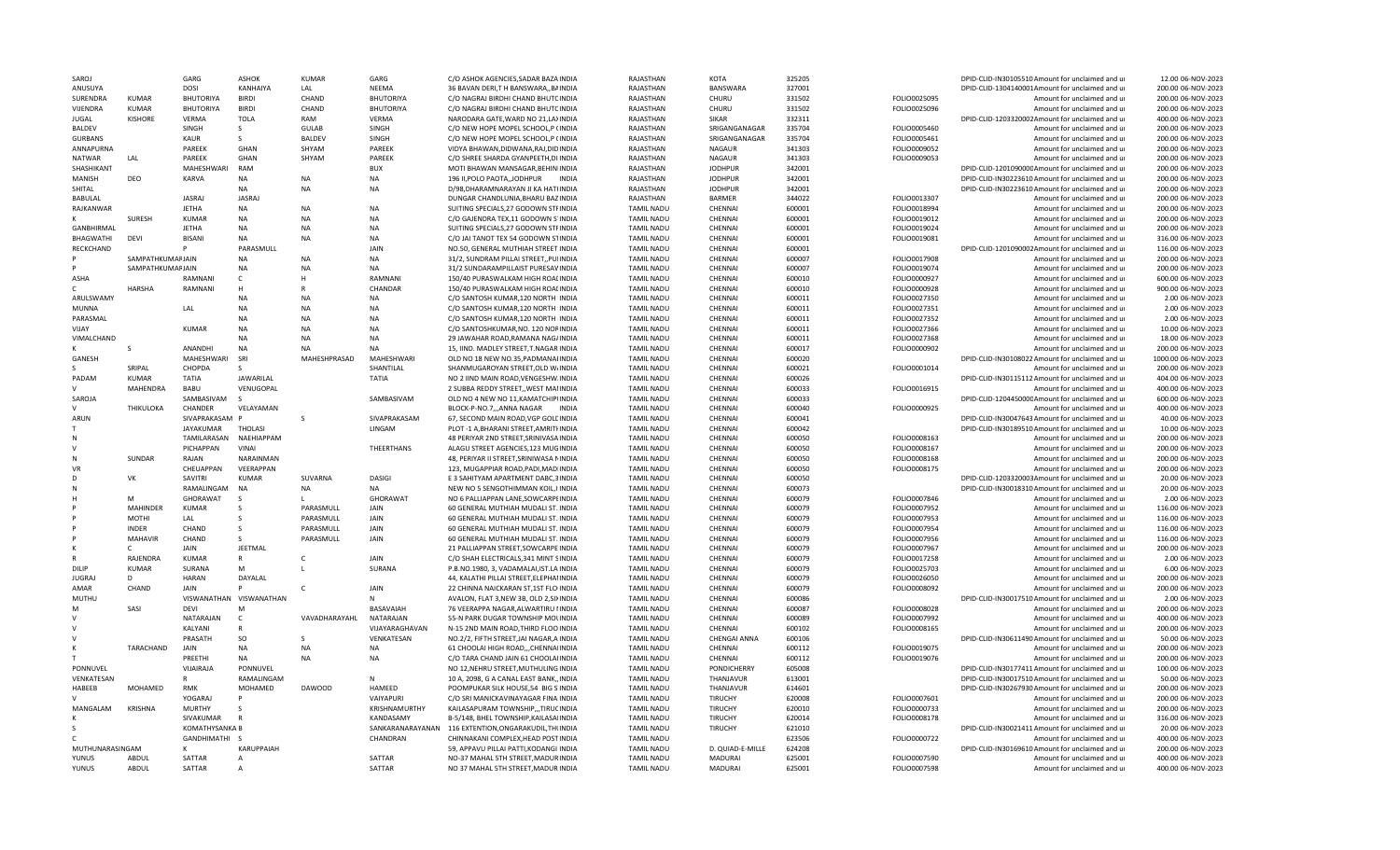| SAROJ                 |                                      | GARG                          | <b>ASHOK</b>               | <b>KUMAR</b>    | GARG                   | C/O ASHOK AGENCIES, SADAR BAZA INDIA                                        | RAJASTHAN                              | KOTA               | 325205           |                              | DPID-CLID-IN30105510 Amount for unclaimed and ur                                | 12.00 06-NOV-2023                         |
|-----------------------|--------------------------------------|-------------------------------|----------------------------|-----------------|------------------------|-----------------------------------------------------------------------------|----------------------------------------|--------------------|------------------|------------------------------|---------------------------------------------------------------------------------|-------------------------------------------|
| ANUSUYA               |                                      | <b>DOSI</b>                   | KANHAIYA                   | LAL             | <b>NEEMA</b>           | 36 BAVAN DERI, TH BANSWARA,, BAINDIA                                        | RAJASTHAN                              | <b>BANSWARA</b>    | 327001           |                              | DPID-CLID-1304140001Amount for unclaimed and ur                                 | 200.00 06-NOV-2023                        |
| SURENDRA              | KUMAR                                | BHUTORIYA                     | <b>BIRDI</b>               | CHAND           | <b>BHUTORIYA</b>       | C/O NAGRAJ BIRDHI CHAND BHUTCINDIA                                          | RAJASTHAN                              | CHURU              | 331502           | FOLIO0025095                 | Amount for unclaimed and ur                                                     | 200.00 06-NOV-2023                        |
| VIJENDRA              | <b>KUMAR</b>                         | <b>BHUTORIYA</b>              | <b>BIRDI</b>               | CHAND           | <b>BHUTORIYA</b>       | C/O NAGRAJ BIRDHI CHAND BHUTCINDIA                                          | RAJASTHAN                              | CHURU              | 331502           | FOLIO0025096                 | Amount for unclaimed and ur                                                     | 200.00 06-NOV-2023                        |
| <b>JUGAL</b>          | <b>KISHORE</b>                       | VERMA                         | <b>TOLA</b>                | RAM             | <b>VERMA</b>           | NARODARA GATE, WARD NO 21, LAXINDIA                                         | RAJASTHAN                              | SIKAR              | 332311           |                              | DPID-CLID-1203320002Amount for unclaimed and ur                                 | 400.00 06-NOV-2023                        |
| <b>BALDEV</b>         |                                      | <b>SINGH</b>                  | <sub>S</sub>               | <b>GULAB</b>    | SINGH                  | C/O NEW HOPE MOPEL SCHOOL, P (INDIA                                         | RAJASTHAN                              | SRIGANGANAGAR      | 335704           | FOLIO0005460                 | Amount for unclaimed and ur                                                     | 200.00 06-NOV-2023                        |
| <b>GURBANS</b>        |                                      | KAUR                          | S                          | <b>BALDEV</b>   | SINGH                  | C/O NEW HOPE MOPEL SCHOOL, P (INDIA                                         | RAJASTHAN                              | SRIGANGANAGAR      | 335704           | FOLIO0005461                 | Amount for unclaimed and ur                                                     | 200.00 06-NOV-2023                        |
| ANNAPURNA             |                                      | PAREEK                        | GHAN                       | SHYAM           | PAREEK                 | VIDYA BHAWAN, DIDWANA, RAJ, DIDINDIA                                        | RAJASTHAN                              | <b>NAGAUR</b>      | 341303           | FOLIO0009052                 | Amount for unclaimed and ur                                                     | 200.00 06-NOV-2023                        |
| <b>NATWAR</b>         | LAL                                  | PAREEK                        | GHAN                       | SHYAM           | PAREEK                 | C/O SHREE SHARDA GYANPEETH.DI INDIA                                         | RAJASTHAN                              | <b>NAGAUR</b>      | 341303           | FOLIO0009053                 | Amount for unclaimed and ur                                                     | 200.00 06-NOV-2023                        |
| SHASHIKANT            |                                      | MAHESHWARI                    | RAM                        |                 | <b>BUX</b>             | MOTI BHAWAN MANSAGAR, BEHINIINDIA                                           | RAJASTHAN                              | <b>JODHPUR</b>     | 342001           |                              | DPID-CLID-120109000CAmount for unclaimed and ur                                 | 200.00 06-NOV-2023                        |
| MANISH                | DEO                                  | KARVA                         | NA                         | NΑ              | NA                     | 196 II, POLO PAOTA, JODHPUR<br><b>INDIA</b>                                 | RAJASTHAN                              | <b>JODHPUR</b>     | 342001           |                              | DPID-CLID-IN30223610 Amount for unclaimed and ur                                | 200.00 06-NOV-2023                        |
| SHITAL                |                                      |                               | NA                         | <b>NA</b>       | <b>NA</b>              | D/98, DHARAMNARAYAN JI KA HATHNDIA                                          | RAJASTHAN                              | <b>JODHPUR</b>     | 342001           |                              | DPID-CLID-IN30223610 Amount for unclaimed and ur                                | 200.00 06-NOV-2023                        |
| <b>BABULAL</b>        |                                      | <b>JASRAJ</b>                 | <b>JASRAI</b>              |                 |                        | DUNGAR CHANDLUNIA, BHARU BAZINDIA                                           | RAJASTHAN                              | <b>BARMER</b>      | 344022           | FOLIO0013307                 | Amount for unclaimed and ur                                                     | 200.00 06-NOV-2023                        |
| RAJKANWAR             |                                      | <b>JETHA</b>                  | <b>NA</b>                  | <b>NA</b>       | <b>NA</b>              | SUITING SPECIALS, 27 GODOWN STFINDIA                                        | <b>TAMIL NADL</b>                      | CHENNAI            | 600001           | FOLIO0018994                 | Amount for unclaimed and ur                                                     | 200.00 06-NOV-2023                        |
| ĸ<br><b>GANBHIRMA</b> | SURESH                               | <b>KUMAR</b>                  | <b>NA</b>                  | <b>NA</b><br>NA | <b>NA</b><br><b>NA</b> | C/O GAJENDRA TEX, 11 GODOWN S'INDIA                                         | <b>TAMIL NADU</b>                      | CHENNAI            | 600001           | FOLIO0019012                 | Amount for unclaimed and ur                                                     | 200.00 06-NOV-2023                        |
|                       |                                      | <b>JETHA</b><br><b>BISANI</b> | <b>NA</b><br><b>NA</b>     | NA              | <b>NA</b>              | SUITING SPECIALS, 27 GODOWN STFINDIA                                        | <b>TAMIL NADU</b>                      | CHENNAI            | 600001           | FOLIO0019024                 | Amount for unclaimed and ur                                                     | 200.00 06-NOV-2023                        |
| BHAGWATHI             | DEVI                                 |                               |                            |                 | JAIN                   | C/O JAI TANOT TEX 54 GODOWN STINDIA                                         | <b>TAMIL NADU</b>                      | CHENNAI            | 600001           | FOLIO0019081                 | Amount for unclaimed and ur                                                     | 316.00 06-NOV-2023                        |
| RECKCHAND             |                                      |                               | PARASMULL<br><b>NA</b>     | NA              | <b>NA</b>              | NO.50, GENERAL MUTHIAH STREET INDIA                                         | <b>TAMIL NADU</b>                      | CHENNAI<br>CHENNAI | 600001<br>600007 |                              | DPID-CLID-1201090002Amount for unclaimed and ur                                 | 116.00 06-NOV-2023                        |
|                       | SAMPATHKUMAFJAIN<br>SAMPATHKUMAFJAIN |                               | <b>NA</b>                  | <b>NA</b>       | <b>NA</b>              | 31/2, SUNDRAM PILLAI STREET, PUIINDIA<br>31/2 SUNDARAMPILLAIST PURESAVINDIA | <b>TAMIL NADU</b><br><b>TAMIL NADU</b> | CHENNAI            | 600007           | FOLIO0017908<br>FOLIO0019074 | Amount for unclaimed and ur<br>Amount for unclaimed and ur                      | 200.00 06-NOV-2023<br>200.00 06-NOV-2023  |
| ASHA                  |                                      | RAMNANI                       | C                          | н               | RAMNANI                | 150/40 PURASWALKAM HIGH ROALINDIA                                           | <b>TAMIL NADU</b>                      | CHENNAI            | 600010           | FOLIO0000927                 |                                                                                 | 600.00 06-NOV-2023                        |
|                       | HARSHA                               | RAMNANI                       | н                          | R               | CHANDAR                | 150/40 PURASWALKAM HIGH ROALINDIA                                           | <b>TAMIL NADU</b>                      | CHENNAI            | 600010           | FOLIO0000928                 | Amount for unclaimed and ur<br>Amount for unclaimed and ur                      | 900.00 06-NOV-2023                        |
| ARULSWAMY             |                                      |                               | <b>NA</b>                  | NA              | <b>NA</b>              | C/O SANTOSH KUMAR, 120 NORTH IINDIA                                         | <b>TAMIL NADU</b>                      | CHENNAI            | 600011           | FOLIO0027350                 | Amount for unclaimed and ur                                                     | 2.00 06-NOV-2023                          |
| MUNNA                 |                                      | LAI                           | <b>NA</b>                  | <b>NA</b>       | <b>NA</b>              | C/O SANTOSH KUMAR.120 NORTH IINDIA                                          | <b>TAMIL NADU</b>                      | <b>CHENNAI</b>     | 600011           | FOLIO0027351                 | Amount for unclaimed and ur                                                     | 2.00 06-NOV-2023                          |
| PARASMAL              |                                      |                               | <b>NA</b>                  | N <sub>A</sub>  | NΔ                     |                                                                             |                                        |                    |                  |                              |                                                                                 |                                           |
| VIJAY                 |                                      | KUMAR                         | <b>NA</b>                  | NA              | NA                     | C/O SANTOSH KUMAR, 120 NORTH IINDIA<br>C/O SANTOSHKUMAR, NO. 120 NORINDIA   | <b>TAMIL NADU</b><br><b>TAMIL NADU</b> | CHENNAI<br>CHENNAI | 600011<br>600011 | FOLIO0027352<br>FOLIO0027366 | Amount for unclaimed and ur<br>Amount for unclaimed and ur                      | 2.00 06-NOV-2023<br>10.00 06-NOV-2023     |
| VIMALCHAND            |                                      |                               | <b>NA</b>                  | <b>NA</b>       | <b>NA</b>              | 29 JAWAHAR ROAD, RAMANA NAG/INDIA                                           | <b>TAMIL NADU</b>                      | CHENNAI            | 600011           | FOLIO0027368                 | Amount for unclaimed and ur                                                     | 18.00 06-NOV-2023                         |
|                       | S                                    |                               |                            | <b>NA</b>       | <b>NA</b>              |                                                                             |                                        |                    |                  |                              |                                                                                 | 200.00 06-NOV-2023                        |
|                       |                                      | ANANDHI                       | <b>NA</b><br>SRI           |                 |                        | 15, IIND. MADLEY STREET, T.NAGAR INDIA                                      | <b>TAMIL NADU</b>                      | CHENNAI            | 600017           | FOLIO0000902                 | Amount for unclaimed and ur                                                     |                                           |
| GANESH                | SRIPAL                               | MAHESHWARI<br>CHOPDA          | S                          | MAHESHPRASAD    | MAHESHWAR<br>SHANTILAL | OLD NO 18 NEW NO.35, PADMANAHNDIA<br>SHANMUGAROYAN STREET, OLD W/INDIA      | <b>TAMIL NADU</b><br><b>TAMIL NADU</b> | CHENNAI<br>CHENNAI | 600020<br>600021 |                              | DPID-CLID-IN30108022 Amount for unclaimed and ur<br>Amount for unclaimed and ur | 1000.00 06-NOV-2023<br>200.00 06-NOV-2023 |
| PADAM                 | KUMAR                                | <b>TATIA</b>                  | <b>JAWARILAL</b>           |                 | <b>TATIA</b>           | NO 2 IIND MAIN ROAD, VENGESHW. INDIA                                        | <b>TAMIL NADU</b>                      | CHENNAI            | 600026           | FOLIO0001014                 | DPID-CLID-IN30115112 Amount for unclaimed and ur                                | 404.00 06-NOV-2023                        |
| $\mathcal{L}$         | <b>MAHENDRA</b>                      | BABU                          |                            |                 |                        |                                                                             |                                        |                    |                  |                              |                                                                                 |                                           |
|                       |                                      |                               | VENUGOPAL<br>$\mathcal{S}$ |                 |                        | 2 SUBBA REDDY STREET,, WEST MANNDIA                                         | <b>TAMIL NADU</b>                      | CHENNAI            | 600033           | FOLIO0016915                 | Amount for unclaimed and ur<br>DPID-CLID-120445000CAmount for unclaimed and ur  | 400.00 06-NOV-2023                        |
| SAROJA<br>v           | THIKULOKA                            | SAMBASIVAM<br>CHANDER         | VELAYAMAN                  |                 | SAMBASIVAM             | OLD NO 4 NEW NO 11, KAMATCHIPUNDIA<br>BLOCK-P-NO.7,,,ANNA NAGAR INDIA       | <b>TAMIL NADU</b>                      | CHENNAI<br>CHENNAI | 600033<br>600040 | FOLIO0000925                 |                                                                                 | 600.00 06-NOV-2023<br>400.00 06-NOV-2023  |
| ARUN                  |                                      | SIVAPRAKASAM P                |                            | - S             | SIVAPRAKASAM           | 67, SECOND MAIN ROAD, VGP GOLL INDIA                                        | <b>TAMIL NADU</b><br><b>TAMIL NADU</b> | CHENNAI            | 600041           |                              | Amount for unclaimed and ur<br>DPID-CLID-IN30047643 Amount for unclaimed and ur | 40.00 06-NOV-2023                         |
|                       |                                      | JAYAKUMAR                     | <b>THOLASI</b>             |                 | LINGAM                 | PLOT-1 A, BHARANI STREET, AMRITHNDIA                                        | <b>TAMIL NADU</b>                      | CHENNAI            | 600042           |                              | DPID-CLID-IN30189510 Amount for unclaimed and ur                                | 10.00 06-NOV-2023                         |
| N                     |                                      | TAMILARASAN                   | NAEHIAPPAM                 |                 |                        | 48 PERIYAR 2ND STREET, SRINIVASA INDIA                                      | <b>TAMIL NADU</b>                      | CHENNAI            | 600050           | FOLIO0008163                 | Amount for unclaimed and ur                                                     | 200.00 06-NOV-2023                        |
|                       |                                      | PICHAPPAN                     | VINAI                      |                 | THEERTHANS             | ALAGU STREET AGENCIES, 123 MUGINDIA                                         | <b>TAMIL NADU</b>                      | CHENNAI            | 600050           | FOLIO0008167                 | Amount for unclaimed and ur                                                     | 200.00 06-NOV-2023                        |
| N                     | SUNDAR                               | RAIAN                         | <b>NARAINMAN</b>           |                 |                        | 48. PERIYAR II STREET.SRINIWASA NINDIA                                      | TAMIL NADL                             | <b>CHENNAI</b>     | 600050           | FOLIO0008168                 | Amount for unclaimed and ur                                                     | 200.00 06-NOV-2023                        |
| VR                    |                                      | CHEUAPPAN                     | VFFRAPPAN                  |                 |                        | 123, MUGAPPIAR ROAD, PADI, MADIINDIA                                        | <b>TAMIL NADU</b>                      | CHENNAI            | 600050           | FOLIO0008175                 | Amount for unclaimed and ur                                                     | 200.00 06-NOV-2023                        |
| D                     | VK                                   | SAVITRI                       | <b>KUMAR</b>               | SUVARNA         | <b>DASIGI</b>          | E 3 SAHITYAM APARTMENT DABC, 3 INDIA                                        | <b>TAMIL NADU</b>                      | CHENNAI            | 600050           |                              | DPID-CLID-1203320003Amount for unclaimed and ur                                 | 20.00 06-NOV-2023                         |
| N                     |                                      | RAMALINGAM                    | <b>NA</b>                  | NA              | <b>NA</b>              | NEW NO 5 SENGOTHIMMAN KOIL, IIINDIA                                         | <b>TAMIL NADU</b>                      | CHENNAI            | 600073           |                              | DPID-CLID-IN30018310 Amount for unclaimed and ur                                | 20.00 06-NOV-2023                         |
|                       | M                                    | <b>GHORAWAT</b>               | - S                        |                 | GHORAWAT               | NO 6 PALLIAPPAN LANE, SOWCARPEINDIA                                         | <b>TAMIL NADU</b>                      | CHENNAI            | 600079           | FOLIO0007846                 | Amount for unclaimed and ur                                                     | 2.00 06-NOV-2023                          |
|                       | <b>MAHINDER</b>                      | <b>KUMAR</b>                  |                            | PARASMULI       | <b>JAIN</b>            | 60 GENERAL MUTHIAH MUDALI ST. INDIA                                         | <b>TAMIL NADL</b>                      | CHENNAI            | 600079           | FOLIO0007952                 | Amount for unclaimed and ur                                                     | 116.00 06-NOV-2023                        |
|                       | MOTHI                                | LAL                           |                            | PARASMULL       | JAIN                   | 60 GENERAL MUTHIAH MUDALI ST. INDIA                                         | <b>TAMIL NADU</b>                      | CHENNAI            | 600079           | FOLIO0007953                 | Amount for unclaimed and ur                                                     | 116.00 06-NOV-2023                        |
|                       | <b>INDER</b>                         | CHAND                         |                            | PARASMULL       | JAIN                   | 60 GENERAL MUTHIAH MUDALI ST. INDIA                                         | <b>TAMIL NADU</b>                      | CHENNAI            | 600079           | FOLIO0007954                 | Amount for unclaimed and ur                                                     | 116.00 06-NOV-2023                        |
|                       | <b>MAHAVIR</b>                       | CHAND                         | $\varsigma$                | PARASMULL       | JAIN                   | 60 GENERAL MUTHIAH MUDALI ST. INDIA                                         | <b>TAMIL NADU</b>                      | CHENNAI            | 600079           | FOLIO0007956                 | Amount for unclaimed and ur                                                     | 116.00 06-NOV-2023                        |
|                       | $\mathsf{C}$                         | <b>JAIN</b>                   | <b>JFFTMAL</b>             |                 |                        | 21 PALLIAPPAN STREET, SOWCARPE INDIA                                        | <b>TAMIL NADU</b>                      | CHENNAI            | 600079           | FOLIO0007967                 | Amount for unclaimed and ur                                                     | 200.00 06-NOV-2023                        |
|                       | RAJENDRA                             | <b>KUMAR</b>                  | R                          |                 | JAIN                   | C/O SHAH ELECTRICALS, 341 MINT SINDIA                                       | <b>TAMIL NADU</b>                      | CHENNAI            | 600079           | FOLIO0017258                 | Amount for unclaimed and ur                                                     | 2.00 06-NOV-2023                          |
| DILIP                 | <b>KUMAR</b>                         | SURANA                        | M                          |                 | SURANA                 | P.B.NO.1980, 3, VADAMALAI, IST.LA INDIA                                     | <b>TAMIL NADU</b>                      | CHENNAI            | 600079           | FOLIO0025703                 | Amount for unclaimed and ur                                                     | 6.00 06-NOV-2023                          |
| <b>JUGRAJ</b>         | D                                    | <b>HARAN</b>                  | DAYALAL                    |                 |                        | 44, KALATHI PILLAI STREET, ELEPHAI INDIA                                    | <b>TAMIL NADU</b>                      | CHENNAI            | 600079           | FOLIO0026050                 | Amount for unclaimed and ur                                                     | 200.00 06-NOV-2023                        |
| AMAR                  | CHAND                                | JAIN                          |                            |                 | JAIN                   | 22 CHINNA NAICKARAN ST,1ST FLO INDIA                                        | <b>TAMIL NADU</b>                      | CHENNAI            | 600079           | FOLIO0008092                 | Amount for unclaimed and ur                                                     | 200.00 06-NOV-2023                        |
| MUTHU                 |                                      |                               | VISWANATHAN VISWANATHAN    |                 |                        | AVALON, FLAT 3, NEW 3B, OLD 2, SIXINDIA                                     | <b>TAMIL NADU</b>                      | CHENNAI            | 600086           |                              | DPID-CLID-IN30017510 Amount for unclaimed and ur                                | 2.00 06-NOV-2023                          |
| M                     | SASI                                 | DFVI                          | M                          |                 | <b>BASAVAIAH</b>       | 76 VEERAPPA NAGAR.ALWARTIRU IINDIA                                          | TAMIL NADL                             | <b>CHENNAI</b>     | 600087           | FOLIO0008028                 | Amount for unclaimed and ur                                                     | 200.00 06-NOV-2023                        |
|                       |                                      | NATARAJAN                     | $\mathsf{C}$               | VAVADHARAYAHL   | NATARAJAN              | 55-N PARK DUGAR TOWNSHIP MOLINDIA                                           | <b>TAMIL NADU</b>                      | CHENNAI            | 600089           | FOLIO0007992                 | Amount for unclaimed and ur                                                     | 400.00 06-NOV-2023                        |
|                       |                                      | KALYANI                       |                            |                 | VIJAYARAGHAVAN         | N-15 2ND MAIN ROAD, THIRD FLOO INDIA                                        | <b>TAMIL NADU</b>                      | CHENNAI            | 600102           | FOLIO0008165                 | Amount for unclaimed and ur                                                     | 200.00 06-NOV-2023                        |
|                       |                                      | PRASATH                       | SO                         | s               | VENKATESAN             | NO.2/2, FIFTH STREET, JAI NAGAR, A INDIA                                    | <b>TAMIL NADU</b>                      | CHENGAI ANNA       | 600106           |                              | DPID-CLID-IN30611490 Amount for unclaimed and ur                                | 50.00 06-NOV-2023                         |
| к                     | TARACHAND                            | <b>JAIN</b>                   | <b>NA</b>                  | NA              | <b>NA</b>              | 61 CHOOLAI HIGH ROAD,,,CHENNAIINDIA                                         | <b>TAMIL NADU</b>                      | CHENNAL            | 600112           | FOLIO0019075                 | Amount for unclaimed and ur                                                     | 200.00 06-NOV-2023                        |
|                       |                                      | PRFFTHI                       | <b>NA</b>                  | <b>NA</b>       | <b>NA</b>              | C/O TARA CHAND JAIN 61 CHOOLAIINDIA                                         | <b>TAMIL NADU</b>                      | CHENNAI            | 600112           | FOLIO0019076                 | Amount for unclaimed and ur                                                     | 200.00 06-NOV-2023                        |
| PONNUVEL              |                                      | VIJAIRAJA                     | PONNUVEL                   |                 |                        | NO 12, NEHRU STREET, MUTHULING INDIA                                        | <b>TAMIL NADU</b>                      | PONDICHERRY        | 605008           |                              | DPID-CLID-IN30177411 Amount for unclaimed and ur                                | 100.00 06-NOV-2023                        |
| VENKATESAN            |                                      | R                             | RAMALINGAM                 |                 | N                      | 10 A, 2098, G A CANAL EAST BANK, INDIA                                      | <b>TAMIL NADU</b>                      | THANJAVUR          | 613001           |                              | DPID-CLID-IN30017510 Amount for unclaimed and ur                                | 50.00 06-NOV-2023                         |
| HABEEB                | <b>MOHAMED</b>                       | <b>RMK</b>                    | MOHAMED                    | <b>DAWOOD</b>   | HAMEED                 | POOMPUKAR SILK HOUSE,54 BIG S'INDIA                                         | <b>TAMIL NADU</b>                      | THANJAVUR          | 614601           |                              | DPID-CLID-IN30267930 Amount for unclaimed and ur                                | 200.00 06-NOV-2023                        |
|                       |                                      | YOGARAJ                       |                            |                 | VAIYAPURI              | C/O SRI MANICKAVINAYAGAR FINA INDIA                                         | <b>TAMIL NADU</b>                      | TIRUCHY            | 620008           | FOLIO0007601                 | Amount for unclaimed and ur                                                     | 200.00 06-NOV-2023                        |
| MANGALAM              | <b>KRISHNA</b>                       | <b>MURTHY</b>                 |                            |                 | KRISHNAMURTHY          | KAILASAPURAM TOWNSHIP,,,TIRUCINDIA                                          | <b>TAMIL NADU</b>                      | <b>TIRUCHY</b>     | 620010           | FOLIO0000733                 | Amount for unclaimed and ur                                                     | 200.00 06-NOV-2023                        |
|                       |                                      | SIVAKUMAR                     |                            |                 | KANDASAMY              | B-5/148, BHEL TOWNSHIP, KAILASAIINDIA                                       | <b>TAMIL NADU</b>                      | <b>TIRUCHY</b>     | 620014           | FOLIO0008178                 | Amount for unclaimed and ur                                                     | 316.00 06-NOV-2023                        |
|                       |                                      | KOMATHYSANKA B                |                            |                 | SANKARANARAYANAN       | 116 EXTENTION, ONGARAKUDIL, THUNDIA                                         | <b>TAMIL NADU</b>                      | <b>TIRUCHY</b>     | 621010           |                              | DPID-CLID-IN30021411 Amount for unclaimed and ur                                | 20.00 06-NOV-2023                         |
|                       |                                      | <b>GANDHIMATHI</b>            |                            |                 | CHANDRAN               | CHINNAKANI COMPLEX, HEAD POST INDIA                                         | <b>TAMIL NADU</b>                      |                    | 623506           | FOLIO0000722                 | Amount for unclaimed and ur                                                     | 400.00 06-NOV-2023                        |
| MUTHUNARASINGAN       |                                      |                               | KARUPPAIAH                 |                 |                        | 59, APPAVU PILLAI PATTI, KODANGI INDIA                                      | TAMIL NADL                             | D. QUIAD-E-MILLE   | 624208           |                              | DPID-CLID-IN30169610 Amount for unclaimed and ur                                | 200.00 06-NOV-2023                        |
| YUNUS                 | ABDUI                                | SATTAR                        | Δ                          |                 | SATTAR                 | NO-37 MAHAL 5TH STREET.MADURINDIA                                           | <b>TAMIL NADU</b>                      | MADURAI            | 625001           | FOLIO0007590                 | Amount for unclaimed and u                                                      | 400.00 06-NOV-2023                        |
| YUNUS                 | ABDUL                                | SATTAR                        |                            |                 | SATTAR                 | NO 37 MAHAL 5TH STREET, MADUR INDIA                                         | <b>TAMIL NADU</b>                      | MADURAI            | 625001           | FOLIO0007598                 | Amount for unclaimed and ur                                                     | 400.00 06-NOV-2023                        |
|                       |                                      |                               |                            |                 |                        |                                                                             |                                        |                    |                  |                              |                                                                                 |                                           |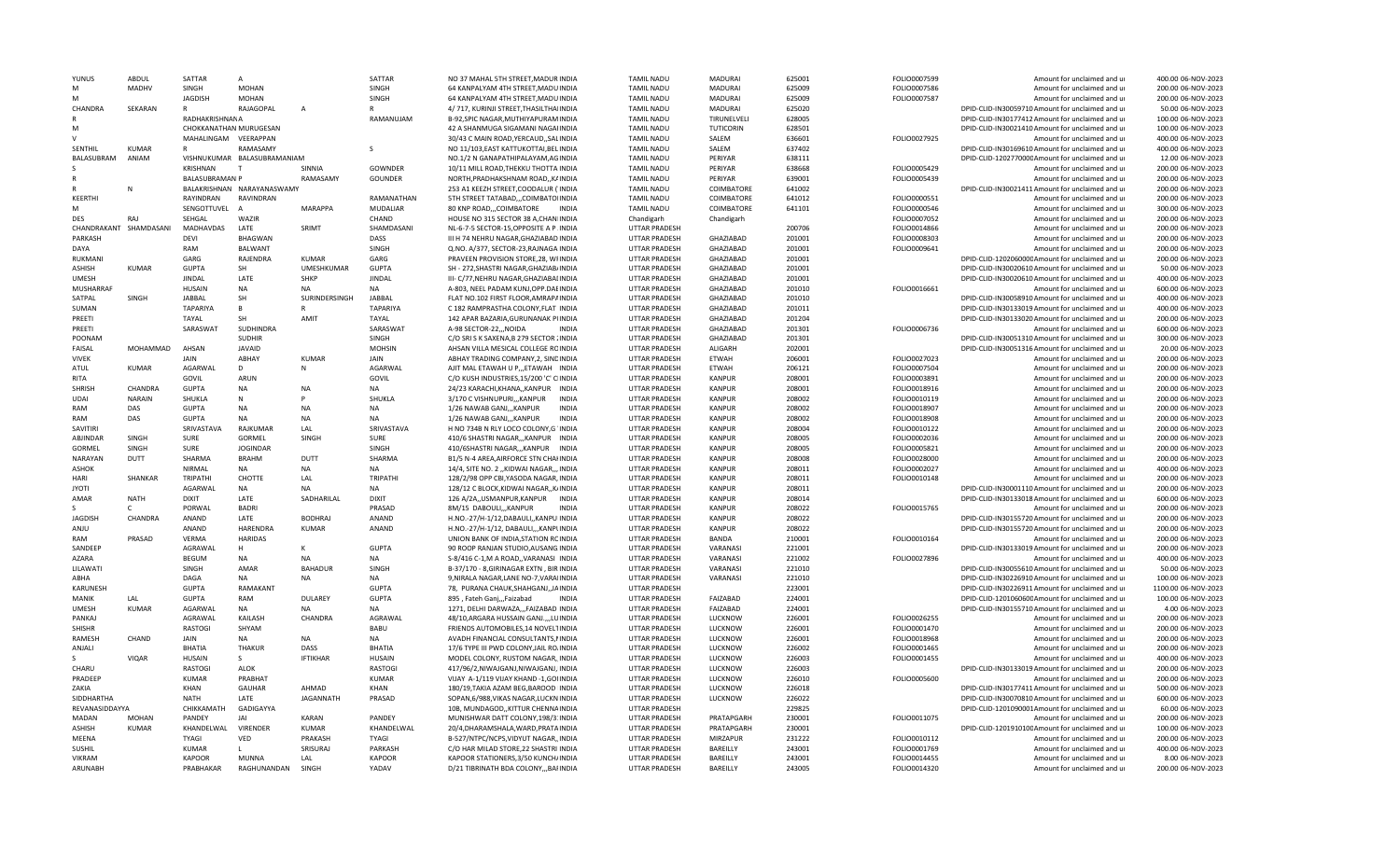| YUNUS          | ABDUL         | SATTAR                 | $\mathsf{A}$                |                 | SATTAR          | NO 37 MAHAL 5TH STREET, MADUR INDIA       |              | <b>TAMIL NADU</b>    | MADURAI          | 625001 | FOLIO0007599 | Amount for unclaimed and ur                      | 400.00 06-NOV-2023  |
|----------------|---------------|------------------------|-----------------------------|-----------------|-----------------|-------------------------------------------|--------------|----------------------|------------------|--------|--------------|--------------------------------------------------|---------------------|
| M              | <b>MADHV</b>  | SINGH                  | <b>MOHAN</b>                |                 | SINGH           | 64 KANPALYAM 4TH STREET MADUINDIA         |              | <b>TAMIL NADU</b>    | MADURAI          | 625009 | FOLIO0007586 | Amount for unclaimed and ur                      | 200.00 06-NOV-2023  |
| M              |               | <b>JAGDISH</b>         | <b>MOHAN</b>                |                 | SINGH           | 64 KANPALYAM 4TH STREET, MADU INDIA       |              | <b>TAMIL NADU</b>    | MADURAI          | 625009 | FOLIO0007587 | Amount for unclaimed and ur                      | 200.00 06-NOV-2023  |
| CHANDRA        | SEKARAN       | $\mathbb{R}$           | RAJAGOPAL                   | $\overline{A}$  |                 | 4/717, KURINJI STREET, THASILTHAIINDIA    |              | <b>TAMIL NADU</b>    | MADURAI          | 625020 |              | DPID-CLID-IN30059710 Amount for unclaimed and ur | 50.00 06-NOV-2023   |
|                |               | RADHAKRISHNANA         |                             |                 | RAMANUJAM       | B-92, SPIC NAGAR, MUTHIYAPURAM INDIA      |              | <b>TAMIL NADU</b>    | TIRUNELVELI      | 628005 |              | DPID-CLID-IN30177412 Amount for unclaimed and ur | 100.00 06-NOV-2023  |
| M              |               | CHOKKANATHAN MURUGESAN |                             |                 |                 | 42 A SHANMUGA SIGAMANI NAGAIINDIA         |              | <b>TAMIL NADU</b>    | <b>TUTICORIN</b> | 628501 |              | DPID-CLID-IN30021410 Amount for unclaimed and ur | 100.00 06-NOV-2023  |
|                |               | MAHALINGAM VEERAPPAN   |                             |                 |                 | 30/43 C MAIN ROAD, YERCAUD, , SALINDIA    |              | <b>TAMIL NADU</b>    | SALEM            | 636601 | FOLIO0027925 | Amount for unclaimed and ur                      | 400.00 06-NOV-2023  |
| SENTHIL        | <b>KUMAR</b>  |                        | RAMASAMY                    |                 | <sub>S</sub>    | NO 11/103, EAST KATTUKOTTAI, BEL INDIA    |              | <b>TAMIL NADU</b>    | SALEM            | 637402 |              | DPID-CLID-IN30169610 Amount for unclaimed and ur | 400.00 06-NOV-2023  |
| BALASUBRAM     | ANIAM         |                        | VISHNUKUMAR BALASUBRAMANIAM |                 |                 | NO.1/2 N GANAPATHIPALAYAM, AGINDIA        |              | <b>TAMIL NADU</b>    | PFRIYAR          | 638111 |              | DPID-CLID-120277000CAmount for unclaimed and ur  | 12.00 06-NOV-2023   |
|                |               | KRISHNAN               |                             | SINNIA          | GOWNDER         | 10/11 MILL ROAD, THEKKU THOTTA INDIA      |              | <b>TAMIL NADU</b>    | PERIYAR          | 638668 | FOLIO0005429 | Amount for unclaimed and ur                      | 200.00 06-NOV-2023  |
|                |               | <b>BALASUBRAMAN P</b>  |                             | RAMASAMY        | <b>GOUNDER</b>  | NORTH, PRADHAKSHNAM ROAD, , KAINDIA       |              | <b>TAMIL NADU</b>    | PERIYAR          | 639001 | FOLIO0005439 | Amount for unclaimed and ur                      | 200.00 06-NOV-2023  |
|                | N             |                        | BALAKRISHNAN NARAYANASWAMY  |                 |                 | 253 A1 KEEZH STREET.COODALUR ('INDIA      |              | <b>TAMIL NADU</b>    | COIMBATORE       | 641002 |              | DPID-CLID-IN30021411 Amount for unclaimed and ur | 200.00 06-NOV-2023  |
|                |               | RAYINDRAN              | RAVINDRAN                   |                 | RAMANATHAN      |                                           |              | <b>TAMIL NADU</b>    | COIMBATORE       |        |              | Amount for unclaimed and u                       | 200.00 06-NOV-2023  |
| KEERTHI<br>M   |               |                        |                             |                 |                 | 5TH STREET TATABAD,,,COIMBATOIINDIA       |              |                      |                  | 641012 | FOLIO0000551 |                                                  |                     |
|                |               | SENGOTTUVEL            | $\overline{A}$              | <b>MARAPPA</b>  | MUDALIAR        | 80 KNP ROAD,,,COIMBATORE                  | <b>INDIA</b> | <b>TAMIL NADU</b>    | COIMBATORE       | 641101 | FOLIO0000546 | Amount for unclaimed and ur                      | 300.00 06-NOV-2023  |
| <b>DES</b>     | RA            | SEHGAL                 | WAZIR                       |                 | CHAND           | HOUSE NO 315 SECTOR 38 A, CHANIINDIA      |              | Chandigarh           | Chandigarh       |        | FOLIO0007052 | Amount for unclaimed and ur                      | 200.00 06-NOV-2023  |
| CHANDRAKANT    | SHAMDASANI    | MADHAVDAS              | LATE                        | SRIMT           | SHAMDASANI      | NL-6-7-5 SECTOR-15, OPPOSITE A P INDIA    |              | <b>UTTAR PRADESH</b> |                  | 200706 | FOLIO0014866 | Amount for unclaimed and ur                      | 200.00 06-NOV-2023  |
| PARKASH        |               | DEVI                   | <b>BHAGWAN</b>              |                 | DASS            | III H 74 NEHRU NAGAR, GHAZIABAD INDIA     |              | <b>UTTAR PRADESH</b> | GHAZIABAD        | 201001 | FOLIO0008303 | Amount for unclaimed and ur                      | 200.00 06-NOV-2023  |
| DAYA           |               | RAM                    | BALWANT                     |                 | SINGH           | Q.NO. A/377, SECTOR-23, RAJNAGA INDIA     |              | <b>UTTAR PRADESH</b> | GHAZIABAD        | 201001 | FOLIO0009641 | Amount for unclaimed and ur                      | 200.00 06-NOV-2023  |
| RUKMANI        |               | GARG                   | RAJENDRA                    | KUMAR           | GARG            | PRAVEEN PROVISION STORE, 28, WFINDIA      |              | <b>UTTAR PRADESH</b> | GHAZIABAD        | 201001 |              | DPID-CLID-120206000CAmount for unclaimed and ur  | 200.00 06-NOV-2023  |
| <b>ASHISH</b>  | <b>KUMAR</b>  | <b>GUPTA</b>           | SH                          | UMESHKUMAR      | <b>GUPTA</b>    | SH - 272.SHASTRI NAGAR.GHAZIAB/INDIA      |              | UTTAR PRADESH        | <b>GHAZIABAD</b> | 201001 |              | DPID-CLID-IN30020610 Amount for unclaimed and u  | 50.00 06-NOV-2023   |
| <b>UMFSH</b>   |               | <b>JINDAL</b>          | LATE                        | SHKP            | <b>JINDAL</b>   | III- C/77, NEHRU NAGAR, GHAZIABAI INDIA   |              | <b>UTTAR PRADESH</b> | <b>GHAZIABAD</b> | 201001 |              | DPID-CLID-IN30020610 Amount for unclaimed and u  | 400.00 06-NOV-2023  |
| MUSHARRAF      |               | <b>HUSAIN</b>          | <b>NA</b>                   | <b>NA</b>       | <b>NA</b>       | A-803, NEEL PADAM KUNJ, OPP. DAEINDIA     |              | <b>UTTAR PRADESH</b> | GHAZIABAD        | 201010 | FOLIO0016661 | Amount for unclaimed and ur                      | 600.00 06-NOV-2023  |
| SATPAL         | SINGH         | JABBAL                 | SH                          | SURINDERSINGH   | JABBAL          | FLAT NO.102 FIRST FLOOR, AMRAPAINDIA      |              | <b>UTTAR PRADESH</b> | GHAZIABAD        | 201010 |              | DPID-CLID-IN30058910 Amount for unclaimed and ur | 400.00 06-NOV-2023  |
| <b>SUMAN</b>   |               | <b>TAPARIYA</b>        | $\mathbf{R}$                |                 | <b>TAPARIYA</b> | C 182 RAMPRASTHA COLONY, FLAT INDIA       |              | <b>UTTAR PRADESH</b> | GHAZIABAD        | 201011 |              | DPID-CLID-IN30133019 Amount for unclaimed and ur | 400.00 06-NOV-2023  |
| PREETI         |               | TAYAL                  | SH                          | AMIT            | TAYAL           | 142 APAR BAZARIA, GURUNANAK PUNDIA        |              | UTTAR PRADESH        | GHAZIABAD        | 201204 |              | DPID-CLID-IN30133020 Amount for unclaimed and ur | 200.00 06-NOV-2023  |
| PREETI         |               | SARASWAT               | SUDHINDRA                   |                 | SARASWAT        | A-98 SECTOR-22,,,NOIDA                    | <b>INDIA</b> | <b>UTTAR PRADESH</b> | GHAZIABAD        | 201301 | FOLIO0006736 | Amount for unclaimed and ur                      | 600.00 06-NOV-2023  |
| POONAM         |               |                        | <b>SUDHIR</b>               |                 | <b>SINGH</b>    | C/O SRLS K SAXENA B 279 SECTOR (INDIA     |              | <b>UTTAR PRADESH</b> | GHAZIABAD        | 201301 |              | DPID-CLID-IN30051310 Amount for unclaimed and ur | 300.00 06-NOV-2023  |
| FAISAL         | MOHAMMAD      | AHSAN                  | <b>JAVAID</b>               |                 | <b>MOHSIN</b>   | AHSAN VILLA MESICAL COLLEGE ROINDIA       |              | <b>UTTAR PRADESH</b> | ALIGARH          | 202001 |              | DPID-CLID-IN30051316 Amount for unclaimed and ur | 20.00 06-NOV-2023   |
| <b>VIVEK</b>   |               | JAIN                   | ABHAY                       | <b>KUMAR</b>    | JAIN            | ABHAY TRADING COMPANY, 2, SINDINDIA       |              | <b>UTTAR PRADESH</b> | ETWAH            | 206001 | FOLIO0027023 | Amount for unclaimed and ur                      | 200.00 06-NOV-2023  |
|                | <b>KUMAR</b>  |                        | D                           |                 | <b>AGARWAL</b>  |                                           |              |                      | <b>FTWAH</b>     |        |              |                                                  |                     |
| ATUL           |               | AGARWAL                |                             | N               |                 | AJIT MAL ETAWAH U P.,, ETAWAH INDIA       |              | UTTAR PRADESH        |                  | 206121 | FOLIO0007504 | Amount for unclaimed and ur                      | 200.00 06-NOV-2023  |
| <b>RITA</b>    |               | GOVIL                  | ARUN                        |                 | GOVIL           | C/O KUSH INDUSTRIES, 15/200 'C' CIINDIA   |              | <b>UTTAR PRADESH</b> | <b>KANPUR</b>    | 208001 | FOLIO0003891 | Amount for unclaimed and ur                      | 200.00 06-NOV-2023  |
| <b>SHRISH</b>  | CHANDRA       | <b>GUPTA</b>           | NA                          | <b>NA</b>       | <b>NA</b>       | 24/23 KARACHI, KHANA,, KANPUR INDIA       |              | UTTAR PRADESH        | <b>KANPUR</b>    | 208001 | FOLIO0018916 | Amount for unclaimed and ur                      | 200.00 06-NOV-2023  |
| <b>UDAI</b>    | <b>NARAIN</b> | SHUKLA                 | N                           | D               | SHUKLA          | 3/170 C VISHNUPURI,,, KANPUR              | <b>INDIA</b> | UTTAR PRADESH        | <b>KANPUR</b>    | 208002 | FOLIO0010119 | Amount for unclaimed and ur                      | 200.00 06-NOV-2023  |
| RAM            | DAS           | <b>GUPTA</b>           | <b>NA</b>                   | <b>NA</b>       | <b>NA</b>       | 1/26 NAWAB GANJ,,,KANPUR                  | <b>INDIA</b> | <b>UTTAR PRADESH</b> | <b>KANPUR</b>    | 208002 | FOLIO0018907 | Amount for unclaimed and ur                      | 200.00 06-NOV-2023  |
| RAM            | DAS           | <b>GUPTA</b>           | <b>NA</b>                   | <b>NA</b>       | <b>NA</b>       | 1/26 NAWAB GANJ,,,KANPUR                  | <b>INDIA</b> | <b>UTTAR PRADESH</b> | <b>KANPUR</b>    | 208002 | FOLIO0018908 | Amount for unclaimed and ur                      | 200.00 06-NOV-2023  |
| SAVITIRI       |               | SRIVASTAVA             | RAJKUMAR                    | LAL             | SRIVASTAVA      | H NO 734B N RLY LOCO COLONY, G'INDIA      |              | UTTAR PRADESH        | <b>KANPUR</b>    | 208004 | FOLIO0010122 | Amount for unclaimed and ur                      | 200.00 06-NOV-2023  |
| ABJINDAR       | SINGH         | SURF                   | GORMEL                      | SINGH           | SURE            | 410/6 SHASTRI NAGAR,,,KANPUR INDIA        |              | <b>UTTAR PRADESH</b> | KANPUR           | 208005 | FOLIO0002036 | Amount for unclaimed and ur                      | 200.00 06-NOV-2023  |
| <b>GORMEL</b>  | SINGH         | <b>SURE</b>            | <b>JOGINDAR</b>             |                 | SINGH           | 410/6SHASTRI NAGARKANPUR                  | <b>INDIA</b> | <b>UTTAR PRADESH</b> | <b>KANPUR</b>    | 208005 | FOLIO0005821 | Amount for unclaimed and ur                      | 200.00 06-NOV-2023  |
| NARAYAN        | DUTT          | SHARMA                 | <b>BRAHM</b>                | DUTT            | SHARMA          | B1/5 N-4 AREA, AIRFORCE STN CHAHNDIA      |              | <b>UTTAR PRADESH</b> | KANPUR           | 208008 | FOLIO0028000 | Amount for unclaimed and ur                      | 200.00 06-NOV-2023  |
| ASHOK          |               | NIRMAL                 | NA                          | <b>NA</b>       | <b>NA</b>       | 14/4, SITE NO. 2 ,, KIDWAI NAGAR,,, INDIA |              | <b>UTTAR PRADESH</b> | <b>KANPUR</b>    | 208011 | FOLIO0002027 | Amount for unclaimed and ur                      | 400.00 06-NOV-2023  |
| HARI           | SHANKAR       | TRIPATHI               | CHOTTE                      | LAL             | <b>TRIPATHI</b> | 128/2/98 OPP CBI, YASODA NAGAR, INDIA     |              | <b>UTTAR PRADESH</b> | <b>KANPUR</b>    | 208011 | FOLIO0010148 | Amount for unclaimed and ur                      | 200.00 06-NOV-2023  |
| <b>JYOTI</b>   |               | AGARWAL                | <b>NA</b>                   | NΔ              | <b>NA</b>       | 128/12 C BLOCK, KIDWAI NAGAR, , K/INDIA   |              | UTTAR PRADESH        | <b>KANPUR</b>    | 208011 |              | DPID-CLID-IN30001110 Amount for unclaimed and ur | 200.00 06-NOV-2023  |
| AMAR           | <b>NATH</b>   | <b>DIXIT</b>           | LATE                        | SADHARILAL      | <b>DIXIT</b>    | 126 A/2A,,USMANPUR,KANPUR                 | INDIA        | UTTAR PRADESH        | <b>KANPUR</b>    | 208014 |              | DPID-CLID-IN30133018 Amount for unclaimed and ur | 600.00 06-NOV-2023  |
|                | C             | PORWAL                 | <b>BADRI</b>                |                 | PRASAD          | 8M/15 DABOULI,,,KANPUR                    | <b>INDIA</b> | <b>UTTAR PRADESH</b> | <b>KANPUR</b>    | 208022 | FOLIO0015765 | Amount for unclaimed and ur                      | 200.00 06-NOV-2023  |
| <b>JAGDISH</b> | CHANDRA       | ANAND                  | LATE                        | <b>BODHRAJ</b>  | ANAND           | H.NO.-27/H-1/12,DABAULI,,KANPUIINDIA      |              | UTTAR PRADESH        | <b>KANPUR</b>    | 208022 |              | DPID-CLID-IN30155720 Amount for unclaimed and ur | 200.00 06-NOV-2023  |
| ANJU           |               | ANAND                  | HARENDRA                    | <b>KUMAR</b>    | ANAND           | H.NO.-27/H-1/12, DABAULI,,,KANPLINDIA     |              | <b>UTTAR PRADESH</b> | <b>KANPUR</b>    | 208022 |              | DPID-CLID-IN30155720 Amount for unclaimed and ur | 200.00 06-NOV-2023  |
| RAM            | PRASAD        | VERMA                  | <b>HARIDAS</b>              |                 |                 | UNION BANK OF INDIA, STATION RCINDIA      |              | <b>UTTAR PRADESH</b> | BANDA            | 210001 | FOLIO0010164 | Amount for unclaimed and ur                      | 200.00 06-NOV-2023  |
| SANDEEP        |               | AGRAWAL                | H                           |                 | <b>GUPTA</b>    | 90 ROOP RANJAN STUDIO, AUSANG. INDIA      |              | <b>UTTAR PRADESH</b> | VARANASI         | 221001 |              | DPID-CLID-IN30133019 Amount for unclaimed and ur | 200.00 06-NOV-2023  |
| <b>AZARA</b>   |               | <b>BEGUM</b>           | <b>NA</b>                   | <b>NA</b>       | <b>NA</b>       | S-8/416 C-1.M A ROAD., VARANASI INDIA     |              | UTTAR PRADESH        | VARANASI         | 221002 | FOLIO0027896 | Amount for unclaimed and ur                      | 400.00 06-NOV-2023  |
| LILAWATI       |               | SINGH                  | AMAR                        | <b>BAHADUR</b>  | SINGH           |                                           |              |                      | VARANASI         | 221010 |              | DPID-CLID-IN30055610 Amount for unclaimed and ur | 50.00 06-NOV-2023   |
|                |               |                        | <b>NA</b>                   |                 | <b>NA</b>       | B-37/170 - 8, GIRINAGAR EXTN, BIR INDIA   |              | UTTAR PRADESH        |                  |        |              |                                                  | 100.00 06-NOV-2023  |
| ABHA           |               | DAGA                   |                             | <b>NA</b>       |                 | 9, NIRALA NAGAR, LANE NO-7, VARAIINDIA    |              | UTTAR PRADESH        | VARANASI         | 221010 |              | DPID-CLID-IN30226910 Amount for unclaimed and ur |                     |
| KARUNESH       |               | <b>GUPTA</b>           | RAMAKANT                    |                 | <b>GUPTA</b>    | 78, PURANA CHAUK, SHAHGANJ, JAINDIA       |              | UTTAR PRADESH        |                  | 223001 |              | DPID-CLID-IN30226911Amount for unclaimed and ur  | 1100.00 06-NOV-2023 |
| MANIK          | LAL           | <b>GUPTA</b>           | <b>RAM</b>                  | <b>DULAREY</b>  | <b>GUPTA</b>    | 895, Fateh Ganj,,,Faizabad                | <b>INDIA</b> | <b>UTTAR PRADESH</b> | FAIZABAD         | 224001 |              | DPID-CLID-120106060C Amount for unclaimed and ur | 100.00 06-NOV-2023  |
| <b>UMESH</b>   | KUMAR         | AGARWAL                | NA                          | <b>NA</b>       | <b>NA</b>       | 1271, DELHI DARWAZA,,,FAIZABAD INDIA      |              | <b>UTTAR PRADESH</b> | FAIZABAD         | 224001 |              | DPID-CLID-IN30155710 Amount for unclaimed and ur | 4.00 06-NOV-2023    |
| PANKAJ         |               | AGRAWAL                | KAILASH                     | CHANDRA         | AGRAWAL         | 48/10, ARGARA HUSSAIN GANJ.,,,LUINDIA     |              | <b>UTTAR PRADESH</b> | LUCKNOW          | 226001 | FOLIO0026255 | Amount for unclaimed and ur                      | 200.00 06-NOV-2023  |
| <b>SHISHR</b>  |               | <b>RASTOGI</b>         | SHYAM                       |                 | BABU            | FRIENDS AUTOMOBILES, 14 NOVELTINDIA       |              | <b>UTTAR PRADESH</b> | LUCKNOW          | 226001 | FOLIO0001470 | Amount for unclaimed and ur                      | 200.00 06-NOV-2023  |
| <b>RAMESH</b>  | CHAND         | JAIN                   | <b>NA</b>                   | <b>NA</b>       | <b>NA</b>       | AVADH FINANCIAL CONSULTANTS.NINDIA        |              | <b>UTTAR PRADESH</b> | LUCKNOW          | 226001 | FOLIO0018968 | Amount for unclaimed and ur                      | 200.00 06-NOV-2023  |
| ANJALI         |               | <b>BHATIA</b>          | THAKUR                      | <b>DASS</b>     | <b>BHATIA</b>   | 17/6 TYPE III PWD COLONY, JAIL RO/INDIA   |              | <b>UTTAR PRADESH</b> | LUCKNOW          | 226002 | FOLIO0001465 | Amount for unclaimed and ur                      | 200.00 06-NOV-2023  |
|                | <b>VIQAR</b>  | <b>HUSAIN</b>          | -S.                         | <b>IFTIKHAR</b> | <b>HUSAIN</b>   | MODEL COLONY, RUSTOM NAGAR, INDIA         |              | UTTAR PRADESH        | <b>LUCKNOW</b>   | 226003 | FOLIO0001455 | Amount for unclaimed and ur                      | 400.00 06-NOV-2023  |
| CHARU          |               | <b>RASTOGI</b>         | ALOK                        |                 | <b>RASTOGI</b>  | 417/96/2,NIWAJGANJ,NIWAJGANJ,IINDIA       |              | UTTAR PRADESH        | LUCKNOW          | 226003 |              | DPID-CLID-IN30133019 Amount for unclaimed and ur | 200.00 06-NOV-2023  |
| PRADEEP        |               | <b>KUMAR</b>           | PRABHAT                     |                 | <b>KUMAR</b>    | VIJAY A-1/119 VIJAY KHAND -1, GOI INDIA   |              | UTTAR PRADESH        | LUCKNOW          | 226010 | FOLIO0005600 | Amount for unclaimed and ur                      | 200.00 06-NOV-2023  |
| ZAKIA          |               | KHAN                   | <b>GAUHAR</b>               | AHMAD           | KHAN            | 180/19, TAKIA AZAM BEG, BAROOD IINDIA     |              | <b>UTTAR PRADESH</b> | LUCKNOW          | 226018 |              | DPID-CLID-IN30177411 Amount for unclaimed and ur | 500.00 06-NOV-2023  |
| SIDDHARTHA     |               | <b>NATH</b>            | LATE                        | JAGANNATH       | PRASAD          | SOPAN, 6/988, VIKAS NAGAR, LUCKN INDIA    |              | <b>UTTAR PRADESH</b> | LUCKNOW          | 226022 |              | DPID-CLID-IN30070810 Amount for unclaimed and ur | 600.00 06-NOV-2023  |
| REVANASIDDAYYA |               | CHIKKAMATH             | GADIGAYYA                   |                 |                 | 10B, MUNDAGOD, KITTUR CHENNAINDIA         |              | UTTAR PRADESH        |                  | 229825 |              | DPID-CLID-1201090001Amount for unclaimed and ur  | 60.00 06-NOV-2023   |
| <b>MADAN</b>   | <b>MOHAN</b>  | PANDEY                 | <b>JAI</b>                  | <b>KARAN</b>    | PANDEY          | MUNISHWAR DATT COLONY, 198/3: INDIA       |              | <b>UTTAR PRADESH</b> | PRATAPGARH       | 230001 | FOLIO0011075 | Amount for unclaimed and ur                      | 200.00 06-NOV-2023  |
| ASHISH         | <b>KUMAR</b>  | KHANDELWAL             | VIRENDER                    | <b>KUMAR</b>    | KHANDELWAL      | 20/4, DHARAMSHALA, WARD, PRATAINDIA       |              | UTTAR PRADESH        | PRATAPGARH       | 230001 |              | DPID-CLID-120191010CAmount for unclaimed and ur  | 100.00 06-NOV-2023  |
| MEENA          |               | <b>TYAGI</b>           | <b>VED</b>                  | PRAKASH         | TYAGI           | B-527/NTPC/NCPS.VIDYUT NAGAR. INDIA       |              | <b>UTTAR PRADESH</b> | <b>MIRZAPUR</b>  | 231222 | FOLIO0010112 | Amount for unclaimed and ur                      | 200.00 06-NOV-2023  |
| <b>SUSHIL</b>  |               | <b>KUMAR</b>           |                             | SRISURAJ        | PARKASH         | C/O HAR MILAD STORE, 22 SHASTRI INDIA     |              | <b>UTTAR PRADESH</b> | BAREILLY         | 243001 | FOLIO0001769 | Amount for unclaimed and ur                      | 400.00 06-NOV-2023  |
| <b>VIKRAM</b>  |               | KAPOOR                 | <b>MUNNA</b>                | LAL             | KAPOOR          | KAPOOR STATIONERS, 3/50 KUNCH/INDIA       |              | UTTAR PRADESH        | BAREILLY         | 243001 | FOLIO0014455 | Amount for unclaimed and ur                      | 8.00 06-NOV-2023    |
| ARUNABH        |               | PRABHAKAR              | RAGHUNANDAN                 | SINGH           | YADAV           | D/21 TIBRINATH BDA COLONY,,, BAFINDIA     |              | <b>UTTAR PRADESH</b> | BAREILLY         | 243005 | FOLIO0014320 | Amount for unclaimed and ur                      | 200.00 06-NOV-2023  |
|                |               |                        |                             |                 |                 |                                           |              |                      |                  |        |              |                                                  |                     |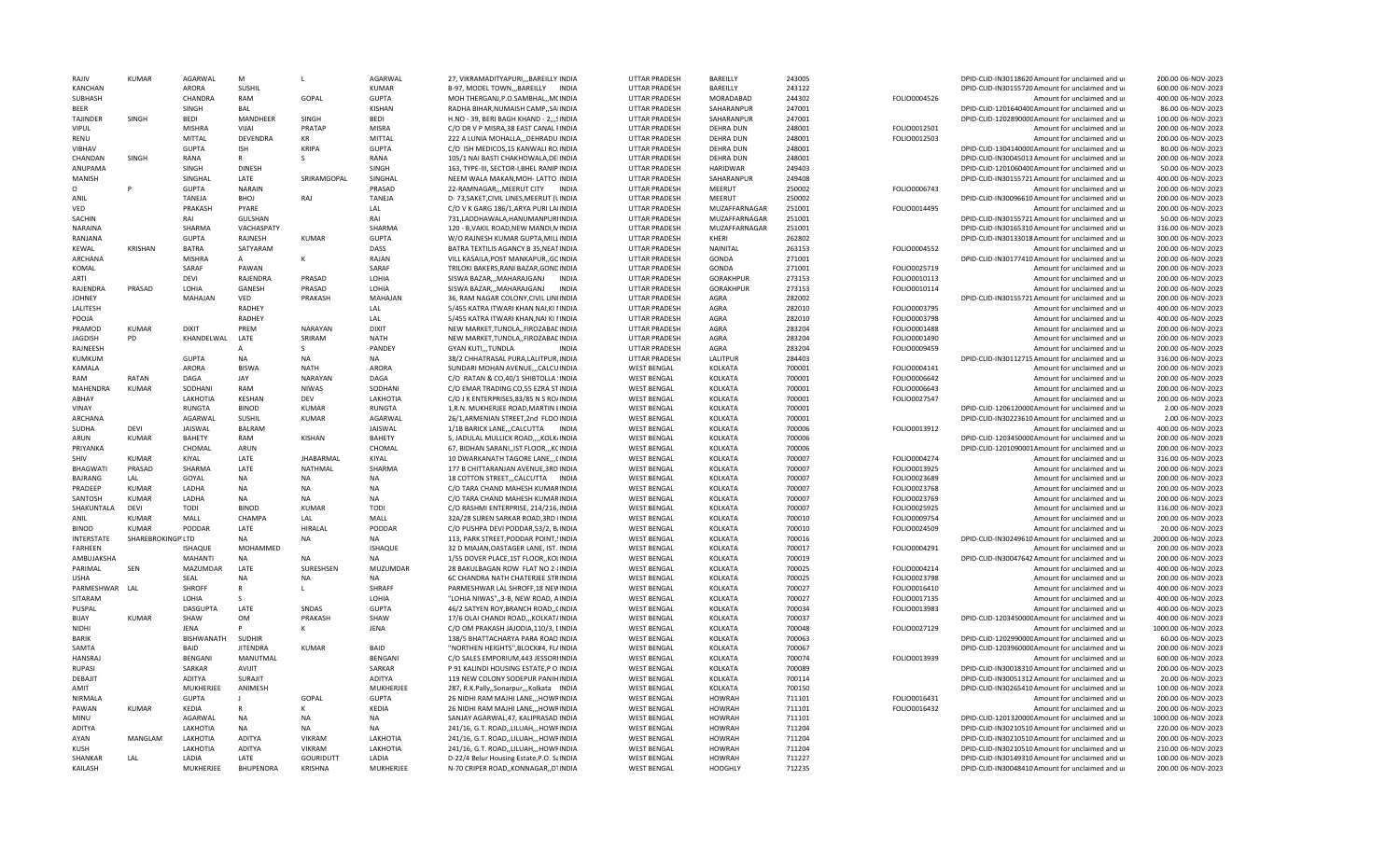| RAIIV                  | KUMAR             | AGARWAL           | M                | $\mathbf{L}$     | <b>AGARWAL</b>    | 27, VIKRAMADITYAPURI,,,BAREILLY INDIA     | <b>UTTAR PRADESH</b> | BAREILLY                       | 243005 |              | DPID-CLID-IN30118620 Amount for unclaimed and u  | 200.00 06-NOV-2023  |
|------------------------|-------------------|-------------------|------------------|------------------|-------------------|-------------------------------------------|----------------------|--------------------------------|--------|--------------|--------------------------------------------------|---------------------|
| KANCHAN                |                   | ARORA             | SUSHIL           |                  | <b>KUMAR</b>      | B-97, MODEL TOWN,,, BAREILLY INDIA        | <b>UTTAR PRADESH</b> | BAREILLY                       | 243122 |              | DPID-CLID-IN30155720 Amount for unclaimed and ur | 600.00 06-NOV-2023  |
| SUBHASH                |                   | CHANDRA           | RAM              | GOPAL            | <b>GUPTA</b>      | MOH THERGANJ, P.O.SAMBHAL, , MCINDIA      | UTTAR PRADESH        | MORADABAD                      | 244302 | FOLIO0004526 | Amount for unclaimed and ur                      | 400.00 06-NOV-2023  |
| <b>BEER</b>            |                   | SINGH             | BAL              |                  | KISHAN            | RADHA BIHAR, NUMAISH CAMP,, SAIINDIA      | UTTAR PRADESH        | SAHARANPUR                     | 247001 |              | DPID-CLID-120164040C Amount for unclaimed and ur | 86.00 06-NOV-2023   |
| <b>TAJINDER</b>        | SINGH             | <b>BEDI</b>       | MANDHEER         | <b>SINGH</b>     | <b>BEDI</b>       | H.NO - 39, BERI BAGH KHAND - 2,,,SINDIA   | UTTAR PRADESH        | SAHARANPUR                     | 247001 |              | DPID-CLID-120289000CAmount for unclaimed and ur  | 100.00 06-NOV-2023  |
| <b>VIPUL</b>           |                   | <b>MISHRA</b>     | VIJAI            | PRATAP           | <b>MISRA</b>      | C/O DR V P MISRA, 38 EAST CANAL FINDIA    | UTTAR PRADESH        | DEHRA DUN                      | 248001 | FOLIO0012501 | Amount for unclaimed and ur                      | 200.00 06-NOV-2023  |
| RENU                   |                   | <b>MITTAL</b>     | DEVENDRA         | KR               | MITTAL            | 222 A LUNIA MOHALLA,,,DEHRADU INDIA       | UTTAR PRADESH        | <b>DEHRA DUN</b>               | 248001 | FOLIO0012503 | Amount for unclaimed and ur                      | 200.00 06-NOV-2023  |
| <b>VIBHAV</b>          |                   | GUPTA             | ISH              | <b>KRIPA</b>     | GUPTA             | C/O ISH MEDICOS, 15 KANWALI ROJNDIA       | UTTAR PRADESH        | <b>DEHRA DUN</b>               | 248001 |              | DPID-CLID-130414000C Amount for unclaimed and ur | 80.00 06-NOV-2023   |
| CHANDAN                | SINGH             | RANA              | R                | s                | RANA              | 105/1 NAI BASTI CHAKHOWALA, DEIINDIA      | UTTAR PRADESH        | <b>DEHRA DUN</b>               | 248001 |              | DPID-CLID-IN30045013 Amount for unclaimed and ur | 200.00 06-NOV-2023  |
| ANUPAMA                |                   | SINGH             | <b>DINESH</b>    |                  | SINGH             | 163, TYPE-III, SECTOR-I, BHEL RANIP INDIA | <b>UTTAR PRADESH</b> | <b>HARIDWAR</b>                | 249403 |              | DPID-CLID-120106040CAmount for unclaimed and ur  | 50.00 06-NOV-2023   |
| MANISH                 |                   | SINGHAL           | LATE             | SRIRAMGOPAL      | SINGHAL           | NEEM WALA MAKAN, MOH- LATTO INDIA         | UTTAR PRADESH        | SAHARANPUR                     | 249408 |              | DPID-CLID-IN30155721 Amount for unclaimed and ur | 400.00 06-NOV-2023  |
| $\Omega$               | P                 | <b>GUPTA</b>      | <b>NARAIN</b>    |                  | PRASAD            | 22-RAMNAGAR, , MEERUT CITY INDIA          | <b>UTTAR PRADESH</b> | MEERUT                         | 250002 | FOLIO0006743 | Amount for unclaimed and ur                      | 200.00 06-NOV-2023  |
| ANIL                   |                   | TANEJA            | BHOJ             | RAJ              | <b>TANEJA</b>     | D-73, SAKET, CIVIL LINES, MEERUT (LINDIA  | <b>UTTAR PRADESH</b> | MEERUT                         | 250002 |              | DPID-CLID-IN30096610 Amount for unclaimed and ur | 200.00 06-NOV-2023  |
| VED                    |                   | PRAKASH           | PYARE            |                  | LAL               | C/O V K GARG 186/1, ARYA PURI LAIINDIA    | UTTAR PRADESH        | MUZAFFARNAGAR                  | 251001 | FOLIO0014495 | Amount for unclaimed and ur                      | 200.00 06-NOV-2023  |
| SACHIN                 |                   | RAI               | <b>GULSHAN</b>   |                  | RAI               | 731.LADDHAWALA.HANUMANPURIINDIA           | UTTAR PRADESH        | MUZAFFARNAGAR                  | 251001 |              | DPID-CLID-IN30155721 Amount for unclaimed and ur | 50.00 06-NOV-2023   |
| NARAINA                |                   | SHARMA            | VACHASPATY       |                  | SHARMA            | 120 - B, VAKIL ROAD, NEW MANDI, NINDIA    | UTTAR PRADESH        | MUZAFFARNAGAR                  | 251001 |              | DPID-CLID-IN30165310 Amount for unclaimed and ur | 316.00 06-NOV-2023  |
| RANJANA                |                   | <b>GUPTA</b>      | RAJNESH          | <b>KUMAR</b>     | <b>GUPTA</b>      | W/O RAJNESH KUMAR GUPTA, MILLINDIA        | UTTAR PRADESH        | KHERI                          | 262802 |              | DPID-CLID-IN30133018 Amount for unclaimed and ur | 300.00 06-NOV-2023  |
| KEWAL                  | <b>KRISHAN</b>    | <b>BATRA</b>      | SATYARAM         |                  | DASS              | BATRA TEXTILIS AGANCY B 35, NEATINDIA     | UTTAR PRADESH        | NAINITAL                       | 263153 | FOLIO0004552 | Amount for unclaimed and ur                      | 200.00 06-NOV-2023  |
| ARCHANA                |                   | <b>MISHRA</b>     | A                | ĸ                | RAJAN             | VILL KASAILA, POST MANKAPUR, GCINDIA      | UTTAR PRADESH        | GONDA                          | 271001 |              | DPID-CLID-IN30177410 Amount for unclaimed and ur | 200.00 06-NOV-2023  |
|                        |                   |                   |                  |                  |                   |                                           |                      |                                |        |              |                                                  |                     |
| KOMAL                  |                   | SARAF             | PAWAN            |                  | SARAF             | TRILOKI BAKERS, RANI BAZAR, GONDINDIA     | UTTAR PRADESH        | GONDA                          | 271001 | FOLIO0025719 | Amount for unclaimed and ur                      | 200.00 06-NOV-2023  |
| ARTI                   |                   | DEVI              | RAJENDRA         | PRASAD           | LOHIA             | SISWA BAZAR,,,MAHARAJGANJ<br>INDIA        | UTTAR PRADESH        | <b>GORAKHPUR</b>               | 273153 | FOLIO0010113 | Amount for unclaimed and ur                      | 200.00 06-NOV-2023  |
| RAJENDRA               | PRASAD            | <b>LOHIA</b>      | GANESH           | PRASAD           | <b>LOHIA</b>      | SISWA BAZAR,,,MAHARAJGANJ<br><b>INDIA</b> | UTTAR PRADESH        | <b>GORAKHPUR</b>               | 273153 | FOLIO0010114 | Amount for unclaimed and ur                      | 200.00 06-NOV-2023  |
| <b>JOHNEY</b>          |                   | MAHAJAN           | VED              | PRAKASH          | MAHAJAN           | 36, RAM NAGAR COLONY, CIVIL LINEINDIA     | <b>UTTAR PRADESH</b> | AGRA                           | 282002 |              | DPID-CLID-IN30155721 Amount for unclaimed and ur | 200.00 06-NOV-2023  |
| LALITESH               |                   |                   | RADHEY           |                  | LAL               | 5/455 KATRA ITWARI KHAN NAI, KI IINDIA    | <b>UTTAR PRADESH</b> | AGRA                           | 282010 | FOLIO0003795 | Amount for unclaimed and ur                      | 400.00 06-NOV-2023  |
| POOJA                  |                   |                   | RADHEY           |                  | LAL               | 5/455 KATRA ITWARI KHAN, NAI KI IINDIA    | UTTAR PRADESH        | AGRA                           | 282010 | FOLIO0003798 | Amount for unclaimed and ur                      | 400.00 06-NOV-2023  |
| PRAMOD                 | <b>KUMAR</b>      | <b>DIXIT</b>      | PREM             | <b>NARAYAN</b>   | <b>DIXIT</b>      | NEW MARKET, TUNDLA, , FIROZABACINDIA      | UTTAR PRADESH        | <b>AGRA</b>                    | 283204 | FOLIO0001488 | Amount for unclaimed and ur                      | 200.00 06-NOV-2023  |
| <b>JAGDISH</b>         | PD                | KHANDELWAL        | LATE             | SRIRAM           | <b>NATH</b>       | NEW MARKET, TUNDLA,, FIROZABACINDIA       | UTTAR PRADESH        | AGRA                           | 283204 | FOLIO0001490 | Amount for unclaimed and ur                      | 200.00 06-NOV-2023  |
| RAINFFSH               |                   |                   | A                | S.               | <b>PANDEY</b>     | GYAN KUTI,,,TUNDLA<br><b>INDIA</b>        | <b>UTTAR PRADESH</b> | AGRA                           | 283204 | FOLIO0009459 | Amount for unclaimed and ur                      | 200.00 06-NOV-2023  |
| KUMKUM                 |                   | <b>GUPTA</b>      | NA               | NA               | <b>NA</b>         | 38/2 CHHATRASAL PURA, LALITPUR, INDIA     | <b>UTTAR PRADESH</b> | LALITPUR                       | 284403 |              | DPID-CLID-IN30112715 Amount for unclaimed and ur | 316.00 06-NOV-2023  |
| KAMALA                 |                   | ARORA             | <b>BISWA</b>     | <b>NATH</b>      | ARORA             | SUNDARI MOHAN AVENUE,,,CALCUINDIA         | <b>WEST BENGAL</b>   | KOLKATA                        | 700001 | FOLIO0004141 | Amount for unclaimed and ur                      | 200.00 06-NOV-2023  |
| RAM                    | RATAN             | DAGA              | JAY              | <b>NARAYAN</b>   | DAGA              | C/O RATAN & CO,40/1 SHIBTOLLA 'INDIA      | <b>WEST BENGAL</b>   | <b>KOLKATA</b>                 | 700001 | FOLIO0006642 | Amount for unclaimed and ur                      | 200.00 06-NOV-2023  |
| MAHENDRA               | <b>KUMAR</b>      | SODHANI           | RAM              | NIWAS            | SODHANI           | C/O EMAR TRADING CO,55 EZRA STINDIA       | <b>WEST BENGAL</b>   | KOLKATA                        | 700001 | FOLIO0006643 | Amount for unclaimed and ur                      | 200.00 06-NOV-2023  |
| ABHAY                  |                   | LAKHOTIA          | <b>KESHAN</b>    | <b>DFV</b>       | LAKHOTIA          | C/O J K ENTERPRISES, 83/85 N S RO/INDIA   | <b>WEST BENGAL</b>   | KOLKATA                        | 700001 | FOLIO0027547 | Amount for unclaimed and ur                      | 200.00 06-NOV-2023  |
| <b>VINAY</b>           |                   | <b>RUNGTA</b>     | <b>BINOD</b>     | <b>KUMAR</b>     | <b>RUNGTA</b>     | 1.R.N. MUKHERJEE ROAD.MARTIN IINDIA       | <b>WEST BENGAL</b>   | KOLKATA                        | 700001 |              | DPID-CLID-120612000CAmount for unclaimed and ur  | 2.00 06-NOV-2023    |
| ARCHANA                |                   | AGARWAL           | SUSHIL           | <b>KUMAR</b>     | AGARWAL           | 26/1,ARMENIAN STREET,2nd FLOOINDIA        | <b>WEST BENGAL</b>   | KOLKATA                        | 700001 |              | DPID-CLID-IN30223610 Amount for unclaimed and ur | 2.00 06-NOV-2023    |
| SUDHA                  | DEVI              | JAISWAL           | <b>BALRAM</b>    |                  | JAISWAL           | 1/1B BARICK LANE, ,CALCUTTA INDIA         | <b>WEST BENGAL</b>   | KOLKATA                        | 700006 | FOLIO0013912 | Amount for unclaimed and ur                      | 400.00 06-NOV-2023  |
| ARUN                   | <b>KUMAR</b>      | <b>BAHETY</b>     | <b>RAM</b>       | <b>KISHAN</b>    | BAHETY            | 5, JADULAL MULLICK ROAD,,,,KOLK/INDIA     | <b>WEST BENGAL</b>   | KOLKATA                        | 700006 |              | DPID-CLID-120345000CAmount for unclaimed and ur  | 200.00 06-NOV-2023  |
| PRIYANKA               |                   | CHOMAL            | ARUN             |                  | CHOMAL            | 67, BIDHAN SARANI, IST FLOOR, , KCINDIA   | <b>WEST BENGAL</b>   | KOLKATA                        | 700006 |              | DPID-CLID-1201090001Amount for unclaimed and ur  | 200.00 06-NOV-2023  |
| SHIV                   | KUMAR             | KIYAL             | LATE             | <b>JHABARMAL</b> | KIYAL             | 10 DWARKANATH TAGORE LANE,,,CINDIA        | <b>WEST BENGAL</b>   | KOLKATA                        | 700007 | FOLIO0004274 | Amount for unclaimed and ur                      | 316.00 06-NOV-2023  |
| <b>BHAGWATI</b>        | PRASAD            | SHARMA            | LATE             | NATHMAL          | SHARMA            | 177 B CHITTARANJAN AVENUE.3RD INDIA       | <b>WEST BENGAL</b>   | <b>KOLKATA</b>                 | 700007 | FOLIO0013925 | Amount for unclaimed and ur                      | 200.00 06-NOV-2023  |
| <b>BAJRANG</b>         | LAL               | GOYAL             | NA               | <b>NA</b>        | <b>NA</b>         | 18 COTTON STREET,,,CALCUTTA INDIA         | <b>WEST BENGAL</b>   | <b>KOLKATA</b>                 | 700007 | FOLIO0023689 | Amount for unclaimed and ur                      | 200.00 06-NOV-2023  |
| PRADEEP                | <b>KUMAR</b>      | LADHA             | <b>NA</b>        | <b>NA</b>        | <b>NA</b>         | C/O TARA CHAND MAHESH KUMARINDIA          | <b>WEST BENGAL</b>   | KOLKATA                        | 700007 | FOLIO0023768 | Amount for unclaimed and ur                      | 200.00 06-NOV-2023  |
| SANTOSH                | <b>KUMAR</b>      | LADHA             | <b>NA</b>        | <b>NA</b>        | <b>NA</b>         | C/O TARA CHAND MAHESH KUMARINDIA          | <b>WEST BENGAL</b>   | <b>KOLKATA</b>                 | 700007 | FOLIO0023769 | Amount for unclaimed and ur                      | 200.00 06-NOV-2023  |
|                        | <b>DFVI</b>       | <b>TODI</b>       |                  | KUMAR            |                   |                                           |                      |                                |        |              |                                                  |                     |
| SHAKUNTALA             |                   |                   | <b>BINOD</b>     |                  | <b>TODI</b>       | C/O RASHMI ENTERPRISE, 214/216, INDIA     | <b>WEST BENGAL</b>   | KOLKATA                        | 700007 | FOLIO0025925 | Amount for unclaimed and ur                      | 316.00 06-NOV-2023  |
| ANIL                   | <b>KUMAR</b>      | MALL              | CHAMPA           | LAL              | MALL              | 32A/28 SUREN SARKAR ROAD, 3RD IINDIA      | <b>WEST BENGAL</b>   | <b>KOLKATA</b>                 | 700010 | FOLIO0009754 | Amount for unclaimed and ur                      | 200.00 06-NOV-2023  |
| <b>BINOD</b>           | <b>KUMAR</b>      | PODDAR            | LATE             | HIRALAL          | PODDAR            | C/O PUSHPA DEVI PODDAR, 53/2, B/INDIA     | <b>WEST BENGAL</b>   | KOLKATA                        | 700010 | FOLIO0024509 | Amount for unclaimed and ur                      | 20.00 06-NOV-2023   |
| <b>INTERSTATE</b>      | SHAREBROKINGP'LTD |                   | <b>NA</b>        | NA               | <b>NA</b>         | 113, PARK STREET, PODDAR POINT, ! INDIA   | <b>WEST BENGAL</b>   | KOLKATA                        | 700016 |              | DPID-CLID-IN30249610 Amount for unclaimed and ur | 2000.00 06-NOV-2023 |
| <b>FARHFFN</b>         |                   | ISHAQUE           | <b>MOHAMMED</b>  |                  | <b>ISHAQUE</b>    | 32 D MIAJAN, OASTAGER LANE, IST. INDIA    | <b>WEST BENGAL</b>   | KOLKATA                        | 700017 | FOLIO0004291 | Amount for unclaimed and ur                      | 200.00 06-NOV-2023  |
| AMBUJAKSHA             |                   | MAHANTI           | <b>NA</b>        | <b>NA</b>        | <b>NA</b>         | 1/55 DOVER PLACE, 1ST FLOOR, , KOLINDIA   | <b>WEST BENGAL</b>   | KOLKATA                        | 700019 |              | DPID-CLID-IN30047642 Amount for unclaimed and ur | 200.00 06-NOV-2023  |
| PARIMAL                | SEN               | MAZUMDAR          | LATE             | SURESHSEN        | MUZUMDAR          | 28 BAKULBAGAN ROW FLAT NO 2-{INDIA        | <b>WEST BENGAL</b>   | KOLKATA                        | 700025 | FOLIO0004214 | Amount for unclaimed and ur                      | 400.00 06-NOV-2023  |
| <b>USHA</b>            |                   | <b>SEAL</b>       | <b>NA</b>        | <b>NA</b>        | <b>NA</b>         | 6C CHANDRA NATH CHATERJEE STRINDIA        | <b>WEST BENGAL</b>   | <b>KOLKATA</b>                 | 700025 | FOLIO0023798 | Amount for unclaimed and u                       | 200.00 06-NOV-2023  |
| PARMESHWAR LAL         |                   | SHROFF            | $\mathsf{R}$     | L.               | SHRAFF            | PARMESHWAR LAL SHROFF, 18 NEVINDIA        | <b>WEST BENGAL</b>   | KOLKATA                        | 700027 | FOLIO0016410 | Amount for unclaimed and ur                      | 400.00 06-NOV-2023  |
| SITARAM                |                   | LOHIA             | S                |                  | LOHIA             | "LOHIA NIWAS",,3-B, NEW ROAD, AINDIA      | <b>WEST BENGAL</b>   | <b>KOLKATA</b>                 | 700027 | FOLIO0017135 | Amount for unclaimed and ur                      | 400.00 06-NOV-2023  |
| PUSPAL                 |                   | <b>DASGUPTA</b>   | LATE             | SNDAS            | <b>GUPTA</b>      | 46/2 SATYEN ROY, BRANCH ROAD, , CINDIA    | <b>WEST BENGAL</b>   | <b>KOLKATA</b>                 | 700034 | FOLIO0013983 | Amount for unclaimed and ur                      | 400.00 06-NOV-2023  |
| <b>BIJAY</b>           | KUMAR             | SHAW              | OM               | PRAKASH          | SHAW              | 17/6 OLAI CHANDI ROAD,,,KOLKAT/INDIA      | <b>WEST BENGAL</b>   | <b>KOLKATA</b>                 | 700037 |              | DPID-CLID-120345000CAmount for unclaimed and ur  | 400.00 06-NOV-2023  |
| <b>NIDHI</b>           |                   | JENA              | D                |                  | JENA              | C/O OM PRAKASH JAJODIA, 110/3, [INDIA     | <b>WEST BENGAL</b>   | <b>KOLKATA</b>                 | 700048 | FOLIO0027129 | Amount for unclaimed and ur                      | 1000.00 06-NOV-2023 |
| <b>BARIK</b>           |                   | <b>BISHWANATH</b> | <b>SUDHIR</b>    |                  |                   | 138/5 BHATTACHARYA PARA ROAD INDIA        | <b>WEST BENGAL</b>   | KOLKATA                        | 700063 |              | DPID-CLID-120299000CAmount for unclaimed and ur  | 60.00 06-NOV-2023   |
| SAMTA                  |                   | BAID              | <b>JITFNDRA</b>  | KUMAR            | <b>BAID</b>       | "NORTHEN HEIGHTS", BLOCK#4, FL/INDIA      | <b>WEST BENGAL</b>   | KOLKATA                        | 700067 |              | DPID-CLID-120396000CAmount for unclaimed and ur  | 200.00 06-NOV-2023  |
| <b>HANSRAJ</b>         |                   | <b>BENGANI</b>    | MANUTMAL         |                  | <b>BENGANI</b>    | C/O SALES EMPORIUM, 443 JESSORIINDIA      | <b>WEST BENGAL</b>   | <b>KOLKATA</b>                 | 700074 | FOLIO0013939 | Amount for unclaimed and ur                      | 600.00 06-NOV-2023  |
| <b>RUPASI</b>          |                   | SARKAR            | <b>AVIJIT</b>    |                  | SARKAR            | P 91 KALINDI HOUSING ESTATE, P O INDIA    | <b>WEST BENGAL</b>   | KOLKATA                        | 700089 |              | DPID-CLID-IN30018310 Amount for unclaimed and ur | 200.00 06-NOV-2023  |
| DEBAJIT                |                   | ADITYA            | SURAJIT          |                  | <b>ADITYA</b>     | 119 NEW COLONY SODEPUR PANIHINDIA         | <b>WEST BENGAL</b>   | KOLKATA                        | 700114 |              | DPID-CLID-IN30051312 Amount for unclaimed and ur | 20.00 06-NOV-2023   |
| AMIT                   |                   | <b>MUKHERJEE</b>  | ANIMESH          |                  | MUKHERIFF         | 287, R.K.Pally,,Sonarpur,,,Kolkata INDIA  | <b>WEST BENGAL</b>   | <b>KOLKATA</b>                 | 700150 |              | DPID-CLID-IN30265410 Amount for unclaimed and ur | 100.00 06-NOV-2023  |
| <b>NIRMALA</b>         |                   | GUPTA             |                  | GOPAL            | <b>GUPTA</b>      | 26 NIDHI RAM MAJHI LANE,,,HOWRINDIA       | <b>WEST BENGAL</b>   | <b>HOWRAH</b>                  | 711101 | FOLIO0016431 | Amount for unclaimed and ur                      | 200.00 06-NOV-2023  |
| PAWAN                  | KUMAR             | <b>KEDIA</b>      | $\mathsf{R}$     | K                | KEDIA             | 26 NIDHI RAM MAJHI LANE,,,HOWRINDIA       | <b>WEST BENGAL</b>   | <b>HOWRAH</b>                  | 711101 | FOLIO0016432 | Amount for unclaimed and ur                      | 200.00 06-NOV-2023  |
| MINU                   |                   | AGARWAL           | <b>NA</b>        | <b>NA</b>        | <b>NA</b>         | SANJAY AGARWAL, 47, KALIPRASAD INDIA      | <b>WEST BENGAL</b>   | <b>HOWRAH</b>                  | 711101 |              | DPID-CLID-120132000CAmount for unclaimed and ur  | 1000.00 06-NOV-2023 |
| <b>ADITYA</b>          |                   | LAKHOTIA          | <b>NA</b>        | NΔ               | <b>NA</b>         | 241/16, G.T. ROAD,,LILUAH,,,HOWFINDIA     | <b>WEST BENGAL</b>   | <b>HOWRAH</b>                  | 711204 |              | DPID-CLID-IN30210510 Amount for unclaimed and ur | 220.00 06-NOV-2023  |
| AYAN                   | MANGLAM           | LAKHOTIA          | <b>ADITYA</b>    | <b>VIKRAM</b>    | LAKHOTIA          | 241/16, G.T. ROAD,,LILUAH,,,HOWFINDIA     | <b>WEST BENGAL</b>   | <b>HOWRAH</b>                  | 711204 |              | DPID-CLID-IN30210510 Amount for unclaimed and ur | 200.00 06-NOV-2023  |
|                        |                   |                   |                  | <b>VIKRAM</b>    |                   |                                           |                      |                                |        |              |                                                  |                     |
| KUSH<br><b>SHANKAR</b> |                   | LAKHOTIA<br>LADIA | ADITYA<br>LATF   | GOURIDUTT        | LAKHOTIA<br>LADIA | 241/16, G.T. ROAD,,LILUAH,,,HOWFINDIA     | <b>WEST BENGAL</b>   | <b>HOWRAH</b><br><b>HOWRAH</b> | 711204 |              | DPID-CLID-IN30210510 Amount for unclaimed and ur | 210.00 06-NOV-2023  |
|                        | LAL               |                   |                  |                  |                   | D-22/4 Belur Housing Estate, P.O. SaINDIA | <b>WEST BENGAL</b>   |                                | 711227 |              | DPID-CLID-IN30149310 Amount for unclaimed and ur | 100.00 06-NOV-2023  |
| KAILASH                |                   | MUKHERJEE         | <b>BHUPFNDRA</b> | <b>KRISHNA</b>   | MUKHERJEE         | N-70 CRIPER ROAD,, KONNAGAR,, D'IINDIA    | <b>WEST BENGAL</b>   | <b>HOOGHLY</b>                 | 712235 |              | DPID-CLID-IN30048410 Amount for unclaimed and ur | 200.00 06-NOV-2023  |